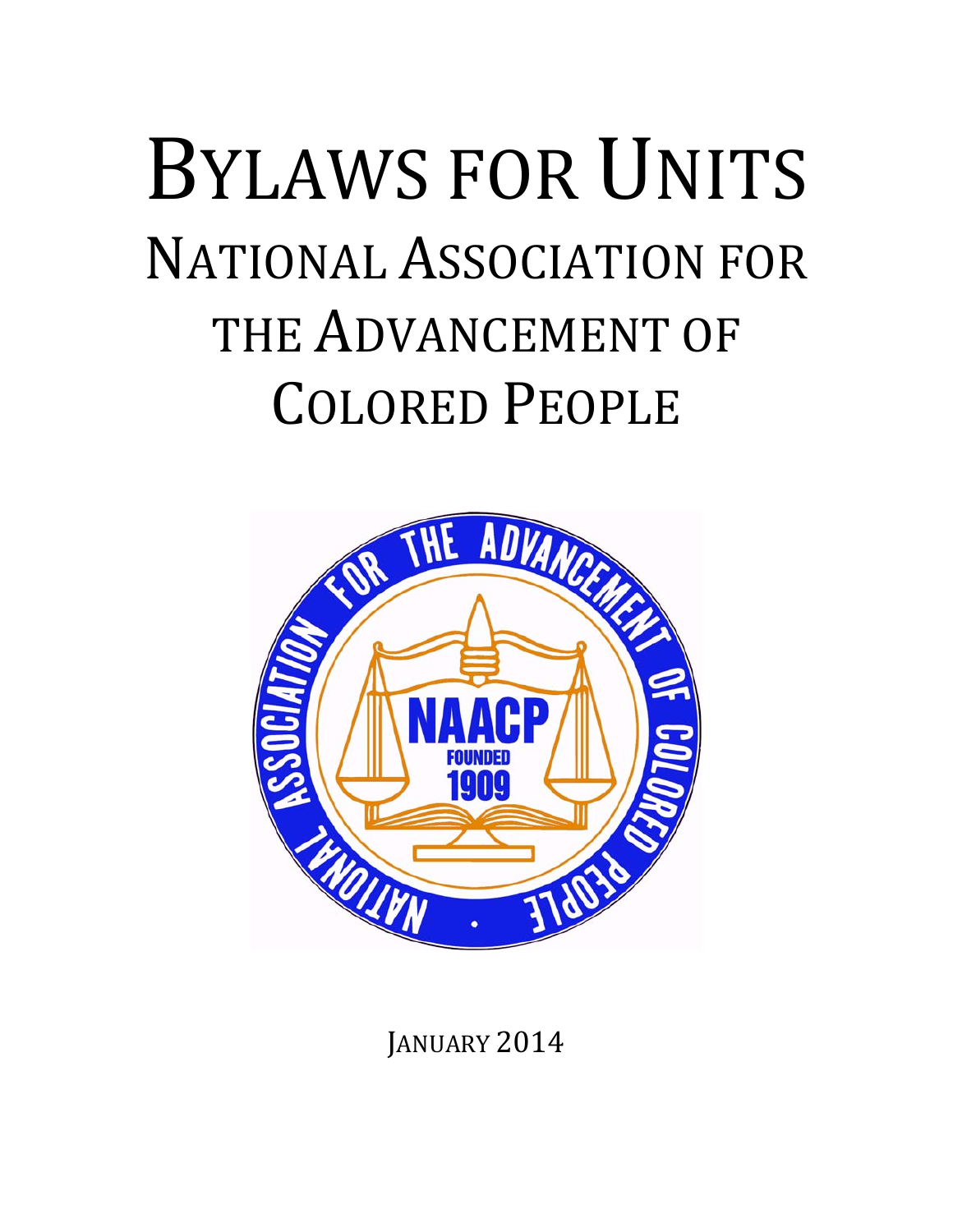# BYLAWS FOR UNITS **NATIONAL ASSOCIATION FOR** THE ADVANCEMENT OF COLORED PEOPLE



**JANUARY 2014**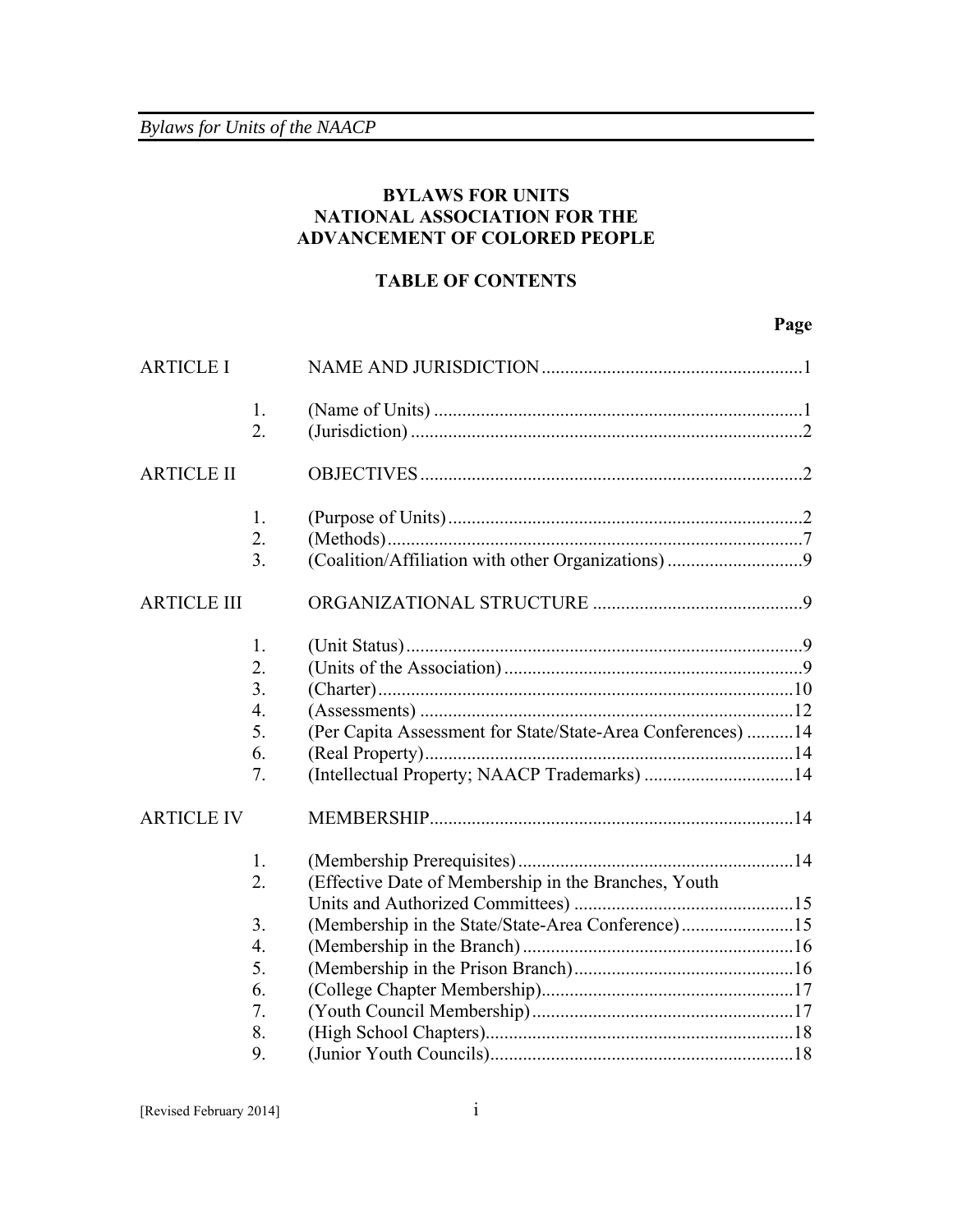# **BYLAWS FOR UNITS NATIONAL ASSOCIATION FOR THE ADVANCEMENT OF COLORED PEOPLE**

## **TABLE OF CONTENTS**

# **Page**

| <b>ARTICLE I</b>   |                  |                                                              |  |
|--------------------|------------------|--------------------------------------------------------------|--|
|                    | 1.               |                                                              |  |
|                    | $\overline{2}$ . |                                                              |  |
| <b>ARTICLE II</b>  |                  |                                                              |  |
|                    | 1.               |                                                              |  |
|                    | $\overline{2}$ . |                                                              |  |
|                    | 3 <sub>1</sub>   |                                                              |  |
| <b>ARTICLE III</b> |                  |                                                              |  |
|                    | 1.               |                                                              |  |
|                    | 2.               |                                                              |  |
|                    | 3.               |                                                              |  |
|                    | $\overline{4}$ . |                                                              |  |
|                    | 5.               | (Per Capita Assessment for State/State-Area Conferences)  14 |  |
|                    | 6.               |                                                              |  |
|                    | 7.               | (Intellectual Property; NAACP Trademarks) 14                 |  |
| <b>ARTICLE IV</b>  |                  |                                                              |  |
|                    | 1.               |                                                              |  |
|                    | $\overline{2}$ . | (Effective Date of Membership in the Branches, Youth         |  |
|                    |                  |                                                              |  |
|                    | 3 <sub>1</sub>   | (Membership in the State/State-Area Conference)15            |  |
|                    | $\overline{4}$ . |                                                              |  |
|                    | 5.               |                                                              |  |
|                    | 6.               |                                                              |  |
|                    | 7.               |                                                              |  |
|                    | 8.               |                                                              |  |
|                    | 9.               |                                                              |  |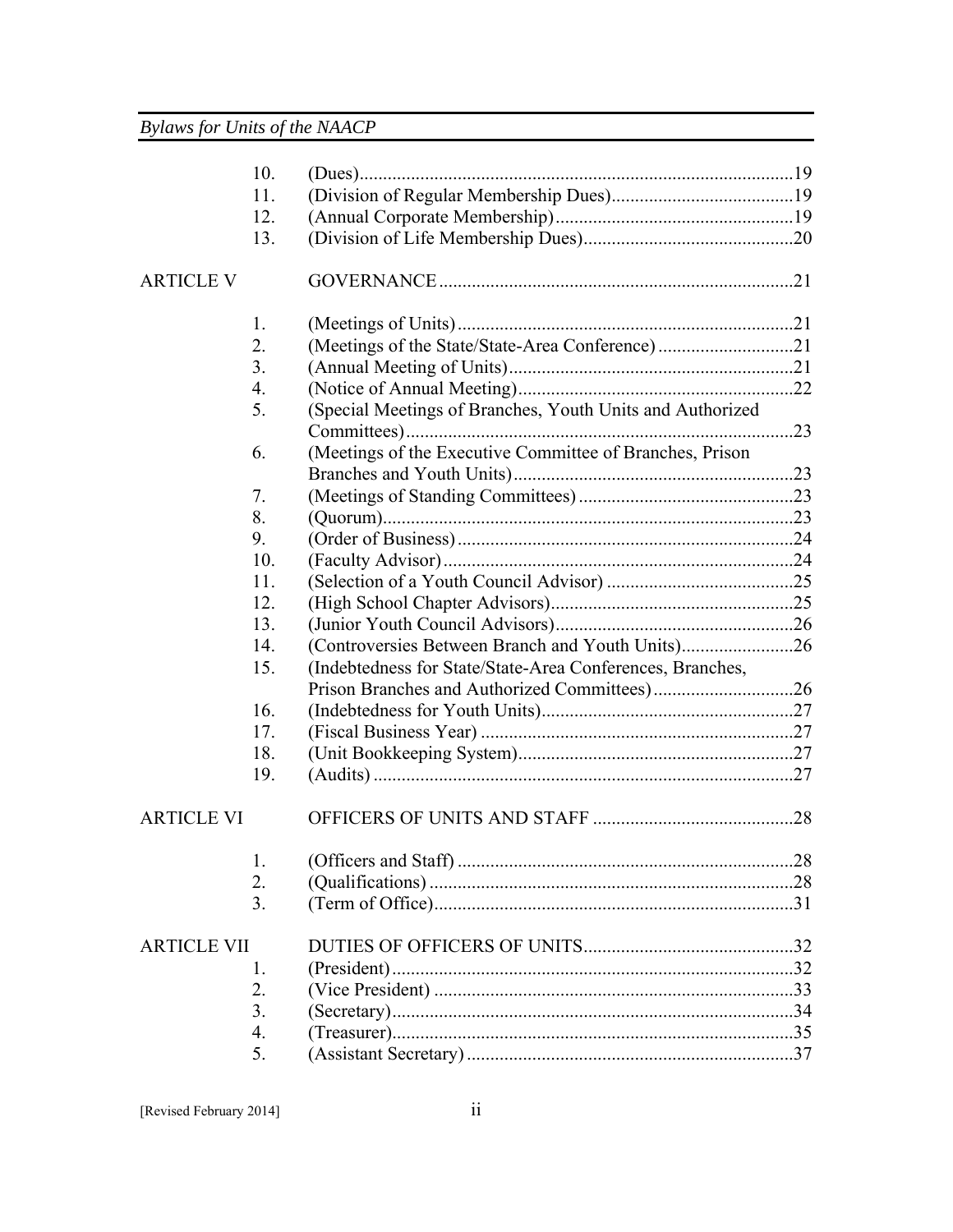|                    | 10. |                                                           |  |
|--------------------|-----|-----------------------------------------------------------|--|
|                    | 11. |                                                           |  |
|                    | 12. |                                                           |  |
|                    | 13. |                                                           |  |
| ARTICLE V          |     |                                                           |  |
|                    | 1.  |                                                           |  |
|                    | 2.  | (Meetings of the State/State-Area Conference)21           |  |
|                    | 3.  |                                                           |  |
|                    | 4.  |                                                           |  |
|                    | 5.  | (Special Meetings of Branches, Youth Units and Authorized |  |
|                    | 6.  | (Meetings of the Executive Committee of Branches, Prison  |  |
|                    |     |                                                           |  |
|                    | 7.  |                                                           |  |
|                    | 8.  |                                                           |  |
|                    | 9.  |                                                           |  |
|                    | 10. |                                                           |  |
|                    | 11. |                                                           |  |
|                    | 12. |                                                           |  |
|                    | 13. |                                                           |  |
|                    | 14. | (Controversies Between Branch and Youth Units)26          |  |
|                    | 15. | (Indebtedness for State/State-Area Conferences, Branches, |  |
|                    |     |                                                           |  |
|                    | 16. |                                                           |  |
|                    | 17. |                                                           |  |
|                    | 18. |                                                           |  |
|                    | 19. |                                                           |  |
| <b>ARTICLE VI</b>  |     |                                                           |  |
|                    | 1.  |                                                           |  |
|                    | 2.  |                                                           |  |
|                    | 3.  |                                                           |  |
| <b>ARTICLE VII</b> |     |                                                           |  |
|                    | 1.  |                                                           |  |
|                    | 2.  |                                                           |  |
|                    | 3.  |                                                           |  |
|                    | 4.  |                                                           |  |
|                    | 5.  |                                                           |  |
|                    |     |                                                           |  |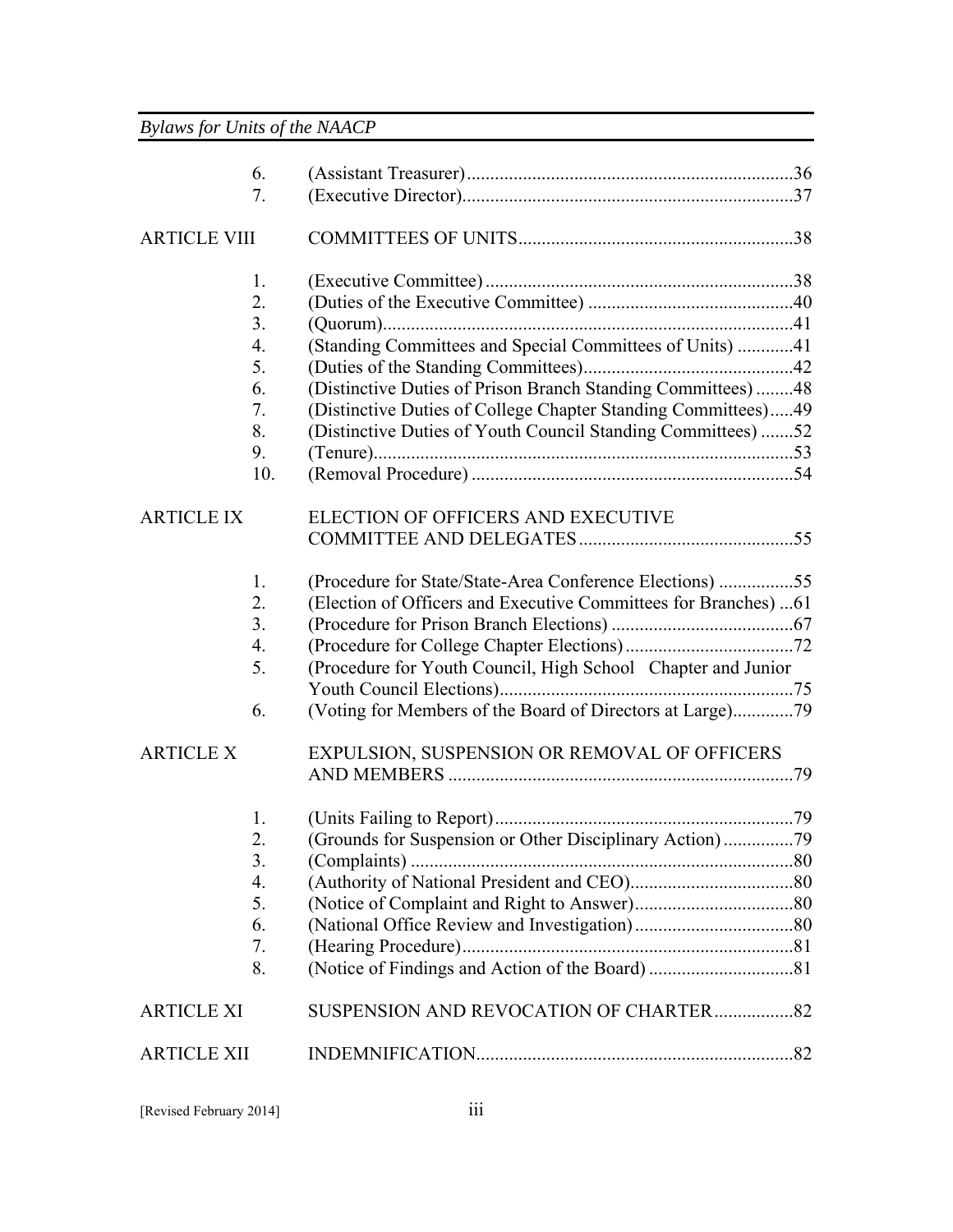| 6.                  |                                                                  |  |
|---------------------|------------------------------------------------------------------|--|
| 7.                  |                                                                  |  |
| <b>ARTICLE VIII</b> |                                                                  |  |
| 1.                  |                                                                  |  |
| 2.                  |                                                                  |  |
| 3.                  |                                                                  |  |
| 4.                  | (Standing Committees and Special Committees of Units) 41         |  |
| 5.                  |                                                                  |  |
| 6.                  | (Distinctive Duties of Prison Branch Standing Committees)48      |  |
| 7.                  | (Distinctive Duties of College Chapter Standing Committees)49    |  |
| 8.                  | (Distinctive Duties of Youth Council Standing Committees) 52     |  |
| 9.                  |                                                                  |  |
| 10.                 |                                                                  |  |
| <b>ARTICLE IX</b>   | ELECTION OF OFFICERS AND EXECUTIVE                               |  |
|                     |                                                                  |  |
| 1.                  | (Procedure for State/State-Area Conference Elections) 55         |  |
| 2.                  | (Election of Officers and Executive Committees for Branches)  61 |  |
| 3 <sub>1</sub>      |                                                                  |  |
| 4.                  |                                                                  |  |
| 5.                  | (Procedure for Youth Council, High School Chapter and Junior     |  |
|                     |                                                                  |  |
| 6.                  | (Voting for Members of the Board of Directors at Large)79        |  |
| <b>ARTICLE X</b>    | EXPULSION, SUSPENSION OR REMOVAL OF OFFICERS                     |  |
|                     |                                                                  |  |
| 1.                  |                                                                  |  |
| 2.                  | (Grounds for Suspension or Other Disciplinary Action)79          |  |
| 3.                  |                                                                  |  |
| 4.                  |                                                                  |  |
| 5.                  |                                                                  |  |
| 6.                  |                                                                  |  |
| 7.                  |                                                                  |  |
| 8.                  |                                                                  |  |
| <b>ARTICLE XI</b>   |                                                                  |  |
| <b>ARTICLE XII</b>  |                                                                  |  |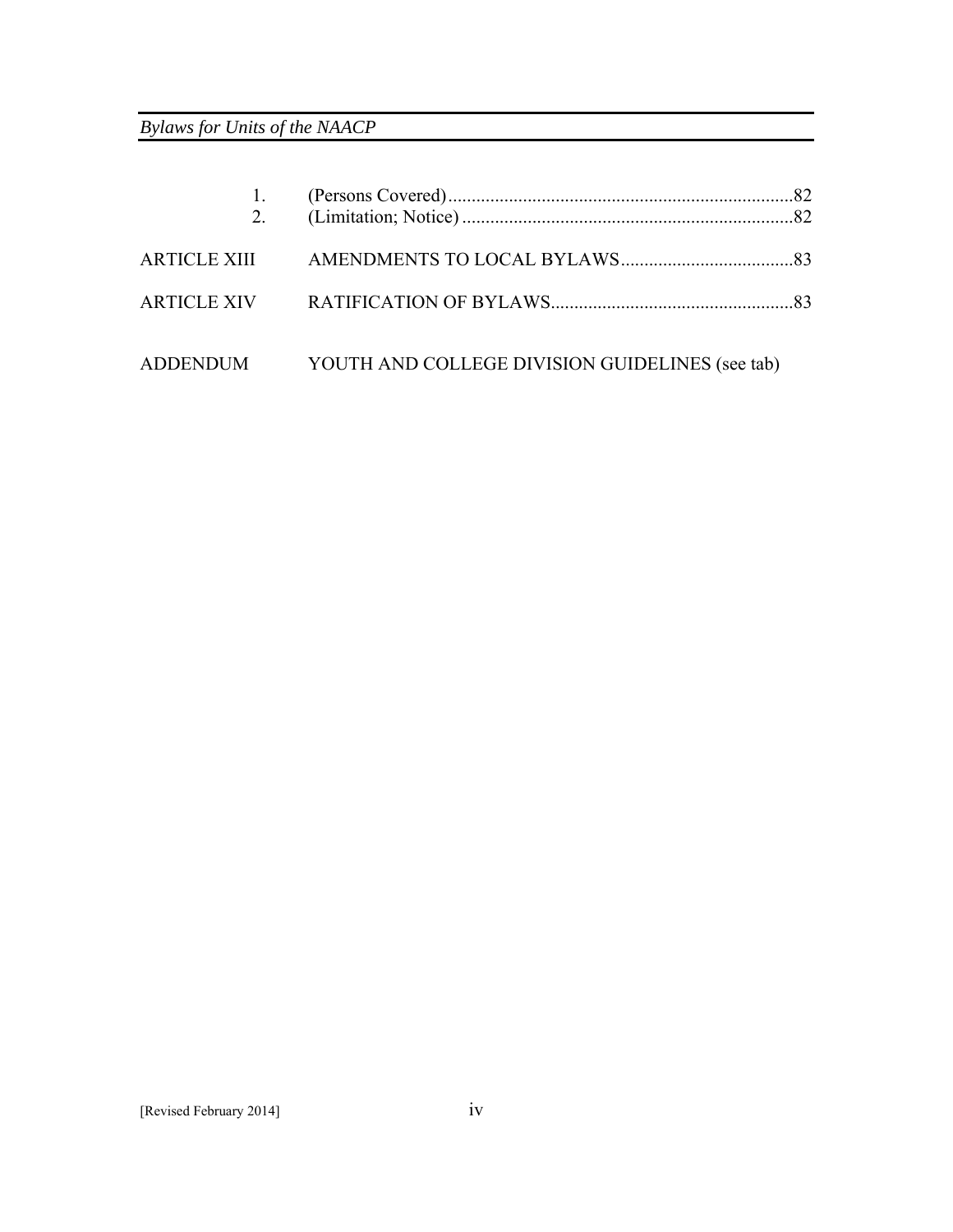| 2 <sub>1</sub> |                                                          |  |
|----------------|----------------------------------------------------------|--|
|                |                                                          |  |
|                |                                                          |  |
|                | ADDENDUM YOUTH AND COLLEGE DIVISION GUIDELINES (see tab) |  |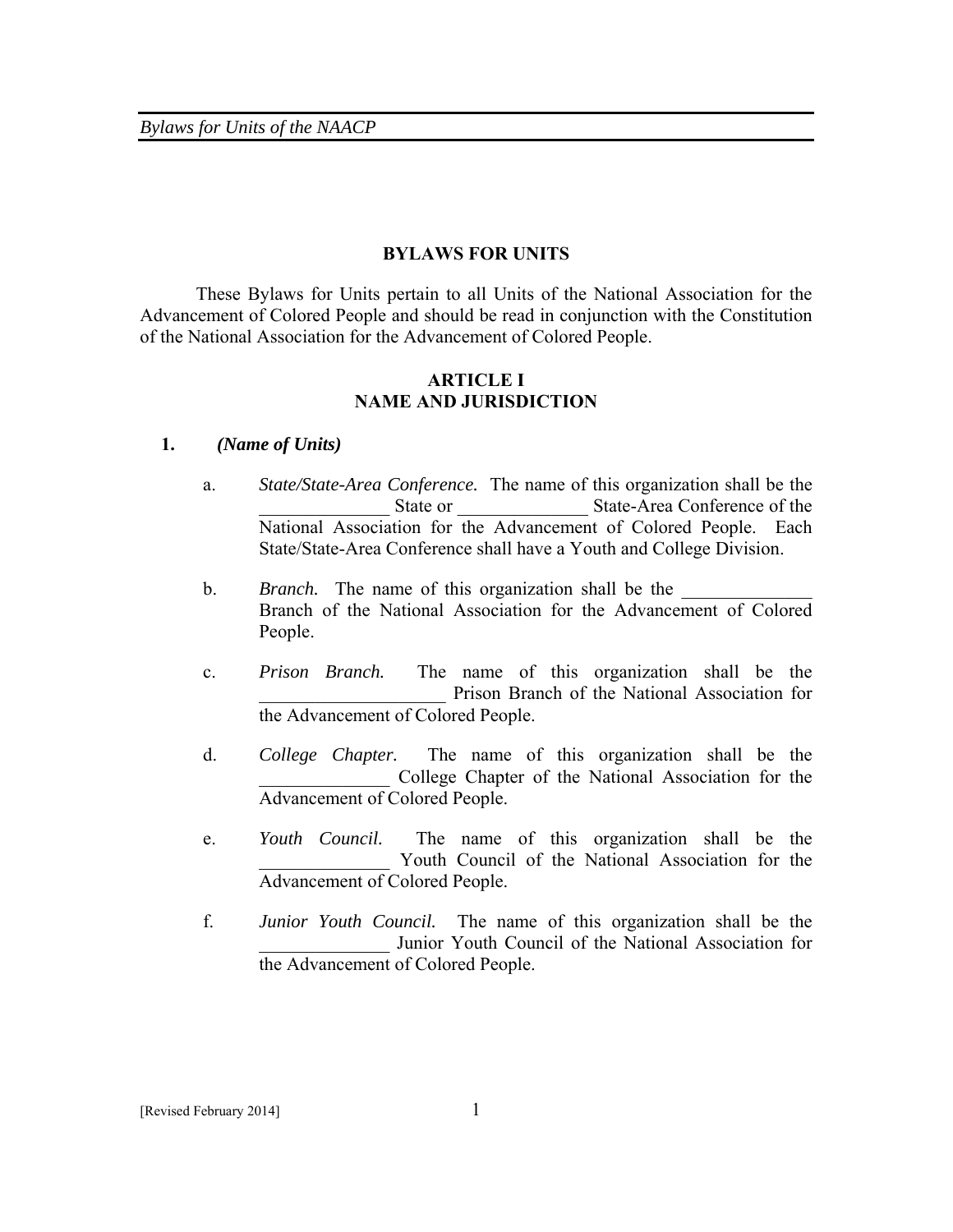#### **BYLAWS FOR UNITS**

 These Bylaws for Units pertain to all Units of the National Association for the Advancement of Colored People and should be read in conjunction with the Constitution of the National Association for the Advancement of Colored People.

## **ARTICLE I NAME AND JURISDICTION**

#### **1.** *(Name of Units)*

- a. *State/State-Area Conference.* The name of this organization shall be the State or State-Area Conference of the National Association for the Advancement of Colored People. Each State/State-Area Conference shall have a Youth and College Division.
- b. *Branch*. The name of this organization shall be the Branch of the National Association for the Advancement of Colored People.
- c. *Prison Branch.* The name of this organization shall be the Prison Branch of the National Association for the Advancement of Colored People.
- d. *College Chapter.* The name of this organization shall be the College Chapter of the National Association for the Advancement of Colored People.
- e. *Youth Council.* The name of this organization shall be the Youth Council of the National Association for the Advancement of Colored People.
- f. *Junior Youth Council.* The name of this organization shall be the Junior Youth Council of the National Association for the Advancement of Colored People.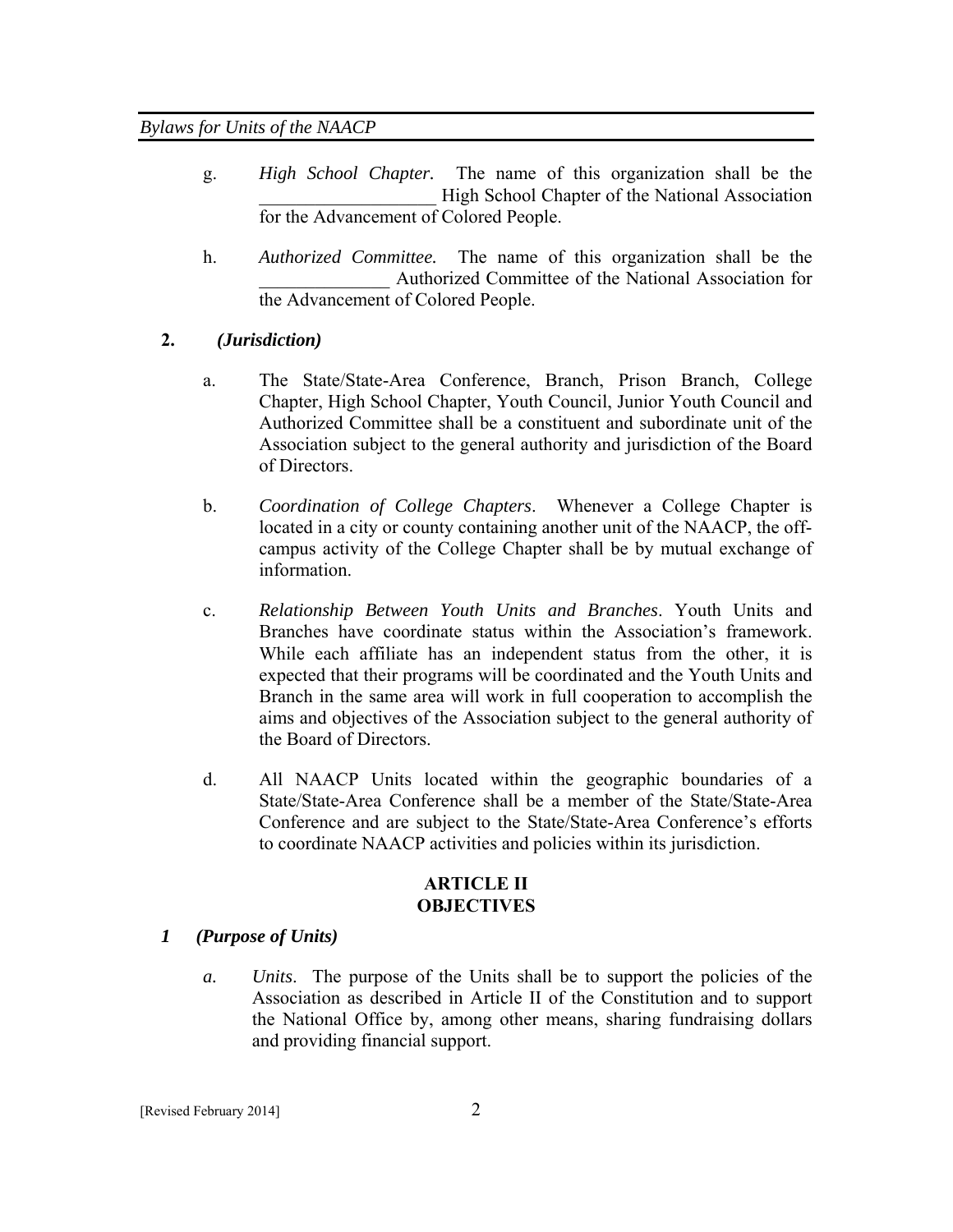- g. *High School Chapter.* The name of this organization shall be the High School Chapter of the National Association for the Advancement of Colored People.
- h. *Authorized Committee.* The name of this organization shall be the Authorized Committee of the National Association for the Advancement of Colored People.

## **2.** *(Jurisdiction)*

- a. The State/State-Area Conference, Branch, Prison Branch, College Chapter, High School Chapter, Youth Council, Junior Youth Council and Authorized Committee shall be a constituent and subordinate unit of the Association subject to the general authority and jurisdiction of the Board of Directors.
- b. *Coordination of College Chapters*. Whenever a College Chapter is located in a city or county containing another unit of the NAACP, the offcampus activity of the College Chapter shall be by mutual exchange of information.
- c. *Relationship Between Youth Units and Branches*. Youth Units and Branches have coordinate status within the Association's framework. While each affiliate has an independent status from the other, it is expected that their programs will be coordinated and the Youth Units and Branch in the same area will work in full cooperation to accomplish the aims and objectives of the Association subject to the general authority of the Board of Directors.
- d. All NAACP Units located within the geographic boundaries of a State/State-Area Conference shall be a member of the State/State-Area Conference and are subject to the State/State-Area Conference's efforts to coordinate NAACP activities and policies within its jurisdiction.

# **ARTICLE II OBJECTIVES**

#### *1 (Purpose of Units)*

*a. Units*. The purpose of the Units shall be to support the policies of the Association as described in Article II of the Constitution and to support the National Office by, among other means, sharing fundraising dollars and providing financial support.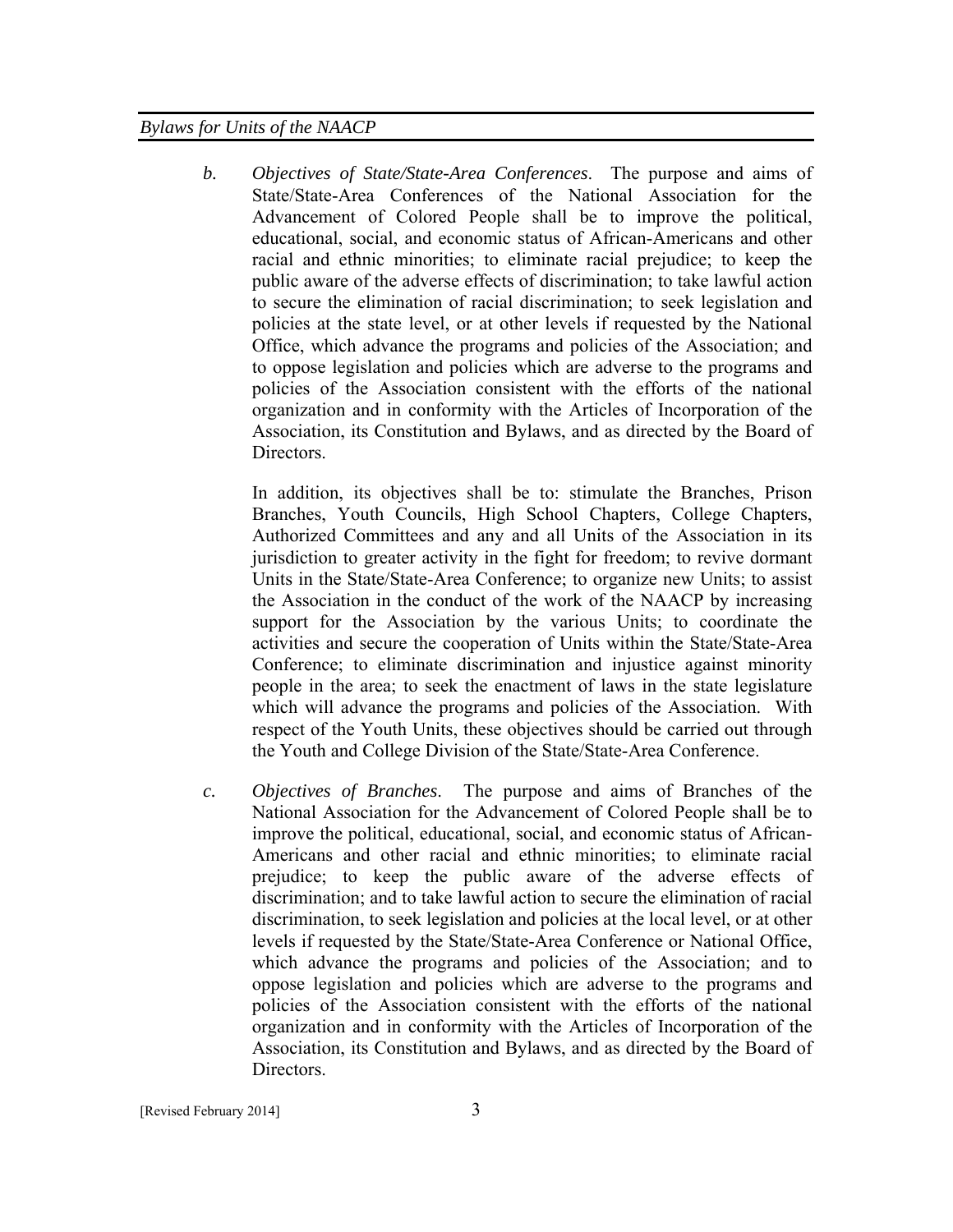*b. Objectives of State/State-Area Conferences*. The purpose and aims of State/State-Area Conferences of the National Association for the Advancement of Colored People shall be to improve the political, educational, social, and economic status of African-Americans and other racial and ethnic minorities; to eliminate racial prejudice; to keep the public aware of the adverse effects of discrimination; to take lawful action to secure the elimination of racial discrimination; to seek legislation and policies at the state level, or at other levels if requested by the National Office, which advance the programs and policies of the Association; and to oppose legislation and policies which are adverse to the programs and policies of the Association consistent with the efforts of the national organization and in conformity with the Articles of Incorporation of the Association, its Constitution and Bylaws, and as directed by the Board of Directors.

In addition, its objectives shall be to: stimulate the Branches, Prison Branches, Youth Councils, High School Chapters, College Chapters, Authorized Committees and any and all Units of the Association in its jurisdiction to greater activity in the fight for freedom; to revive dormant Units in the State/State-Area Conference; to organize new Units; to assist the Association in the conduct of the work of the NAACP by increasing support for the Association by the various Units; to coordinate the activities and secure the cooperation of Units within the State/State-Area Conference; to eliminate discrimination and injustice against minority people in the area; to seek the enactment of laws in the state legislature which will advance the programs and policies of the Association. With respect of the Youth Units, these objectives should be carried out through the Youth and College Division of the State/State-Area Conference.

*c. Objectives of Branches*. The purpose and aims of Branches of the National Association for the Advancement of Colored People shall be to improve the political, educational, social, and economic status of African-Americans and other racial and ethnic minorities; to eliminate racial prejudice; to keep the public aware of the adverse effects of discrimination; and to take lawful action to secure the elimination of racial discrimination, to seek legislation and policies at the local level, or at other levels if requested by the State/State-Area Conference or National Office, which advance the programs and policies of the Association; and to oppose legislation and policies which are adverse to the programs and policies of the Association consistent with the efforts of the national organization and in conformity with the Articles of Incorporation of the Association, its Constitution and Bylaws, and as directed by the Board of Directors.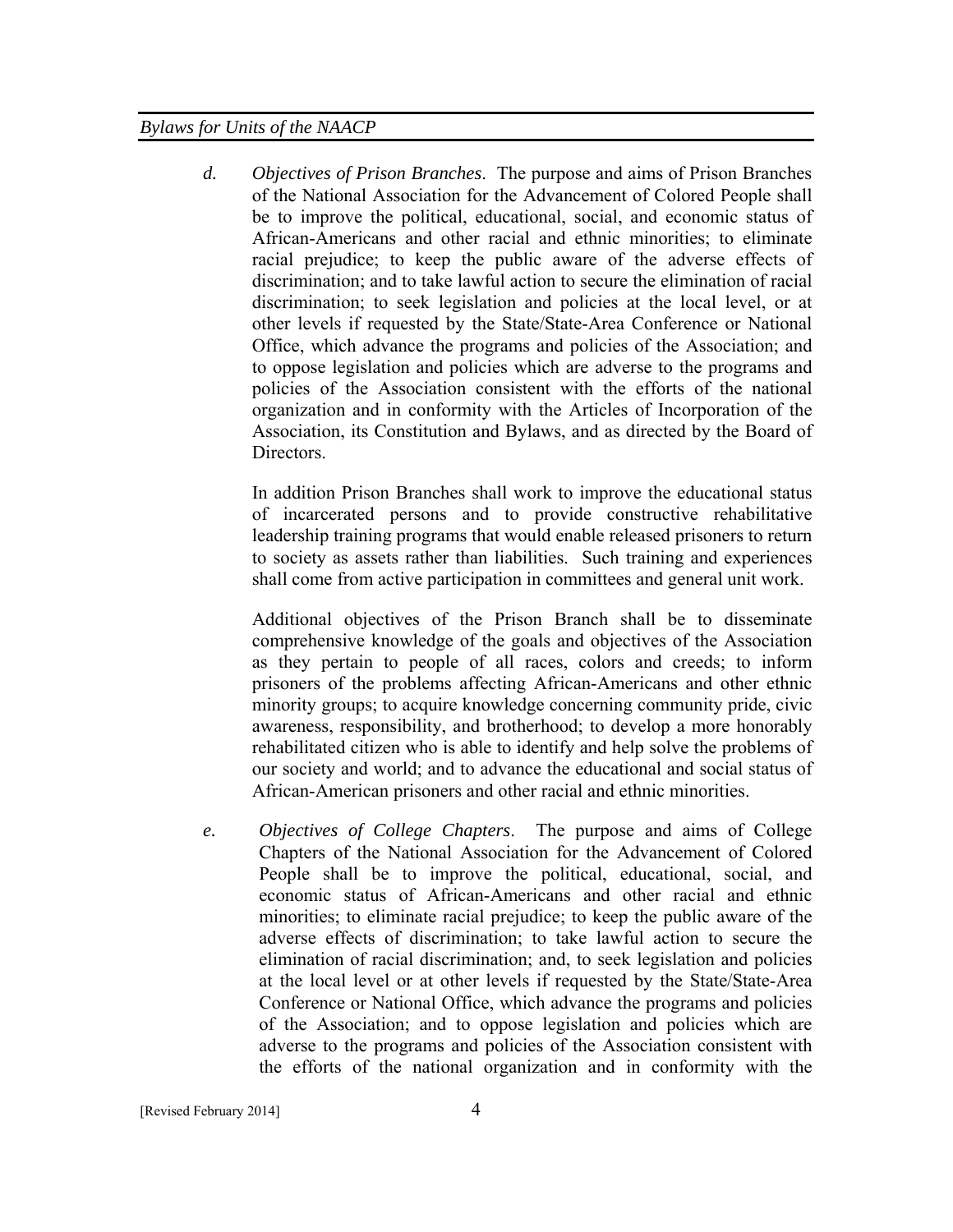*d. Objectives of Prison Branches*. The purpose and aims of Prison Branches of the National Association for the Advancement of Colored People shall be to improve the political, educational, social, and economic status of African-Americans and other racial and ethnic minorities; to eliminate racial prejudice; to keep the public aware of the adverse effects of discrimination; and to take lawful action to secure the elimination of racial discrimination; to seek legislation and policies at the local level, or at other levels if requested by the State/State-Area Conference or National Office, which advance the programs and policies of the Association; and to oppose legislation and policies which are adverse to the programs and policies of the Association consistent with the efforts of the national organization and in conformity with the Articles of Incorporation of the Association, its Constitution and Bylaws, and as directed by the Board of Directors.

In addition Prison Branches shall work to improve the educational status of incarcerated persons and to provide constructive rehabilitative leadership training programs that would enable released prisoners to return to society as assets rather than liabilities. Such training and experiences shall come from active participation in committees and general unit work.

Additional objectives of the Prison Branch shall be to disseminate comprehensive knowledge of the goals and objectives of the Association as they pertain to people of all races, colors and creeds; to inform prisoners of the problems affecting African-Americans and other ethnic minority groups; to acquire knowledge concerning community pride, civic awareness, responsibility, and brotherhood; to develop a more honorably rehabilitated citizen who is able to identify and help solve the problems of our society and world; and to advance the educational and social status of African-American prisoners and other racial and ethnic minorities.

*e. Objectives of College Chapters*. The purpose and aims of College Chapters of the National Association for the Advancement of Colored People shall be to improve the political, educational, social, and economic status of African-Americans and other racial and ethnic minorities; to eliminate racial prejudice; to keep the public aware of the adverse effects of discrimination; to take lawful action to secure the elimination of racial discrimination; and, to seek legislation and policies at the local level or at other levels if requested by the State/State-Area Conference or National Office, which advance the programs and policies of the Association; and to oppose legislation and policies which are adverse to the programs and policies of the Association consistent with the efforts of the national organization and in conformity with the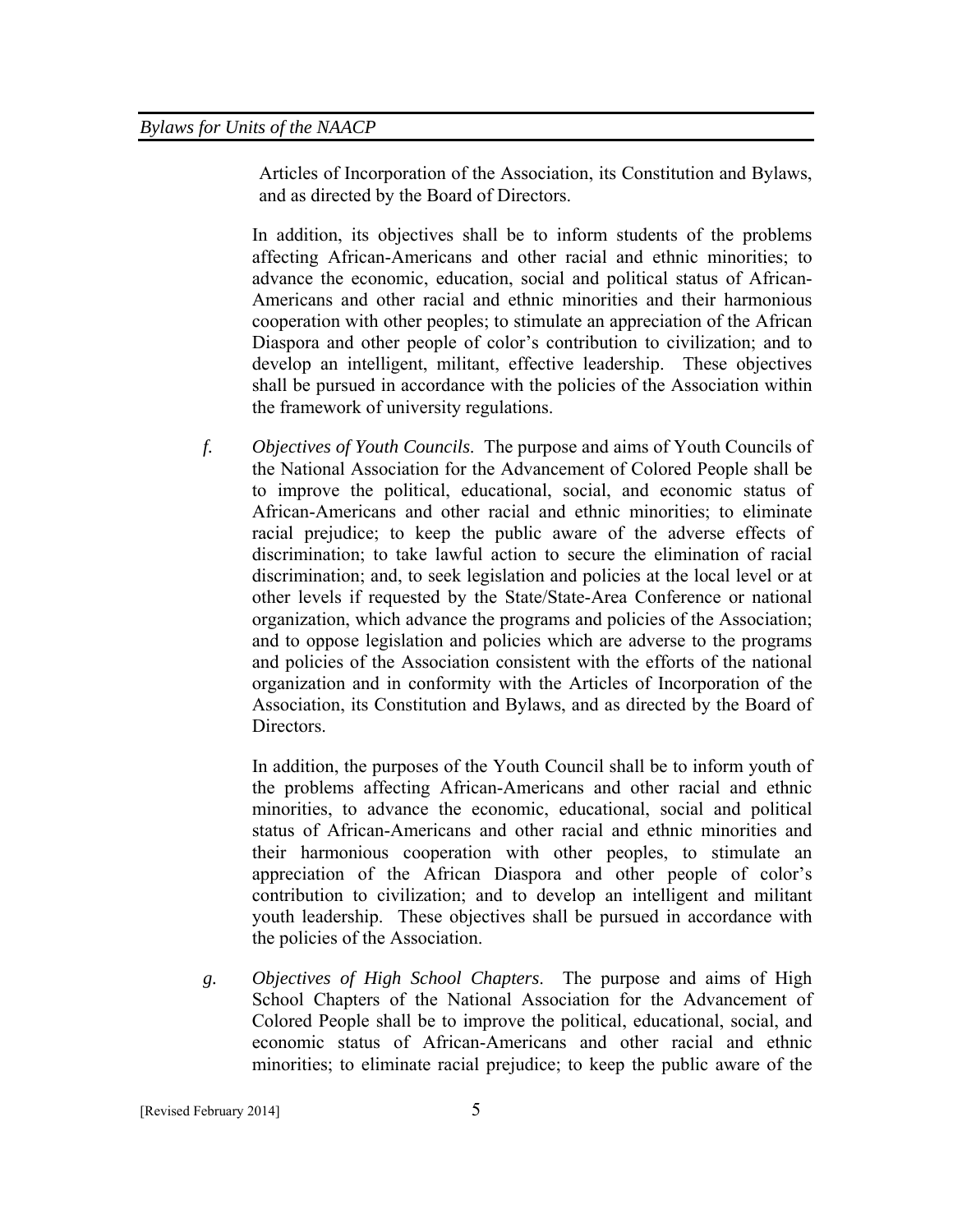Articles of Incorporation of the Association, its Constitution and Bylaws, and as directed by the Board of Directors.

In addition, its objectives shall be to inform students of the problems affecting African-Americans and other racial and ethnic minorities; to advance the economic, education, social and political status of African-Americans and other racial and ethnic minorities and their harmonious cooperation with other peoples; to stimulate an appreciation of the African Diaspora and other people of color's contribution to civilization; and to develop an intelligent, militant, effective leadership. These objectives shall be pursued in accordance with the policies of the Association within the framework of university regulations.

*f. Objectives of Youth Councils*. The purpose and aims of Youth Councils of the National Association for the Advancement of Colored People shall be to improve the political, educational, social, and economic status of African-Americans and other racial and ethnic minorities; to eliminate racial prejudice; to keep the public aware of the adverse effects of discrimination; to take lawful action to secure the elimination of racial discrimination; and, to seek legislation and policies at the local level or at other levels if requested by the State/State-Area Conference or national organization, which advance the programs and policies of the Association; and to oppose legislation and policies which are adverse to the programs and policies of the Association consistent with the efforts of the national organization and in conformity with the Articles of Incorporation of the Association, its Constitution and Bylaws, and as directed by the Board of Directors.

In addition, the purposes of the Youth Council shall be to inform youth of the problems affecting African-Americans and other racial and ethnic minorities, to advance the economic, educational, social and political status of African-Americans and other racial and ethnic minorities and their harmonious cooperation with other peoples, to stimulate an appreciation of the African Diaspora and other people of color's contribution to civilization; and to develop an intelligent and militant youth leadership. These objectives shall be pursued in accordance with the policies of the Association.

*g. Objectives of High School Chapters*. The purpose and aims of High School Chapters of the National Association for the Advancement of Colored People shall be to improve the political, educational, social, and economic status of African-Americans and other racial and ethnic minorities; to eliminate racial prejudice; to keep the public aware of the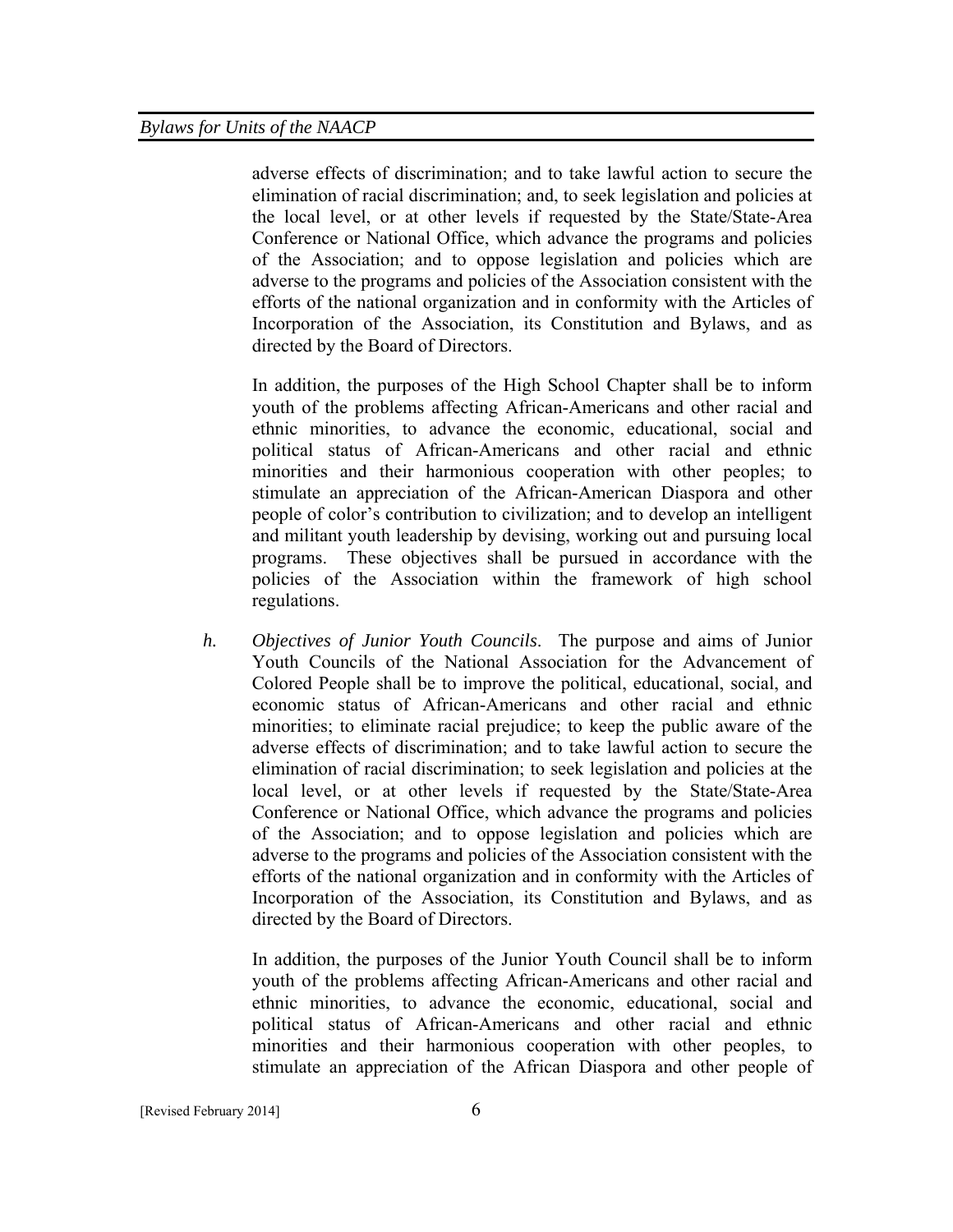adverse effects of discrimination; and to take lawful action to secure the elimination of racial discrimination; and, to seek legislation and policies at the local level, or at other levels if requested by the State/State-Area Conference or National Office, which advance the programs and policies of the Association; and to oppose legislation and policies which are adverse to the programs and policies of the Association consistent with the efforts of the national organization and in conformity with the Articles of Incorporation of the Association, its Constitution and Bylaws, and as directed by the Board of Directors.

In addition, the purposes of the High School Chapter shall be to inform youth of the problems affecting African-Americans and other racial and ethnic minorities, to advance the economic, educational, social and political status of African-Americans and other racial and ethnic minorities and their harmonious cooperation with other peoples; to stimulate an appreciation of the African-American Diaspora and other people of color's contribution to civilization; and to develop an intelligent and militant youth leadership by devising, working out and pursuing local programs. These objectives shall be pursued in accordance with the policies of the Association within the framework of high school regulations.

*h. Objectives of Junior Youth Councils*. The purpose and aims of Junior Youth Councils of the National Association for the Advancement of Colored People shall be to improve the political, educational, social, and economic status of African-Americans and other racial and ethnic minorities; to eliminate racial prejudice; to keep the public aware of the adverse effects of discrimination; and to take lawful action to secure the elimination of racial discrimination; to seek legislation and policies at the local level, or at other levels if requested by the State/State-Area Conference or National Office, which advance the programs and policies of the Association; and to oppose legislation and policies which are adverse to the programs and policies of the Association consistent with the efforts of the national organization and in conformity with the Articles of Incorporation of the Association, its Constitution and Bylaws, and as directed by the Board of Directors.

In addition, the purposes of the Junior Youth Council shall be to inform youth of the problems affecting African-Americans and other racial and ethnic minorities, to advance the economic, educational, social and political status of African-Americans and other racial and ethnic minorities and their harmonious cooperation with other peoples, to stimulate an appreciation of the African Diaspora and other people of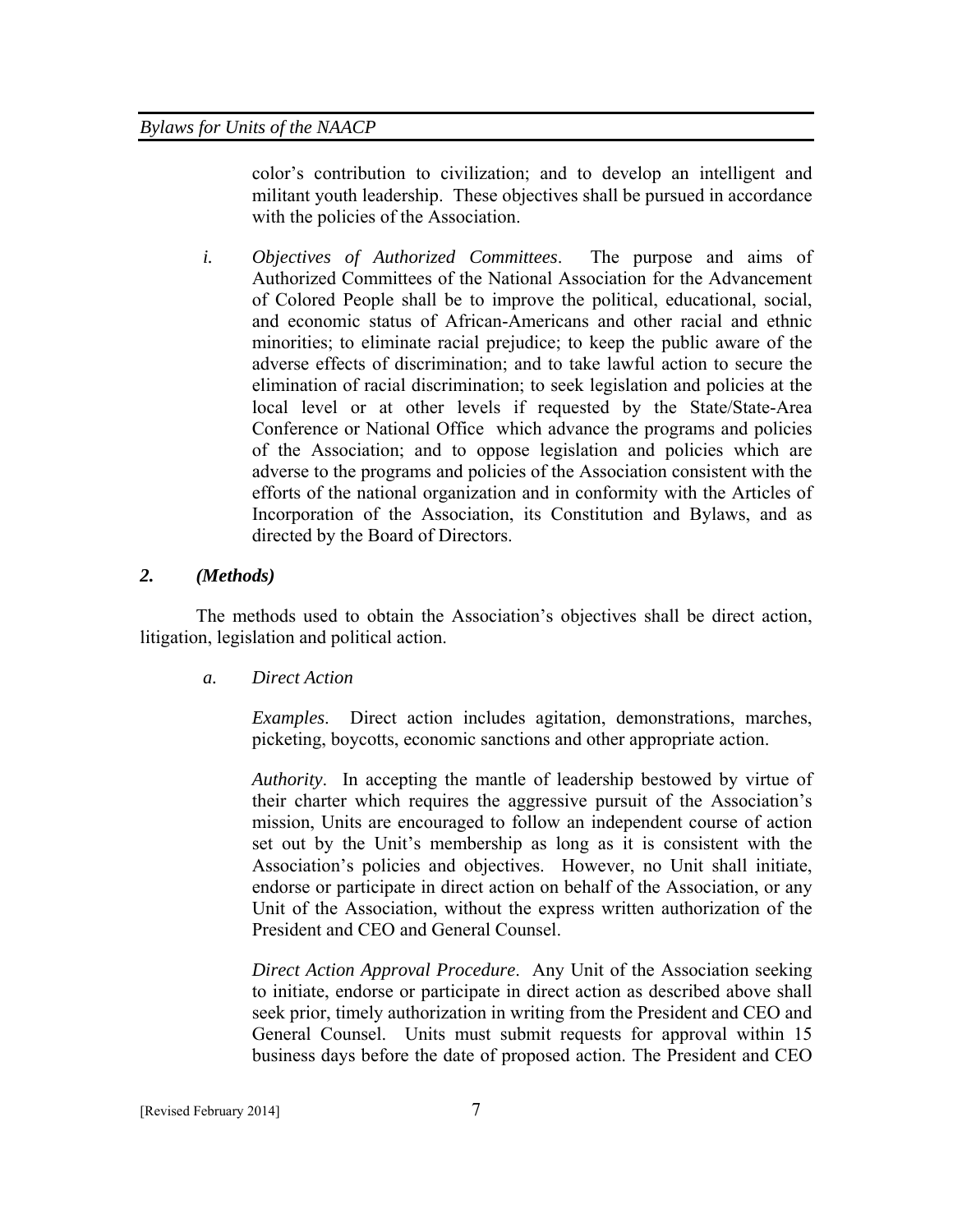color's contribution to civilization; and to develop an intelligent and militant youth leadership. These objectives shall be pursued in accordance with the policies of the Association.

*i. Objectives of Authorized Committees*. The purpose and aims of Authorized Committees of the National Association for the Advancement of Colored People shall be to improve the political, educational, social, and economic status of African-Americans and other racial and ethnic minorities; to eliminate racial prejudice; to keep the public aware of the adverse effects of discrimination; and to take lawful action to secure the elimination of racial discrimination; to seek legislation and policies at the local level or at other levels if requested by the State/State-Area Conference or National Office which advance the programs and policies of the Association; and to oppose legislation and policies which are adverse to the programs and policies of the Association consistent with the efforts of the national organization and in conformity with the Articles of Incorporation of the Association, its Constitution and Bylaws, and as directed by the Board of Directors.

## *2. (Methods)*

The methods used to obtain the Association's objectives shall be direct action, litigation, legislation and political action.

*a. Direct Action* 

*Examples*. Direct action includes agitation, demonstrations, marches, picketing, boycotts, economic sanctions and other appropriate action.

*Authority*. In accepting the mantle of leadership bestowed by virtue of their charter which requires the aggressive pursuit of the Association's mission, Units are encouraged to follow an independent course of action set out by the Unit's membership as long as it is consistent with the Association's policies and objectives. However, no Unit shall initiate, endorse or participate in direct action on behalf of the Association, or any Unit of the Association, without the express written authorization of the President and CEO and General Counsel.

*Direct Action Approval Procedure*. Any Unit of the Association seeking to initiate, endorse or participate in direct action as described above shall seek prior, timely authorization in writing from the President and CEO and General Counsel. Units must submit requests for approval within 15 business days before the date of proposed action. The President and CEO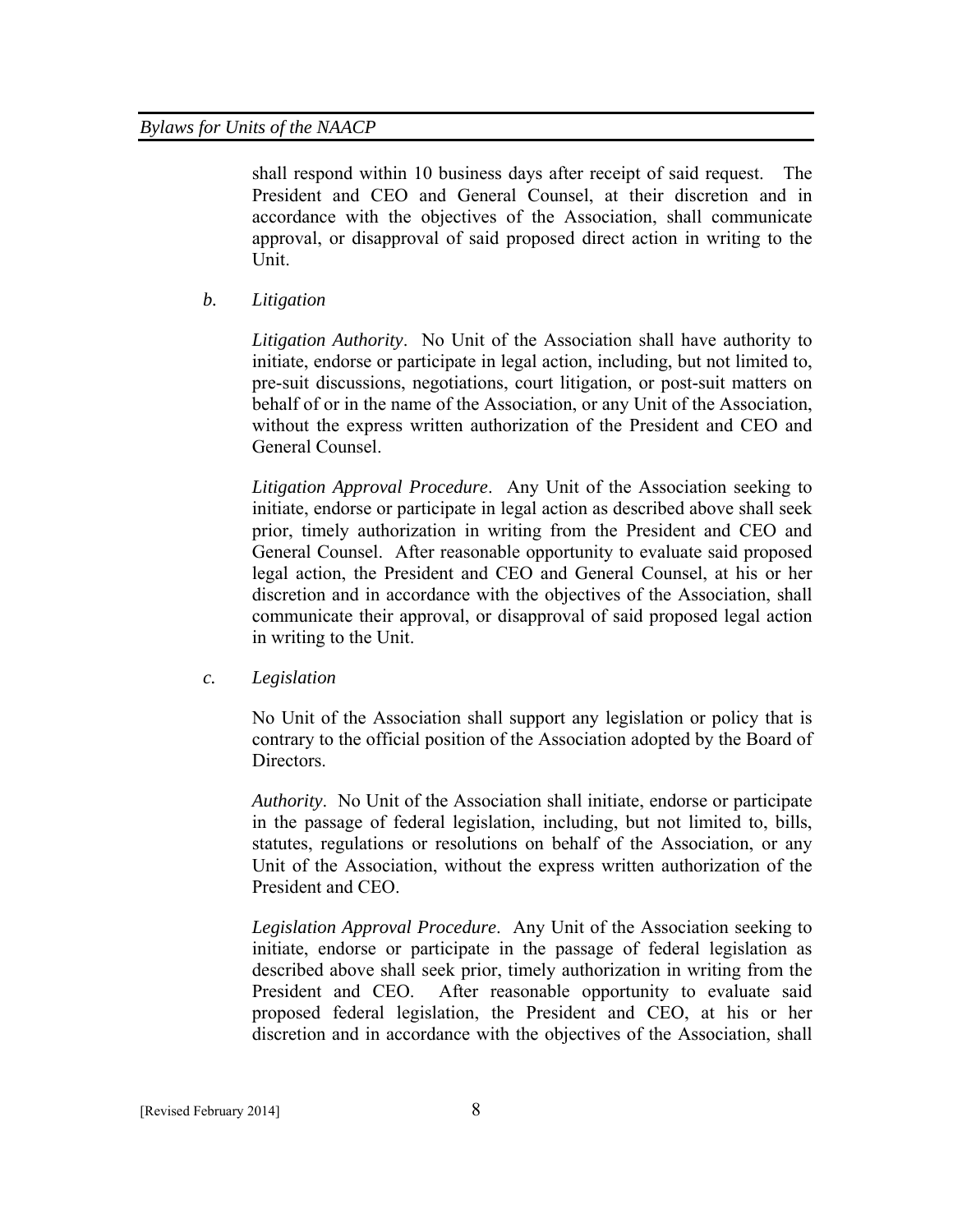shall respond within 10 business days after receipt of said request. The President and CEO and General Counsel, at their discretion and in accordance with the objectives of the Association, shall communicate approval, or disapproval of said proposed direct action in writing to the Unit.

*b. Litigation* 

*Litigation Authority*. No Unit of the Association shall have authority to initiate, endorse or participate in legal action, including, but not limited to, pre-suit discussions, negotiations, court litigation, or post-suit matters on behalf of or in the name of the Association, or any Unit of the Association, without the express written authorization of the President and CEO and General Counsel.

*Litigation Approval Procedure*. Any Unit of the Association seeking to initiate, endorse or participate in legal action as described above shall seek prior, timely authorization in writing from the President and CEO and General Counsel. After reasonable opportunity to evaluate said proposed legal action, the President and CEO and General Counsel, at his or her discretion and in accordance with the objectives of the Association, shall communicate their approval, or disapproval of said proposed legal action in writing to the Unit.

*c. Legislation* 

No Unit of the Association shall support any legislation or policy that is contrary to the official position of the Association adopted by the Board of Directors.

*Authority*. No Unit of the Association shall initiate, endorse or participate in the passage of federal legislation, including, but not limited to, bills, statutes, regulations or resolutions on behalf of the Association, or any Unit of the Association, without the express written authorization of the President and CEO.

*Legislation Approval Procedure*. Any Unit of the Association seeking to initiate, endorse or participate in the passage of federal legislation as described above shall seek prior, timely authorization in writing from the President and CEO. After reasonable opportunity to evaluate said proposed federal legislation, the President and CEO, at his or her discretion and in accordance with the objectives of the Association, shall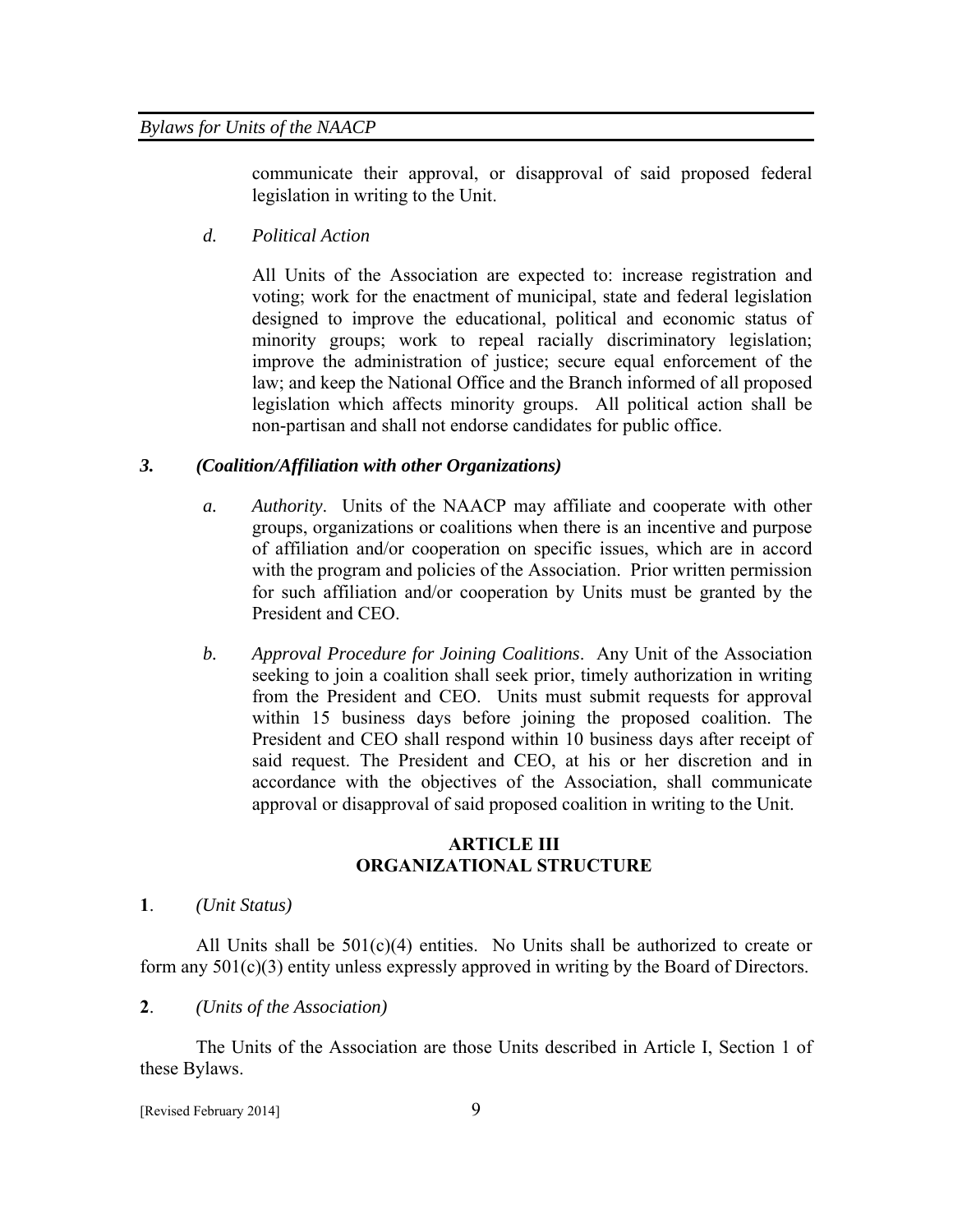communicate their approval, or disapproval of said proposed federal legislation in writing to the Unit.

*d. Political Action* 

All Units of the Association are expected to: increase registration and voting; work for the enactment of municipal, state and federal legislation designed to improve the educational, political and economic status of minority groups; work to repeal racially discriminatory legislation; improve the administration of justice; secure equal enforcement of the law; and keep the National Office and the Branch informed of all proposed legislation which affects minority groups. All political action shall be non-partisan and shall not endorse candidates for public office.

## *3. (Coalition/Affiliation with other Organizations)*

- *a. Authority*. Units of the NAACP may affiliate and cooperate with other groups, organizations or coalitions when there is an incentive and purpose of affiliation and/or cooperation on specific issues, which are in accord with the program and policies of the Association. Prior written permission for such affiliation and/or cooperation by Units must be granted by the President and CEO.
- *b. Approval Procedure for Joining Coalitions*. Any Unit of the Association seeking to join a coalition shall seek prior, timely authorization in writing from the President and CEO. Units must submit requests for approval within 15 business days before joining the proposed coalition. The President and CEO shall respond within 10 business days after receipt of said request. The President and CEO, at his or her discretion and in accordance with the objectives of the Association, shall communicate approval or disapproval of said proposed coalition in writing to the Unit.

## **ARTICLE III ORGANIZATIONAL STRUCTURE**

**1**. *(Unit Status)*

All Units shall be  $501(c)(4)$  entities. No Units shall be authorized to create or form any 501(c)(3) entity unless expressly approved in writing by the Board of Directors.

## **2**. *(Units of the Association)*

The Units of the Association are those Units described in Article I, Section 1 of these Bylaws.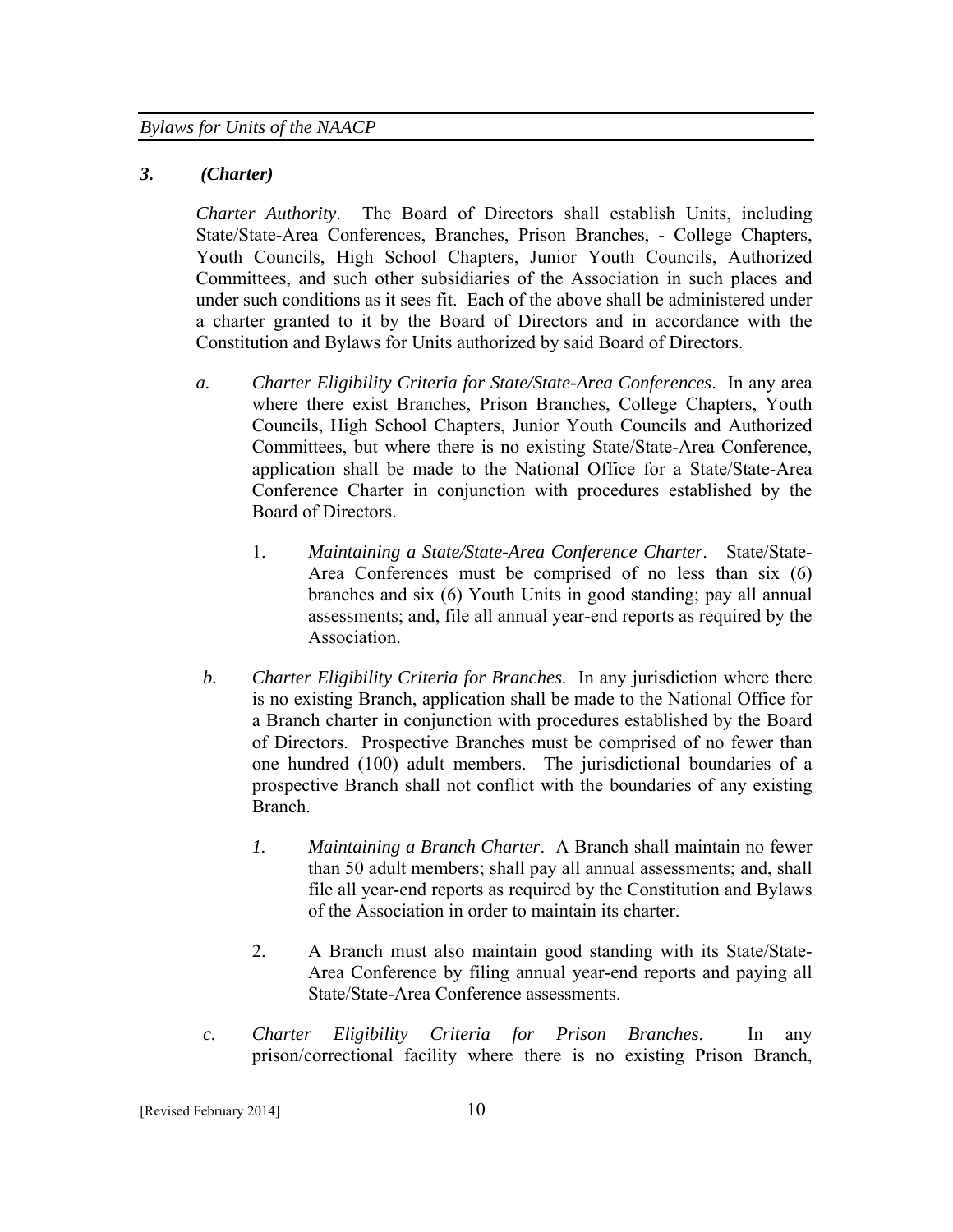## *3. (Charter)*

*Charter Authority*. The Board of Directors shall establish Units, including State/State-Area Conferences, Branches, Prison Branches, - College Chapters, Youth Councils, High School Chapters, Junior Youth Councils, Authorized Committees, and such other subsidiaries of the Association in such places and under such conditions as it sees fit. Each of the above shall be administered under a charter granted to it by the Board of Directors and in accordance with the Constitution and Bylaws for Units authorized by said Board of Directors.

- *a. Charter Eligibility Criteria for State/State-Area Conferences*. In any area where there exist Branches, Prison Branches, College Chapters, Youth Councils, High School Chapters, Junior Youth Councils and Authorized Committees, but where there is no existing State/State-Area Conference, application shall be made to the National Office for a State/State-Area Conference Charter in conjunction with procedures established by the Board of Directors.
	- 1. *Maintaining a State/State-Area Conference Charter*. State/State-Area Conferences must be comprised of no less than six (6) branches and six (6) Youth Units in good standing; pay all annual assessments; and, file all annual year-end reports as required by the Association.
- *b. Charter Eligibility Criteria for Branches*. In any jurisdiction where there is no existing Branch, application shall be made to the National Office for a Branch charter in conjunction with procedures established by the Board of Directors. Prospective Branches must be comprised of no fewer than one hundred (100) adult members. The jurisdictional boundaries of a prospective Branch shall not conflict with the boundaries of any existing Branch.
	- *1. Maintaining a Branch Charter*. A Branch shall maintain no fewer than 50 adult members; shall pay all annual assessments; and, shall file all year-end reports as required by the Constitution and Bylaws of the Association in order to maintain its charter.
	- 2. A Branch must also maintain good standing with its State/State-Area Conference by filing annual year-end reports and paying all State/State-Area Conference assessments.
- *c. Charter Eligibility Criteria for Prison Branches*. In any prison/correctional facility where there is no existing Prison Branch,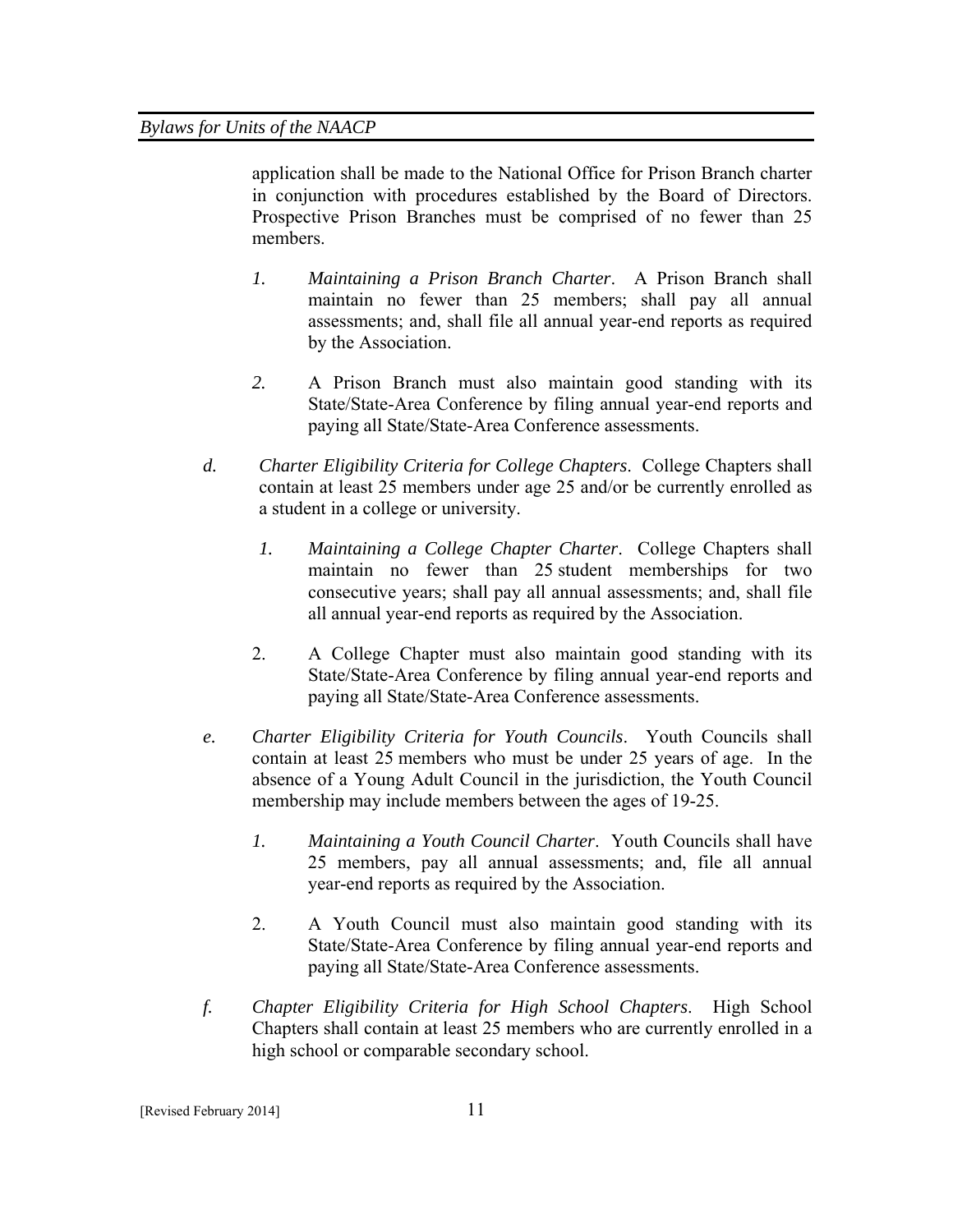application shall be made to the National Office for Prison Branch charter in conjunction with procedures established by the Board of Directors. Prospective Prison Branches must be comprised of no fewer than 25 members.

- *1. Maintaining a Prison Branch Charter*. A Prison Branch shall maintain no fewer than 25 members; shall pay all annual assessments; and, shall file all annual year-end reports as required by the Association.
- *2.* A Prison Branch must also maintain good standing with its State/State-Area Conference by filing annual year-end reports and paying all State/State-Area Conference assessments.
- *d. Charter Eligibility Criteria for College Chapters*. College Chapters shall contain at least 25 members under age 25 and/or be currently enrolled as a student in a college or university.
	- *1. Maintaining a College Chapter Charter*. College Chapters shall maintain no fewer than 25 student memberships for two consecutive years; shall pay all annual assessments; and, shall file all annual year-end reports as required by the Association.
	- 2. A College Chapter must also maintain good standing with its State/State-Area Conference by filing annual year-end reports and paying all State/State-Area Conference assessments.
- *e. Charter Eligibility Criteria for Youth Councils*. Youth Councils shall contain at least 25 members who must be under 25 years of age. In the absence of a Young Adult Council in the jurisdiction, the Youth Council membership may include members between the ages of 19-25.
	- *1. Maintaining a Youth Council Charter*. Youth Councils shall have 25 members, pay all annual assessments; and, file all annual year-end reports as required by the Association.
	- 2. A Youth Council must also maintain good standing with its State/State-Area Conference by filing annual year-end reports and paying all State/State-Area Conference assessments.
- *f. Chapter Eligibility Criteria for High School Chapters*. High School Chapters shall contain at least 25 members who are currently enrolled in a high school or comparable secondary school.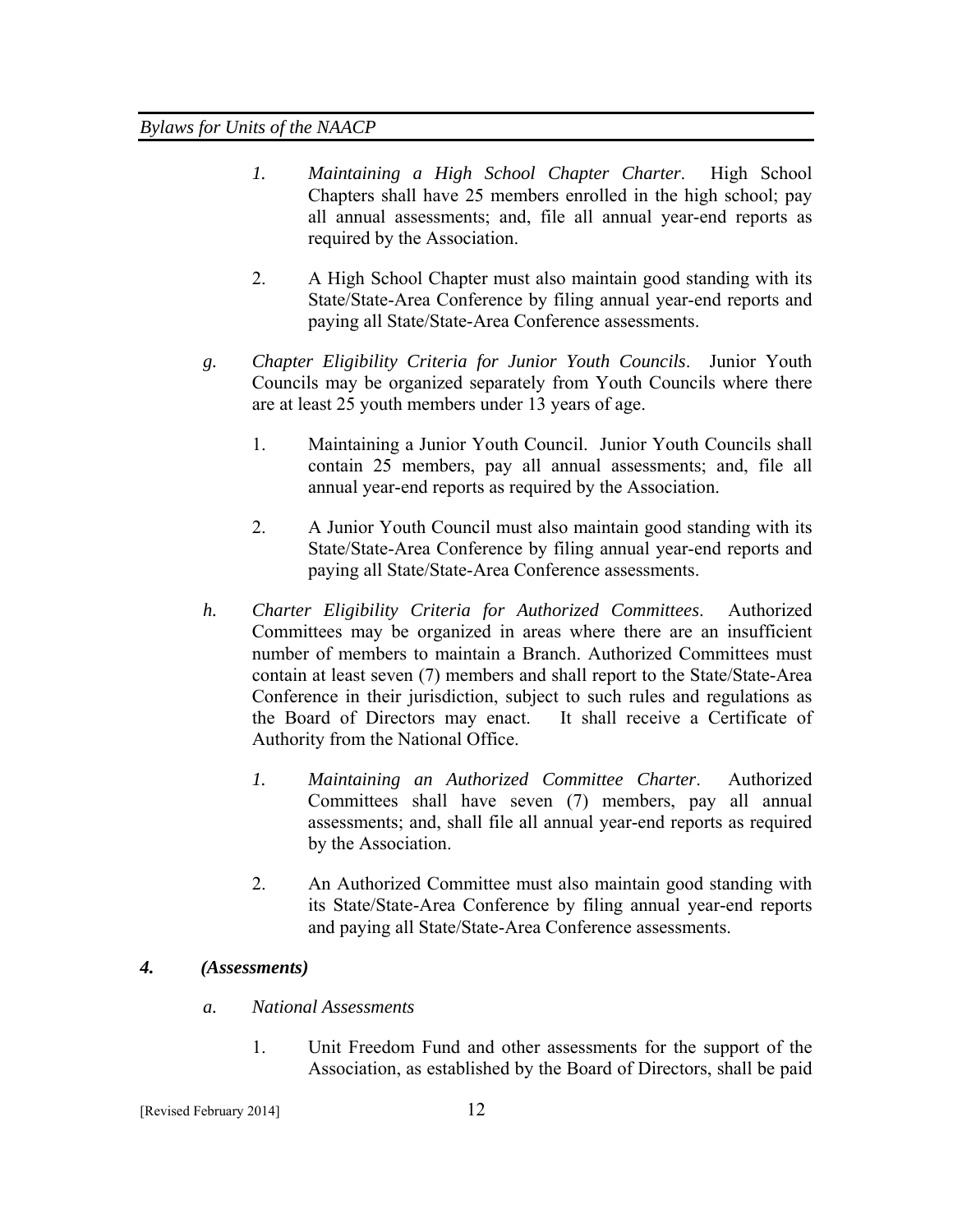- *1. Maintaining a High School Chapter Charter*. High School Chapters shall have 25 members enrolled in the high school; pay all annual assessments; and, file all annual year-end reports as required by the Association.
- 2. A High School Chapter must also maintain good standing with its State/State-Area Conference by filing annual year-end reports and paying all State/State-Area Conference assessments.
- *g. Chapter Eligibility Criteria for Junior Youth Councils*. Junior Youth Councils may be organized separately from Youth Councils where there are at least 25 youth members under 13 years of age.
	- 1. Maintaining a Junior Youth Council. Junior Youth Councils shall contain 25 members, pay all annual assessments; and, file all annual year-end reports as required by the Association.
	- 2. A Junior Youth Council must also maintain good standing with its State/State-Area Conference by filing annual year-end reports and paying all State/State-Area Conference assessments.
- *h. Charter Eligibility Criteria for Authorized Committees*. Authorized Committees may be organized in areas where there are an insufficient number of members to maintain a Branch. Authorized Committees must contain at least seven (7) members and shall report to the State/State-Area Conference in their jurisdiction, subject to such rules and regulations as the Board of Directors may enact. It shall receive a Certificate of Authority from the National Office.
	- *1. Maintaining an Authorized Committee Charter*. Authorized Committees shall have seven (7) members, pay all annual assessments; and, shall file all annual year-end reports as required by the Association.
	- 2. An Authorized Committee must also maintain good standing with its State/State-Area Conference by filing annual year-end reports and paying all State/State-Area Conference assessments.

# *4. (Assessments)*

- *a. National Assessments* 
	- 1. Unit Freedom Fund and other assessments for the support of the Association, as established by the Board of Directors, shall be paid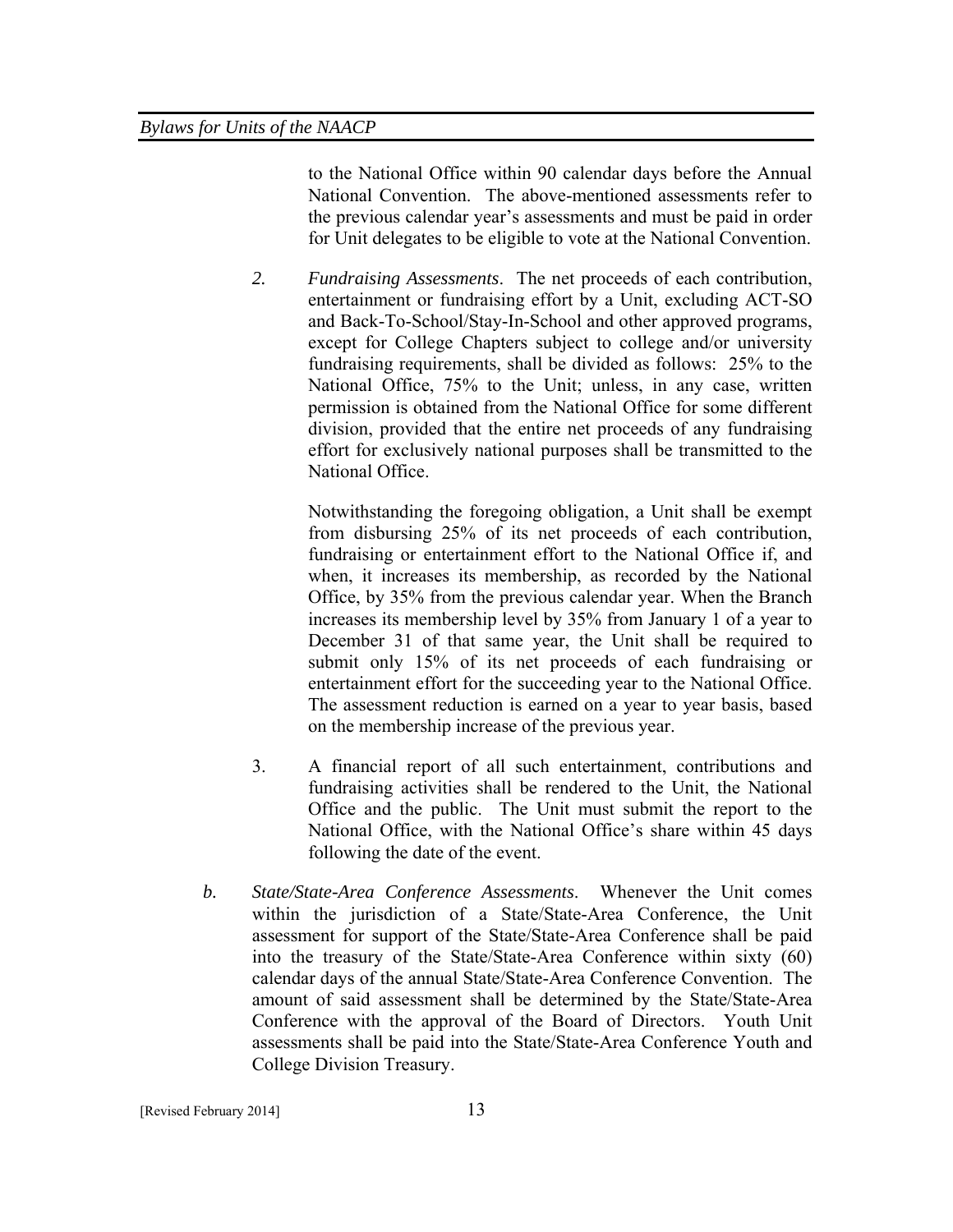to the National Office within 90 calendar days before the Annual National Convention. The above-mentioned assessments refer to the previous calendar year's assessments and must be paid in order for Unit delegates to be eligible to vote at the National Convention.

*2. Fundraising Assessments*. The net proceeds of each contribution, entertainment or fundraising effort by a Unit, excluding ACT-SO and Back-To-School/Stay-In-School and other approved programs, except for College Chapters subject to college and/or university fundraising requirements, shall be divided as follows: 25% to the National Office, 75% to the Unit; unless, in any case, written permission is obtained from the National Office for some different division, provided that the entire net proceeds of any fundraising effort for exclusively national purposes shall be transmitted to the National Office.

> Notwithstanding the foregoing obligation, a Unit shall be exempt from disbursing 25% of its net proceeds of each contribution, fundraising or entertainment effort to the National Office if, and when, it increases its membership, as recorded by the National Office, by 35% from the previous calendar year. When the Branch increases its membership level by 35% from January 1 of a year to December 31 of that same year, the Unit shall be required to submit only 15% of its net proceeds of each fundraising or entertainment effort for the succeeding year to the National Office. The assessment reduction is earned on a year to year basis, based on the membership increase of the previous year.

- 3. A financial report of all such entertainment, contributions and fundraising activities shall be rendered to the Unit, the National Office and the public. The Unit must submit the report to the National Office, with the National Office's share within 45 days following the date of the event.
- *b. State/State-Area Conference Assessments*. Whenever the Unit comes within the jurisdiction of a State/State-Area Conference, the Unit assessment for support of the State/State-Area Conference shall be paid into the treasury of the State/State-Area Conference within sixty (60) calendar days of the annual State/State-Area Conference Convention. The amount of said assessment shall be determined by the State/State-Area Conference with the approval of the Board of Directors. Youth Unit assessments shall be paid into the State/State-Area Conference Youth and College Division Treasury.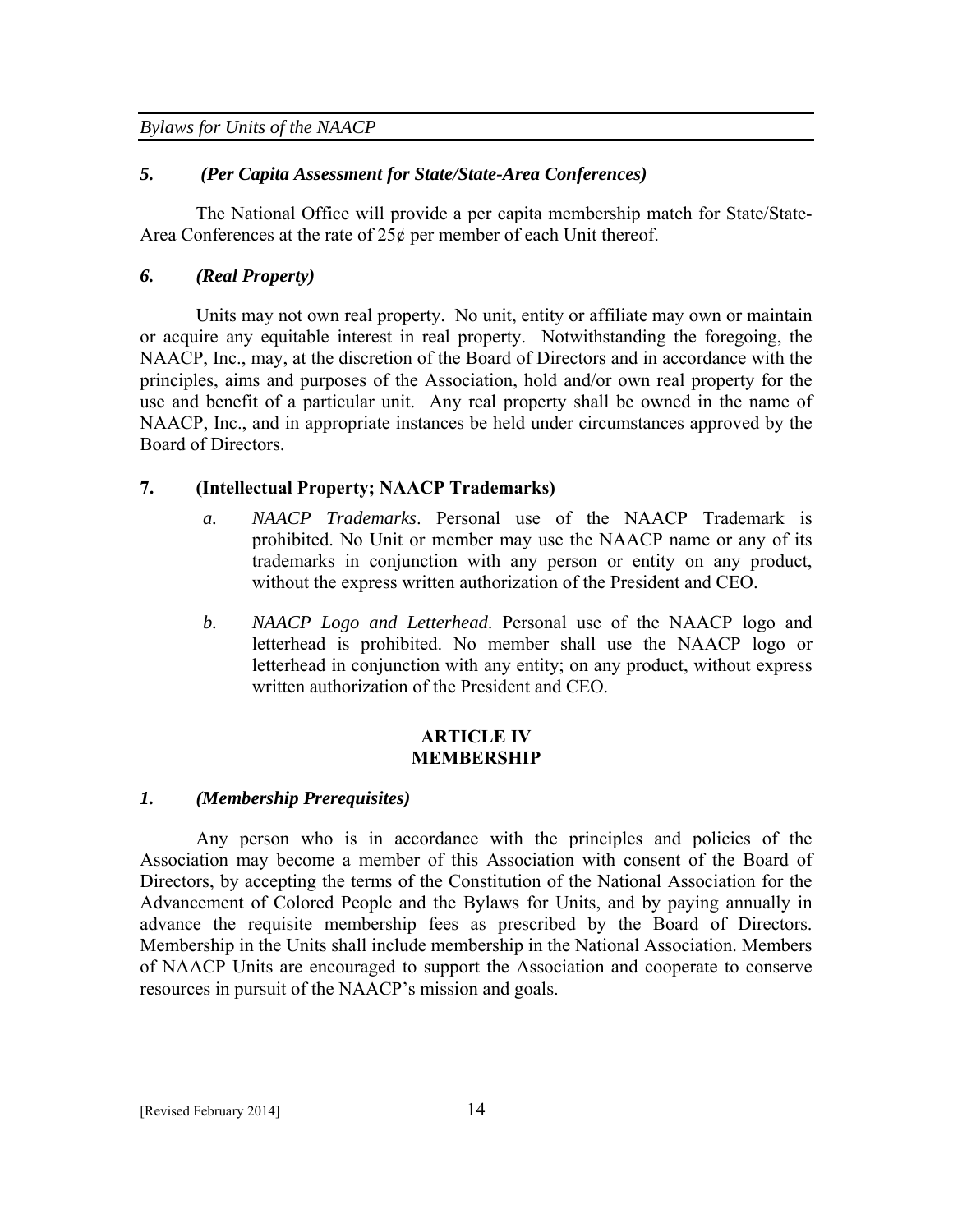## *5. (Per Capita Assessment for State/State-Area Conferences)*

The National Office will provide a per capita membership match for State/State-Area Conferences at the rate of 25¢ per member of each Unit thereof.

# *6. (Real Property)*

Units may not own real property. No unit, entity or affiliate may own or maintain or acquire any equitable interest in real property. Notwithstanding the foregoing, the NAACP, Inc., may, at the discretion of the Board of Directors and in accordance with the principles, aims and purposes of the Association, hold and/or own real property for the use and benefit of a particular unit. Any real property shall be owned in the name of NAACP, Inc., and in appropriate instances be held under circumstances approved by the Board of Directors.

## **7. (Intellectual Property; NAACP Trademarks)**

- *a. NAACP Trademarks*. Personal use of the NAACP Trademark is prohibited. No Unit or member may use the NAACP name or any of its trademarks in conjunction with any person or entity on any product, without the express written authorization of the President and CEO.
- *b. NAACP Logo and Letterhead*. Personal use of the NAACP logo and letterhead is prohibited. No member shall use the NAACP logo or letterhead in conjunction with any entity; on any product, without express written authorization of the President and CEO.

#### **ARTICLE IV MEMBERSHIP**

# *1. (Membership Prerequisites)*

Any person who is in accordance with the principles and policies of the Association may become a member of this Association with consent of the Board of Directors, by accepting the terms of the Constitution of the National Association for the Advancement of Colored People and the Bylaws for Units, and by paying annually in advance the requisite membership fees as prescribed by the Board of Directors. Membership in the Units shall include membership in the National Association. Members of NAACP Units are encouraged to support the Association and cooperate to conserve resources in pursuit of the NAACP's mission and goals.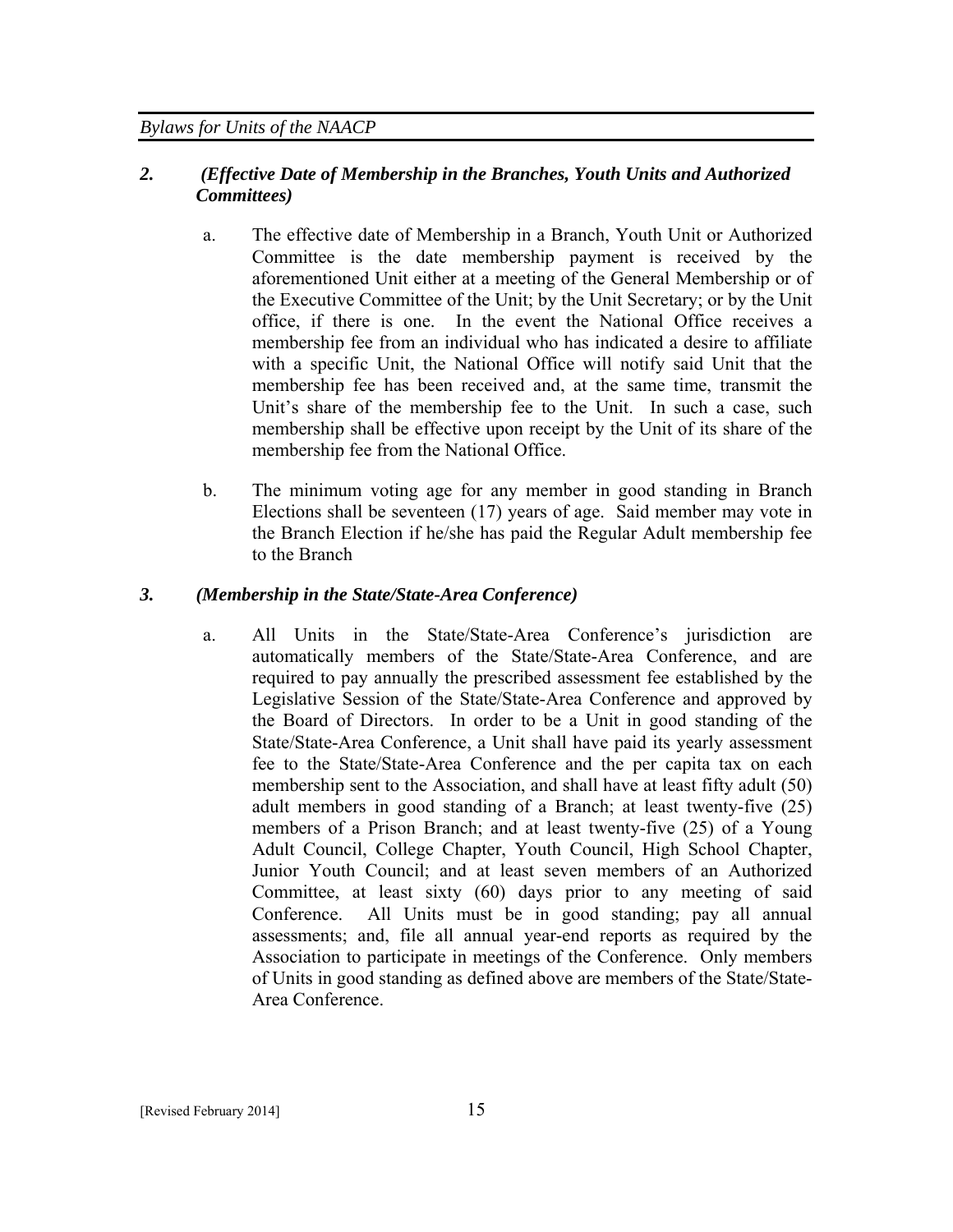# *2. (Effective Date of Membership in the Branches, Youth Units and Authorized Committees)*

- a. The effective date of Membership in a Branch, Youth Unit or Authorized Committee is the date membership payment is received by the aforementioned Unit either at a meeting of the General Membership or of the Executive Committee of the Unit; by the Unit Secretary; or by the Unit office, if there is one. In the event the National Office receives a membership fee from an individual who has indicated a desire to affiliate with a specific Unit, the National Office will notify said Unit that the membership fee has been received and, at the same time, transmit the Unit's share of the membership fee to the Unit. In such a case, such membership shall be effective upon receipt by the Unit of its share of the membership fee from the National Office.
- b. The minimum voting age for any member in good standing in Branch Elections shall be seventeen (17) years of age. Said member may vote in the Branch Election if he/she has paid the Regular Adult membership fee to the Branch

# *3. (Membership in the State/State-Area Conference)*

a. All Units in the State/State-Area Conference's jurisdiction are automatically members of the State/State-Area Conference, and are required to pay annually the prescribed assessment fee established by the Legislative Session of the State/State-Area Conference and approved by the Board of Directors. In order to be a Unit in good standing of the State/State-Area Conference, a Unit shall have paid its yearly assessment fee to the State/State-Area Conference and the per capita tax on each membership sent to the Association, and shall have at least fifty adult (50) adult members in good standing of a Branch; at least twenty-five (25) members of a Prison Branch; and at least twenty-five (25) of a Young Adult Council, College Chapter, Youth Council, High School Chapter, Junior Youth Council; and at least seven members of an Authorized Committee, at least sixty (60) days prior to any meeting of said Conference. All Units must be in good standing; pay all annual assessments; and, file all annual year-end reports as required by the Association to participate in meetings of the Conference. Only members of Units in good standing as defined above are members of the State/State-Area Conference.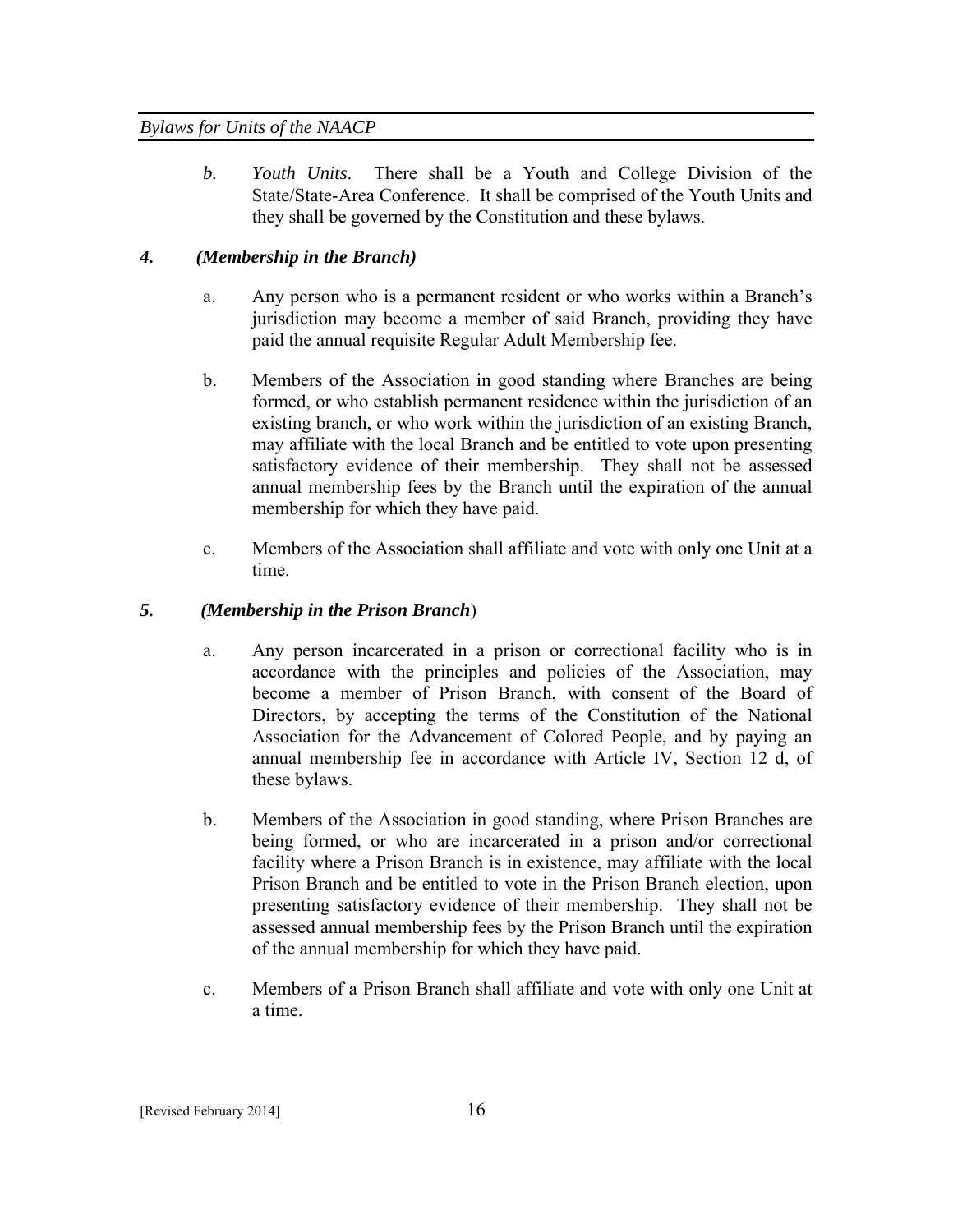*b. Youth Units*. There shall be a Youth and College Division of the State/State-Area Conference. It shall be comprised of the Youth Units and they shall be governed by the Constitution and these bylaws.

# *4. (Membership in the Branch)*

- a. Any person who is a permanent resident or who works within a Branch's jurisdiction may become a member of said Branch, providing they have paid the annual requisite Regular Adult Membership fee.
- b. Members of the Association in good standing where Branches are being formed, or who establish permanent residence within the jurisdiction of an existing branch, or who work within the jurisdiction of an existing Branch, may affiliate with the local Branch and be entitled to vote upon presenting satisfactory evidence of their membership. They shall not be assessed annual membership fees by the Branch until the expiration of the annual membership for which they have paid.
- c. Members of the Association shall affiliate and vote with only one Unit at a time.

# *5. (Membership in the Prison Branch*)

- a. Any person incarcerated in a prison or correctional facility who is in accordance with the principles and policies of the Association, may become a member of Prison Branch, with consent of the Board of Directors, by accepting the terms of the Constitution of the National Association for the Advancement of Colored People, and by paying an annual membership fee in accordance with Article IV, Section 12 d, of these bylaws.
- b. Members of the Association in good standing, where Prison Branches are being formed, or who are incarcerated in a prison and/or correctional facility where a Prison Branch is in existence, may affiliate with the local Prison Branch and be entitled to vote in the Prison Branch election, upon presenting satisfactory evidence of their membership. They shall not be assessed annual membership fees by the Prison Branch until the expiration of the annual membership for which they have paid.
- c. Members of a Prison Branch shall affiliate and vote with only one Unit at a time.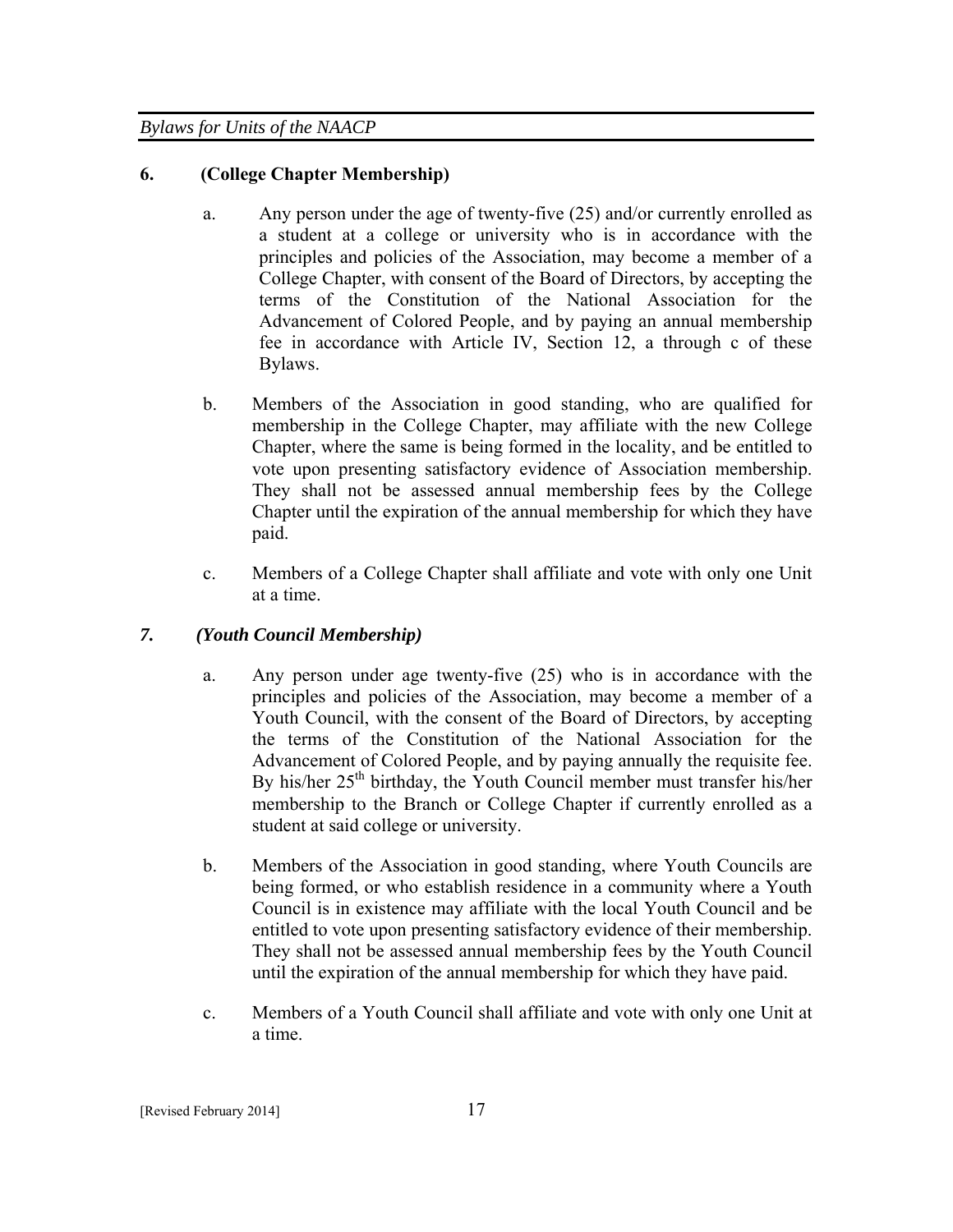# **6. (College Chapter Membership)**

- a. Any person under the age of twenty-five (25) and/or currently enrolled as a student at a college or university who is in accordance with the principles and policies of the Association, may become a member of a College Chapter, with consent of the Board of Directors, by accepting the terms of the Constitution of the National Association for the Advancement of Colored People, and by paying an annual membership fee in accordance with Article IV, Section 12, a through c of these Bylaws.
- b. Members of the Association in good standing, who are qualified for membership in the College Chapter, may affiliate with the new College Chapter, where the same is being formed in the locality, and be entitled to vote upon presenting satisfactory evidence of Association membership. They shall not be assessed annual membership fees by the College Chapter until the expiration of the annual membership for which they have paid.
- c. Members of a College Chapter shall affiliate and vote with only one Unit at a time.

# *7. (Youth Council Membership)*

- a. Any person under age twenty-five (25) who is in accordance with the principles and policies of the Association, may become a member of a Youth Council, with the consent of the Board of Directors, by accepting the terms of the Constitution of the National Association for the Advancement of Colored People, and by paying annually the requisite fee. By his/her 25<sup>th</sup> birthday, the Youth Council member must transfer his/her membership to the Branch or College Chapter if currently enrolled as a student at said college or university.
- b. Members of the Association in good standing, where Youth Councils are being formed, or who establish residence in a community where a Youth Council is in existence may affiliate with the local Youth Council and be entitled to vote upon presenting satisfactory evidence of their membership. They shall not be assessed annual membership fees by the Youth Council until the expiration of the annual membership for which they have paid.
- c. Members of a Youth Council shall affiliate and vote with only one Unit at a time.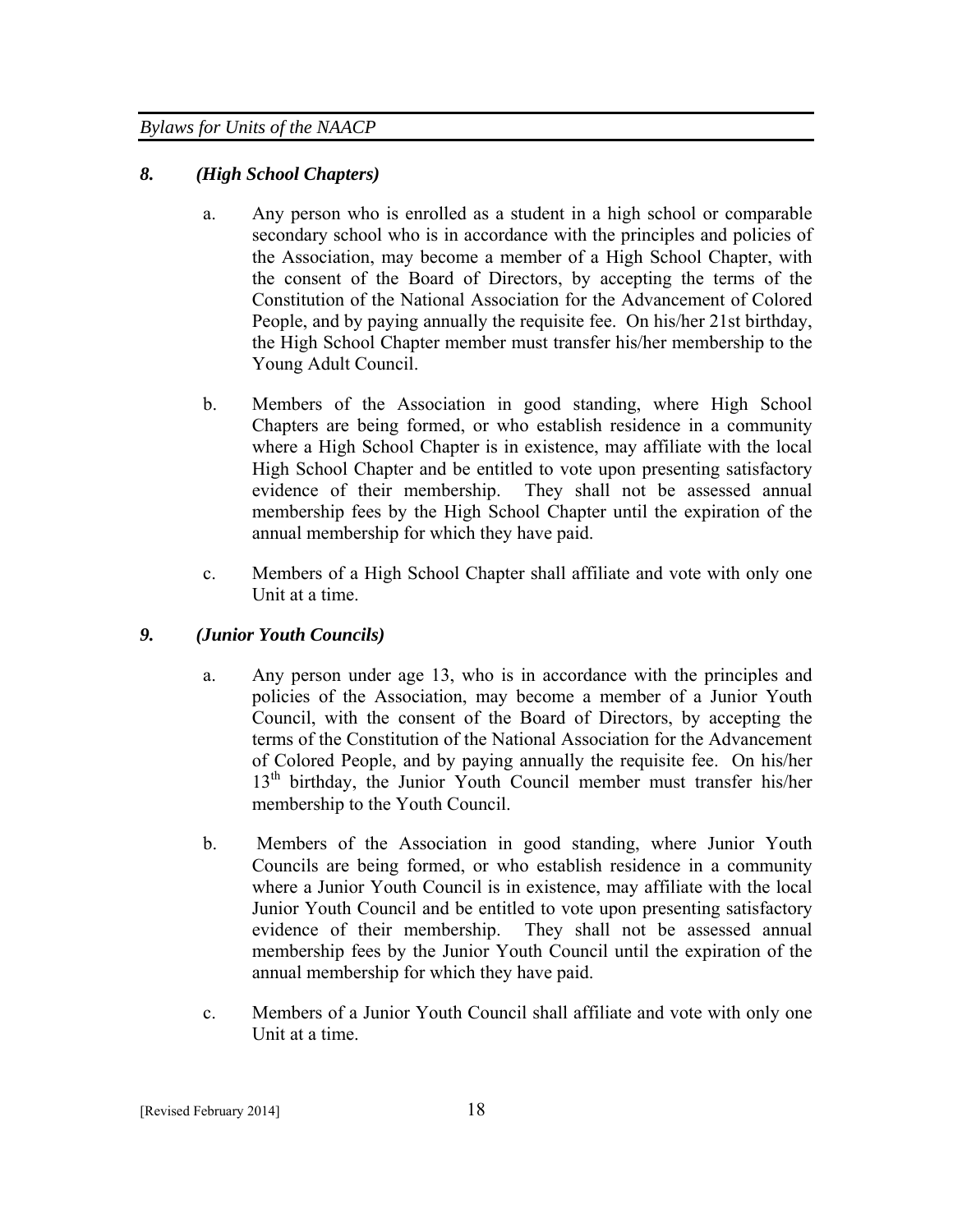# *8. (High School Chapters)*

- a. Any person who is enrolled as a student in a high school or comparable secondary school who is in accordance with the principles and policies of the Association, may become a member of a High School Chapter, with the consent of the Board of Directors, by accepting the terms of the Constitution of the National Association for the Advancement of Colored People, and by paying annually the requisite fee. On his/her 21st birthday, the High School Chapter member must transfer his/her membership to the Young Adult Council.
- b. Members of the Association in good standing, where High School Chapters are being formed, or who establish residence in a community where a High School Chapter is in existence, may affiliate with the local High School Chapter and be entitled to vote upon presenting satisfactory evidence of their membership. They shall not be assessed annual membership fees by the High School Chapter until the expiration of the annual membership for which they have paid.
- c. Members of a High School Chapter shall affiliate and vote with only one Unit at a time.

# *9. (Junior Youth Councils)*

- a. Any person under age 13, who is in accordance with the principles and policies of the Association, may become a member of a Junior Youth Council, with the consent of the Board of Directors, by accepting the terms of the Constitution of the National Association for the Advancement of Colored People, and by paying annually the requisite fee. On his/her 13<sup>th</sup> birthday, the Junior Youth Council member must transfer his/her membership to the Youth Council.
- b. Members of the Association in good standing, where Junior Youth Councils are being formed, or who establish residence in a community where a Junior Youth Council is in existence, may affiliate with the local Junior Youth Council and be entitled to vote upon presenting satisfactory evidence of their membership. They shall not be assessed annual membership fees by the Junior Youth Council until the expiration of the annual membership for which they have paid.
- c. Members of a Junior Youth Council shall affiliate and vote with only one Unit at a time.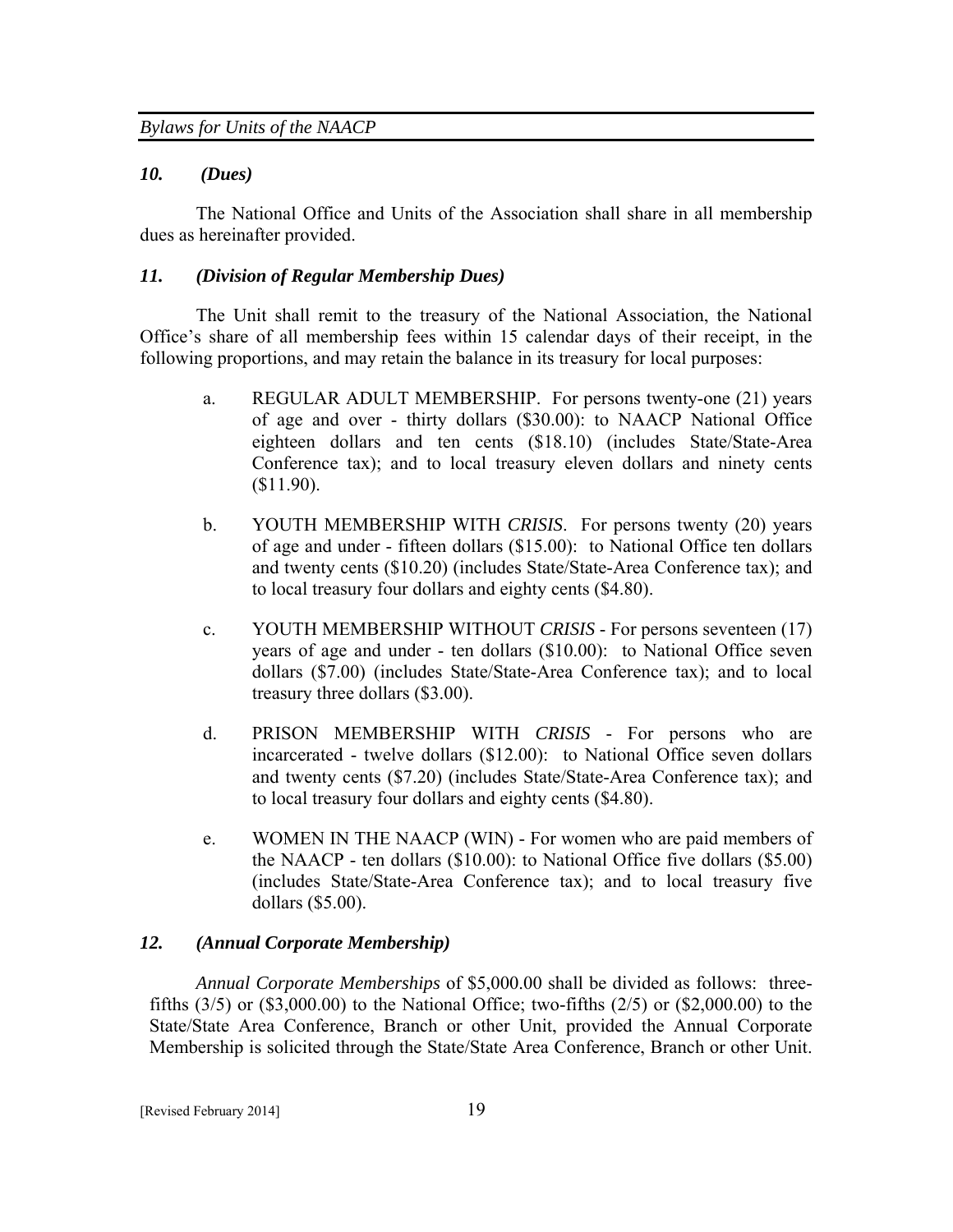#### *10. (Dues)*

The National Office and Units of the Association shall share in all membership dues as hereinafter provided.

## *11. (Division of Regular Membership Dues)*

The Unit shall remit to the treasury of the National Association, the National Office's share of all membership fees within 15 calendar days of their receipt, in the following proportions, and may retain the balance in its treasury for local purposes:

- a. REGULAR ADULT MEMBERSHIP. For persons twenty-one (21) years of age and over - thirty dollars (\$30.00): to NAACP National Office eighteen dollars and ten cents (\$18.10) (includes State/State-Area Conference tax); and to local treasury eleven dollars and ninety cents (\$11.90).
- b. YOUTH MEMBERSHIP WITH *CRISIS*. For persons twenty (20) years of age and under - fifteen dollars (\$15.00): to National Office ten dollars and twenty cents (\$10.20) (includes State/State-Area Conference tax); and to local treasury four dollars and eighty cents (\$4.80).
- c. YOUTH MEMBERSHIP WITHOUT *CRISIS* For persons seventeen (17) years of age and under - ten dollars (\$10.00): to National Office seven dollars (\$7.00) (includes State/State-Area Conference tax); and to local treasury three dollars (\$3.00).
- d. PRISON MEMBERSHIP WITH *CRISIS* For persons who are incarcerated - twelve dollars (\$12.00): to National Office seven dollars and twenty cents (\$7.20) (includes State/State-Area Conference tax); and to local treasury four dollars and eighty cents (\$4.80).
- e. WOMEN IN THE NAACP (WIN) For women who are paid members of the NAACP - ten dollars (\$10.00): to National Office five dollars (\$5.00) (includes State/State-Area Conference tax); and to local treasury five dollars (\$5.00).

# *12. (Annual Corporate Membership)*

 *Annual Corporate Memberships* of \$5,000.00 shall be divided as follows: threefifths (3/5) or (\$3,000.00) to the National Office; two-fifths (2/5) or (\$2,000.00) to the State/State Area Conference, Branch or other Unit, provided the Annual Corporate Membership is solicited through the State/State Area Conference, Branch or other Unit.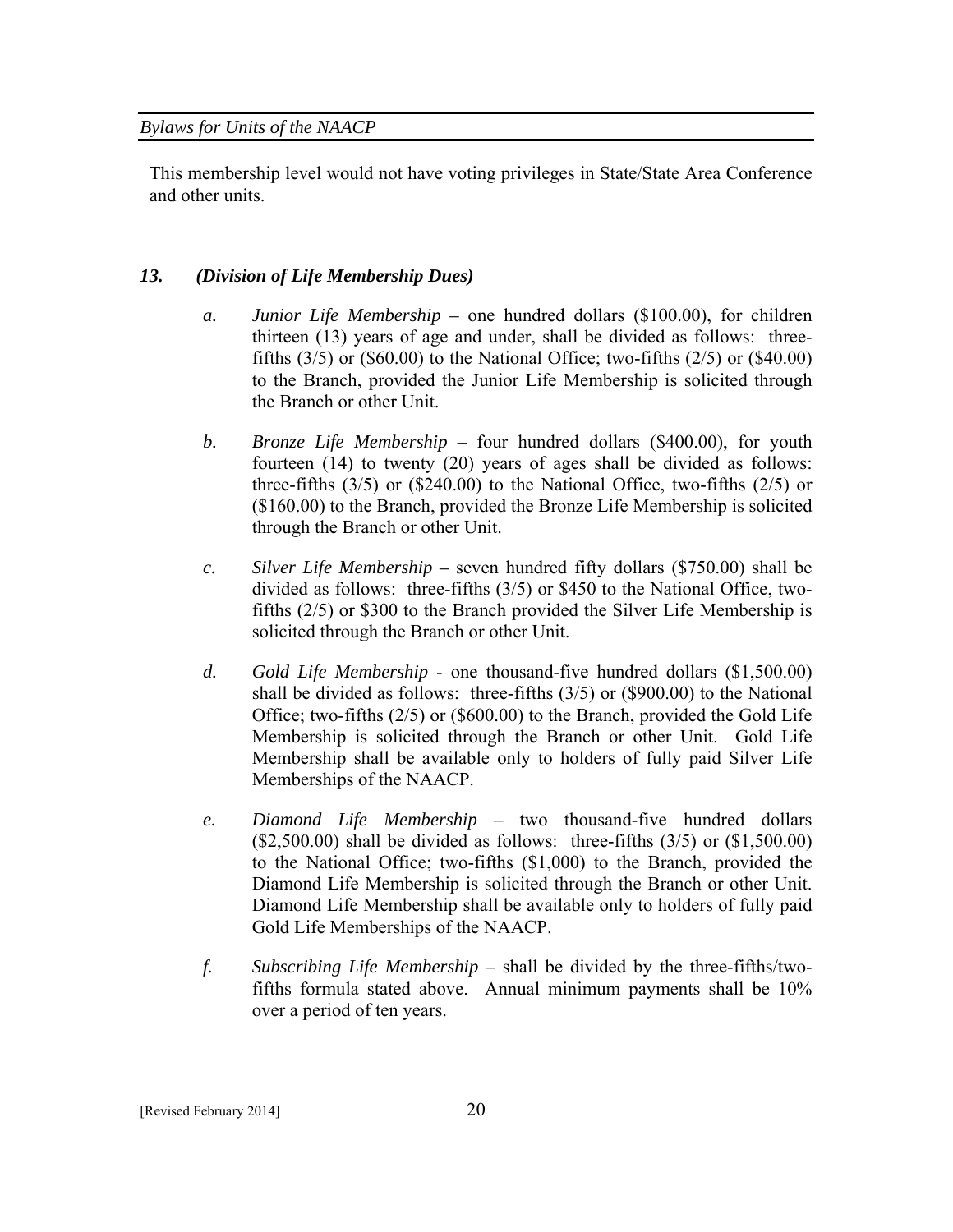This membership level would not have voting privileges in State/State Area Conference and other units.

# *13. (Division of Life Membership Dues)*

- *a. Junior Life Membership* one hundred dollars (\$100.00), for children thirteen (13) years of age and under, shall be divided as follows: threefifths  $(3/5)$  or  $(\$60.00)$  to the National Office; two-fifths  $(2/5)$  or  $(\$40.00)$ to the Branch, provided the Junior Life Membership is solicited through the Branch or other Unit.
- *b. Bronze Life Membership* four hundred dollars (\$400.00), for youth fourteen (14) to twenty (20) years of ages shall be divided as follows: three-fifths  $(3/5)$  or  $(\$240.00)$  to the National Office, two-fifths  $(2/5)$  or (\$160.00) to the Branch, provided the Bronze Life Membership is solicited through the Branch or other Unit.
- *c. Silver Life Membership* seven hundred fifty dollars (\$750.00) shall be divided as follows: three-fifths (3/5) or \$450 to the National Office, twofifths (2/5) or \$300 to the Branch provided the Silver Life Membership is solicited through the Branch or other Unit.
- *d. Gold Life Membership* one thousand-five hundred dollars (\$1,500.00) shall be divided as follows: three-fifths (3/5) or (\$900.00) to the National Office; two-fifths (2/5) or (\$600.00) to the Branch, provided the Gold Life Membership is solicited through the Branch or other Unit. Gold Life Membership shall be available only to holders of fully paid Silver Life Memberships of the NAACP.
- *e. Diamond Life Membership –* two thousand-five hundred dollars  $($2,500.00)$  shall be divided as follows: three-fifths  $(3/5)$  or  $($1,500.00)$ to the National Office; two-fifths (\$1,000) to the Branch, provided the Diamond Life Membership is solicited through the Branch or other Unit. Diamond Life Membership shall be available only to holders of fully paid Gold Life Memberships of the NAACP.
- *f. Subscribing Life Membership –* shall be divided by the three-fifths/twofifths formula stated above. Annual minimum payments shall be 10% over a period of ten years.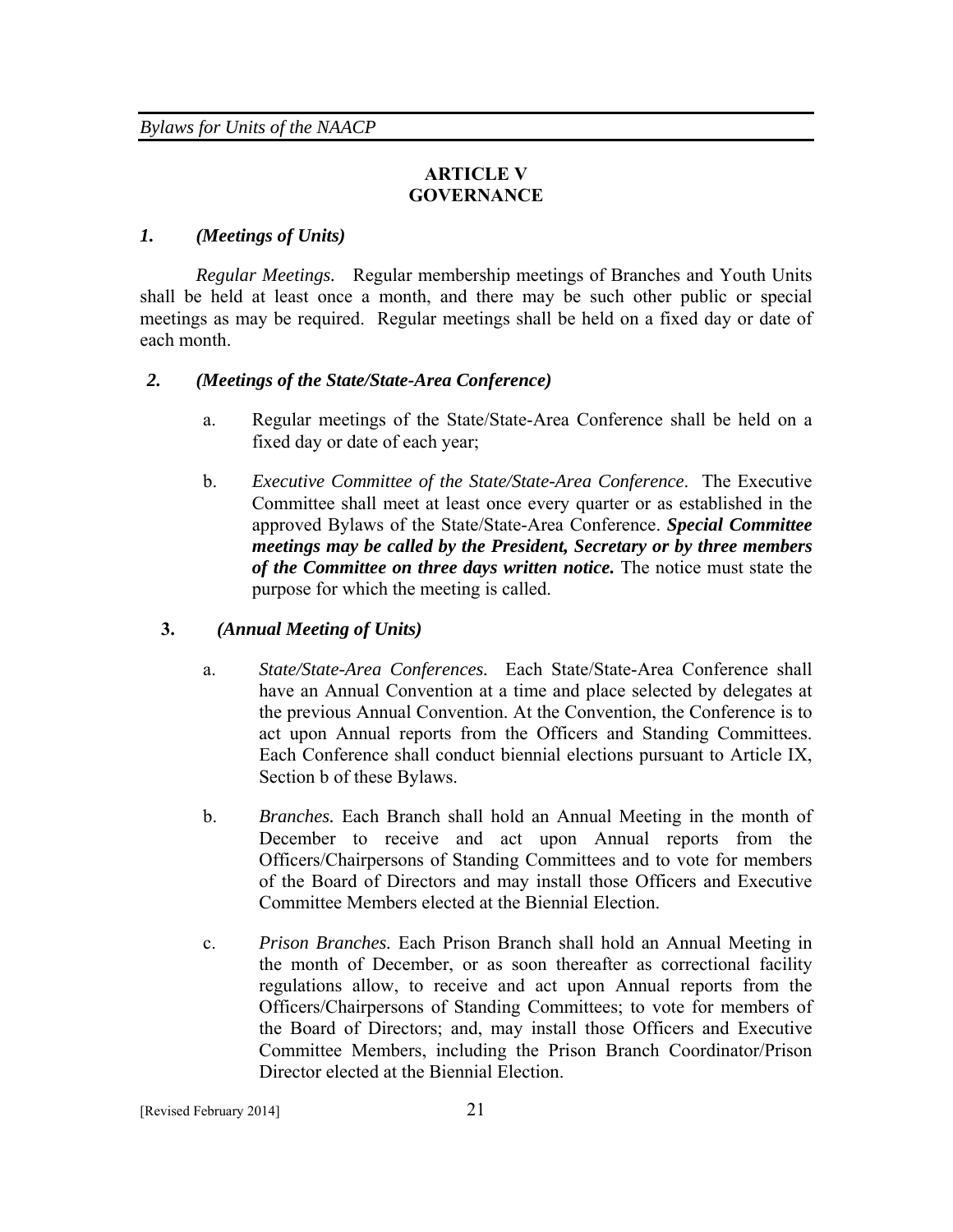# **ARTICLE V GOVERNANCE**

# *1. (Meetings of Units)*

*Regular Meetings.* Regular membership meetings of Branches and Youth Units shall be held at least once a month, and there may be such other public or special meetings as may be required. Regular meetings shall be held on a fixed day or date of each month.

## *2. (Meetings of the State/State-Area Conference)*

- a. Regular meetings of the State/State-Area Conference shall be held on a fixed day or date of each year;
- b. *Executive Committee of the State/State-Area Conference*. The Executive Committee shall meet at least once every quarter or as established in the approved Bylaws of the State/State-Area Conference. *Special Committee meetings may be called by the President, Secretary or by three members of the Committee on three days written notice.* The notice must state the purpose for which the meeting is called.

#### **3.** *(Annual Meeting of Units)*

- a. *State/State-Area Conferences.* Each State/State-Area Conference shall have an Annual Convention at a time and place selected by delegates at the previous Annual Convention. At the Convention, the Conference is to act upon Annual reports from the Officers and Standing Committees. Each Conference shall conduct biennial elections pursuant to Article IX, Section b of these Bylaws.
- b. *Branches.* Each Branch shall hold an Annual Meeting in the month of December to receive and act upon Annual reports from the Officers/Chairpersons of Standing Committees and to vote for members of the Board of Directors and may install those Officers and Executive Committee Members elected at the Biennial Election.
- c. *Prison Branches.* Each Prison Branch shall hold an Annual Meeting in the month of December, or as soon thereafter as correctional facility regulations allow, to receive and act upon Annual reports from the Officers/Chairpersons of Standing Committees; to vote for members of the Board of Directors; and, may install those Officers and Executive Committee Members, including the Prison Branch Coordinator/Prison Director elected at the Biennial Election.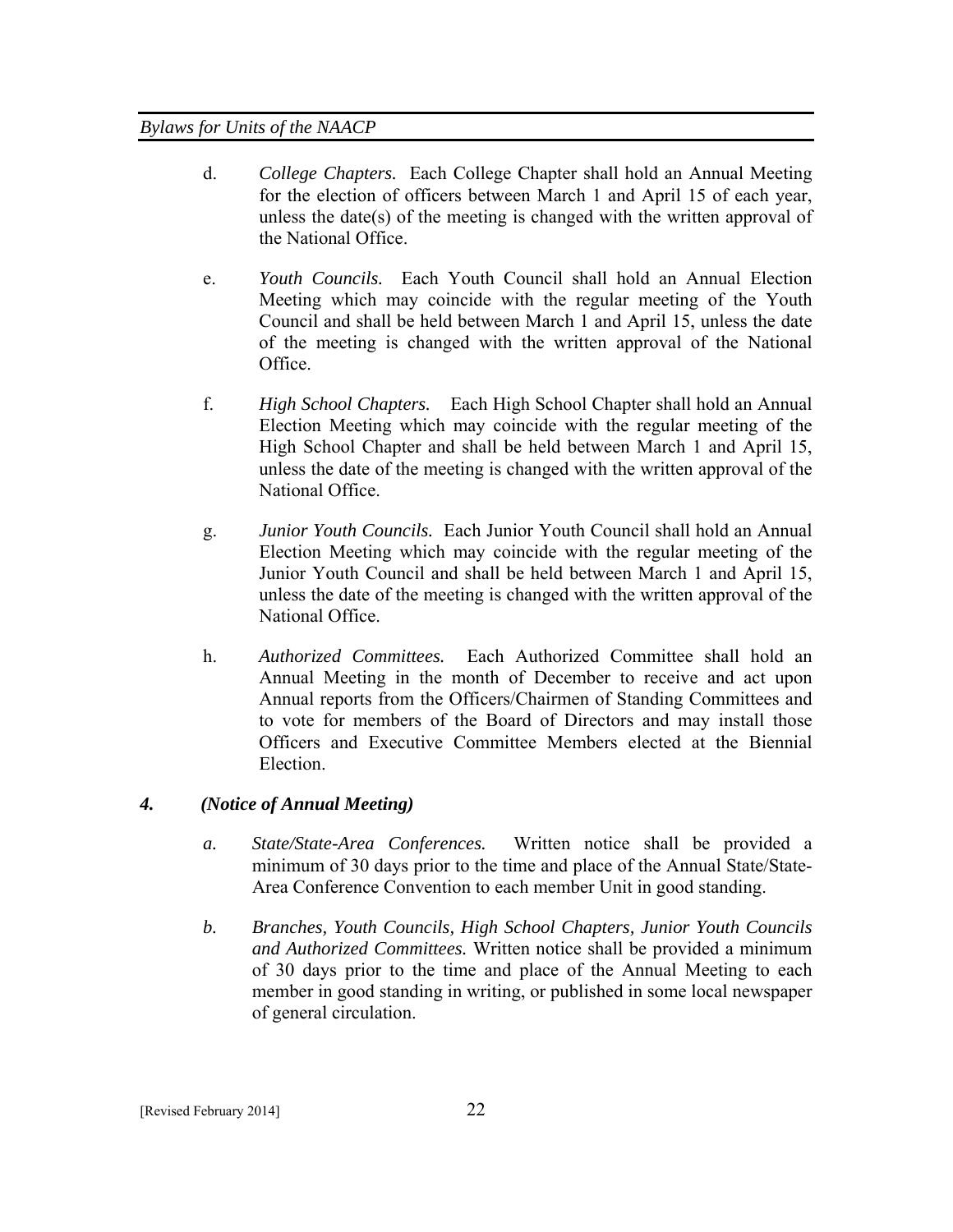- d. *College Chapters.* Each College Chapter shall hold an Annual Meeting for the election of officers between March 1 and April 15 of each year, unless the date(s) of the meeting is changed with the written approval of the National Office.
- e. *Youth Councils.* Each Youth Council shall hold an Annual Election Meeting which may coincide with the regular meeting of the Youth Council and shall be held between March 1 and April 15, unless the date of the meeting is changed with the written approval of the National Office.
- f. *High School Chapters.* Each High School Chapter shall hold an Annual Election Meeting which may coincide with the regular meeting of the High School Chapter and shall be held between March 1 and April 15, unless the date of the meeting is changed with the written approval of the National Office.
- g. *Junior Youth Councils.* Each Junior Youth Council shall hold an Annual Election Meeting which may coincide with the regular meeting of the Junior Youth Council and shall be held between March 1 and April 15, unless the date of the meeting is changed with the written approval of the National Office.
- h. *Authorized Committees.* Each Authorized Committee shall hold an Annual Meeting in the month of December to receive and act upon Annual reports from the Officers/Chairmen of Standing Committees and to vote for members of the Board of Directors and may install those Officers and Executive Committee Members elected at the Biennial Election.

# *4. (Notice of Annual Meeting)*

- *a. State/State-Area Conferences.* Written notice shall be provided a minimum of 30 days prior to the time and place of the Annual State/State-Area Conference Convention to each member Unit in good standing.
- *b. Branches, Youth Councils, High School Chapters, Junior Youth Councils and Authorized Committees.* Written notice shall be provided a minimum of 30 days prior to the time and place of the Annual Meeting to each member in good standing in writing, or published in some local newspaper of general circulation.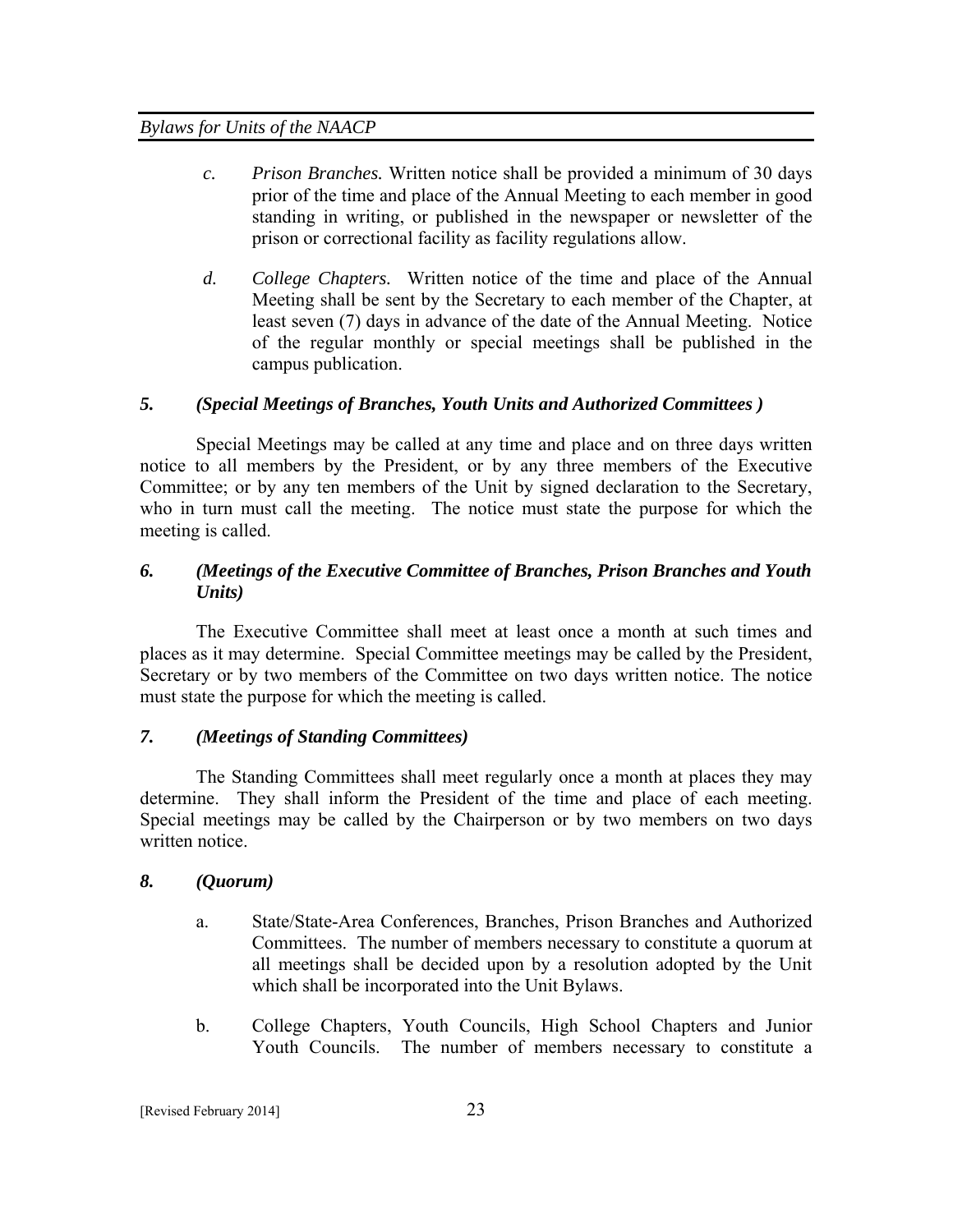- *c. Prison Branches.* Written notice shall be provided a minimum of 30 days prior of the time and place of the Annual Meeting to each member in good standing in writing, or published in the newspaper or newsletter of the prison or correctional facility as facility regulations allow.
- *d. College Chapters.* Written notice of the time and place of the Annual Meeting shall be sent by the Secretary to each member of the Chapter, at least seven (7) days in advance of the date of the Annual Meeting. Notice of the regular monthly or special meetings shall be published in the campus publication.

# *5. (Special Meetings of Branches, Youth Units and Authorized Committees )*

Special Meetings may be called at any time and place and on three days written notice to all members by the President, or by any three members of the Executive Committee; or by any ten members of the Unit by signed declaration to the Secretary, who in turn must call the meeting. The notice must state the purpose for which the meeting is called.

# *6. (Meetings of the Executive Committee of Branches, Prison Branches and Youth Units)*

 The Executive Committee shall meet at least once a month at such times and places as it may determine. Special Committee meetings may be called by the President, Secretary or by two members of the Committee on two days written notice. The notice must state the purpose for which the meeting is called.

# *7. (Meetings of Standing Committees)*

The Standing Committees shall meet regularly once a month at places they may determine. They shall inform the President of the time and place of each meeting. Special meetings may be called by the Chairperson or by two members on two days written notice.

# *8. (Quorum)*

- a. State/State-Area Conferences, Branches, Prison Branches and Authorized Committees. The number of members necessary to constitute a quorum at all meetings shall be decided upon by a resolution adopted by the Unit which shall be incorporated into the Unit Bylaws.
- b. College Chapters, Youth Councils, High School Chapters and Junior Youth Councils. The number of members necessary to constitute a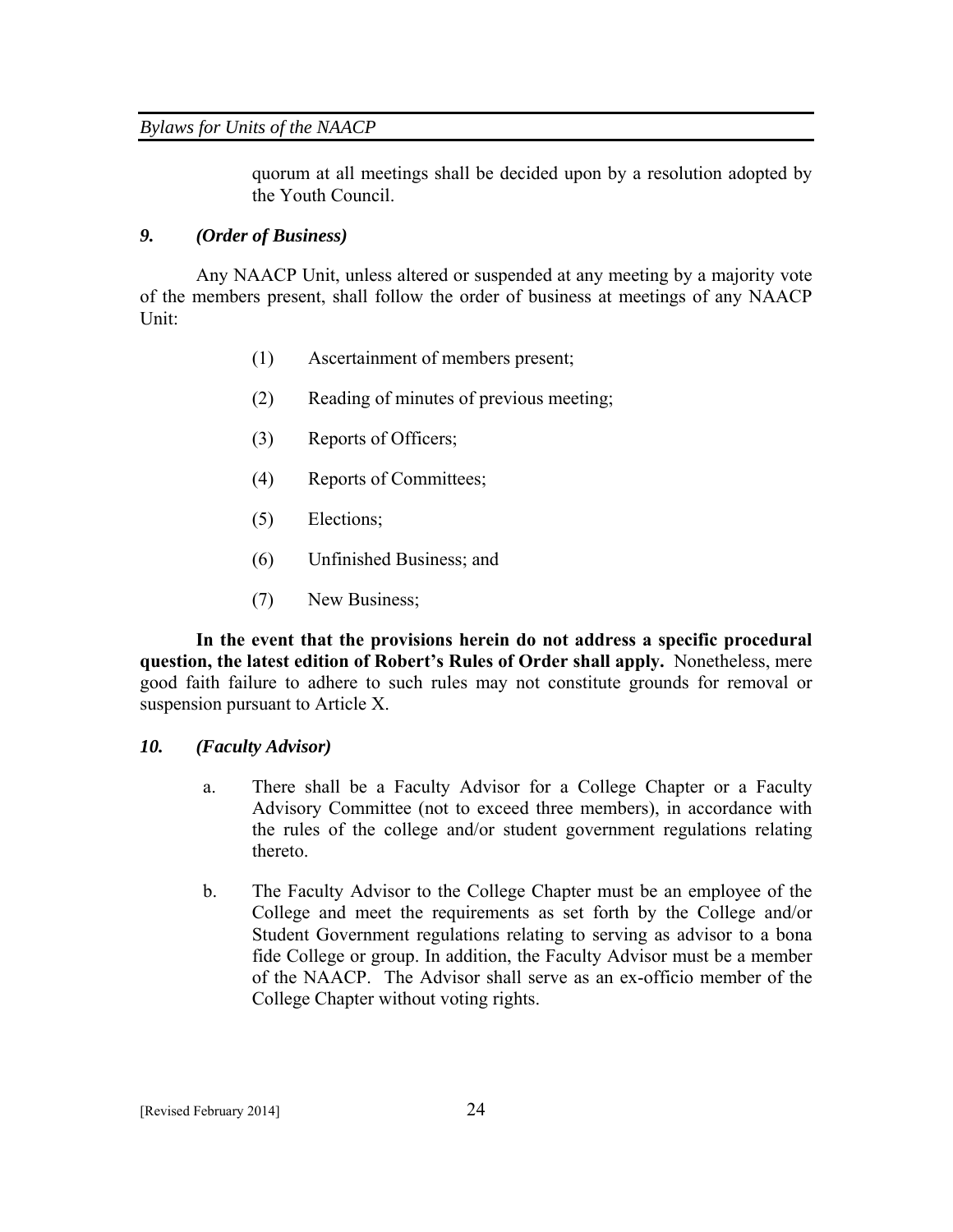quorum at all meetings shall be decided upon by a resolution adopted by the Youth Council.

# *9. (Order of Business)*

Any NAACP Unit, unless altered or suspended at any meeting by a majority vote of the members present, shall follow the order of business at meetings of any NAACP Unit:

- (1) Ascertainment of members present;
- (2) Reading of minutes of previous meeting;
- (3) Reports of Officers;
- (4) Reports of Committees;
- (5) Elections;
- (6) Unfinished Business; and
- (7) New Business;

**In the event that the provisions herein do not address a specific procedural question, the latest edition of Robert's Rules of Order shall apply.** Nonetheless, mere good faith failure to adhere to such rules may not constitute grounds for removal or suspension pursuant to Article X.

# *10. (Faculty Advisor)*

- a. There shall be a Faculty Advisor for a College Chapter or a Faculty Advisory Committee (not to exceed three members), in accordance with the rules of the college and/or student government regulations relating thereto.
- b. The Faculty Advisor to the College Chapter must be an employee of the College and meet the requirements as set forth by the College and/or Student Government regulations relating to serving as advisor to a bona fide College or group. In addition, the Faculty Advisor must be a member of the NAACP. The Advisor shall serve as an ex-officio member of the College Chapter without voting rights.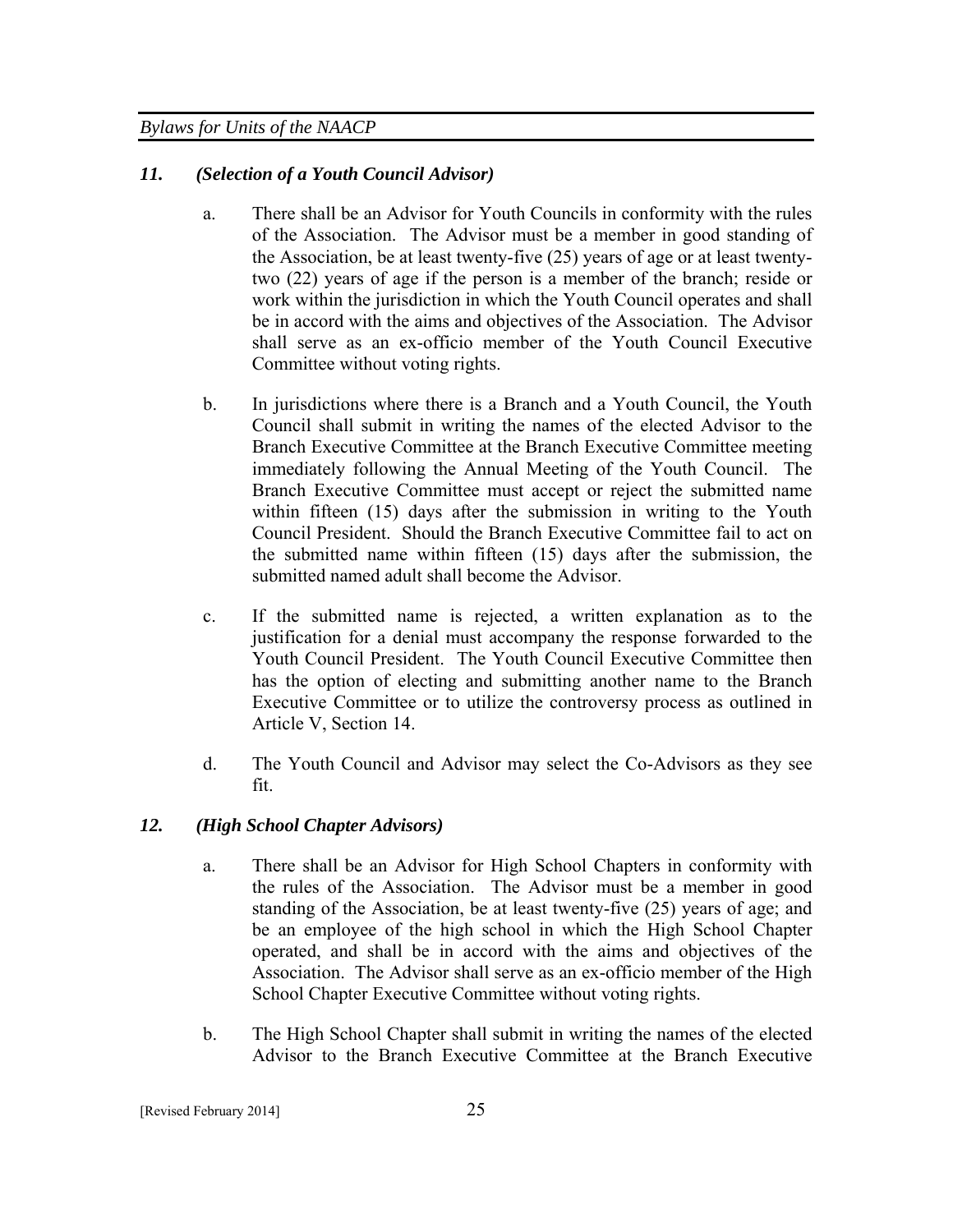## *11. (Selection of a Youth Council Advisor)*

- a. There shall be an Advisor for Youth Councils in conformity with the rules of the Association. The Advisor must be a member in good standing of the Association, be at least twenty-five (25) years of age or at least twentytwo (22) years of age if the person is a member of the branch; reside or work within the jurisdiction in which the Youth Council operates and shall be in accord with the aims and objectives of the Association. The Advisor shall serve as an ex-officio member of the Youth Council Executive Committee without voting rights.
- b. In jurisdictions where there is a Branch and a Youth Council, the Youth Council shall submit in writing the names of the elected Advisor to the Branch Executive Committee at the Branch Executive Committee meeting immediately following the Annual Meeting of the Youth Council. The Branch Executive Committee must accept or reject the submitted name within fifteen (15) days after the submission in writing to the Youth Council President. Should the Branch Executive Committee fail to act on the submitted name within fifteen (15) days after the submission, the submitted named adult shall become the Advisor.
- c. If the submitted name is rejected, a written explanation as to the justification for a denial must accompany the response forwarded to the Youth Council President. The Youth Council Executive Committee then has the option of electing and submitting another name to the Branch Executive Committee or to utilize the controversy process as outlined in Article V, Section 14.
- d. The Youth Council and Advisor may select the Co-Advisors as they see fit.

#### *12. (High School Chapter Advisors)*

- a. There shall be an Advisor for High School Chapters in conformity with the rules of the Association. The Advisor must be a member in good standing of the Association, be at least twenty-five (25) years of age; and be an employee of the high school in which the High School Chapter operated, and shall be in accord with the aims and objectives of the Association. The Advisor shall serve as an ex-officio member of the High School Chapter Executive Committee without voting rights.
- b. The High School Chapter shall submit in writing the names of the elected Advisor to the Branch Executive Committee at the Branch Executive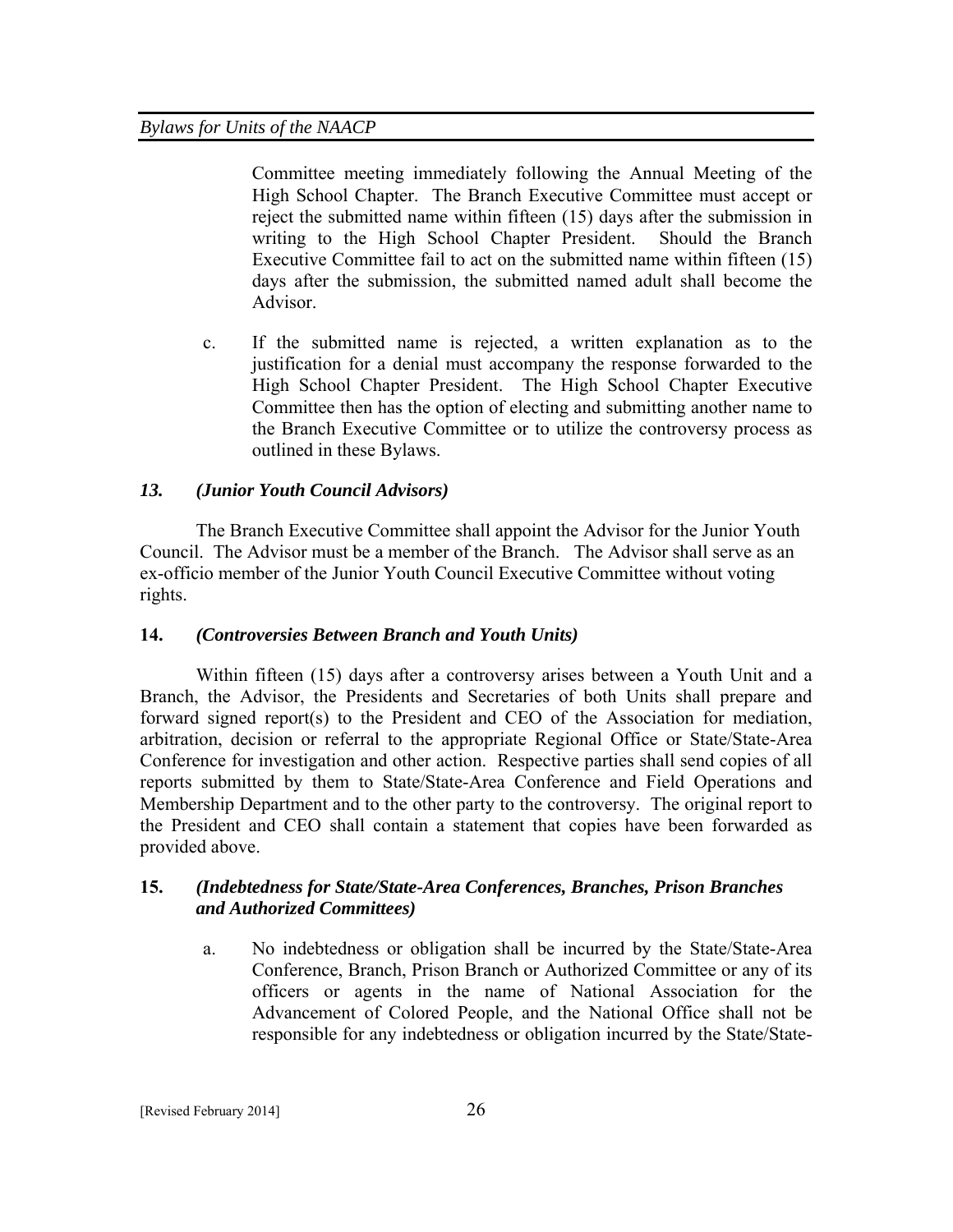Committee meeting immediately following the Annual Meeting of the High School Chapter. The Branch Executive Committee must accept or reject the submitted name within fifteen (15) days after the submission in writing to the High School Chapter President. Should the Branch Executive Committee fail to act on the submitted name within fifteen (15) days after the submission, the submitted named adult shall become the Advisor.

c. If the submitted name is rejected, a written explanation as to the justification for a denial must accompany the response forwarded to the High School Chapter President. The High School Chapter Executive Committee then has the option of electing and submitting another name to the Branch Executive Committee or to utilize the controversy process as outlined in these Bylaws.

# *13. (Junior Youth Council Advisors)*

The Branch Executive Committee shall appoint the Advisor for the Junior Youth Council. The Advisor must be a member of the Branch. The Advisor shall serve as an ex-officio member of the Junior Youth Council Executive Committee without voting rights.

# **14.** *(Controversies Between Branch and Youth Units)*

Within fifteen (15) days after a controversy arises between a Youth Unit and a Branch, the Advisor, the Presidents and Secretaries of both Units shall prepare and forward signed report(s) to the President and CEO of the Association for mediation, arbitration, decision or referral to the appropriate Regional Office or State/State-Area Conference for investigation and other action. Respective parties shall send copies of all reports submitted by them to State/State-Area Conference and Field Operations and Membership Department and to the other party to the controversy. The original report to the President and CEO shall contain a statement that copies have been forwarded as provided above.

# **15.** *(Indebtedness for State/State-Area Conferences, Branches, Prison Branches and Authorized Committees)*

a. No indebtedness or obligation shall be incurred by the State/State-Area Conference, Branch, Prison Branch or Authorized Committee or any of its officers or agents in the name of National Association for the Advancement of Colored People, and the National Office shall not be responsible for any indebtedness or obligation incurred by the State/State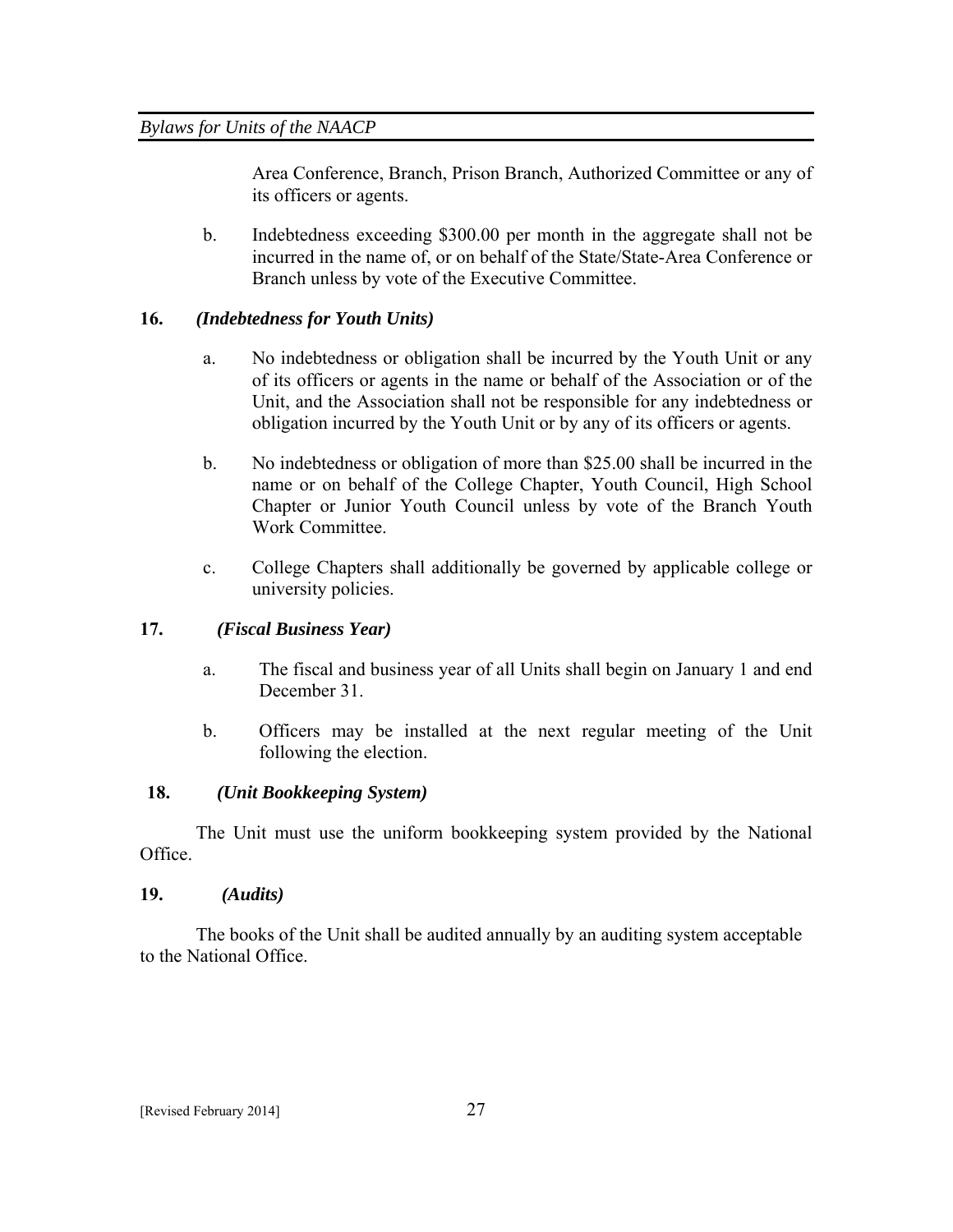Area Conference, Branch, Prison Branch, Authorized Committee or any of its officers or agents.

b. Indebtedness exceeding \$300.00 per month in the aggregate shall not be incurred in the name of, or on behalf of the State/State-Area Conference or Branch unless by vote of the Executive Committee.

# **16.** *(Indebtedness for Youth Units)*

- a. No indebtedness or obligation shall be incurred by the Youth Unit or any of its officers or agents in the name or behalf of the Association or of the Unit, and the Association shall not be responsible for any indebtedness or obligation incurred by the Youth Unit or by any of its officers or agents.
- b. No indebtedness or obligation of more than \$25.00 shall be incurred in the name or on behalf of the College Chapter, Youth Council, High School Chapter or Junior Youth Council unless by vote of the Branch Youth Work Committee.
- c. College Chapters shall additionally be governed by applicable college or university policies.

# **17.** *(Fiscal Business Year)*

- a. The fiscal and business year of all Units shall begin on January 1 and end December 31.
- b. Officers may be installed at the next regular meeting of the Unit following the election.

# **18.** *(Unit Bookkeeping System)*

The Unit must use the uniform bookkeeping system provided by the National Office.

# **19.** *(Audits)*

The books of the Unit shall be audited annually by an auditing system acceptable to the National Office.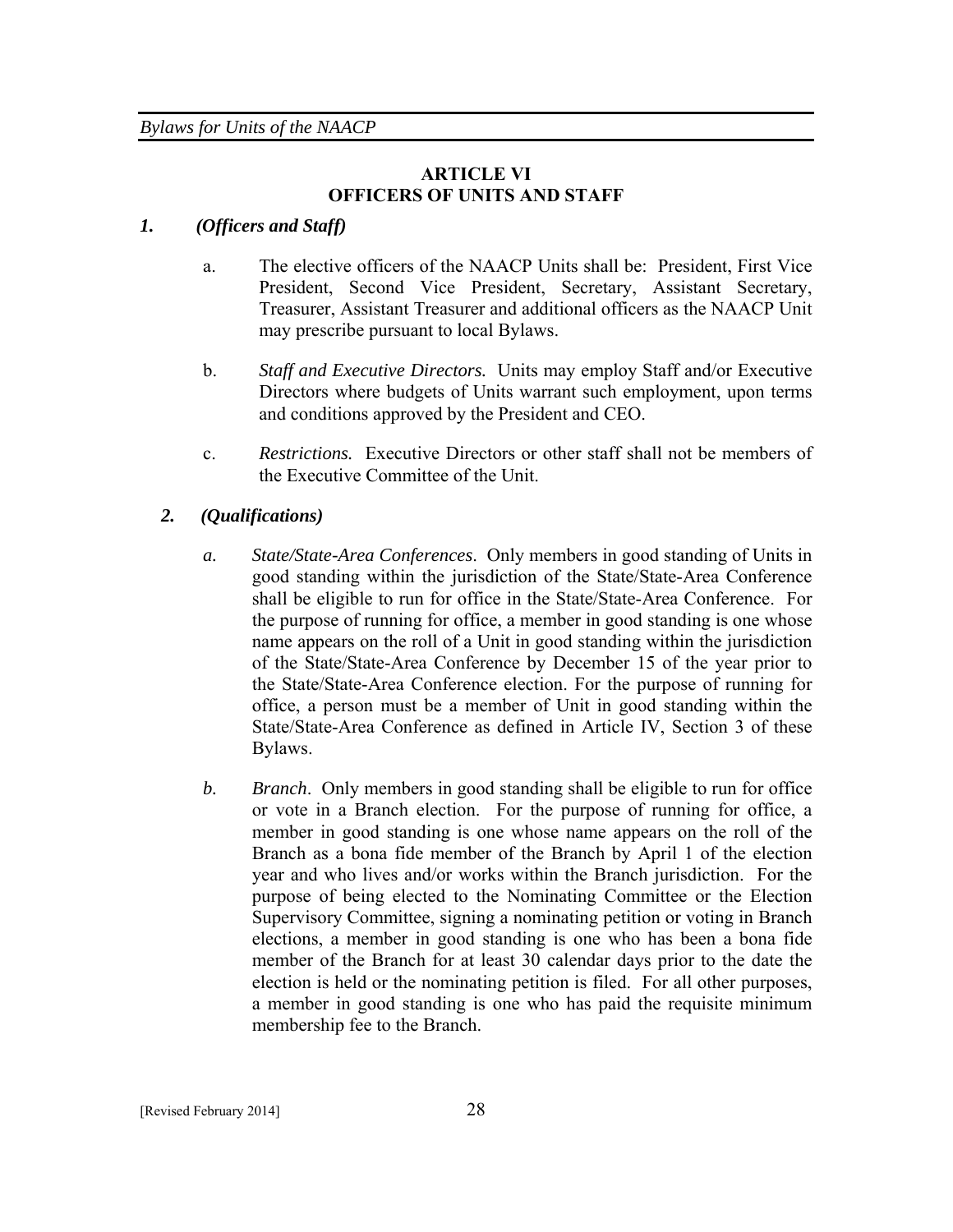# **ARTICLE VI OFFICERS OF UNITS AND STAFF**

# *1. (Officers and Staff)*

- a. The elective officers of the NAACP Units shall be: President, First Vice President, Second Vice President, Secretary, Assistant Secretary, Treasurer, Assistant Treasurer and additional officers as the NAACP Unit may prescribe pursuant to local Bylaws.
- b. *Staff and Executive Directors.* Units may employ Staff and/or Executive Directors where budgets of Units warrant such employment, upon terms and conditions approved by the President and CEO.
- c. *Restrictions.* Executive Directors or other staff shall not be members of the Executive Committee of the Unit.

# *2. (Qualifications)*

- *a. State/State-Area Conferences*. Only members in good standing of Units in good standing within the jurisdiction of the State/State-Area Conference shall be eligible to run for office in the State/State-Area Conference. For the purpose of running for office, a member in good standing is one whose name appears on the roll of a Unit in good standing within the jurisdiction of the State/State-Area Conference by December 15 of the year prior to the State/State-Area Conference election. For the purpose of running for office, a person must be a member of Unit in good standing within the State/State-Area Conference as defined in Article IV, Section 3 of these Bylaws.
- *b. Branch*. Only members in good standing shall be eligible to run for office or vote in a Branch election. For the purpose of running for office, a member in good standing is one whose name appears on the roll of the Branch as a bona fide member of the Branch by April 1 of the election year and who lives and/or works within the Branch jurisdiction. For the purpose of being elected to the Nominating Committee or the Election Supervisory Committee, signing a nominating petition or voting in Branch elections, a member in good standing is one who has been a bona fide member of the Branch for at least 30 calendar days prior to the date the election is held or the nominating petition is filed. For all other purposes, a member in good standing is one who has paid the requisite minimum membership fee to the Branch.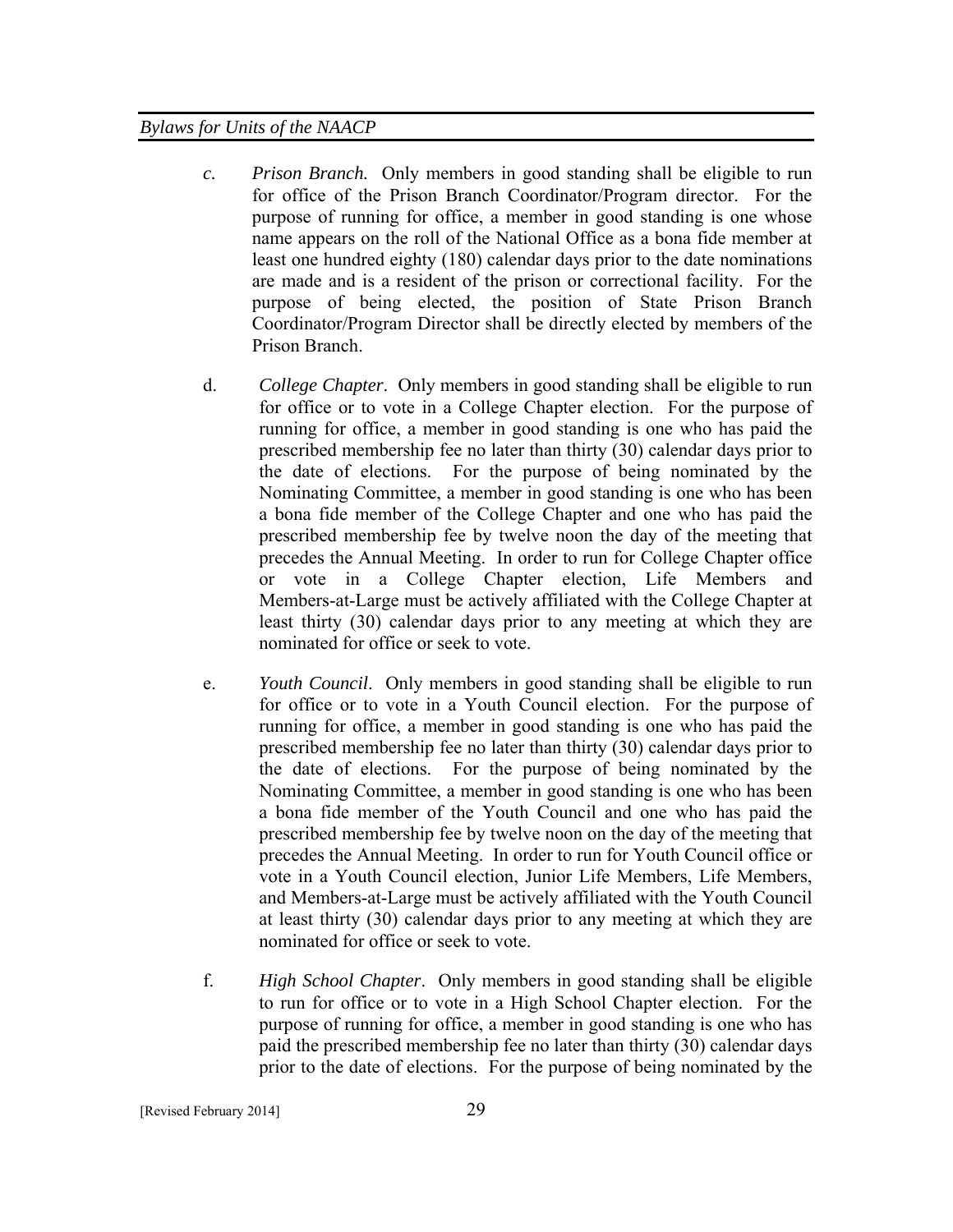- *c. Prison Branch.* Only members in good standing shall be eligible to run for office of the Prison Branch Coordinator/Program director. For the purpose of running for office, a member in good standing is one whose name appears on the roll of the National Office as a bona fide member at least one hundred eighty (180) calendar days prior to the date nominations are made and is a resident of the prison or correctional facility. For the purpose of being elected, the position of State Prison Branch Coordinator/Program Director shall be directly elected by members of the Prison Branch.
- d. *College Chapter*. Only members in good standing shall be eligible to run for office or to vote in a College Chapter election. For the purpose of running for office, a member in good standing is one who has paid the prescribed membership fee no later than thirty (30) calendar days prior to the date of elections. For the purpose of being nominated by the Nominating Committee, a member in good standing is one who has been a bona fide member of the College Chapter and one who has paid the prescribed membership fee by twelve noon the day of the meeting that precedes the Annual Meeting. In order to run for College Chapter office or vote in a College Chapter election, Life Members and Members-at-Large must be actively affiliated with the College Chapter at least thirty (30) calendar days prior to any meeting at which they are nominated for office or seek to vote.
- e. *Youth Council*. Only members in good standing shall be eligible to run for office or to vote in a Youth Council election. For the purpose of running for office, a member in good standing is one who has paid the prescribed membership fee no later than thirty (30) calendar days prior to the date of elections. For the purpose of being nominated by the Nominating Committee, a member in good standing is one who has been a bona fide member of the Youth Council and one who has paid the prescribed membership fee by twelve noon on the day of the meeting that precedes the Annual Meeting. In order to run for Youth Council office or vote in a Youth Council election, Junior Life Members, Life Members, and Members-at-Large must be actively affiliated with the Youth Council at least thirty (30) calendar days prior to any meeting at which they are nominated for office or seek to vote.
- f. *High School Chapter*. Only members in good standing shall be eligible to run for office or to vote in a High School Chapter election. For the purpose of running for office, a member in good standing is one who has paid the prescribed membership fee no later than thirty (30) calendar days prior to the date of elections. For the purpose of being nominated by the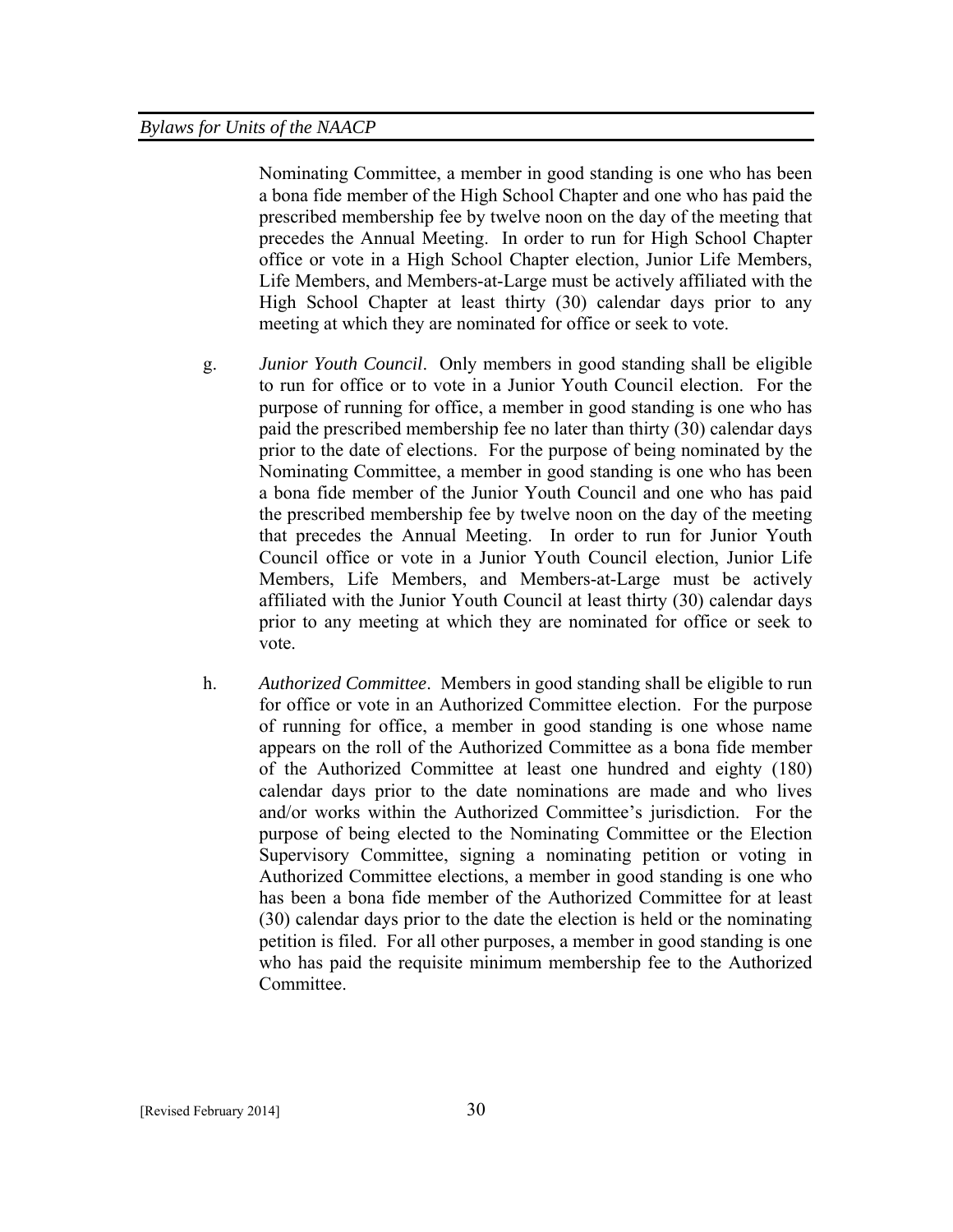Nominating Committee, a member in good standing is one who has been a bona fide member of the High School Chapter and one who has paid the prescribed membership fee by twelve noon on the day of the meeting that precedes the Annual Meeting. In order to run for High School Chapter office or vote in a High School Chapter election, Junior Life Members, Life Members, and Members-at-Large must be actively affiliated with the High School Chapter at least thirty (30) calendar days prior to any meeting at which they are nominated for office or seek to vote.

- g. *Junior Youth Council*. Only members in good standing shall be eligible to run for office or to vote in a Junior Youth Council election. For the purpose of running for office, a member in good standing is one who has paid the prescribed membership fee no later than thirty (30) calendar days prior to the date of elections. For the purpose of being nominated by the Nominating Committee, a member in good standing is one who has been a bona fide member of the Junior Youth Council and one who has paid the prescribed membership fee by twelve noon on the day of the meeting that precedes the Annual Meeting. In order to run for Junior Youth Council office or vote in a Junior Youth Council election, Junior Life Members, Life Members, and Members-at-Large must be actively affiliated with the Junior Youth Council at least thirty (30) calendar days prior to any meeting at which they are nominated for office or seek to vote.
- h. *Authorized Committee*. Members in good standing shall be eligible to run for office or vote in an Authorized Committee election. For the purpose of running for office, a member in good standing is one whose name appears on the roll of the Authorized Committee as a bona fide member of the Authorized Committee at least one hundred and eighty (180) calendar days prior to the date nominations are made and who lives and/or works within the Authorized Committee's jurisdiction. For the purpose of being elected to the Nominating Committee or the Election Supervisory Committee, signing a nominating petition or voting in Authorized Committee elections, a member in good standing is one who has been a bona fide member of the Authorized Committee for at least (30) calendar days prior to the date the election is held or the nominating petition is filed. For all other purposes, a member in good standing is one who has paid the requisite minimum membership fee to the Authorized Committee.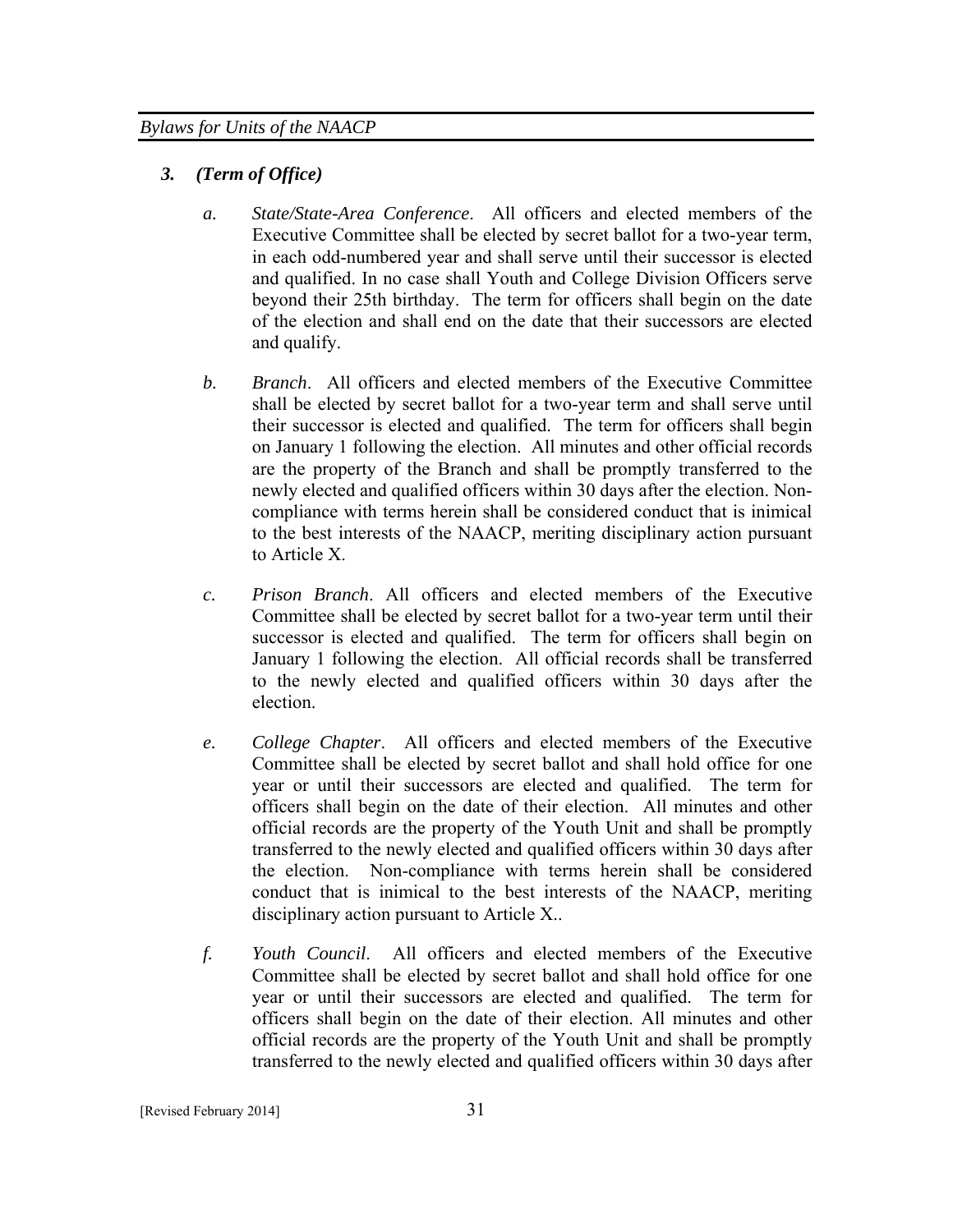# *3. (Term of Office)*

- *a. State/State-Area Conference*. All officers and elected members of the Executive Committee shall be elected by secret ballot for a two-year term, in each odd-numbered year and shall serve until their successor is elected and qualified. In no case shall Youth and College Division Officers serve beyond their 25th birthday. The term for officers shall begin on the date of the election and shall end on the date that their successors are elected and qualify.
- *b. Branch*. All officers and elected members of the Executive Committee shall be elected by secret ballot for a two-year term and shall serve until their successor is elected and qualified. The term for officers shall begin on January 1 following the election. All minutes and other official records are the property of the Branch and shall be promptly transferred to the newly elected and qualified officers within 30 days after the election. Noncompliance with terms herein shall be considered conduct that is inimical to the best interests of the NAACP, meriting disciplinary action pursuant to Article X.
- *c. Prison Branch*. All officers and elected members of the Executive Committee shall be elected by secret ballot for a two-year term until their successor is elected and qualified. The term for officers shall begin on January 1 following the election. All official records shall be transferred to the newly elected and qualified officers within 30 days after the election.
- *e. College Chapter*. All officers and elected members of the Executive Committee shall be elected by secret ballot and shall hold office for one year or until their successors are elected and qualified. The term for officers shall begin on the date of their election. All minutes and other official records are the property of the Youth Unit and shall be promptly transferred to the newly elected and qualified officers within 30 days after the election. Non-compliance with terms herein shall be considered conduct that is inimical to the best interests of the NAACP, meriting disciplinary action pursuant to Article X..
- *f. Youth Council*. All officers and elected members of the Executive Committee shall be elected by secret ballot and shall hold office for one year or until their successors are elected and qualified. The term for officers shall begin on the date of their election. All minutes and other official records are the property of the Youth Unit and shall be promptly transferred to the newly elected and qualified officers within 30 days after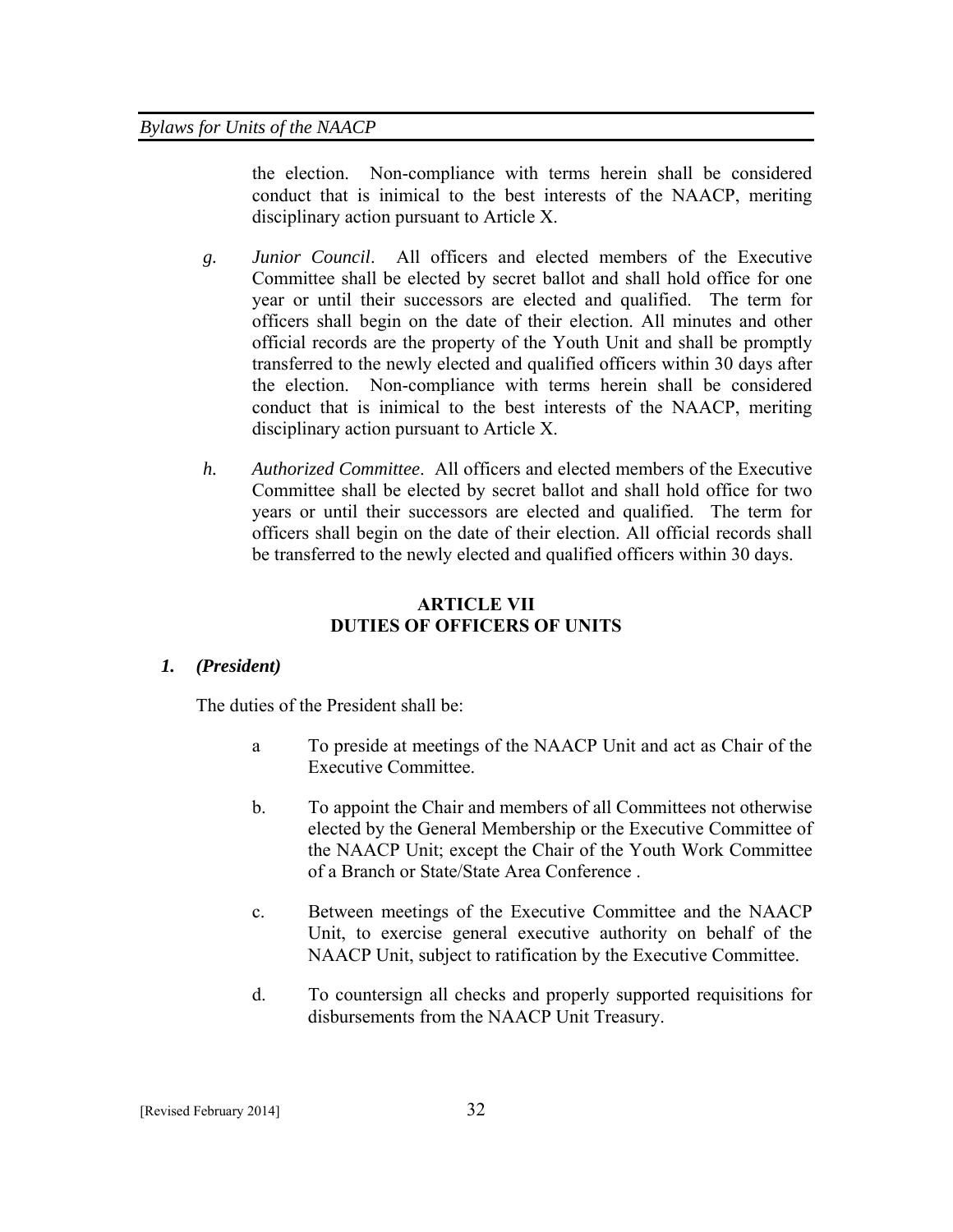the election. Non-compliance with terms herein shall be considered conduct that is inimical to the best interests of the NAACP, meriting disciplinary action pursuant to Article X.

- *g. Junior Council*. All officers and elected members of the Executive Committee shall be elected by secret ballot and shall hold office for one year or until their successors are elected and qualified. The term for officers shall begin on the date of their election. All minutes and other official records are the property of the Youth Unit and shall be promptly transferred to the newly elected and qualified officers within 30 days after the election. Non-compliance with terms herein shall be considered conduct that is inimical to the best interests of the NAACP, meriting disciplinary action pursuant to Article X.
- *h. Authorized Committee*. All officers and elected members of the Executive Committee shall be elected by secret ballot and shall hold office for two years or until their successors are elected and qualified. The term for officers shall begin on the date of their election. All official records shall be transferred to the newly elected and qualified officers within 30 days.

# **ARTICLE VII DUTIES OF OFFICERS OF UNITS**

## *1. (President)*

The duties of the President shall be:

- a To preside at meetings of the NAACP Unit and act as Chair of the Executive Committee.
- b. To appoint the Chair and members of all Committees not otherwise elected by the General Membership or the Executive Committee of the NAACP Unit; except the Chair of the Youth Work Committee of a Branch or State/State Area Conference .
- c. Between meetings of the Executive Committee and the NAACP Unit, to exercise general executive authority on behalf of the NAACP Unit, subject to ratification by the Executive Committee.
- d. To countersign all checks and properly supported requisitions for disbursements from the NAACP Unit Treasury.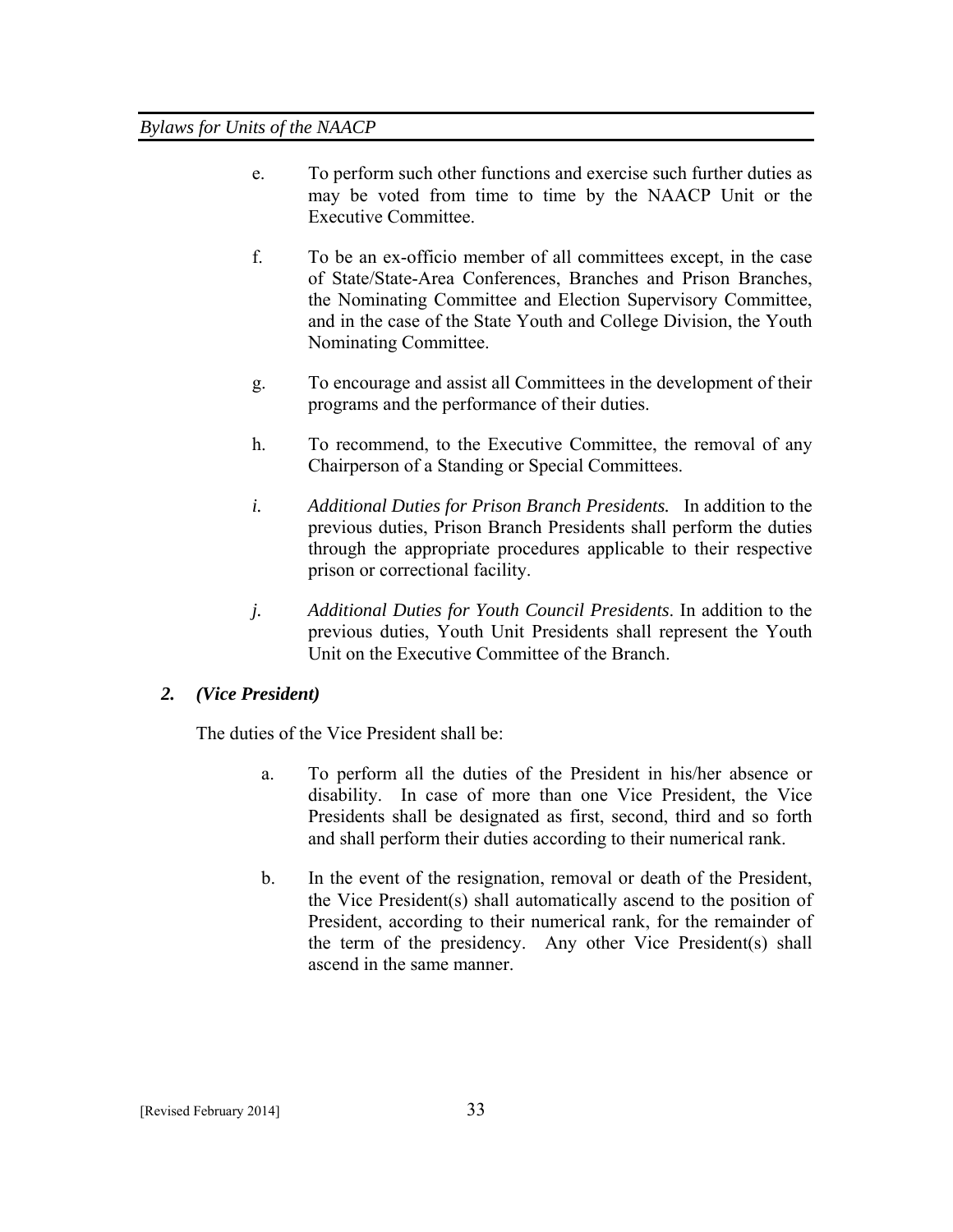- e. To perform such other functions and exercise such further duties as may be voted from time to time by the NAACP Unit or the Executive Committee.
- f. To be an ex-officio member of all committees except, in the case of State/State-Area Conferences, Branches and Prison Branches, the Nominating Committee and Election Supervisory Committee, and in the case of the State Youth and College Division, the Youth Nominating Committee.
- g. To encourage and assist all Committees in the development of their programs and the performance of their duties.
- h. To recommend, to the Executive Committee, the removal of any Chairperson of a Standing or Special Committees.
- *i. Additional Duties for Prison Branch Presidents.* In addition to the previous duties, Prison Branch Presidents shall perform the duties through the appropriate procedures applicable to their respective prison or correctional facility.
- *j. Additional Duties for Youth Council Presidents*. In addition to the previous duties, Youth Unit Presidents shall represent the Youth Unit on the Executive Committee of the Branch.

# *2. (Vice President)*

The duties of the Vice President shall be:

- a. To perform all the duties of the President in his/her absence or disability. In case of more than one Vice President, the Vice Presidents shall be designated as first, second, third and so forth and shall perform their duties according to their numerical rank.
- b. In the event of the resignation, removal or death of the President, the Vice President(s) shall automatically ascend to the position of President, according to their numerical rank, for the remainder of the term of the presidency. Any other Vice President(s) shall ascend in the same manner.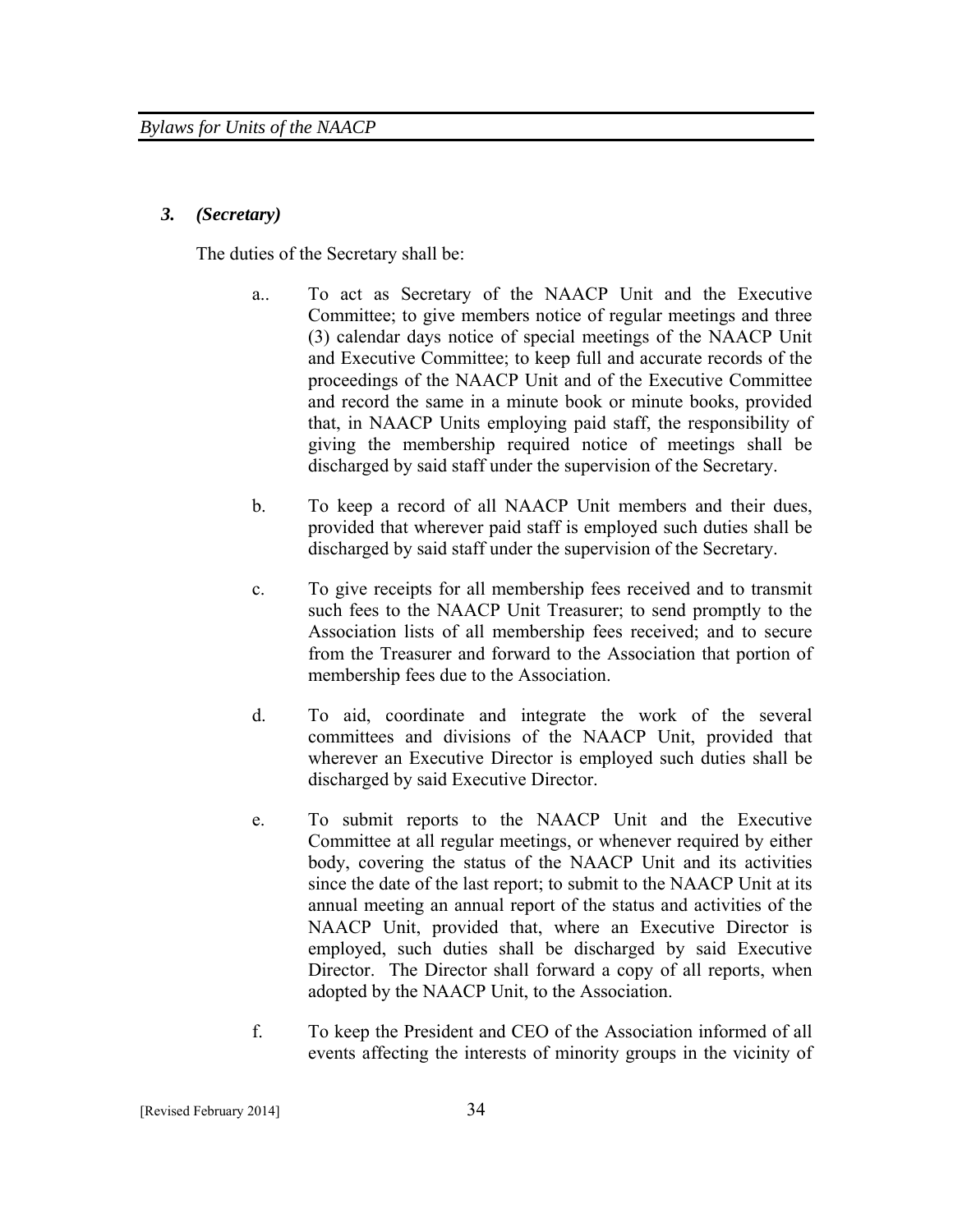## *3. (Secretary)*

The duties of the Secretary shall be:

- a.. To act as Secretary of the NAACP Unit and the Executive Committee; to give members notice of regular meetings and three (3) calendar days notice of special meetings of the NAACP Unit and Executive Committee; to keep full and accurate records of the proceedings of the NAACP Unit and of the Executive Committee and record the same in a minute book or minute books, provided that, in NAACP Units employing paid staff, the responsibility of giving the membership required notice of meetings shall be discharged by said staff under the supervision of the Secretary.
- b. To keep a record of all NAACP Unit members and their dues, provided that wherever paid staff is employed such duties shall be discharged by said staff under the supervision of the Secretary.
- c. To give receipts for all membership fees received and to transmit such fees to the NAACP Unit Treasurer; to send promptly to the Association lists of all membership fees received; and to secure from the Treasurer and forward to the Association that portion of membership fees due to the Association.
- d. To aid, coordinate and integrate the work of the several committees and divisions of the NAACP Unit, provided that wherever an Executive Director is employed such duties shall be discharged by said Executive Director.
- e. To submit reports to the NAACP Unit and the Executive Committee at all regular meetings, or whenever required by either body, covering the status of the NAACP Unit and its activities since the date of the last report; to submit to the NAACP Unit at its annual meeting an annual report of the status and activities of the NAACP Unit, provided that, where an Executive Director is employed, such duties shall be discharged by said Executive Director. The Director shall forward a copy of all reports, when adopted by the NAACP Unit, to the Association.
- f. To keep the President and CEO of the Association informed of all events affecting the interests of minority groups in the vicinity of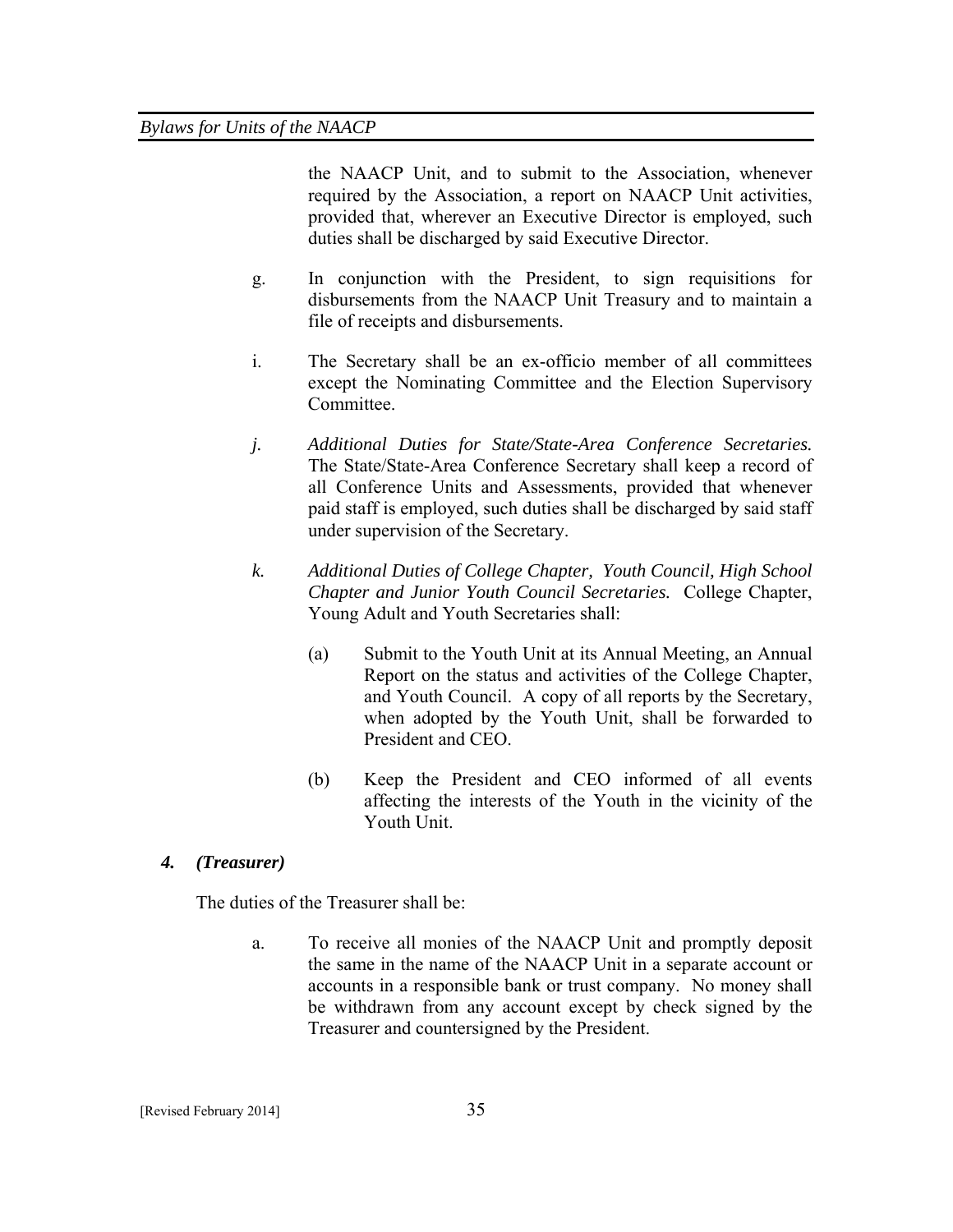the NAACP Unit, and to submit to the Association, whenever required by the Association, a report on NAACP Unit activities, provided that, wherever an Executive Director is employed, such duties shall be discharged by said Executive Director.

- g. In conjunction with the President, to sign requisitions for disbursements from the NAACP Unit Treasury and to maintain a file of receipts and disbursements.
- i. The Secretary shall be an ex-officio member of all committees except the Nominating Committee and the Election Supervisory Committee.
- *j. Additional Duties for State/State-Area Conference Secretaries.* The State/State-Area Conference Secretary shall keep a record of all Conference Units and Assessments, provided that whenever paid staff is employed, such duties shall be discharged by said staff under supervision of the Secretary.
- *k. Additional Duties of College Chapter, Youth Council, High School Chapter and Junior Youth Council Secretaries.* College Chapter, Young Adult and Youth Secretaries shall:
	- (a) Submit to the Youth Unit at its Annual Meeting, an Annual Report on the status and activities of the College Chapter, and Youth Council. A copy of all reports by the Secretary, when adopted by the Youth Unit, shall be forwarded to President and CEO.
	- (b) Keep the President and CEO informed of all events affecting the interests of the Youth in the vicinity of the Youth Unit.

## *4. (Treasurer)*

The duties of the Treasurer shall be:

a. To receive all monies of the NAACP Unit and promptly deposit the same in the name of the NAACP Unit in a separate account or accounts in a responsible bank or trust company. No money shall be withdrawn from any account except by check signed by the Treasurer and countersigned by the President.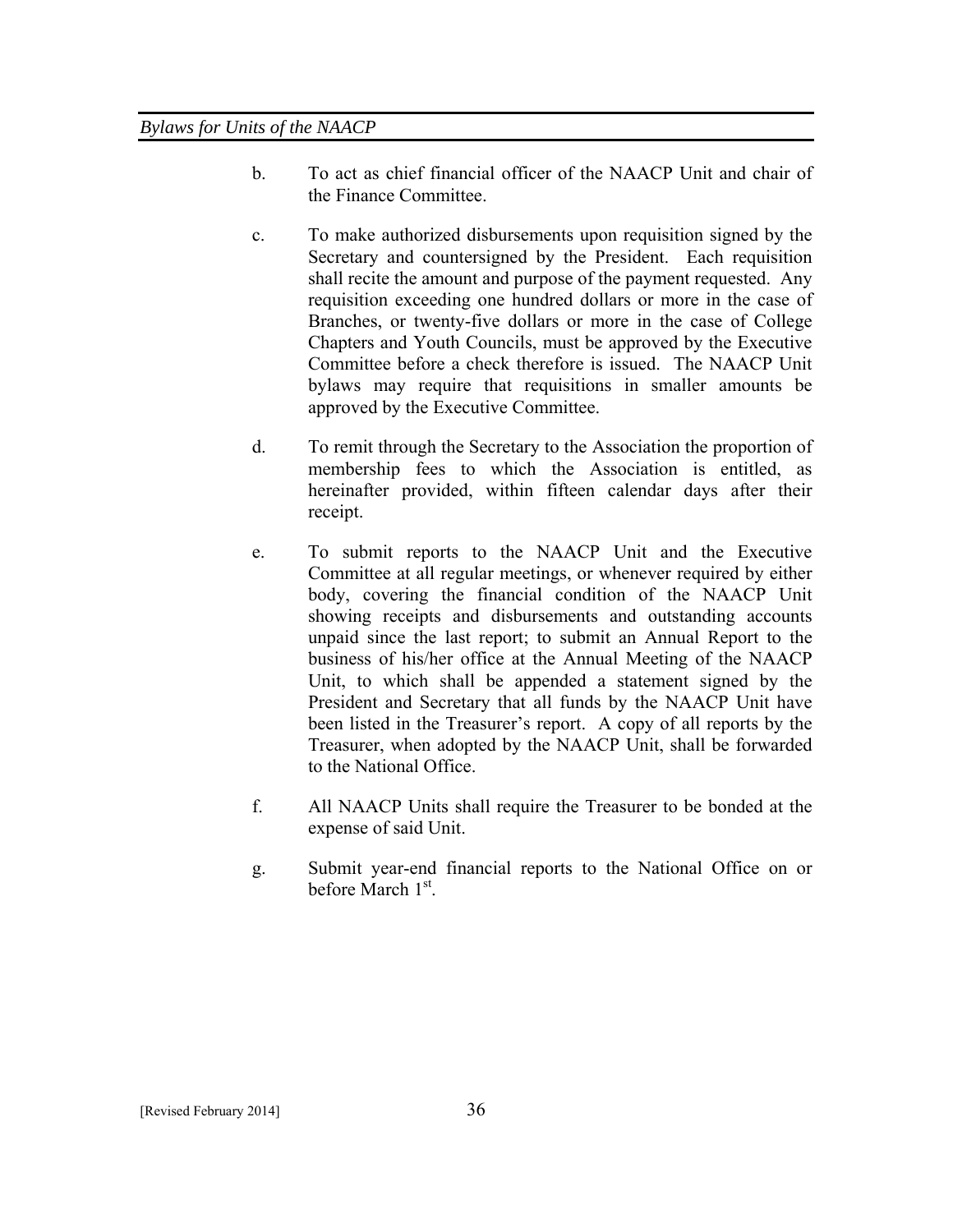- b. To act as chief financial officer of the NAACP Unit and chair of the Finance Committee.
- c. To make authorized disbursements upon requisition signed by the Secretary and countersigned by the President. Each requisition shall recite the amount and purpose of the payment requested. Any requisition exceeding one hundred dollars or more in the case of Branches, or twenty-five dollars or more in the case of College Chapters and Youth Councils, must be approved by the Executive Committee before a check therefore is issued. The NAACP Unit bylaws may require that requisitions in smaller amounts be approved by the Executive Committee.
- d. To remit through the Secretary to the Association the proportion of membership fees to which the Association is entitled, as hereinafter provided, within fifteen calendar days after their receipt.
- e. To submit reports to the NAACP Unit and the Executive Committee at all regular meetings, or whenever required by either body, covering the financial condition of the NAACP Unit showing receipts and disbursements and outstanding accounts unpaid since the last report; to submit an Annual Report to the business of his/her office at the Annual Meeting of the NAACP Unit, to which shall be appended a statement signed by the President and Secretary that all funds by the NAACP Unit have been listed in the Treasurer's report. A copy of all reports by the Treasurer, when adopted by the NAACP Unit, shall be forwarded to the National Office.
- f. All NAACP Units shall require the Treasurer to be bonded at the expense of said Unit.
- g. Submit year-end financial reports to the National Office on or before March  $1<sup>st</sup>$ .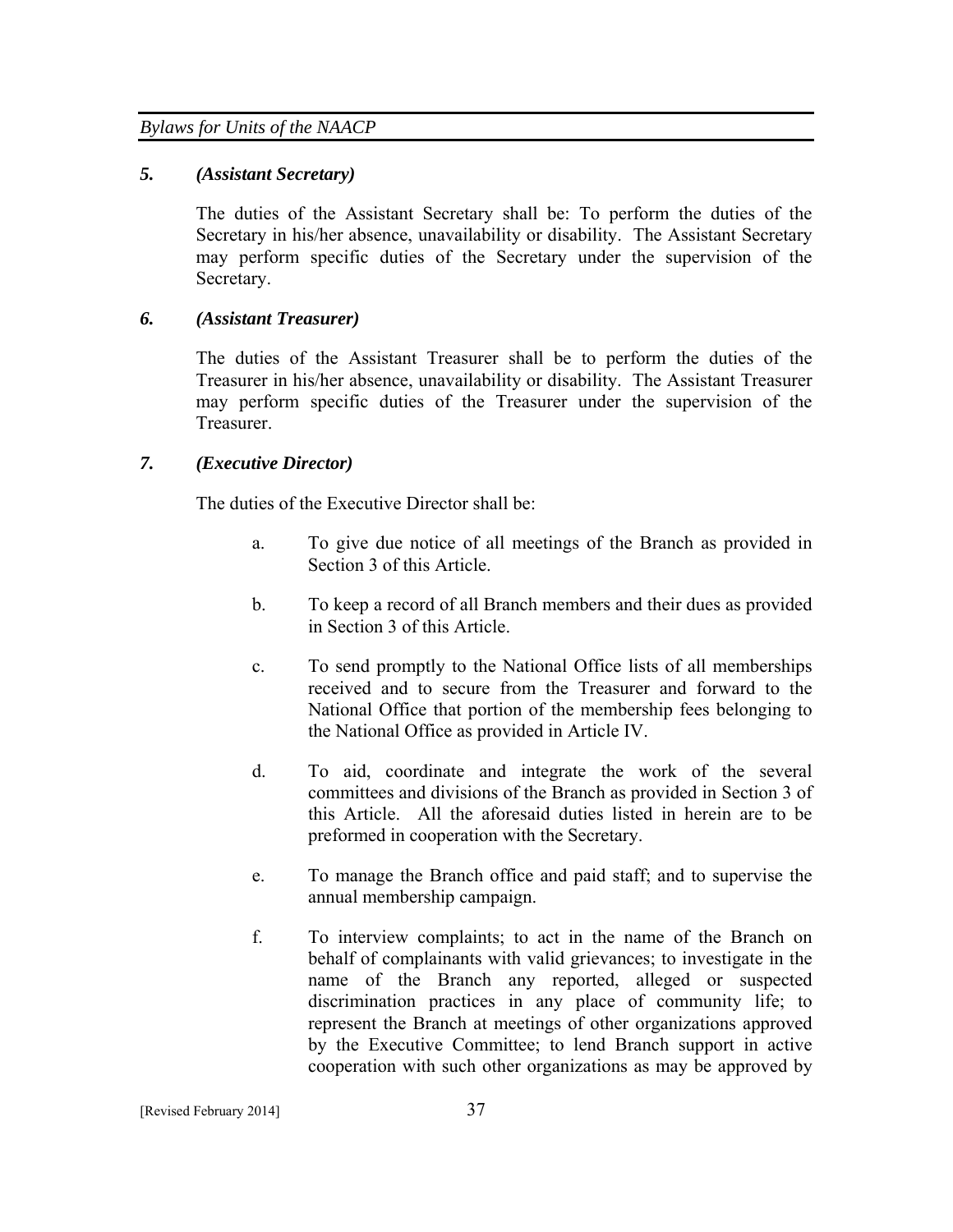### *5. (Assistant Secretary)*

The duties of the Assistant Secretary shall be: To perform the duties of the Secretary in his/her absence, unavailability or disability. The Assistant Secretary may perform specific duties of the Secretary under the supervision of the Secretary.

## *6. (Assistant Treasurer)*

The duties of the Assistant Treasurer shall be to perform the duties of the Treasurer in his/her absence, unavailability or disability. The Assistant Treasurer may perform specific duties of the Treasurer under the supervision of the **Treasurer** 

## *7. (Executive Director)*

The duties of the Executive Director shall be:

- a. To give due notice of all meetings of the Branch as provided in Section 3 of this Article.
- b. To keep a record of all Branch members and their dues as provided in Section 3 of this Article.
- c. To send promptly to the National Office lists of all memberships received and to secure from the Treasurer and forward to the National Office that portion of the membership fees belonging to the National Office as provided in Article IV.
- d. To aid, coordinate and integrate the work of the several committees and divisions of the Branch as provided in Section 3 of this Article. All the aforesaid duties listed in herein are to be preformed in cooperation with the Secretary.
- e. To manage the Branch office and paid staff; and to supervise the annual membership campaign.
- f. To interview complaints; to act in the name of the Branch on behalf of complainants with valid grievances; to investigate in the name of the Branch any reported, alleged or suspected discrimination practices in any place of community life; to represent the Branch at meetings of other organizations approved by the Executive Committee; to lend Branch support in active cooperation with such other organizations as may be approved by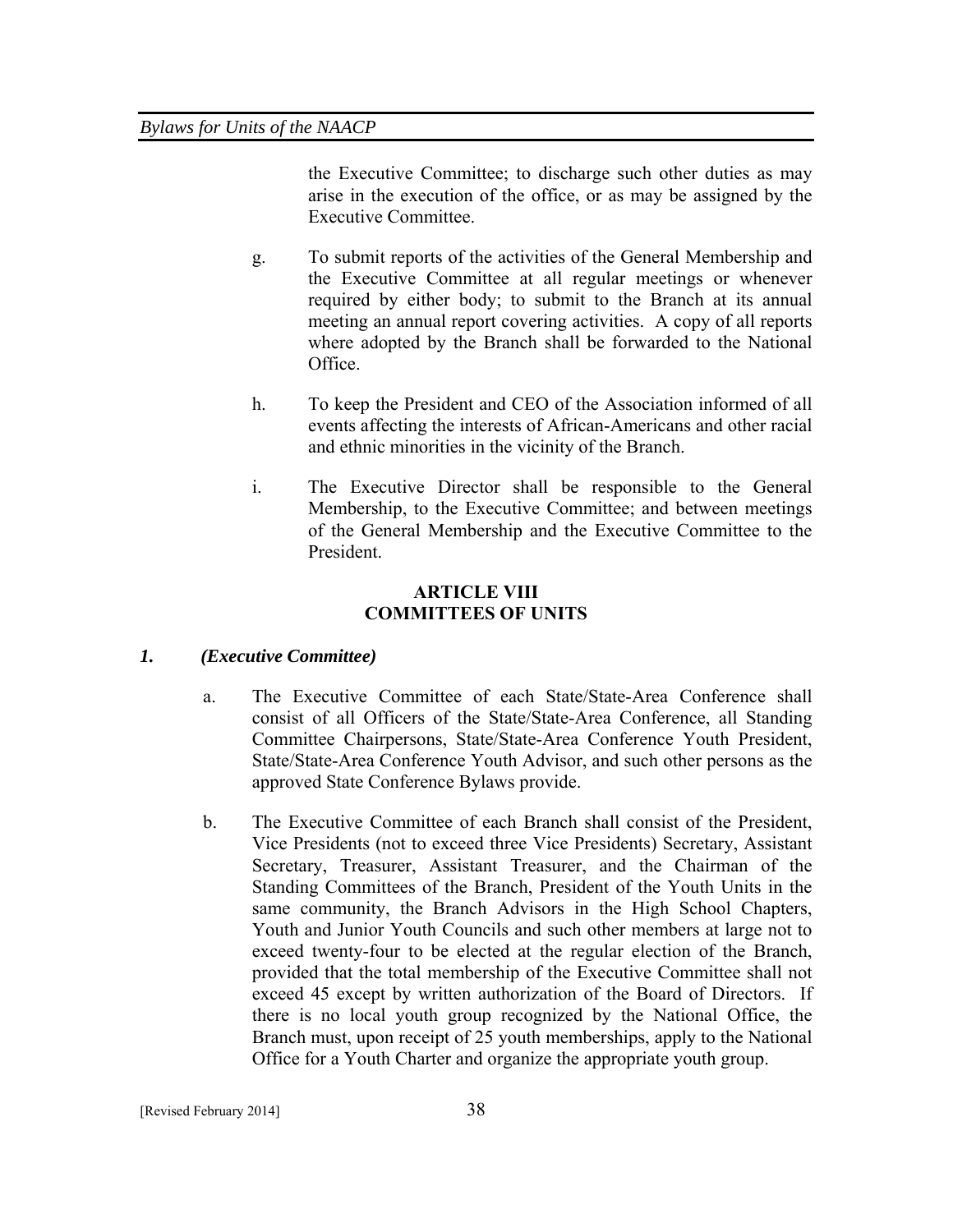the Executive Committee; to discharge such other duties as may arise in the execution of the office, or as may be assigned by the Executive Committee.

- g. To submit reports of the activities of the General Membership and the Executive Committee at all regular meetings or whenever required by either body; to submit to the Branch at its annual meeting an annual report covering activities. A copy of all reports where adopted by the Branch shall be forwarded to the National Office.
- h. To keep the President and CEO of the Association informed of all events affecting the interests of African-Americans and other racial and ethnic minorities in the vicinity of the Branch.
- i. The Executive Director shall be responsible to the General Membership, to the Executive Committee; and between meetings of the General Membership and the Executive Committee to the President.

#### **ARTICLE VIII COMMITTEES OF UNITS**

## *1. (Executive Committee)*

- a. The Executive Committee of each State/State-Area Conference shall consist of all Officers of the State/State-Area Conference, all Standing Committee Chairpersons, State/State-Area Conference Youth President, State/State-Area Conference Youth Advisor, and such other persons as the approved State Conference Bylaws provide.
- b. The Executive Committee of each Branch shall consist of the President, Vice Presidents (not to exceed three Vice Presidents) Secretary, Assistant Secretary, Treasurer, Assistant Treasurer, and the Chairman of the Standing Committees of the Branch, President of the Youth Units in the same community, the Branch Advisors in the High School Chapters, Youth and Junior Youth Councils and such other members at large not to exceed twenty-four to be elected at the regular election of the Branch, provided that the total membership of the Executive Committee shall not exceed 45 except by written authorization of the Board of Directors. If there is no local youth group recognized by the National Office, the Branch must, upon receipt of 25 youth memberships, apply to the National Office for a Youth Charter and organize the appropriate youth group.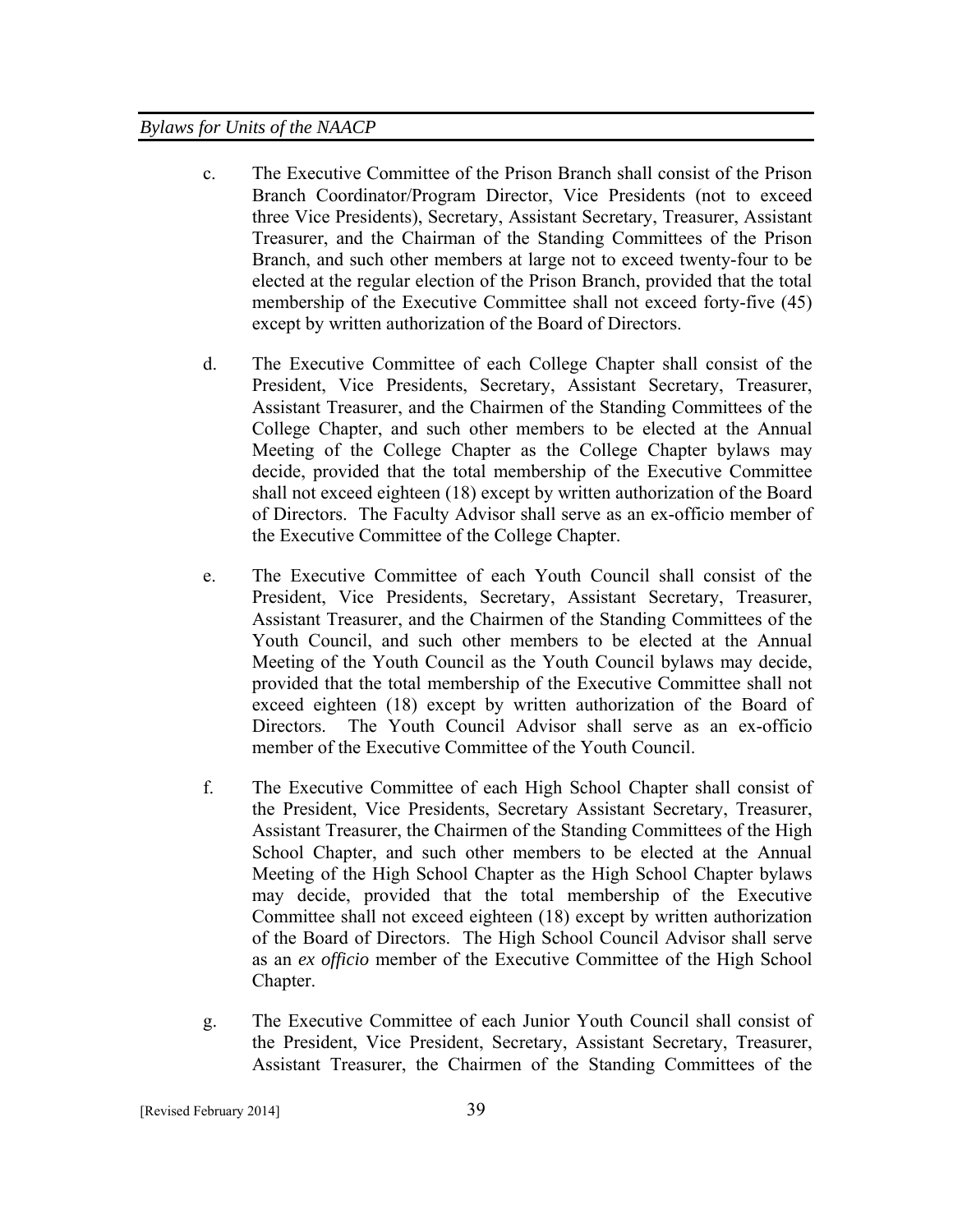- c. The Executive Committee of the Prison Branch shall consist of the Prison Branch Coordinator/Program Director, Vice Presidents (not to exceed three Vice Presidents), Secretary, Assistant Secretary, Treasurer, Assistant Treasurer, and the Chairman of the Standing Committees of the Prison Branch, and such other members at large not to exceed twenty-four to be elected at the regular election of the Prison Branch, provided that the total membership of the Executive Committee shall not exceed forty-five (45) except by written authorization of the Board of Directors.
- d. The Executive Committee of each College Chapter shall consist of the President, Vice Presidents, Secretary, Assistant Secretary, Treasurer, Assistant Treasurer, and the Chairmen of the Standing Committees of the College Chapter, and such other members to be elected at the Annual Meeting of the College Chapter as the College Chapter bylaws may decide, provided that the total membership of the Executive Committee shall not exceed eighteen (18) except by written authorization of the Board of Directors. The Faculty Advisor shall serve as an ex-officio member of the Executive Committee of the College Chapter.
- e. The Executive Committee of each Youth Council shall consist of the President, Vice Presidents, Secretary, Assistant Secretary, Treasurer, Assistant Treasurer, and the Chairmen of the Standing Committees of the Youth Council, and such other members to be elected at the Annual Meeting of the Youth Council as the Youth Council bylaws may decide, provided that the total membership of the Executive Committee shall not exceed eighteen (18) except by written authorization of the Board of Directors. The Youth Council Advisor shall serve as an ex-officio member of the Executive Committee of the Youth Council.
- f. The Executive Committee of each High School Chapter shall consist of the President, Vice Presidents, Secretary Assistant Secretary, Treasurer, Assistant Treasurer, the Chairmen of the Standing Committees of the High School Chapter, and such other members to be elected at the Annual Meeting of the High School Chapter as the High School Chapter bylaws may decide, provided that the total membership of the Executive Committee shall not exceed eighteen (18) except by written authorization of the Board of Directors. The High School Council Advisor shall serve as an *ex officio* member of the Executive Committee of the High School Chapter.
- g. The Executive Committee of each Junior Youth Council shall consist of the President, Vice President, Secretary, Assistant Secretary, Treasurer, Assistant Treasurer, the Chairmen of the Standing Committees of the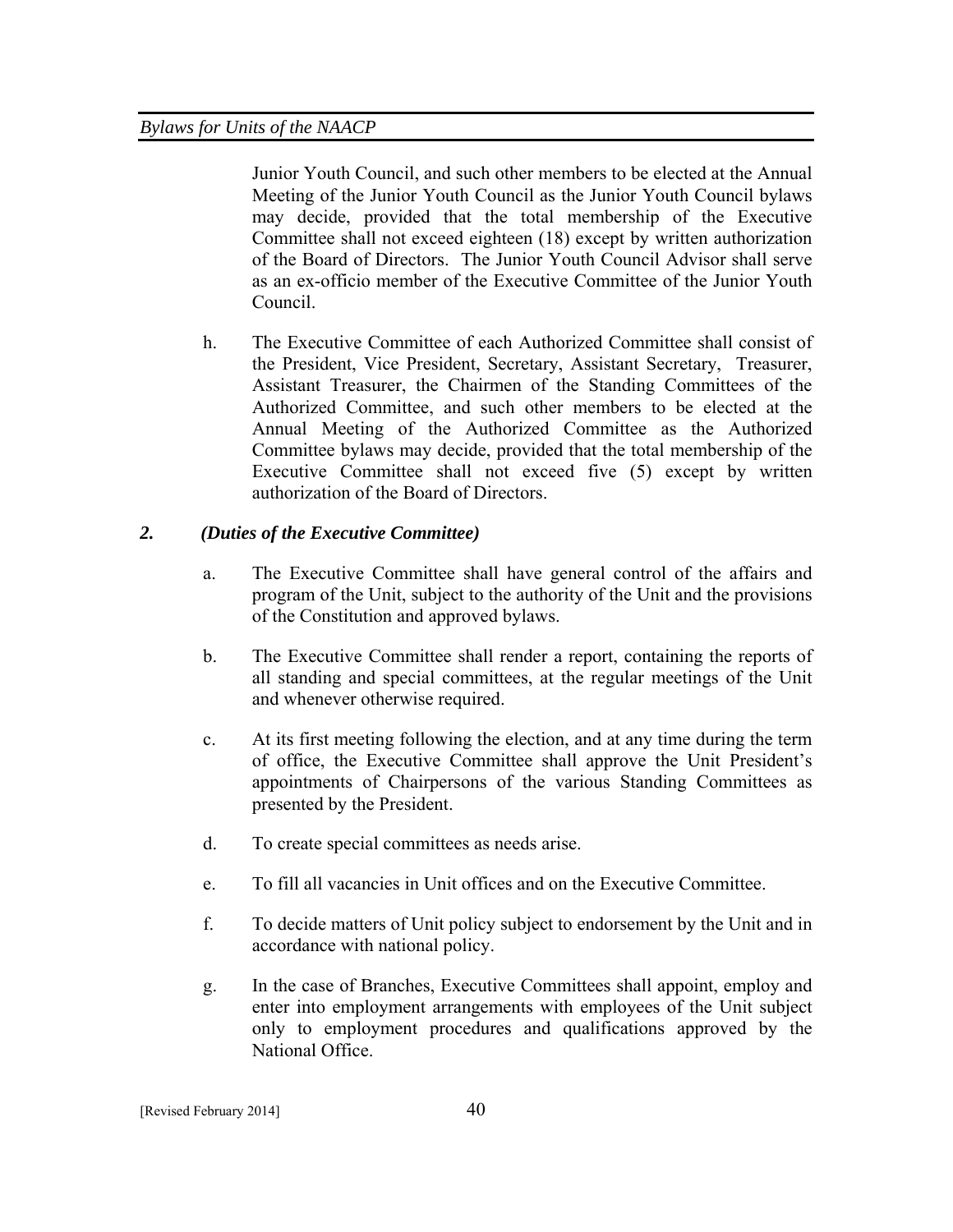Junior Youth Council, and such other members to be elected at the Annual Meeting of the Junior Youth Council as the Junior Youth Council bylaws may decide, provided that the total membership of the Executive Committee shall not exceed eighteen (18) except by written authorization of the Board of Directors. The Junior Youth Council Advisor shall serve as an ex-officio member of the Executive Committee of the Junior Youth Council.

h. The Executive Committee of each Authorized Committee shall consist of the President, Vice President, Secretary, Assistant Secretary, Treasurer, Assistant Treasurer, the Chairmen of the Standing Committees of the Authorized Committee, and such other members to be elected at the Annual Meeting of the Authorized Committee as the Authorized Committee bylaws may decide, provided that the total membership of the Executive Committee shall not exceed five (5) except by written authorization of the Board of Directors.

# *2. (Duties of the Executive Committee)*

- a. The Executive Committee shall have general control of the affairs and program of the Unit, subject to the authority of the Unit and the provisions of the Constitution and approved bylaws.
- b. The Executive Committee shall render a report, containing the reports of all standing and special committees, at the regular meetings of the Unit and whenever otherwise required.
- c. At its first meeting following the election, and at any time during the term of office, the Executive Committee shall approve the Unit President's appointments of Chairpersons of the various Standing Committees as presented by the President.
- d. To create special committees as needs arise.
- e. To fill all vacancies in Unit offices and on the Executive Committee.
- f. To decide matters of Unit policy subject to endorsement by the Unit and in accordance with national policy.
- g. In the case of Branches, Executive Committees shall appoint, employ and enter into employment arrangements with employees of the Unit subject only to employment procedures and qualifications approved by the National Office.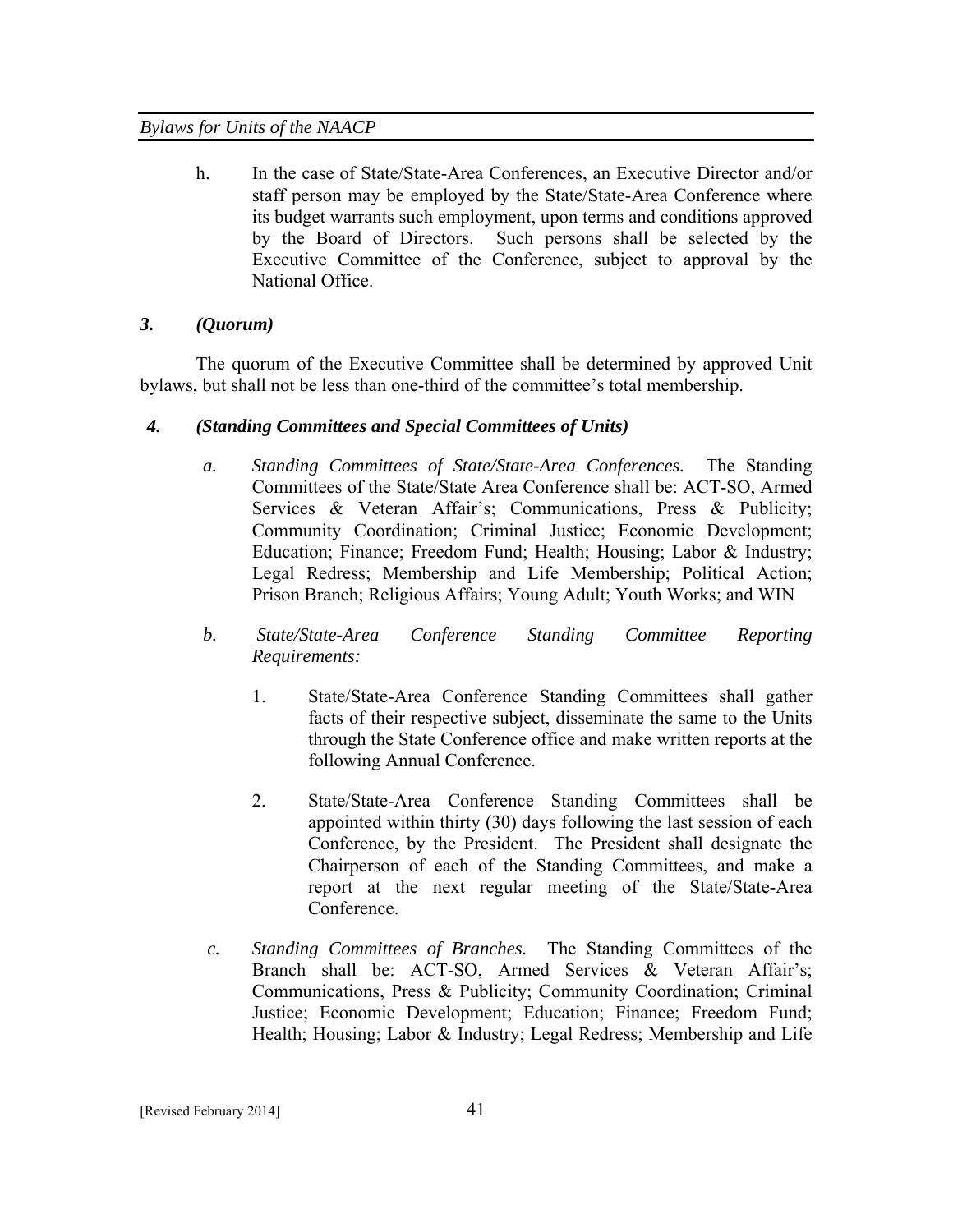h. In the case of State/State-Area Conferences, an Executive Director and/or staff person may be employed by the State/State-Area Conference where its budget warrants such employment, upon terms and conditions approved by the Board of Directors. Such persons shall be selected by the Executive Committee of the Conference, subject to approval by the National Office.

## *3. (Quorum)*

The quorum of the Executive Committee shall be determined by approved Unit bylaws, but shall not be less than one-third of the committee's total membership.

## *4. (Standing Committees and Special Committees of Units)*

- *a. Standing Committees of State/State-Area Conferences.* The Standing Committees of the State/State Area Conference shall be: ACT-SO, Armed Services & Veteran Affair's; Communications, Press & Publicity; Community Coordination; Criminal Justice; Economic Development; Education; Finance; Freedom Fund; Health; Housing; Labor & Industry; Legal Redress; Membership and Life Membership; Political Action; Prison Branch; Religious Affairs; Young Adult; Youth Works; and WIN
- *b. State/State-Area Conference Standing Committee Reporting Requirements:* 
	- 1. State/State-Area Conference Standing Committees shall gather facts of their respective subject, disseminate the same to the Units through the State Conference office and make written reports at the following Annual Conference.
	- 2. State/State-Area Conference Standing Committees shall be appointed within thirty (30) days following the last session of each Conference, by the President. The President shall designate the Chairperson of each of the Standing Committees, and make a report at the next regular meeting of the State/State-Area Conference.
- *c. Standing Committees of Branches.* The Standing Committees of the Branch shall be: ACT-SO, Armed Services & Veteran Affair's; Communications, Press & Publicity; Community Coordination; Criminal Justice; Economic Development; Education; Finance; Freedom Fund; Health; Housing; Labor & Industry; Legal Redress; Membership and Life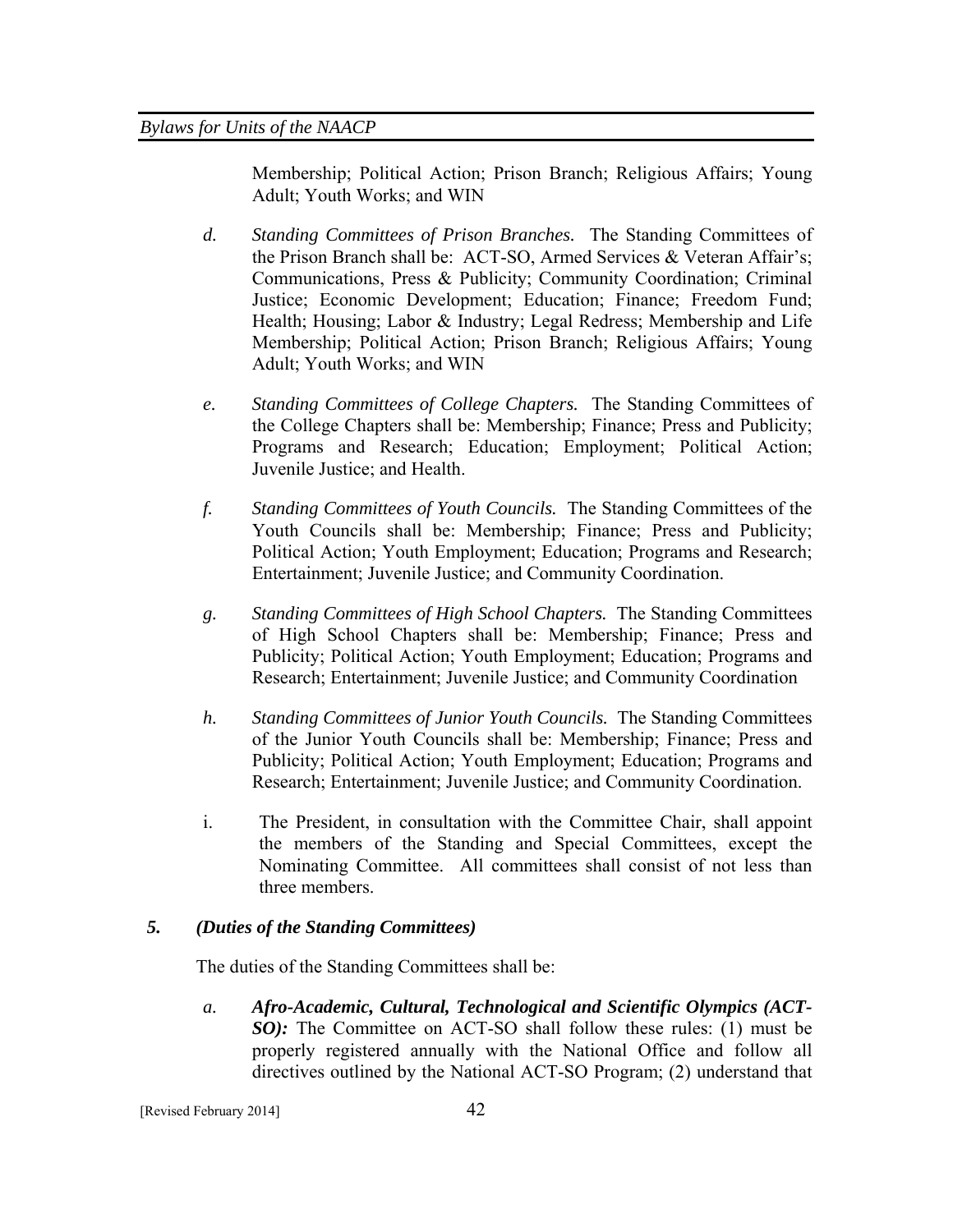Membership; Political Action; Prison Branch; Religious Affairs; Young Adult; Youth Works; and WIN

- *d. Standing Committees of Prison Branches.* The Standing Committees of the Prison Branch shall be: ACT-SO, Armed Services & Veteran Affair's; Communications, Press & Publicity; Community Coordination; Criminal Justice; Economic Development; Education; Finance; Freedom Fund; Health; Housing; Labor & Industry; Legal Redress; Membership and Life Membership; Political Action; Prison Branch; Religious Affairs; Young Adult; Youth Works; and WIN
- *e. Standing Committees of College Chapters.* The Standing Committees of the College Chapters shall be: Membership; Finance; Press and Publicity; Programs and Research; Education; Employment; Political Action; Juvenile Justice; and Health.
- *f. Standing Committees of Youth Councils.* The Standing Committees of the Youth Councils shall be: Membership; Finance; Press and Publicity; Political Action; Youth Employment; Education; Programs and Research; Entertainment; Juvenile Justice; and Community Coordination.
- *g. Standing Committees of High School Chapters.* The Standing Committees of High School Chapters shall be: Membership; Finance; Press and Publicity; Political Action; Youth Employment; Education; Programs and Research; Entertainment; Juvenile Justice; and Community Coordination
- *h. Standing Committees of Junior Youth Councils.* The Standing Committees of the Junior Youth Councils shall be: Membership; Finance; Press and Publicity; Political Action; Youth Employment; Education; Programs and Research; Entertainment; Juvenile Justice; and Community Coordination.
- i. The President, in consultation with the Committee Chair, shall appoint the members of the Standing and Special Committees, except the Nominating Committee. All committees shall consist of not less than three members.

## *5. (Duties of the Standing Committees)*

The duties of the Standing Committees shall be:

*a. Afro-Academic, Cultural, Technological and Scientific Olympics (ACT-SO*): The Committee on ACT-SO shall follow these rules: (1) must be properly registered annually with the National Office and follow all directives outlined by the National ACT-SO Program; (2) understand that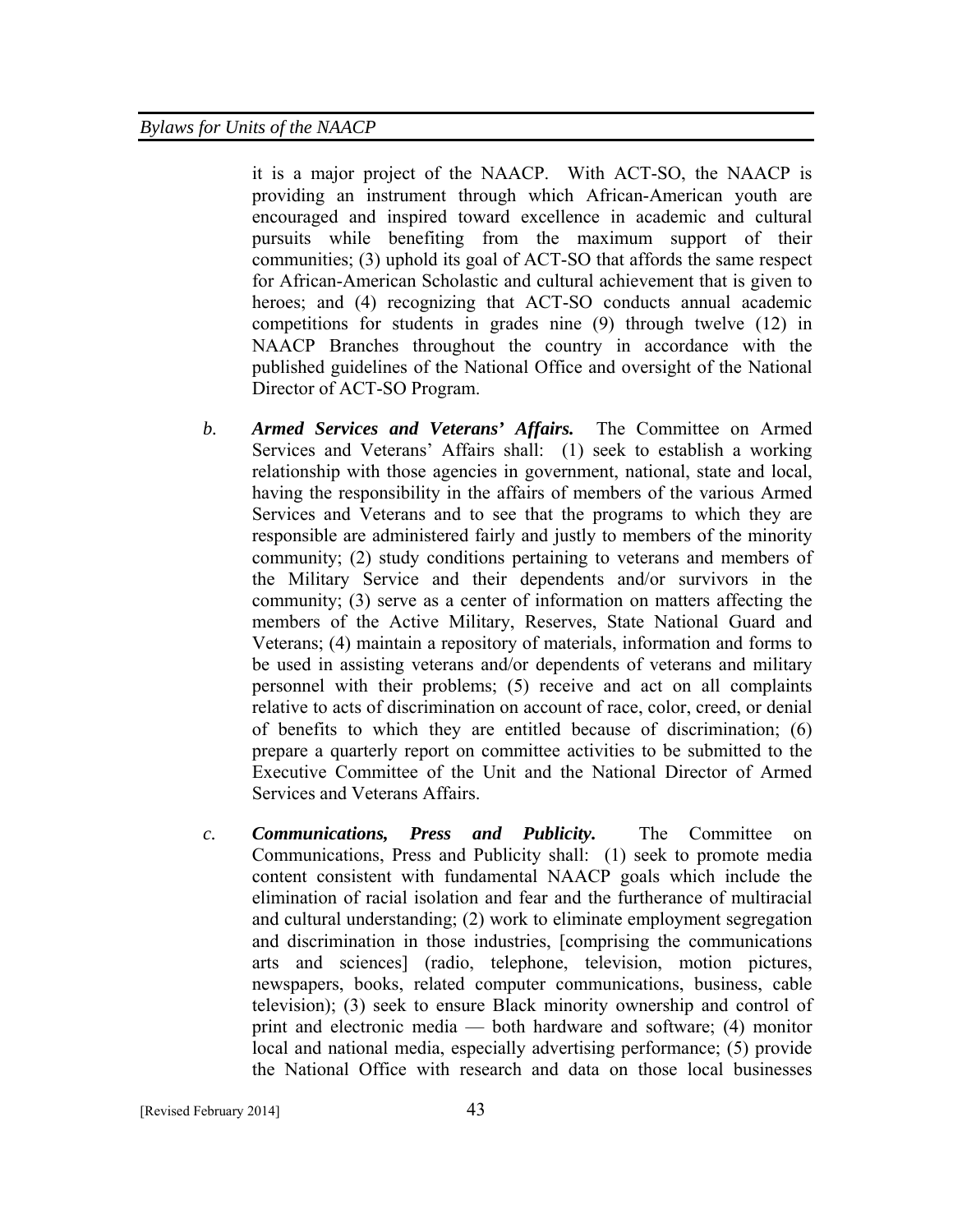it is a major project of the NAACP. With ACT-SO, the NAACP is providing an instrument through which African-American youth are encouraged and inspired toward excellence in academic and cultural pursuits while benefiting from the maximum support of their communities; (3) uphold its goal of ACT-SO that affords the same respect for African-American Scholastic and cultural achievement that is given to heroes; and (4) recognizing that ACT-SO conducts annual academic competitions for students in grades nine (9) through twelve (12) in NAACP Branches throughout the country in accordance with the published guidelines of the National Office and oversight of the National Director of ACT-SO Program.

- *b. Armed Services and Veterans' Affairs.* The Committee on Armed Services and Veterans' Affairs shall: (1) seek to establish a working relationship with those agencies in government, national, state and local, having the responsibility in the affairs of members of the various Armed Services and Veterans and to see that the programs to which they are responsible are administered fairly and justly to members of the minority community; (2) study conditions pertaining to veterans and members of the Military Service and their dependents and/or survivors in the community; (3) serve as a center of information on matters affecting the members of the Active Military, Reserves, State National Guard and Veterans; (4) maintain a repository of materials, information and forms to be used in assisting veterans and/or dependents of veterans and military personnel with their problems; (5) receive and act on all complaints relative to acts of discrimination on account of race, color, creed, or denial of benefits to which they are entitled because of discrimination; (6) prepare a quarterly report on committee activities to be submitted to the Executive Committee of the Unit and the National Director of Armed Services and Veterans Affairs.
- *c. Communications, Press and Publicity.* The Committee on Communications, Press and Publicity shall: (1) seek to promote media content consistent with fundamental NAACP goals which include the elimination of racial isolation and fear and the furtherance of multiracial and cultural understanding; (2) work to eliminate employment segregation and discrimination in those industries, [comprising the communications arts and sciences] (radio, telephone, television, motion pictures, newspapers, books, related computer communications, business, cable television); (3) seek to ensure Black minority ownership and control of print and electronic media — both hardware and software; (4) monitor local and national media, especially advertising performance; (5) provide the National Office with research and data on those local businesses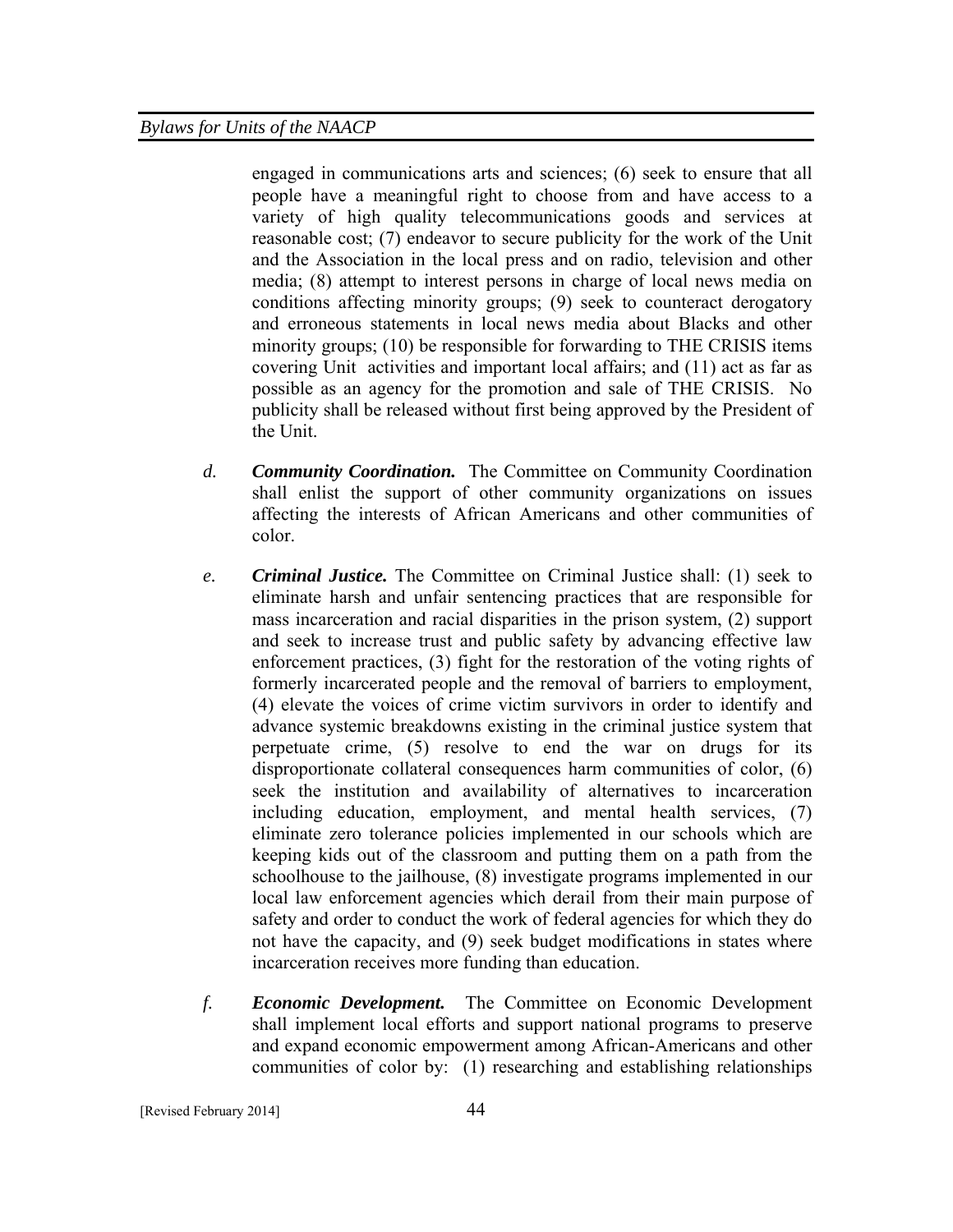engaged in communications arts and sciences; (6) seek to ensure that all people have a meaningful right to choose from and have access to a variety of high quality telecommunications goods and services at reasonable cost; (7) endeavor to secure publicity for the work of the Unit and the Association in the local press and on radio, television and other media; (8) attempt to interest persons in charge of local news media on conditions affecting minority groups; (9) seek to counteract derogatory and erroneous statements in local news media about Blacks and other minority groups; (10) be responsible for forwarding to THE CRISIS items covering Unit activities and important local affairs; and (11) act as far as possible as an agency for the promotion and sale of THE CRISIS. No publicity shall be released without first being approved by the President of the Unit.

- *d. Community Coordination.* The Committee on Community Coordination shall enlist the support of other community organizations on issues affecting the interests of African Americans and other communities of color.
- *e. Criminal Justice.* The Committee on Criminal Justice shall: (1) seek to eliminate harsh and unfair sentencing practices that are responsible for mass incarceration and racial disparities in the prison system, (2) support and seek to increase trust and public safety by advancing effective law enforcement practices, (3) fight for the restoration of the voting rights of formerly incarcerated people and the removal of barriers to employment, (4) elevate the voices of crime victim survivors in order to identify and advance systemic breakdowns existing in the criminal justice system that perpetuate crime, (5) resolve to end the war on drugs for its disproportionate collateral consequences harm communities of color, (6) seek the institution and availability of alternatives to incarceration including education, employment, and mental health services, (7) eliminate zero tolerance policies implemented in our schools which are keeping kids out of the classroom and putting them on a path from the schoolhouse to the jailhouse, (8) investigate programs implemented in our local law enforcement agencies which derail from their main purpose of safety and order to conduct the work of federal agencies for which they do not have the capacity, and (9) seek budget modifications in states where incarceration receives more funding than education.
- *f. Economic Development.* The Committee on Economic Development shall implement local efforts and support national programs to preserve and expand economic empowerment among African-Americans and other communities of color by: (1) researching and establishing relationships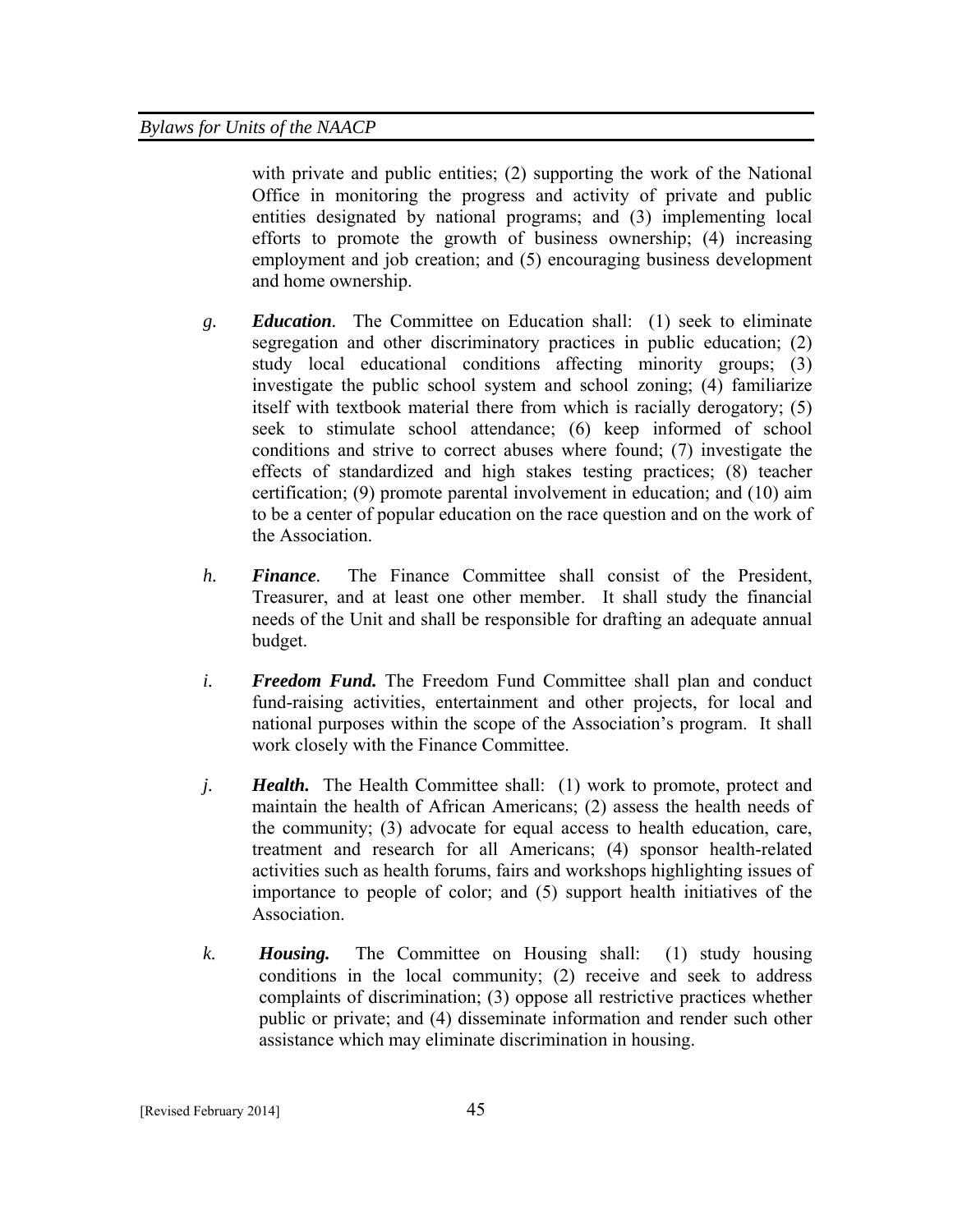with private and public entities; (2) supporting the work of the National Office in monitoring the progress and activity of private and public entities designated by national programs; and (3) implementing local efforts to promote the growth of business ownership; (4) increasing employment and job creation; and (5) encouraging business development and home ownership.

- *g. Education.* The Committee on Education shall: (1) seek to eliminate segregation and other discriminatory practices in public education; (2) study local educational conditions affecting minority groups; (3) investigate the public school system and school zoning; (4) familiarize itself with textbook material there from which is racially derogatory; (5) seek to stimulate school attendance; (6) keep informed of school conditions and strive to correct abuses where found; (7) investigate the effects of standardized and high stakes testing practices; (8) teacher certification; (9) promote parental involvement in education; and (10) aim to be a center of popular education on the race question and on the work of the Association.
- *h. Finance.* The Finance Committee shall consist of the President, Treasurer, and at least one other member. It shall study the financial needs of the Unit and shall be responsible for drafting an adequate annual budget.
- *i. Freedom Fund.* The Freedom Fund Committee shall plan and conduct fund-raising activities, entertainment and other projects, for local and national purposes within the scope of the Association's program. It shall work closely with the Finance Committee.
- *j. Health.* The Health Committee shall: (1) work to promote, protect and maintain the health of African Americans; (2) assess the health needs of the community; (3) advocate for equal access to health education, care, treatment and research for all Americans; (4) sponsor health-related activities such as health forums, fairs and workshops highlighting issues of importance to people of color; and (5) support health initiatives of the Association.
- *k. Housing.* The Committee on Housing shall: (1) study housing conditions in the local community; (2) receive and seek to address complaints of discrimination; (3) oppose all restrictive practices whether public or private; and (4) disseminate information and render such other assistance which may eliminate discrimination in housing.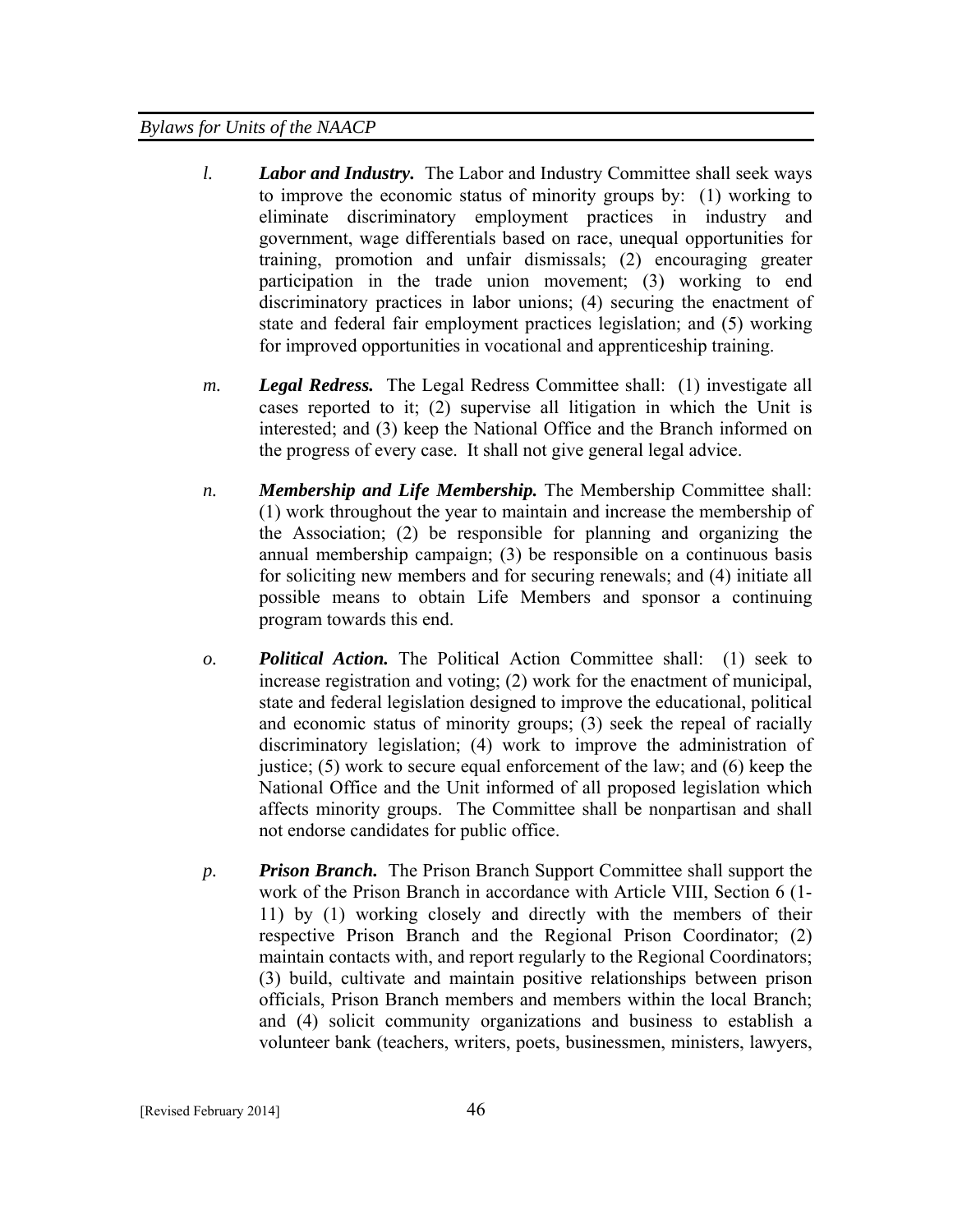- *l. Labor and Industry.* The Labor and Industry Committee shall seek ways to improve the economic status of minority groups by: (1) working to eliminate discriminatory employment practices in industry and government, wage differentials based on race, unequal opportunities for training, promotion and unfair dismissals; (2) encouraging greater participation in the trade union movement; (3) working to end discriminatory practices in labor unions; (4) securing the enactment of state and federal fair employment practices legislation; and (5) working for improved opportunities in vocational and apprenticeship training.
- *m. Legal Redress.* The Legal Redress Committee shall: (1) investigate all cases reported to it; (2) supervise all litigation in which the Unit is interested; and (3) keep the National Office and the Branch informed on the progress of every case. It shall not give general legal advice.
- *n. Membership and Life Membership.* The Membership Committee shall: (1) work throughout the year to maintain and increase the membership of the Association; (2) be responsible for planning and organizing the annual membership campaign; (3) be responsible on a continuous basis for soliciting new members and for securing renewals; and (4) initiate all possible means to obtain Life Members and sponsor a continuing program towards this end.
- *o. Political Action.* The Political Action Committee shall: (1) seek to increase registration and voting; (2) work for the enactment of municipal, state and federal legislation designed to improve the educational, political and economic status of minority groups; (3) seek the repeal of racially discriminatory legislation; (4) work to improve the administration of justice; (5) work to secure equal enforcement of the law; and (6) keep the National Office and the Unit informed of all proposed legislation which affects minority groups. The Committee shall be nonpartisan and shall not endorse candidates for public office.
- *p. Prison Branch.* The Prison Branch Support Committee shall support the work of the Prison Branch in accordance with Article VIII, Section 6 (1- 11) by (1) working closely and directly with the members of their respective Prison Branch and the Regional Prison Coordinator; (2) maintain contacts with, and report regularly to the Regional Coordinators; (3) build, cultivate and maintain positive relationships between prison officials, Prison Branch members and members within the local Branch; and (4) solicit community organizations and business to establish a volunteer bank (teachers, writers, poets, businessmen, ministers, lawyers,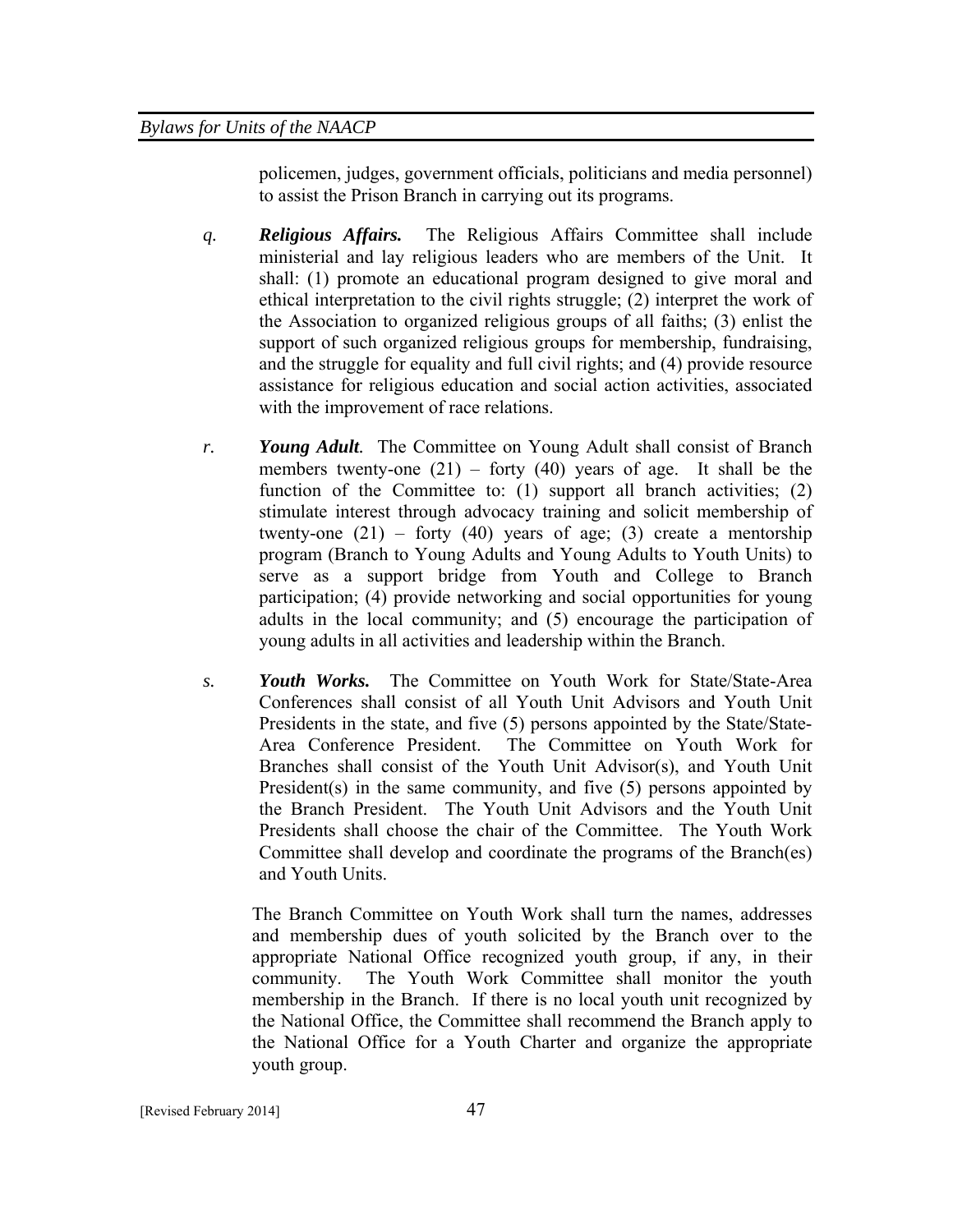policemen, judges, government officials, politicians and media personnel) to assist the Prison Branch in carrying out its programs.

- *q. Religious Affairs.* The Religious Affairs Committee shall include ministerial and lay religious leaders who are members of the Unit. It shall: (1) promote an educational program designed to give moral and ethical interpretation to the civil rights struggle; (2) interpret the work of the Association to organized religious groups of all faiths; (3) enlist the support of such organized religious groups for membership, fundraising, and the struggle for equality and full civil rights; and (4) provide resource assistance for religious education and social action activities, associated with the improvement of race relations.
- *r. Young Adult.* The Committee on Young Adult shall consist of Branch members twenty-one  $(21)$  – forty  $(40)$  years of age. It shall be the function of the Committee to: (1) support all branch activities; (2) stimulate interest through advocacy training and solicit membership of twenty-one  $(21)$  – forty  $(40)$  years of age;  $(3)$  create a mentorship program (Branch to Young Adults and Young Adults to Youth Units) to serve as a support bridge from Youth and College to Branch participation; (4) provide networking and social opportunities for young adults in the local community; and (5) encourage the participation of young adults in all activities and leadership within the Branch.
- *s. Youth Works.* The Committee on Youth Work for State/State-Area Conferences shall consist of all Youth Unit Advisors and Youth Unit Presidents in the state, and five (5) persons appointed by the State/State-Area Conference President. The Committee on Youth Work for Branches shall consist of the Youth Unit Advisor(s), and Youth Unit President(s) in the same community, and five (5) persons appointed by the Branch President. The Youth Unit Advisors and the Youth Unit Presidents shall choose the chair of the Committee. The Youth Work Committee shall develop and coordinate the programs of the Branch(es) and Youth Units.

The Branch Committee on Youth Work shall turn the names, addresses and membership dues of youth solicited by the Branch over to the appropriate National Office recognized youth group, if any, in their community. The Youth Work Committee shall monitor the youth membership in the Branch. If there is no local youth unit recognized by the National Office, the Committee shall recommend the Branch apply to the National Office for a Youth Charter and organize the appropriate youth group.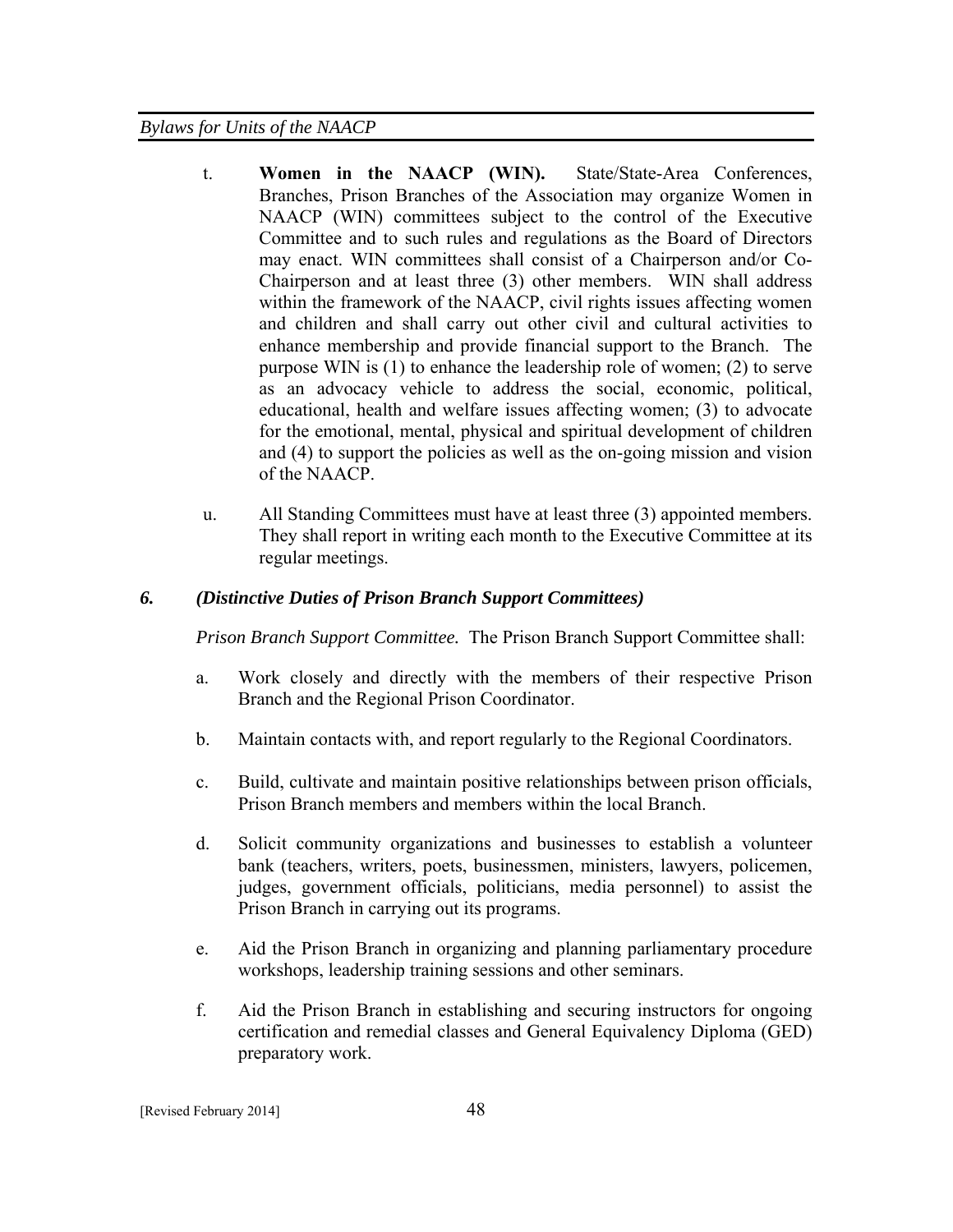- t. **Women in the NAACP (WIN).** State/State-Area Conferences, Branches, Prison Branches of the Association may organize Women in NAACP (WIN) committees subject to the control of the Executive Committee and to such rules and regulations as the Board of Directors may enact. WIN committees shall consist of a Chairperson and/or Co-Chairperson and at least three (3) other members. WIN shall address within the framework of the NAACP, civil rights issues affecting women and children and shall carry out other civil and cultural activities to enhance membership and provide financial support to the Branch. The purpose WIN is (1) to enhance the leadership role of women; (2) to serve as an advocacy vehicle to address the social, economic, political, educational, health and welfare issues affecting women; (3) to advocate for the emotional, mental, physical and spiritual development of children and (4) to support the policies as well as the on-going mission and vision of the NAACP.
- u. All Standing Committees must have at least three (3) appointed members. They shall report in writing each month to the Executive Committee at its regular meetings.

#### *6. (Distinctive Duties of Prison Branch Support Committees)*

*Prison Branch Support Committee.* The Prison Branch Support Committee shall:

- a. Work closely and directly with the members of their respective Prison Branch and the Regional Prison Coordinator.
- b. Maintain contacts with, and report regularly to the Regional Coordinators.
- c. Build, cultivate and maintain positive relationships between prison officials, Prison Branch members and members within the local Branch.
- d. Solicit community organizations and businesses to establish a volunteer bank (teachers, writers, poets, businessmen, ministers, lawyers, policemen, judges, government officials, politicians, media personnel) to assist the Prison Branch in carrying out its programs.
- e. Aid the Prison Branch in organizing and planning parliamentary procedure workshops, leadership training sessions and other seminars.
- f. Aid the Prison Branch in establishing and securing instructors for ongoing certification and remedial classes and General Equivalency Diploma (GED) preparatory work.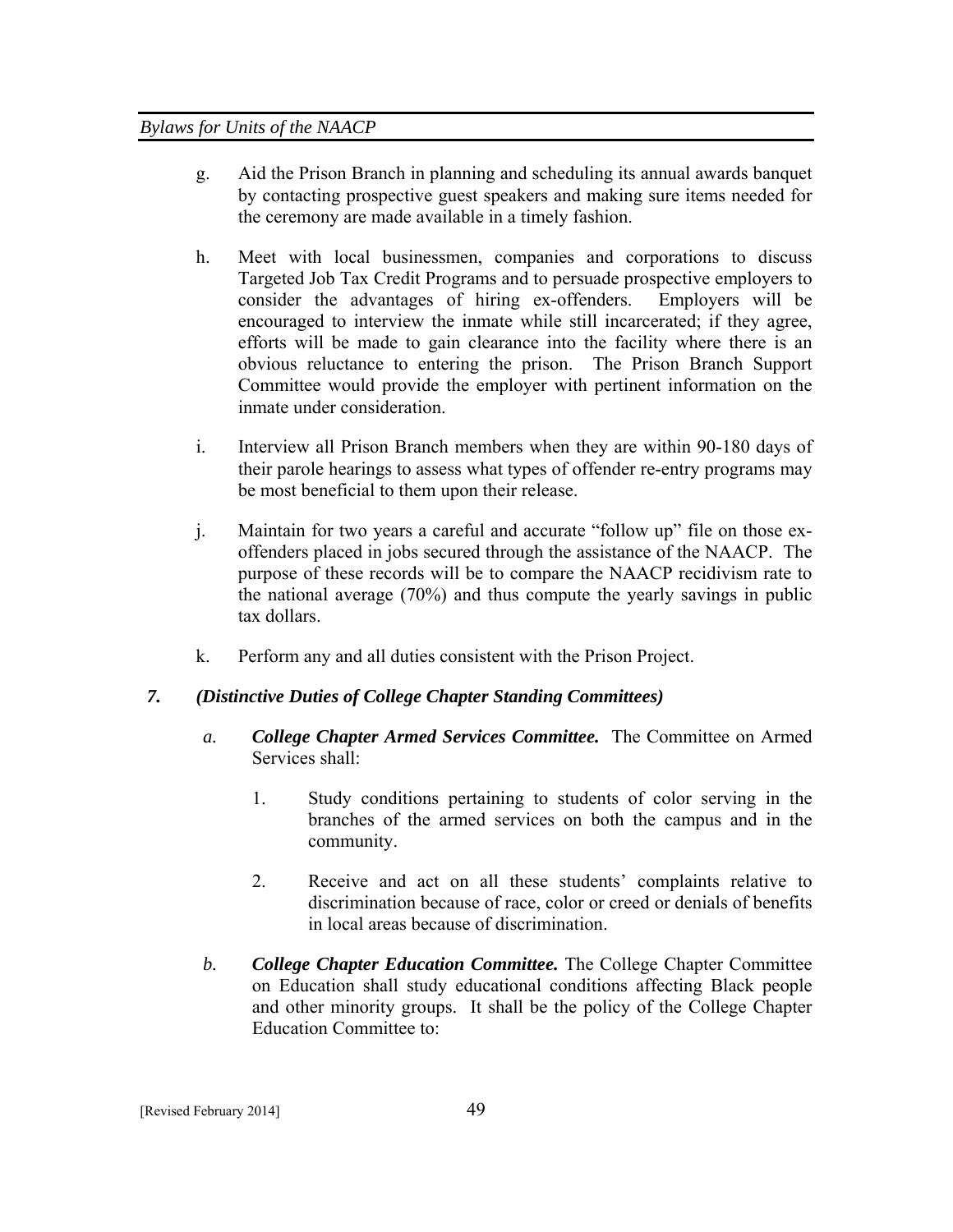- g. Aid the Prison Branch in planning and scheduling its annual awards banquet by contacting prospective guest speakers and making sure items needed for the ceremony are made available in a timely fashion.
- h. Meet with local businessmen, companies and corporations to discuss Targeted Job Tax Credit Programs and to persuade prospective employers to consider the advantages of hiring ex-offenders. Employers will be encouraged to interview the inmate while still incarcerated; if they agree, efforts will be made to gain clearance into the facility where there is an obvious reluctance to entering the prison. The Prison Branch Support Committee would provide the employer with pertinent information on the inmate under consideration.
- i. Interview all Prison Branch members when they are within 90-180 days of their parole hearings to assess what types of offender re-entry programs may be most beneficial to them upon their release.
- j. Maintain for two years a careful and accurate "follow up" file on those exoffenders placed in jobs secured through the assistance of the NAACP. The purpose of these records will be to compare the NAACP recidivism rate to the national average (70%) and thus compute the yearly savings in public tax dollars.
- k. Perform any and all duties consistent with the Prison Project.

# *7. (Distinctive Duties of College Chapter Standing Committees)*

- *a. College Chapter Armed Services Committee.*The Committee on Armed Services shall:
	- 1. Study conditions pertaining to students of color serving in the branches of the armed services on both the campus and in the community.
	- 2. Receive and act on all these students' complaints relative to discrimination because of race, color or creed or denials of benefits in local areas because of discrimination.
- *b. College Chapter Education Committee.* The College Chapter Committee on Education shall study educational conditions affecting Black people and other minority groups. It shall be the policy of the College Chapter Education Committee to: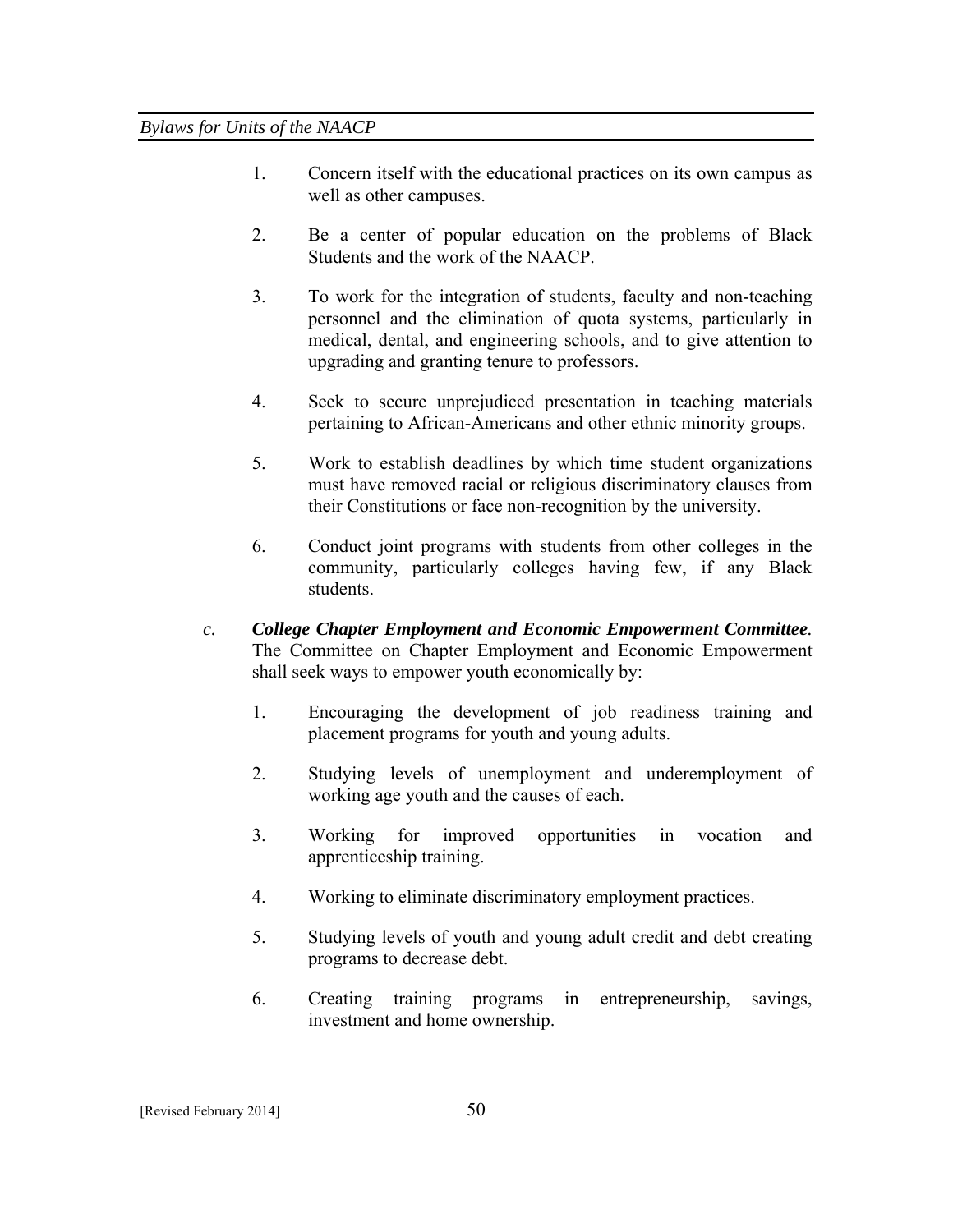- 1. Concern itself with the educational practices on its own campus as well as other campuses.
- 2. Be a center of popular education on the problems of Black Students and the work of the NAACP.
- 3. To work for the integration of students, faculty and non-teaching personnel and the elimination of quota systems, particularly in medical, dental, and engineering schools, and to give attention to upgrading and granting tenure to professors.
- 4. Seek to secure unprejudiced presentation in teaching materials pertaining to African-Americans and other ethnic minority groups.
- 5. Work to establish deadlines by which time student organizations must have removed racial or religious discriminatory clauses from their Constitutions or face non-recognition by the university.
- 6. Conduct joint programs with students from other colleges in the community, particularly colleges having few, if any Black students.
- *c. College Chapter Employment and Economic Empowerment Committee.* The Committee on Chapter Employment and Economic Empowerment shall seek ways to empower youth economically by:
	- 1. Encouraging the development of job readiness training and placement programs for youth and young adults.
	- 2. Studying levels of unemployment and underemployment of working age youth and the causes of each.
	- 3. Working for improved opportunities in vocation and apprenticeship training.
	- 4. Working to eliminate discriminatory employment practices.
	- 5. Studying levels of youth and young adult credit and debt creating programs to decrease debt.
	- 6. Creating training programs in entrepreneurship, savings, investment and home ownership.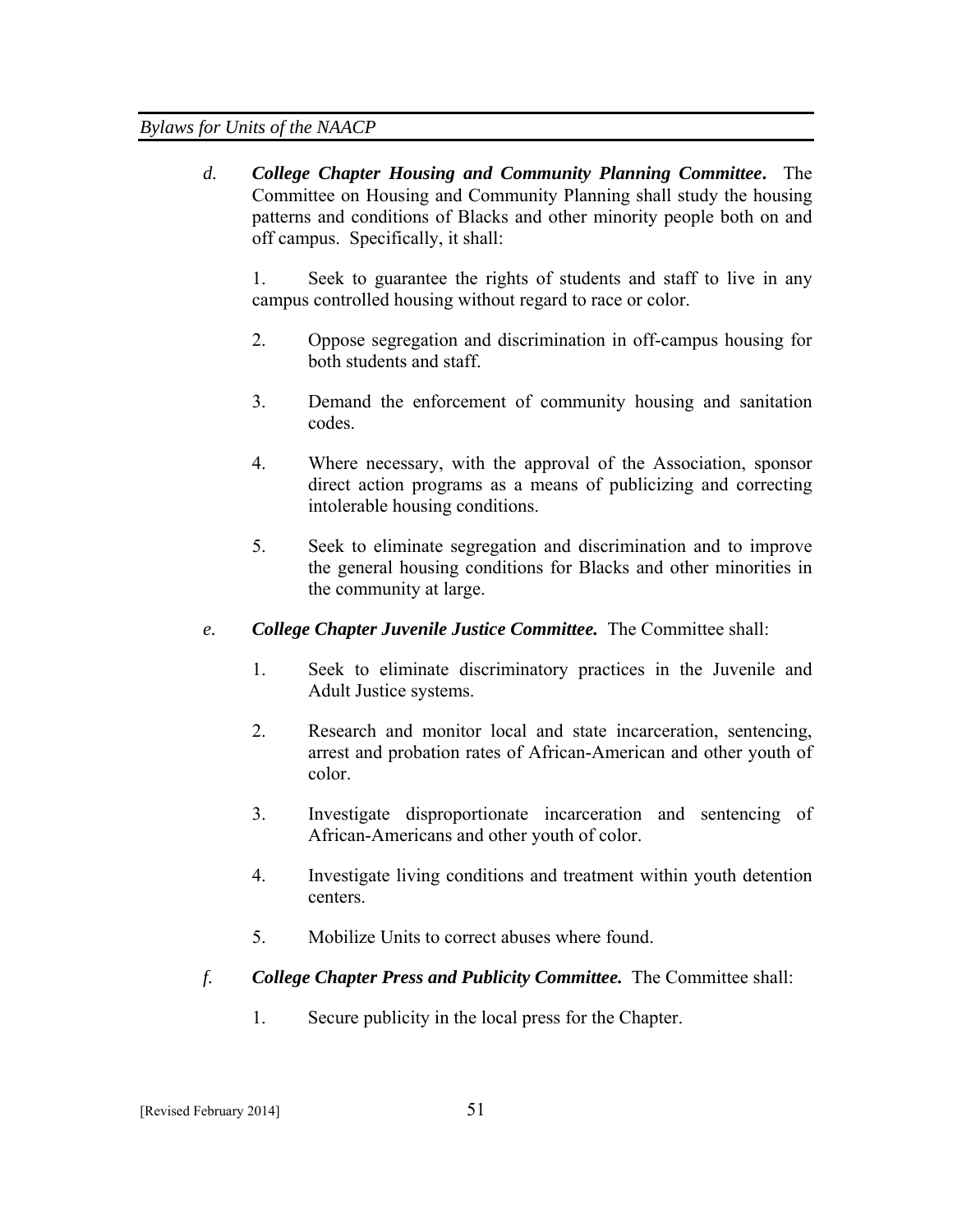*d. College Chapter Housing and Community Planning Committee***.** The Committee on Housing and Community Planning shall study the housing patterns and conditions of Blacks and other minority people both on and off campus. Specifically, it shall:

1. Seek to guarantee the rights of students and staff to live in any campus controlled housing without regard to race or color.

- 2. Oppose segregation and discrimination in off-campus housing for both students and staff.
- 3. Demand the enforcement of community housing and sanitation codes.
- 4. Where necessary, with the approval of the Association, sponsor direct action programs as a means of publicizing and correcting intolerable housing conditions.
- 5. Seek to eliminate segregation and discrimination and to improve the general housing conditions for Blacks and other minorities in the community at large.
- *e. College Chapter Juvenile Justice Committee.* The Committee shall:
	- 1. Seek to eliminate discriminatory practices in the Juvenile and Adult Justice systems.
	- 2. Research and monitor local and state incarceration, sentencing, arrest and probation rates of African-American and other youth of color.
	- 3. Investigate disproportionate incarceration and sentencing of African-Americans and other youth of color.
	- 4. Investigate living conditions and treatment within youth detention centers.
	- 5. Mobilize Units to correct abuses where found.
- *f. College Chapter Press and Publicity Committee.* The Committee shall:
	- 1. Secure publicity in the local press for the Chapter.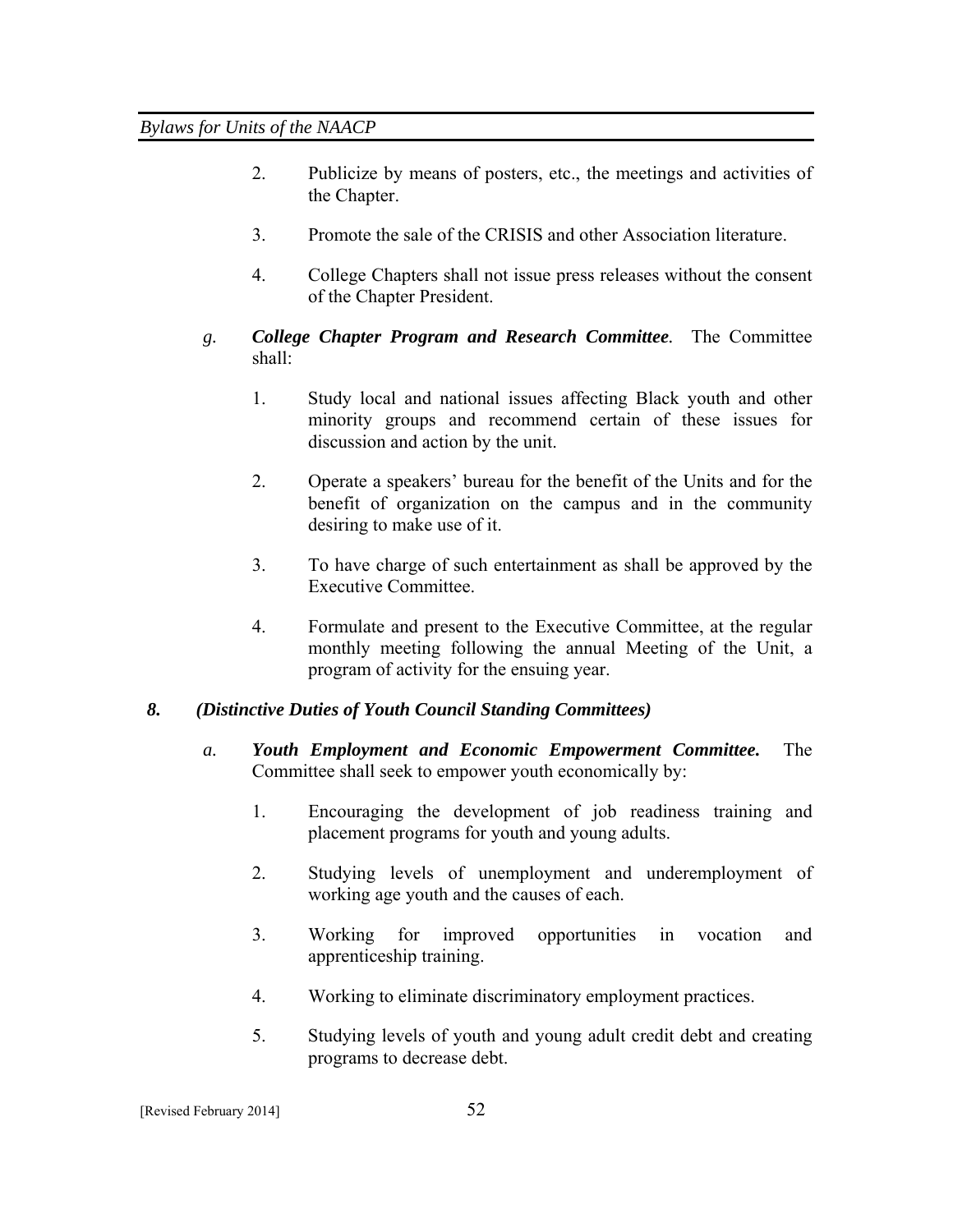- 2. Publicize by means of posters, etc., the meetings and activities of the Chapter.
- 3. Promote the sale of the CRISIS and other Association literature.
- 4. College Chapters shall not issue press releases without the consent of the Chapter President.
- *g. College Chapter Program and Research Committee.* The Committee shall:
	- 1. Study local and national issues affecting Black youth and other minority groups and recommend certain of these issues for discussion and action by the unit.
	- 2. Operate a speakers' bureau for the benefit of the Units and for the benefit of organization on the campus and in the community desiring to make use of it.
	- 3. To have charge of such entertainment as shall be approved by the Executive Committee.
	- 4. Formulate and present to the Executive Committee, at the regular monthly meeting following the annual Meeting of the Unit, a program of activity for the ensuing year.

# *8. (Distinctive Duties of Youth Council Standing Committees)*

- *a. Youth Employment and Economic Empowerment Committee.* The Committee shall seek to empower youth economically by:
	- 1. Encouraging the development of job readiness training and placement programs for youth and young adults.
	- 2. Studying levels of unemployment and underemployment of working age youth and the causes of each.
	- 3. Working for improved opportunities in vocation and apprenticeship training.
	- 4. Working to eliminate discriminatory employment practices.
	- 5. Studying levels of youth and young adult credit debt and creating programs to decrease debt.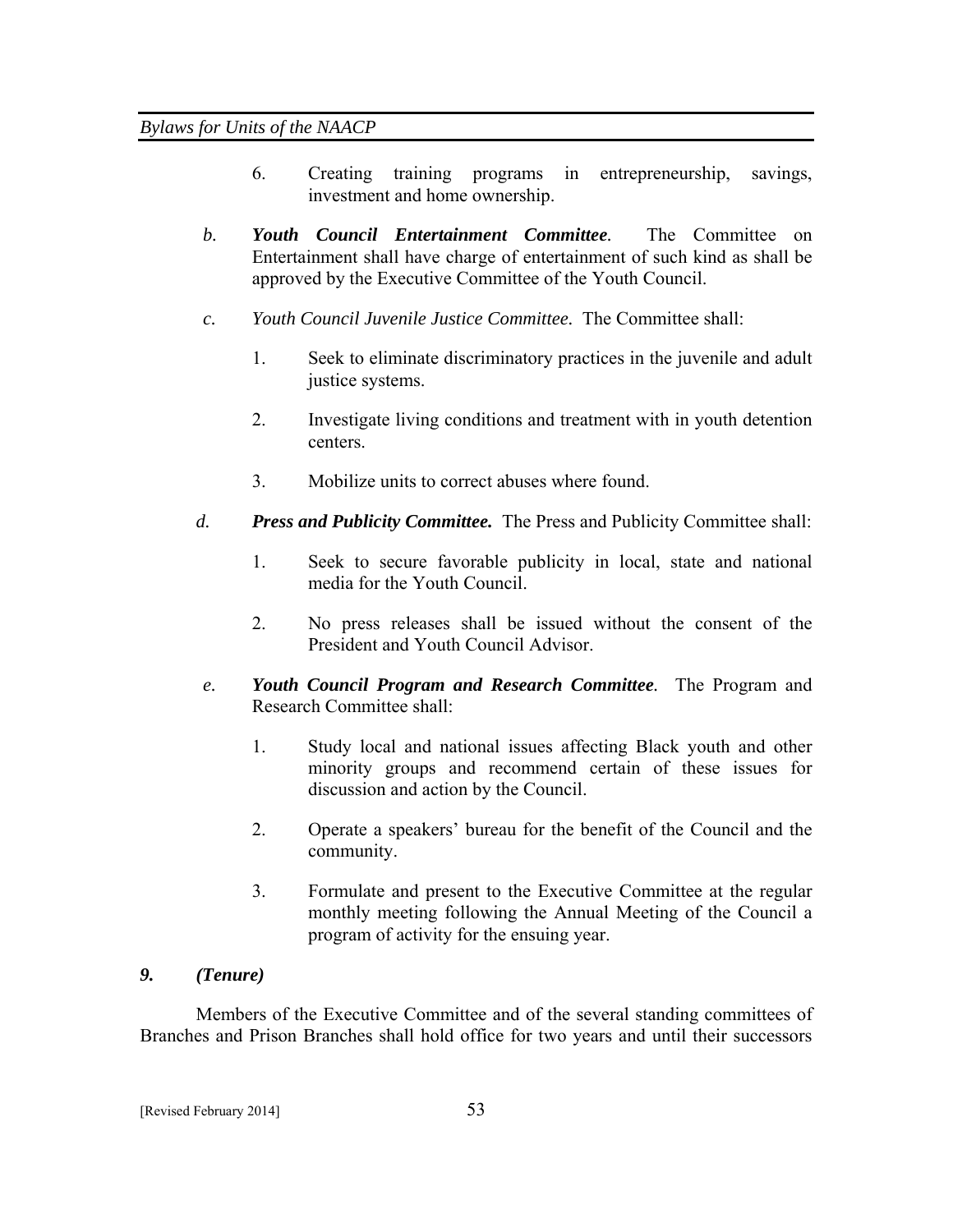- 6. Creating training programs in entrepreneurship, savings, investment and home ownership.
- *b. Youth Council Entertainment Committee.* The Committee on Entertainment shall have charge of entertainment of such kind as shall be approved by the Executive Committee of the Youth Council.
- *c. Youth Council Juvenile Justice Committee.* The Committee shall:
	- 1. Seek to eliminate discriminatory practices in the juvenile and adult justice systems.
	- 2. Investigate living conditions and treatment with in youth detention centers.
	- 3. Mobilize units to correct abuses where found.
- *d. Press and Publicity Committee.* The Press and Publicity Committee shall:
	- 1. Seek to secure favorable publicity in local, state and national media for the Youth Council.
	- 2. No press releases shall be issued without the consent of the President and Youth Council Advisor.
- *e. Youth Council Program and Research Committee.* The Program and Research Committee shall:
	- 1. Study local and national issues affecting Black youth and other minority groups and recommend certain of these issues for discussion and action by the Council.
	- 2. Operate a speakers' bureau for the benefit of the Council and the community.
	- 3. Formulate and present to the Executive Committee at the regular monthly meeting following the Annual Meeting of the Council a program of activity for the ensuing year.

#### *9. (Tenure)*

Members of the Executive Committee and of the several standing committees of Branches and Prison Branches shall hold office for two years and until their successors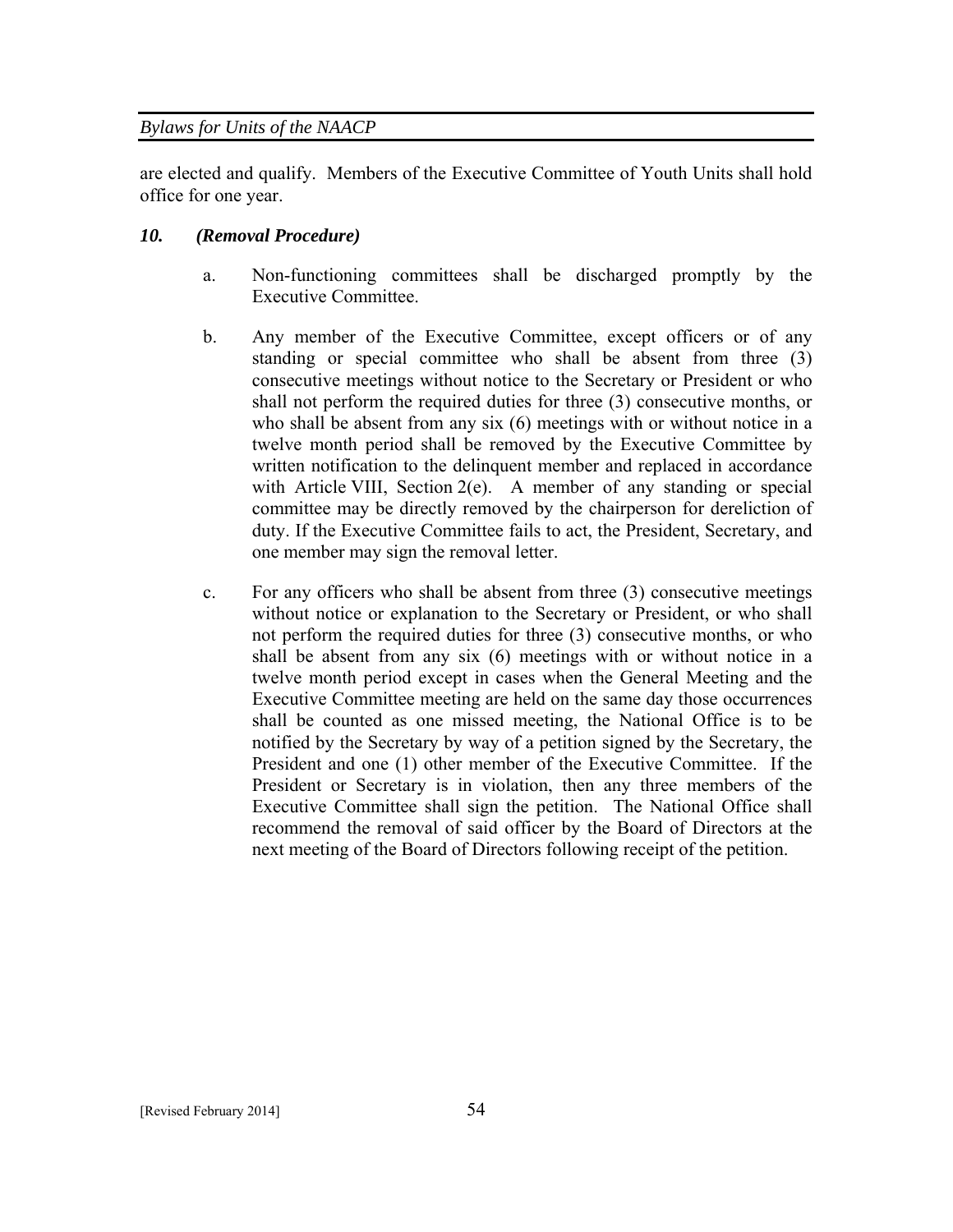are elected and qualify. Members of the Executive Committee of Youth Units shall hold office for one year.

## *10. (Removal Procedure)*

- a. Non-functioning committees shall be discharged promptly by the Executive Committee.
- b. Any member of the Executive Committee, except officers or of any standing or special committee who shall be absent from three (3) consecutive meetings without notice to the Secretary or President or who shall not perform the required duties for three (3) consecutive months, or who shall be absent from any six (6) meetings with or without notice in a twelve month period shall be removed by the Executive Committee by written notification to the delinquent member and replaced in accordance with Article VIII, Section 2(e). A member of any standing or special committee may be directly removed by the chairperson for dereliction of duty. If the Executive Committee fails to act, the President, Secretary, and one member may sign the removal letter.
- c. For any officers who shall be absent from three (3) consecutive meetings without notice or explanation to the Secretary or President, or who shall not perform the required duties for three (3) consecutive months, or who shall be absent from any six (6) meetings with or without notice in a twelve month period except in cases when the General Meeting and the Executive Committee meeting are held on the same day those occurrences shall be counted as one missed meeting, the National Office is to be notified by the Secretary by way of a petition signed by the Secretary, the President and one (1) other member of the Executive Committee. If the President or Secretary is in violation, then any three members of the Executive Committee shall sign the petition. The National Office shall recommend the removal of said officer by the Board of Directors at the next meeting of the Board of Directors following receipt of the petition.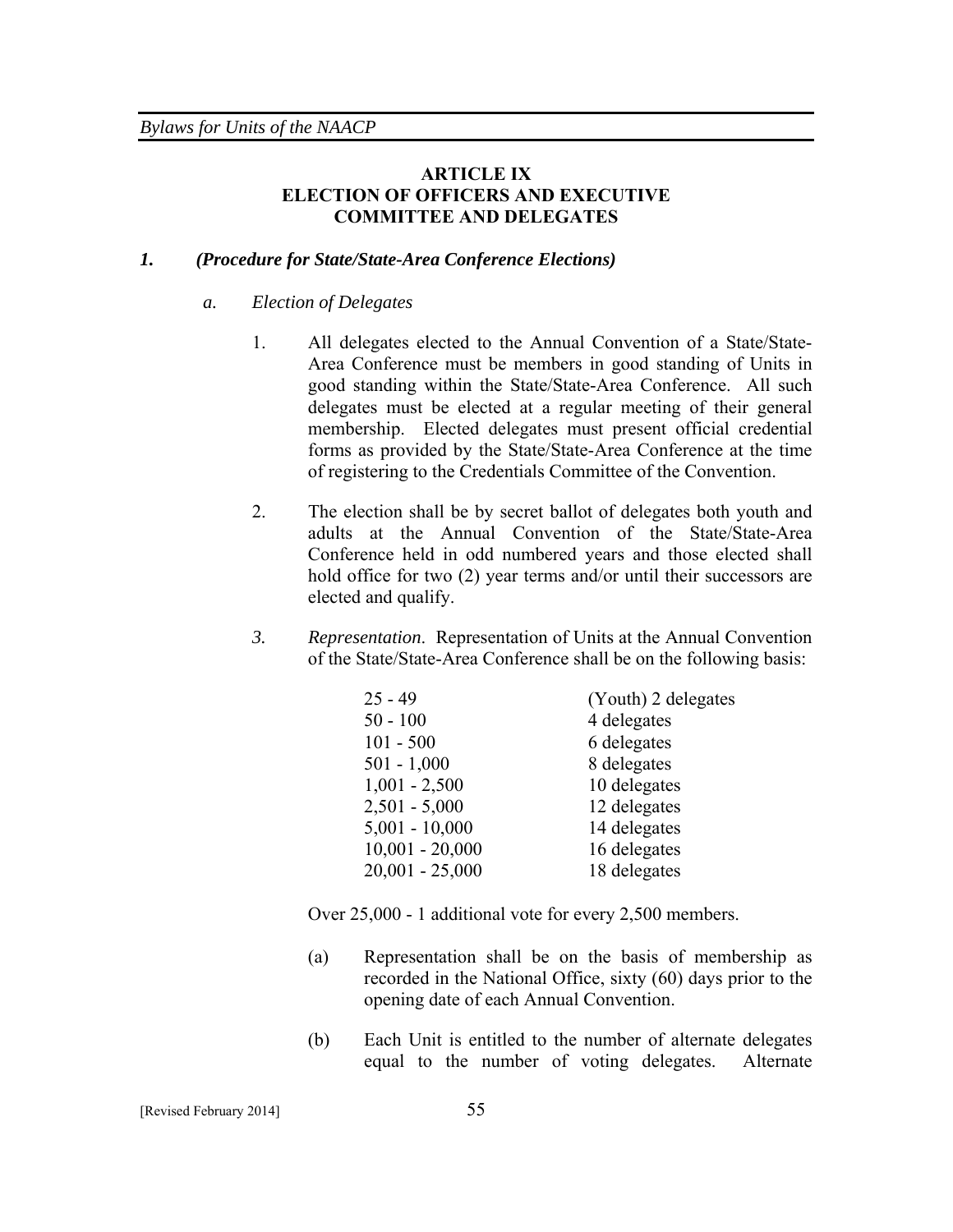## **ARTICLE IX ELECTION OF OFFICERS AND EXECUTIVE COMMITTEE AND DELEGATES**

#### *1. (Procedure for State/State-Area Conference Elections)*

#### *a. Election of Delegates*

- 1. All delegates elected to the Annual Convention of a State/State-Area Conference must be members in good standing of Units in good standing within the State/State-Area Conference. All such delegates must be elected at a regular meeting of their general membership. Elected delegates must present official credential forms as provided by the State/State-Area Conference at the time of registering to the Credentials Committee of the Convention.
- 2. The election shall be by secret ballot of delegates both youth and adults at the Annual Convention of the State/State-Area Conference held in odd numbered years and those elected shall hold office for two (2) year terms and/or until their successors are elected and qualify.
- *3. Representation*. Representation of Units at the Annual Convention of the State/State-Area Conference shall be on the following basis:

| $25 - 49$         | (Youth) 2 delegates |
|-------------------|---------------------|
| $50 - 100$        | 4 delegates         |
| $101 - 500$       | 6 delegates         |
| $501 - 1,000$     | 8 delegates         |
| $1,001 - 2,500$   | 10 delegates        |
| $2,501 - 5,000$   | 12 delegates        |
| $5,001 - 10,000$  | 14 delegates        |
| $10,001 - 20,000$ | 16 delegates        |
| $20,001 - 25,000$ | 18 delegates        |

Over 25,000 - 1 additional vote for every 2,500 members.

- (a) Representation shall be on the basis of membership as recorded in the National Office, sixty (60) days prior to the opening date of each Annual Convention.
- (b) Each Unit is entitled to the number of alternate delegates equal to the number of voting delegates. Alternate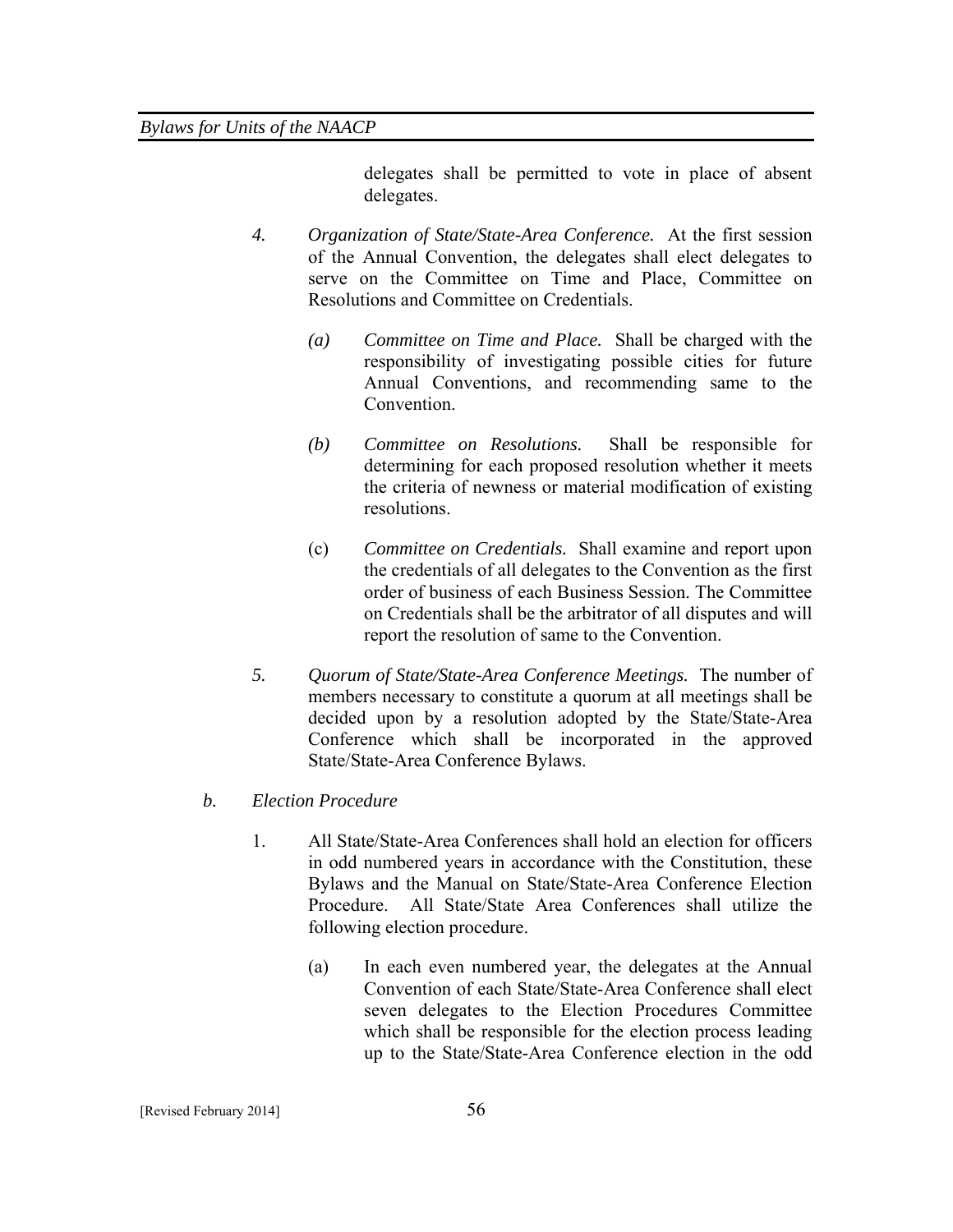delegates shall be permitted to vote in place of absent delegates.

- *4. Organization of State/State-Area Conference.* At the first session of the Annual Convention, the delegates shall elect delegates to serve on the Committee on Time and Place, Committee on Resolutions and Committee on Credentials.
	- *(a) Committee on Time and Place.*Shall be charged with the responsibility of investigating possible cities for future Annual Conventions, and recommending same to the Convention.
	- *(b) Committee on Resolutions.* Shall be responsible for determining for each proposed resolution whether it meets the criteria of newness or material modification of existing resolutions.
	- (c) *Committee on Credentials.* Shall examine and report upon the credentials of all delegates to the Convention as the first order of business of each Business Session. The Committee on Credentials shall be the arbitrator of all disputes and will report the resolution of same to the Convention.
- *5. Quorum of State/State-Area Conference Meetings.* The number of members necessary to constitute a quorum at all meetings shall be decided upon by a resolution adopted by the State/State-Area Conference which shall be incorporated in the approved State/State-Area Conference Bylaws.

## *b. Election Procedure*

- 1. All State/State-Area Conferences shall hold an election for officers in odd numbered years in accordance with the Constitution, these Bylaws and the Manual on State/State-Area Conference Election Procedure. All State/State Area Conferences shall utilize the following election procedure.
	- (a) In each even numbered year, the delegates at the Annual Convention of each State/State-Area Conference shall elect seven delegates to the Election Procedures Committee which shall be responsible for the election process leading up to the State/State-Area Conference election in the odd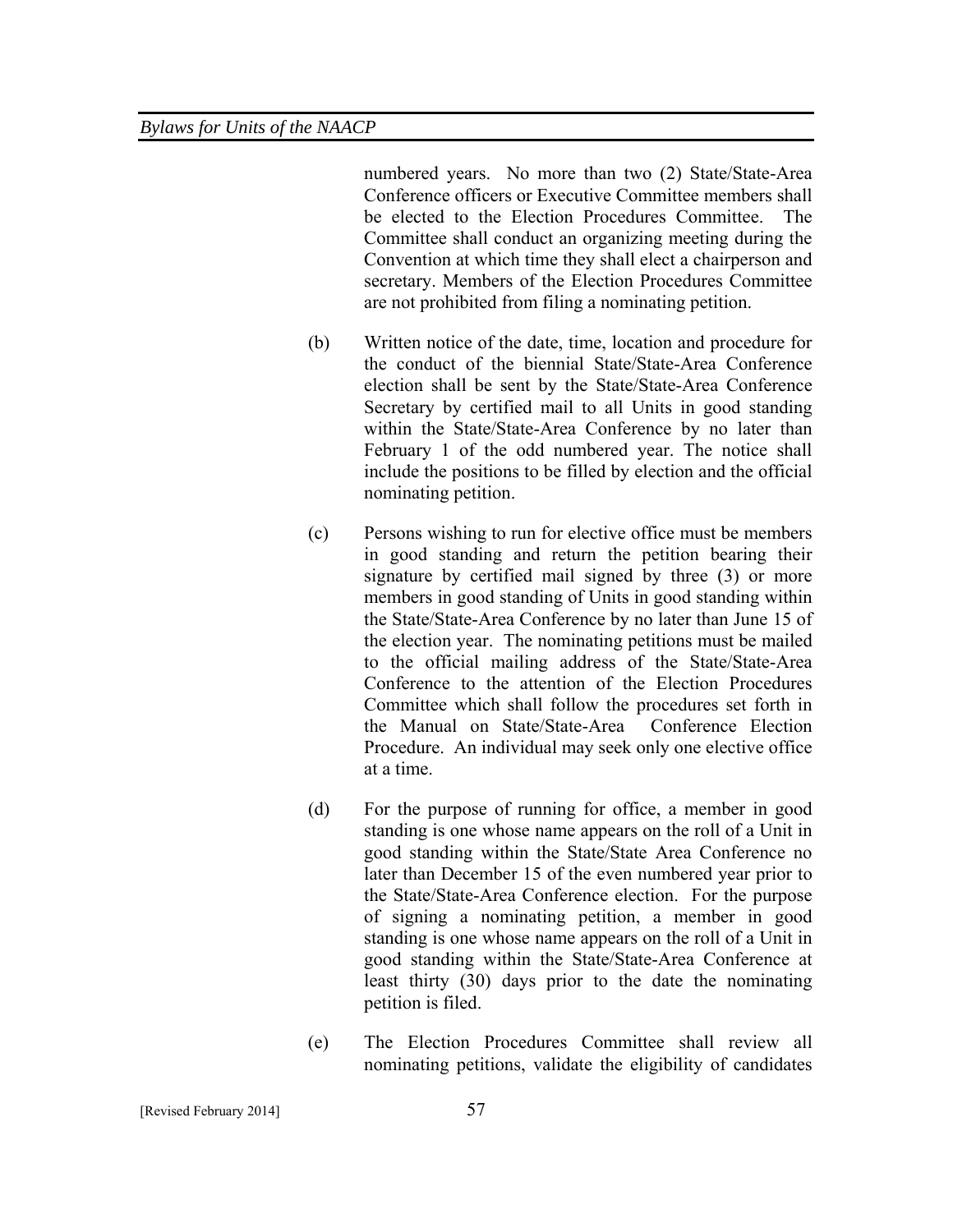numbered years. No more than two (2) State/State-Area Conference officers or Executive Committee members shall be elected to the Election Procedures Committee. The Committee shall conduct an organizing meeting during the Convention at which time they shall elect a chairperson and secretary. Members of the Election Procedures Committee are not prohibited from filing a nominating petition.

- (b) Written notice of the date, time, location and procedure for the conduct of the biennial State/State-Area Conference election shall be sent by the State/State-Area Conference Secretary by certified mail to all Units in good standing within the State/State-Area Conference by no later than February 1 of the odd numbered year. The notice shall include the positions to be filled by election and the official nominating petition.
- (c) Persons wishing to run for elective office must be members in good standing and return the petition bearing their signature by certified mail signed by three (3) or more members in good standing of Units in good standing within the State/State-Area Conference by no later than June 15 of the election year. The nominating petitions must be mailed to the official mailing address of the State/State-Area Conference to the attention of the Election Procedures Committee which shall follow the procedures set forth in the Manual on State/State-Area Conference Election Procedure. An individual may seek only one elective office at a time.
- (d) For the purpose of running for office, a member in good standing is one whose name appears on the roll of a Unit in good standing within the State/State Area Conference no later than December 15 of the even numbered year prior to the State/State-Area Conference election. For the purpose of signing a nominating petition, a member in good standing is one whose name appears on the roll of a Unit in good standing within the State/State-Area Conference at least thirty (30) days prior to the date the nominating petition is filed.
- (e) The Election Procedures Committee shall review all nominating petitions, validate the eligibility of candidates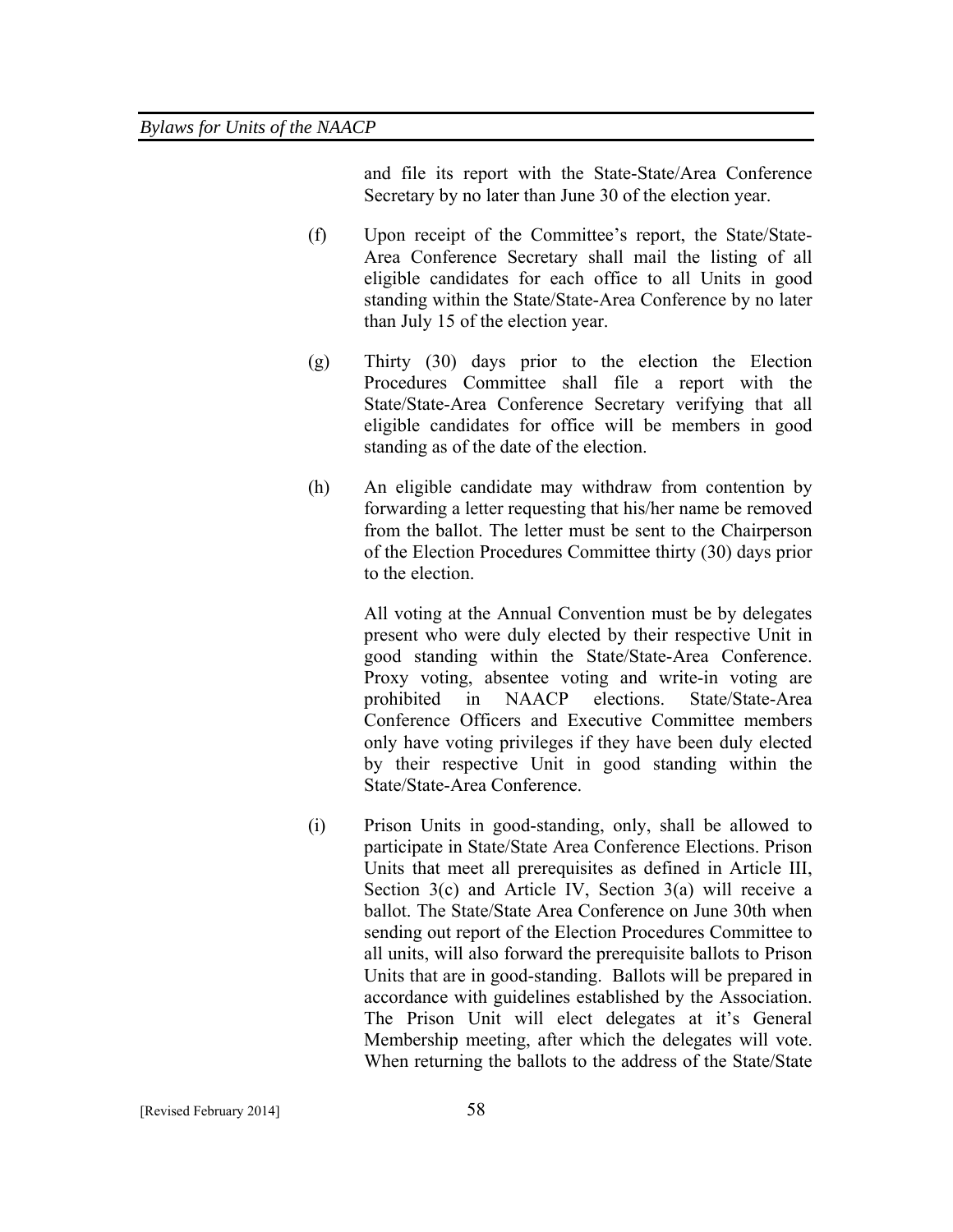and file its report with the State-State/Area Conference Secretary by no later than June 30 of the election year.

- (f) Upon receipt of the Committee's report, the State/State-Area Conference Secretary shall mail the listing of all eligible candidates for each office to all Units in good standing within the State/State-Area Conference by no later than July 15 of the election year.
- (g) Thirty (30) days prior to the election the Election Procedures Committee shall file a report with the State/State-Area Conference Secretary verifying that all eligible candidates for office will be members in good standing as of the date of the election.
- (h) An eligible candidate may withdraw from contention by forwarding a letter requesting that his/her name be removed from the ballot. The letter must be sent to the Chairperson of the Election Procedures Committee thirty (30) days prior to the election.

All voting at the Annual Convention must be by delegates present who were duly elected by their respective Unit in good standing within the State/State-Area Conference. Proxy voting, absentee voting and write-in voting are prohibited in NAACP elections. State/State-Area Conference Officers and Executive Committee members only have voting privileges if they have been duly elected by their respective Unit in good standing within the State/State-Area Conference.

(i) Prison Units in good-standing, only, shall be allowed to participate in State/State Area Conference Elections. Prison Units that meet all prerequisites as defined in Article III, Section 3(c) and Article IV, Section 3(a) will receive a ballot. The State/State Area Conference on June 30th when sending out report of the Election Procedures Committee to all units, will also forward the prerequisite ballots to Prison Units that are in good-standing. Ballots will be prepared in accordance with guidelines established by the Association. The Prison Unit will elect delegates at it's General Membership meeting, after which the delegates will vote. When returning the ballots to the address of the State/State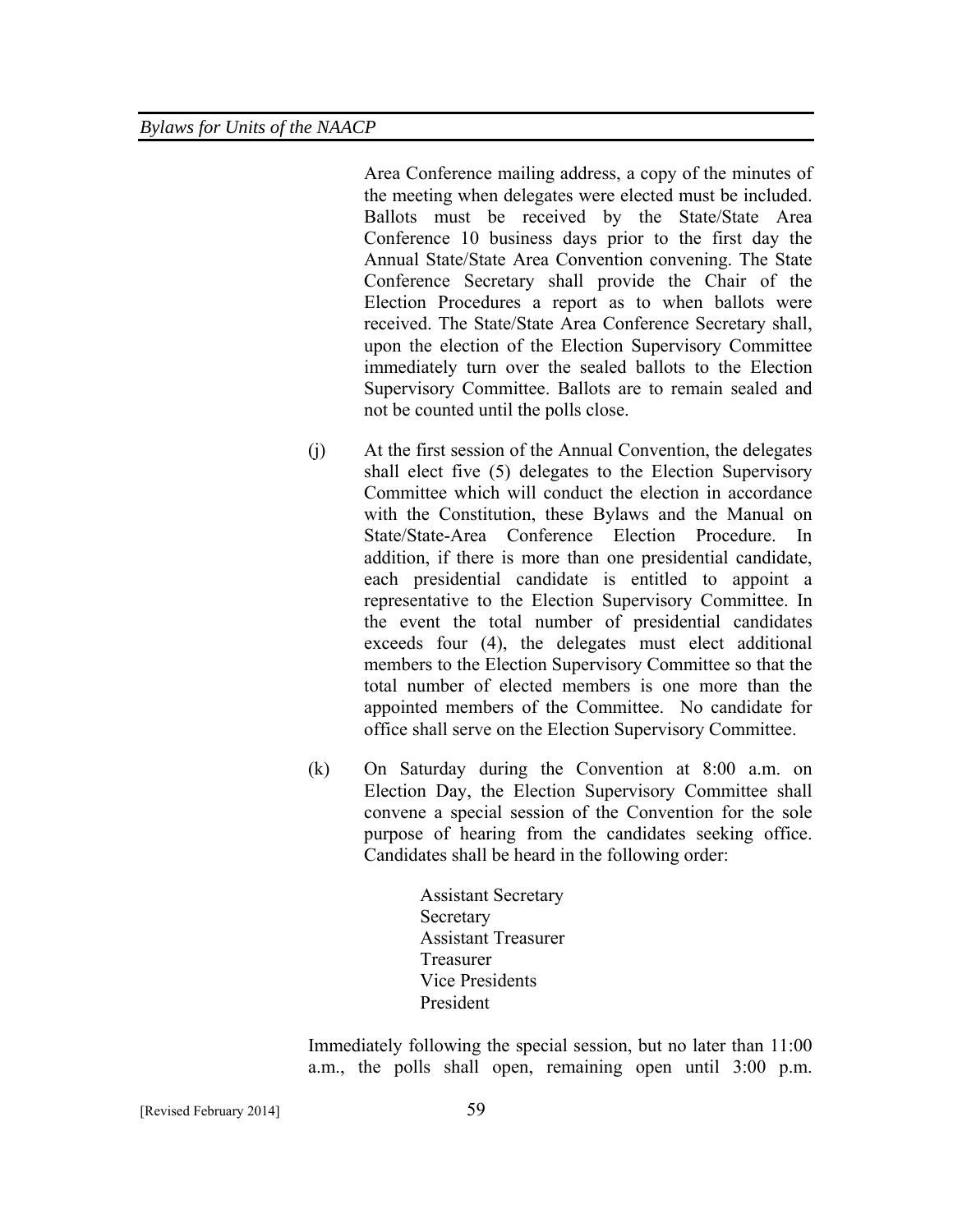Area Conference mailing address, a copy of the minutes of the meeting when delegates were elected must be included. Ballots must be received by the State/State Area Conference 10 business days prior to the first day the Annual State/State Area Convention convening. The State Conference Secretary shall provide the Chair of the Election Procedures a report as to when ballots were received. The State/State Area Conference Secretary shall, upon the election of the Election Supervisory Committee immediately turn over the sealed ballots to the Election Supervisory Committee. Ballots are to remain sealed and not be counted until the polls close.

- (j) At the first session of the Annual Convention, the delegates shall elect five (5) delegates to the Election Supervisory Committee which will conduct the election in accordance with the Constitution, these Bylaws and the Manual on State/State-Area Conference Election Procedure. In addition, if there is more than one presidential candidate, each presidential candidate is entitled to appoint a representative to the Election Supervisory Committee. In the event the total number of presidential candidates exceeds four (4), the delegates must elect additional members to the Election Supervisory Committee so that the total number of elected members is one more than the appointed members of the Committee. No candidate for office shall serve on the Election Supervisory Committee.
- (k) On Saturday during the Convention at 8:00 a.m. on Election Day, the Election Supervisory Committee shall convene a special session of the Convention for the sole purpose of hearing from the candidates seeking office. Candidates shall be heard in the following order:

Assistant Secretary Secretary Assistant Treasurer Treasurer Vice Presidents President

Immediately following the special session, but no later than 11:00 a.m., the polls shall open, remaining open until 3:00 p.m.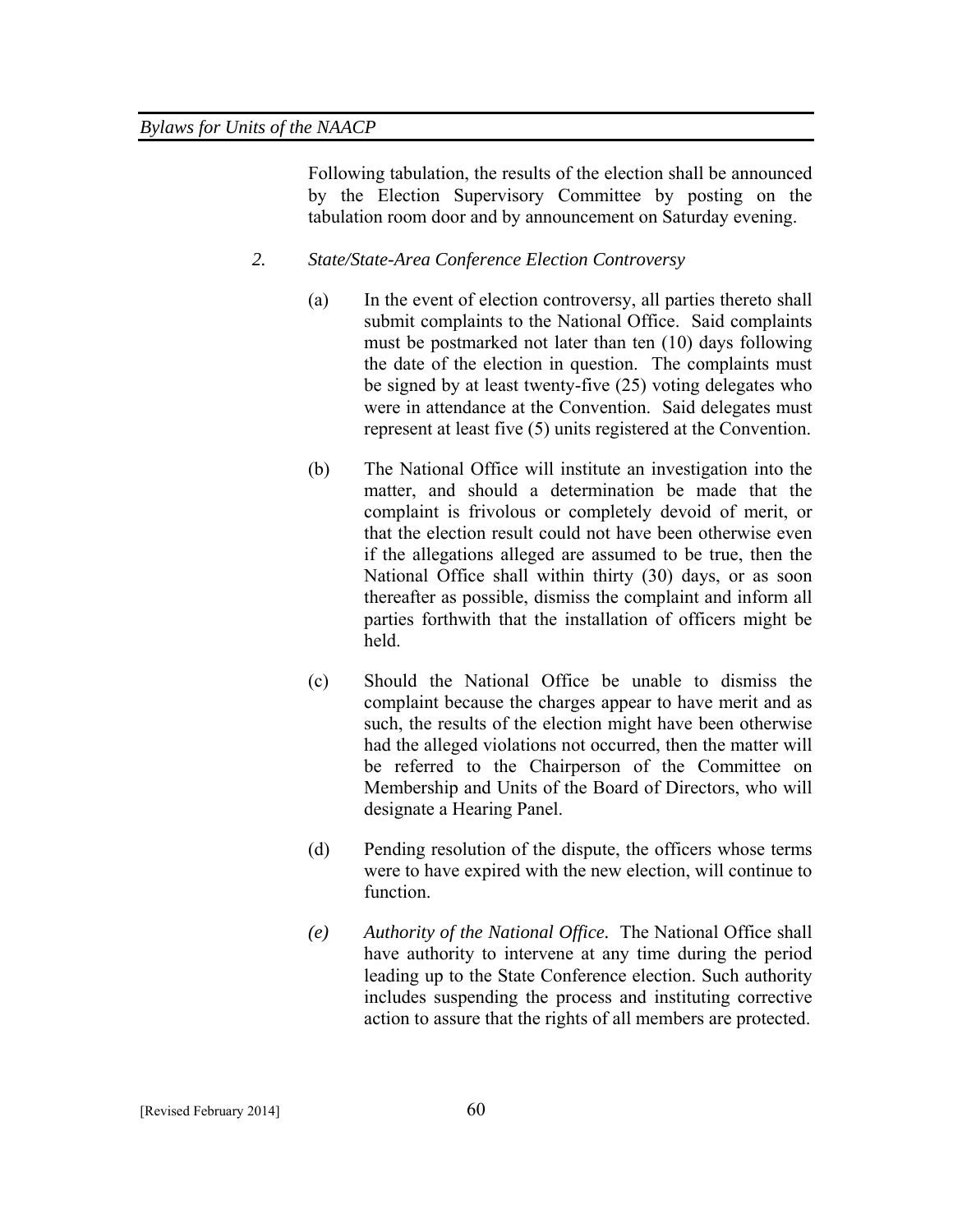Following tabulation, the results of the election shall be announced by the Election Supervisory Committee by posting on the tabulation room door and by announcement on Saturday evening.

- *2. State/State-Area Conference Election Controversy* 
	- (a) In the event of election controversy, all parties thereto shall submit complaints to the National Office. Said complaints must be postmarked not later than ten (10) days following the date of the election in question. The complaints must be signed by at least twenty-five (25) voting delegates who were in attendance at the Convention. Said delegates must represent at least five (5) units registered at the Convention.
	- (b) The National Office will institute an investigation into the matter, and should a determination be made that the complaint is frivolous or completely devoid of merit, or that the election result could not have been otherwise even if the allegations alleged are assumed to be true, then the National Office shall within thirty (30) days, or as soon thereafter as possible, dismiss the complaint and inform all parties forthwith that the installation of officers might be held.
	- (c) Should the National Office be unable to dismiss the complaint because the charges appear to have merit and as such, the results of the election might have been otherwise had the alleged violations not occurred, then the matter will be referred to the Chairperson of the Committee on Membership and Units of the Board of Directors, who will designate a Hearing Panel.
	- (d) Pending resolution of the dispute, the officers whose terms were to have expired with the new election, will continue to function.
	- *(e) Authority of the National Office.* The National Office shall have authority to intervene at any time during the period leading up to the State Conference election. Such authority includes suspending the process and instituting corrective action to assure that the rights of all members are protected.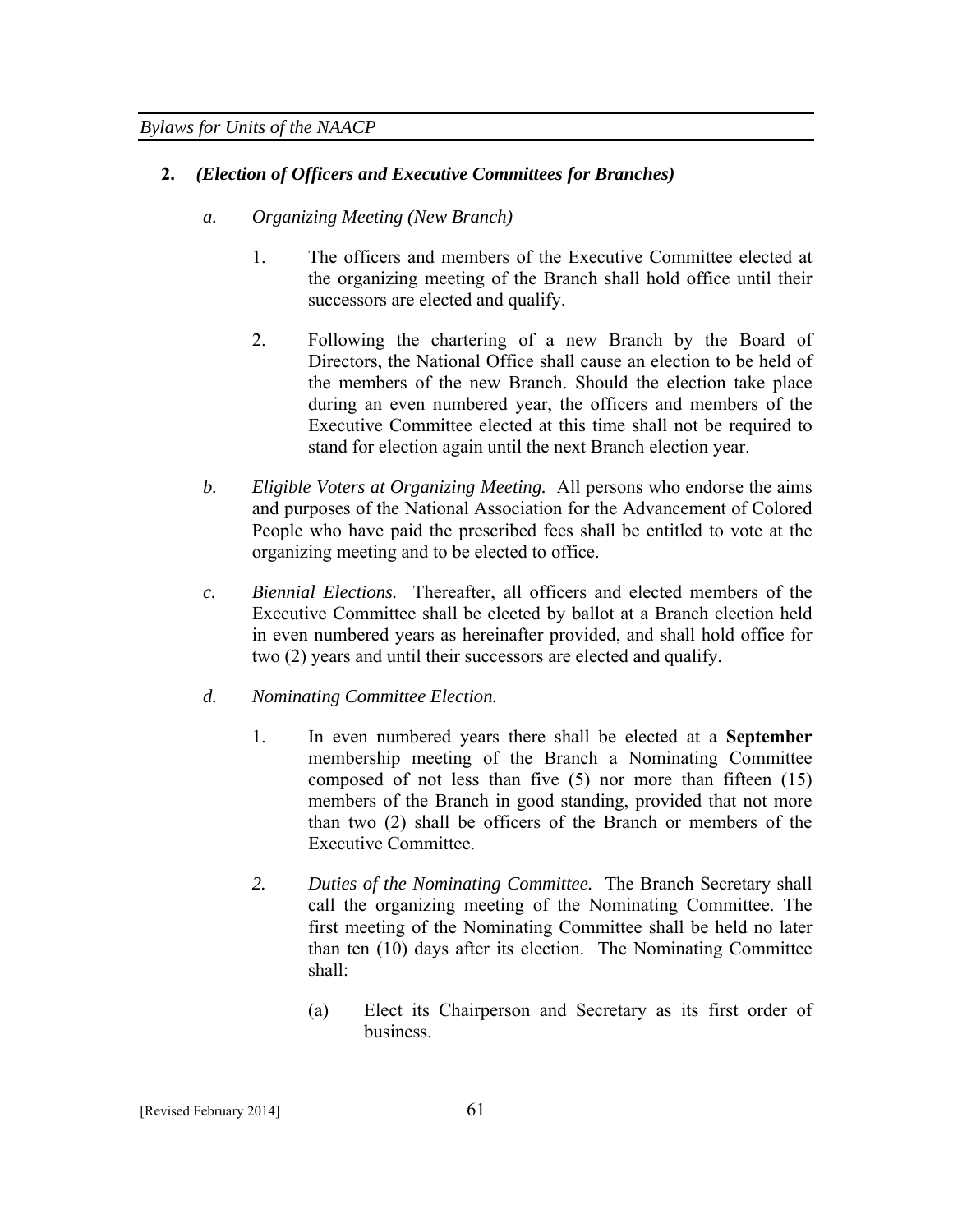# **2.** *(Election of Officers and Executive Committees for Branches)*

- *a. Organizing Meeting (New Branch)* 
	- 1. The officers and members of the Executive Committee elected at the organizing meeting of the Branch shall hold office until their successors are elected and qualify.
	- 2. Following the chartering of a new Branch by the Board of Directors, the National Office shall cause an election to be held of the members of the new Branch. Should the election take place during an even numbered year, the officers and members of the Executive Committee elected at this time shall not be required to stand for election again until the next Branch election year.
- *b. Eligible Voters at Organizing Meeting.* All persons who endorse the aims and purposes of the National Association for the Advancement of Colored People who have paid the prescribed fees shall be entitled to vote at the organizing meeting and to be elected to office.
- *c. Biennial Elections.* Thereafter, all officers and elected members of the Executive Committee shall be elected by ballot at a Branch election held in even numbered years as hereinafter provided, and shall hold office for two (2) years and until their successors are elected and qualify.
- *d. Nominating Committee Election.*
	- 1. In even numbered years there shall be elected at a **September**  membership meeting of the Branch a Nominating Committee composed of not less than five (5) nor more than fifteen (15) members of the Branch in good standing, provided that not more than two (2) shall be officers of the Branch or members of the Executive Committee.
	- *2. Duties of the Nominating Committee.* The Branch Secretary shall call the organizing meeting of the Nominating Committee. The first meeting of the Nominating Committee shall be held no later than ten (10) days after its election. The Nominating Committee shall:
		- (a) Elect its Chairperson and Secretary as its first order of business.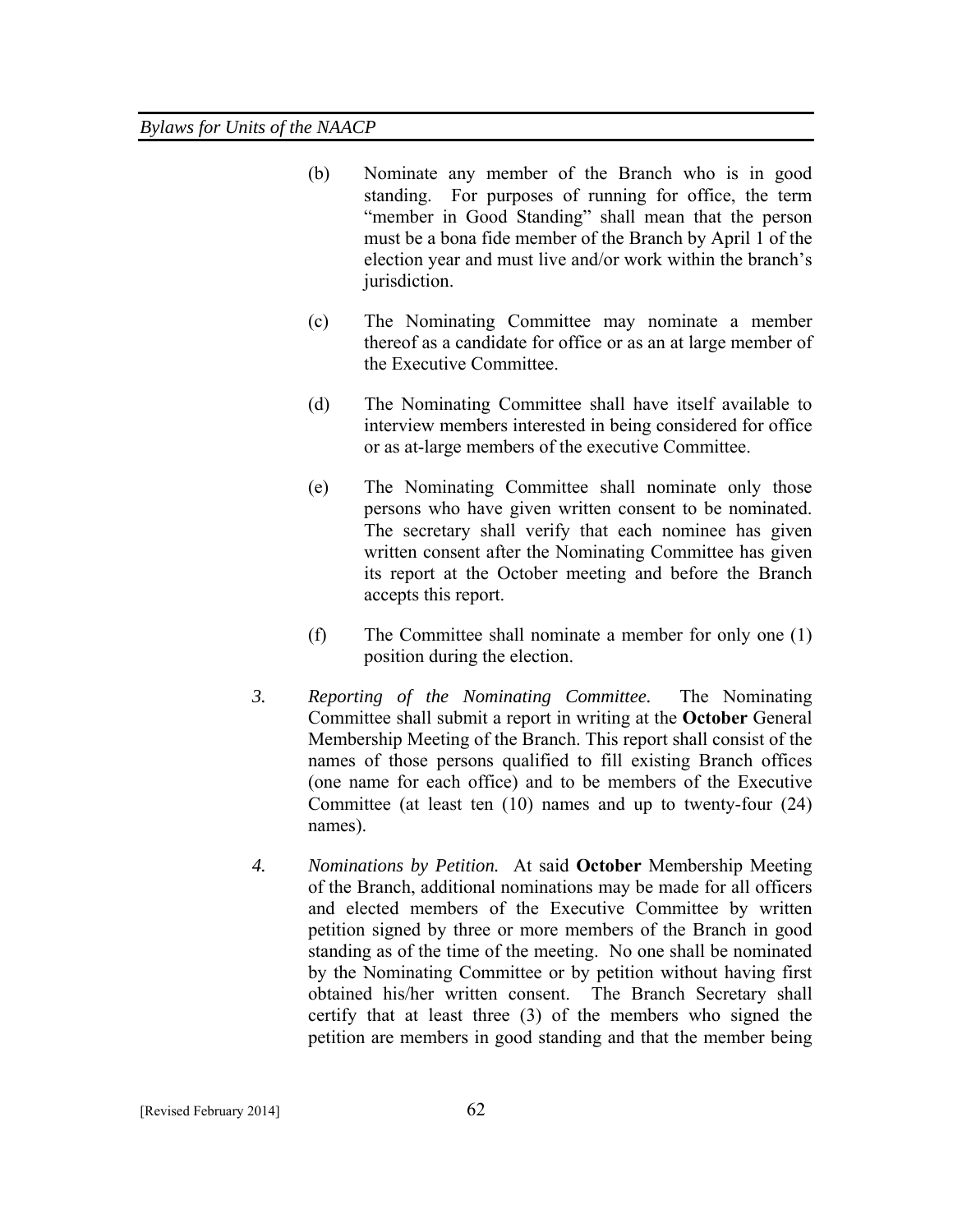- (b) Nominate any member of the Branch who is in good standing. For purposes of running for office, the term "member in Good Standing" shall mean that the person must be a bona fide member of the Branch by April 1 of the election year and must live and/or work within the branch's jurisdiction.
- (c) The Nominating Committee may nominate a member thereof as a candidate for office or as an at large member of the Executive Committee.
- (d) The Nominating Committee shall have itself available to interview members interested in being considered for office or as at-large members of the executive Committee.
- (e) The Nominating Committee shall nominate only those persons who have given written consent to be nominated. The secretary shall verify that each nominee has given written consent after the Nominating Committee has given its report at the October meeting and before the Branch accepts this report.
- (f) The Committee shall nominate a member for only one (1) position during the election.
- *3. Reporting of the Nominating Committee.* The Nominating Committee shall submit a report in writing at the **October** General Membership Meeting of the Branch. This report shall consist of the names of those persons qualified to fill existing Branch offices (one name for each office) and to be members of the Executive Committee (at least ten (10) names and up to twenty-four (24) names).
- *4. Nominations by Petition.* At said **October** Membership Meeting of the Branch, additional nominations may be made for all officers and elected members of the Executive Committee by written petition signed by three or more members of the Branch in good standing as of the time of the meeting. No one shall be nominated by the Nominating Committee or by petition without having first obtained his/her written consent. The Branch Secretary shall certify that at least three (3) of the members who signed the petition are members in good standing and that the member being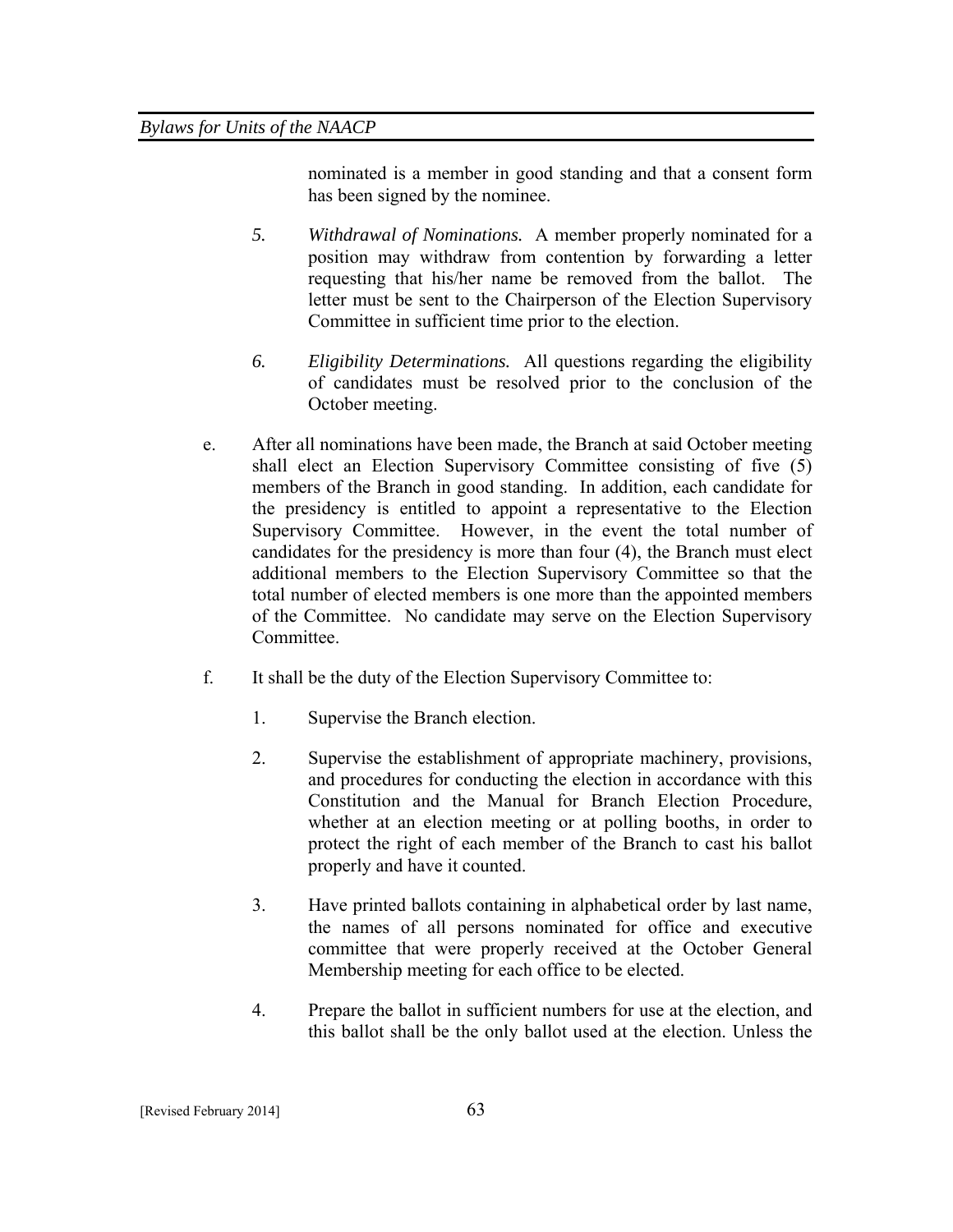nominated is a member in good standing and that a consent form has been signed by the nominee.

- *5. Withdrawal of Nominations.* A member properly nominated for a position may withdraw from contention by forwarding a letter requesting that his/her name be removed from the ballot. The letter must be sent to the Chairperson of the Election Supervisory Committee in sufficient time prior to the election.
- *6. Eligibility Determinations.* All questions regarding the eligibility of candidates must be resolved prior to the conclusion of the October meeting.
- e. After all nominations have been made, the Branch at said October meeting shall elect an Election Supervisory Committee consisting of five (5) members of the Branch in good standing. In addition, each candidate for the presidency is entitled to appoint a representative to the Election Supervisory Committee. However, in the event the total number of candidates for the presidency is more than four (4), the Branch must elect additional members to the Election Supervisory Committee so that the total number of elected members is one more than the appointed members of the Committee. No candidate may serve on the Election Supervisory **Committee**
- f. It shall be the duty of the Election Supervisory Committee to:
	- 1. Supervise the Branch election.
	- 2. Supervise the establishment of appropriate machinery, provisions, and procedures for conducting the election in accordance with this Constitution and the Manual for Branch Election Procedure, whether at an election meeting or at polling booths, in order to protect the right of each member of the Branch to cast his ballot properly and have it counted.
	- 3. Have printed ballots containing in alphabetical order by last name, the names of all persons nominated for office and executive committee that were properly received at the October General Membership meeting for each office to be elected.
	- 4. Prepare the ballot in sufficient numbers for use at the election, and this ballot shall be the only ballot used at the election. Unless the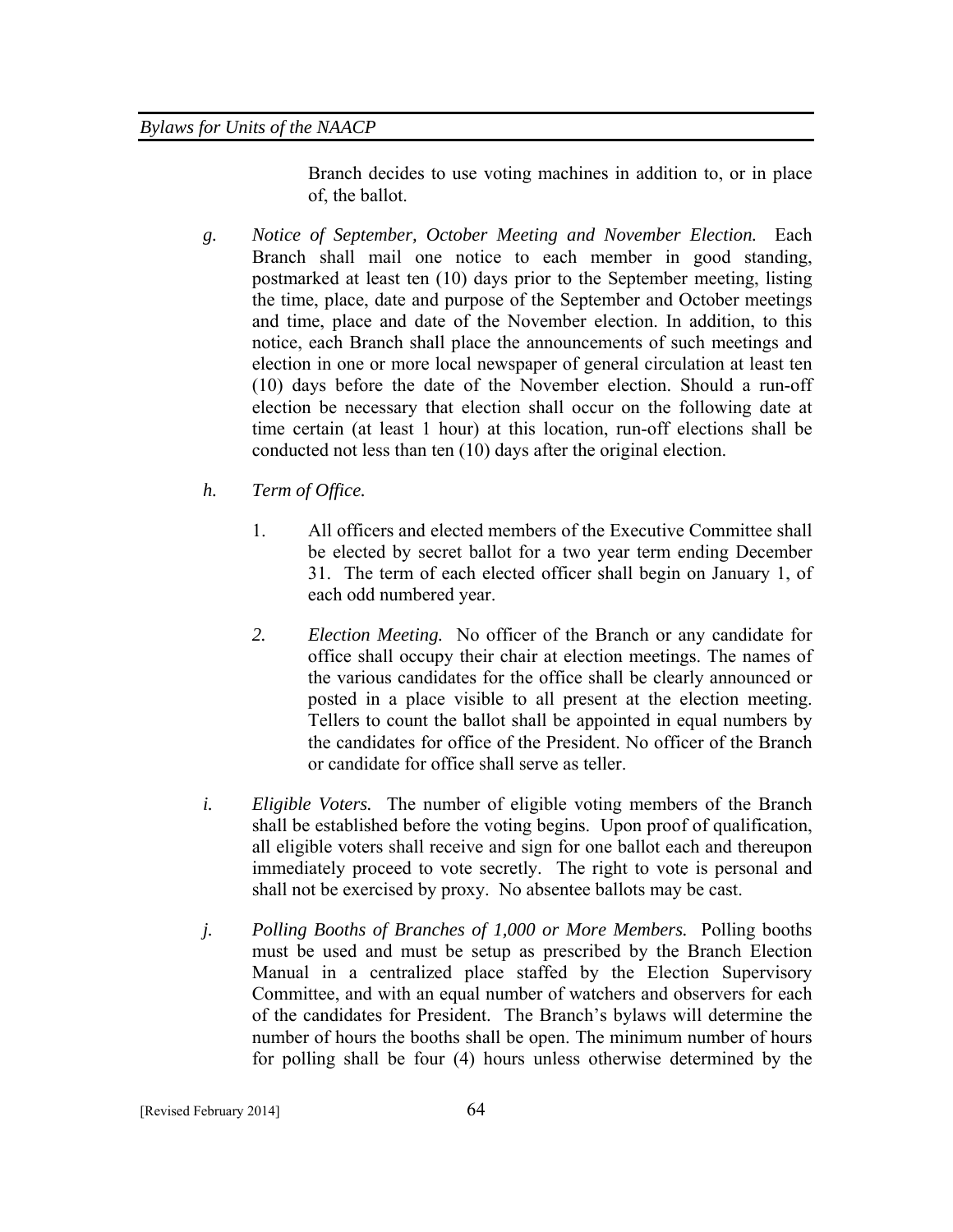Branch decides to use voting machines in addition to, or in place of, the ballot.

- *g. Notice of September, October Meeting and November Election.* Each Branch shall mail one notice to each member in good standing, postmarked at least ten (10) days prior to the September meeting, listing the time, place, date and purpose of the September and October meetings and time, place and date of the November election. In addition, to this notice, each Branch shall place the announcements of such meetings and election in one or more local newspaper of general circulation at least ten (10) days before the date of the November election. Should a run-off election be necessary that election shall occur on the following date at time certain (at least 1 hour) at this location, run-off elections shall be conducted not less than ten (10) days after the original election.
- *h. Term of Office.* 
	- 1. All officers and elected members of the Executive Committee shall be elected by secret ballot for a two year term ending December 31. The term of each elected officer shall begin on January 1, of each odd numbered year.
	- *2. Election Meeting.* No officer of the Branch or any candidate for office shall occupy their chair at election meetings. The names of the various candidates for the office shall be clearly announced or posted in a place visible to all present at the election meeting. Tellers to count the ballot shall be appointed in equal numbers by the candidates for office of the President. No officer of the Branch or candidate for office shall serve as teller.
- *i. Eligible Voters.* The number of eligible voting members of the Branch shall be established before the voting begins. Upon proof of qualification, all eligible voters shall receive and sign for one ballot each and thereupon immediately proceed to vote secretly. The right to vote is personal and shall not be exercised by proxy. No absentee ballots may be cast.
- *j. Polling Booths of Branches of 1,000 or More Members.* Polling booths must be used and must be setup as prescribed by the Branch Election Manual in a centralized place staffed by the Election Supervisory Committee, and with an equal number of watchers and observers for each of the candidates for President. The Branch's bylaws will determine the number of hours the booths shall be open. The minimum number of hours for polling shall be four (4) hours unless otherwise determined by the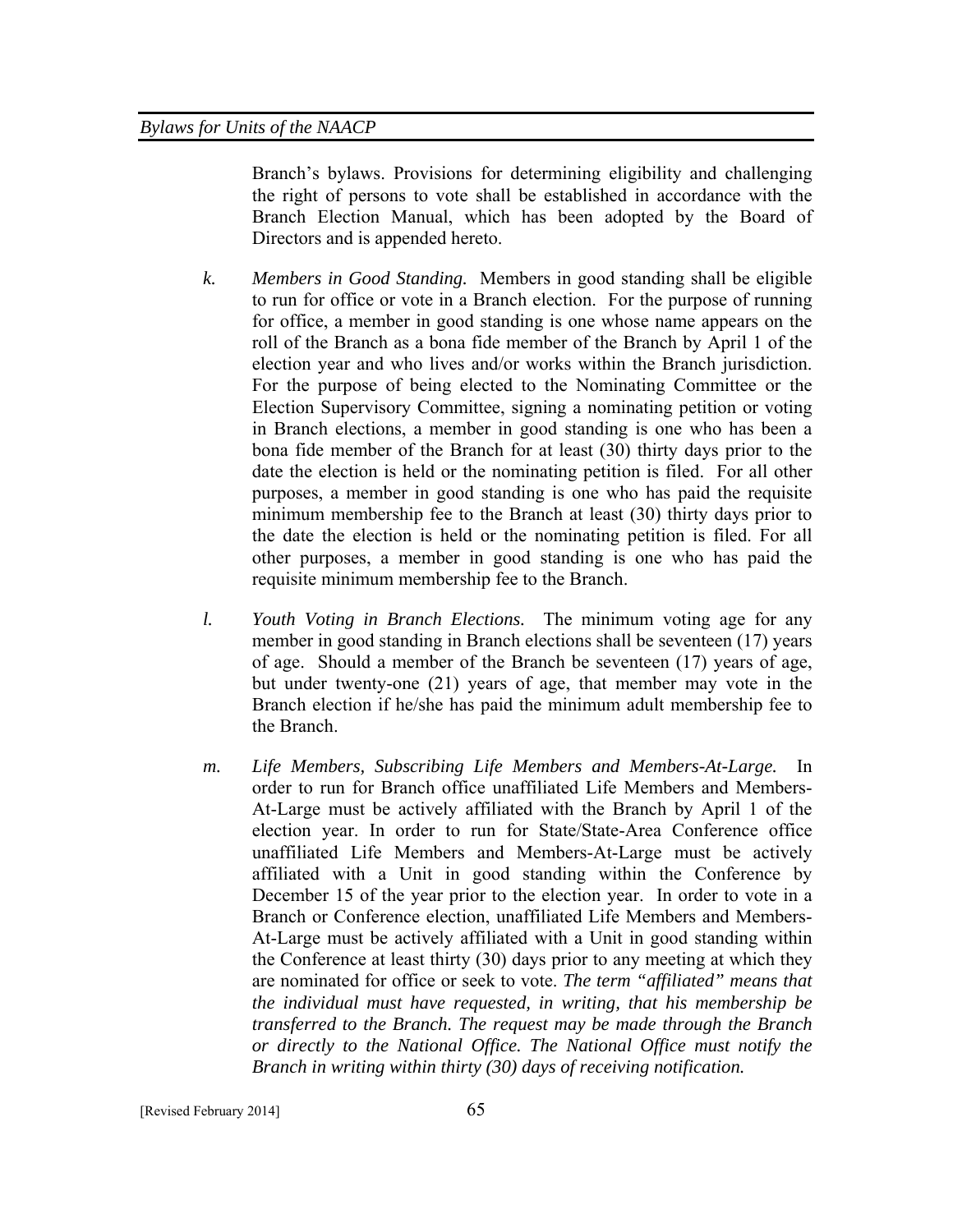Branch's bylaws. Provisions for determining eligibility and challenging the right of persons to vote shall be established in accordance with the Branch Election Manual, which has been adopted by the Board of Directors and is appended hereto.

- *k. Members in Good Standing.* Members in good standing shall be eligible to run for office or vote in a Branch election. For the purpose of running for office, a member in good standing is one whose name appears on the roll of the Branch as a bona fide member of the Branch by April 1 of the election year and who lives and/or works within the Branch jurisdiction. For the purpose of being elected to the Nominating Committee or the Election Supervisory Committee, signing a nominating petition or voting in Branch elections, a member in good standing is one who has been a bona fide member of the Branch for at least (30) thirty days prior to the date the election is held or the nominating petition is filed. For all other purposes, a member in good standing is one who has paid the requisite minimum membership fee to the Branch at least (30) thirty days prior to the date the election is held or the nominating petition is filed. For all other purposes, a member in good standing is one who has paid the requisite minimum membership fee to the Branch.
- *l. Youth Voting in Branch Elections.* The minimum voting age for any member in good standing in Branch elections shall be seventeen (17) years of age. Should a member of the Branch be seventeen (17) years of age, but under twenty-one (21) years of age, that member may vote in the Branch election if he/she has paid the minimum adult membership fee to the Branch.
- *m. Life Members, Subscribing Life Members and Members-At-Large.* In order to run for Branch office unaffiliated Life Members and Members-At-Large must be actively affiliated with the Branch by April 1 of the election year. In order to run for State/State-Area Conference office unaffiliated Life Members and Members-At-Large must be actively affiliated with a Unit in good standing within the Conference by December 15 of the year prior to the election year. In order to vote in a Branch or Conference election, unaffiliated Life Members and Members-At-Large must be actively affiliated with a Unit in good standing within the Conference at least thirty (30) days prior to any meeting at which they are nominated for office or seek to vote. *The term "affiliated" means that the individual must have requested, in writing, that his membership be transferred to the Branch. The request may be made through the Branch or directly to the National Office. The National Office must notify the Branch in writing within thirty (30) days of receiving notification.*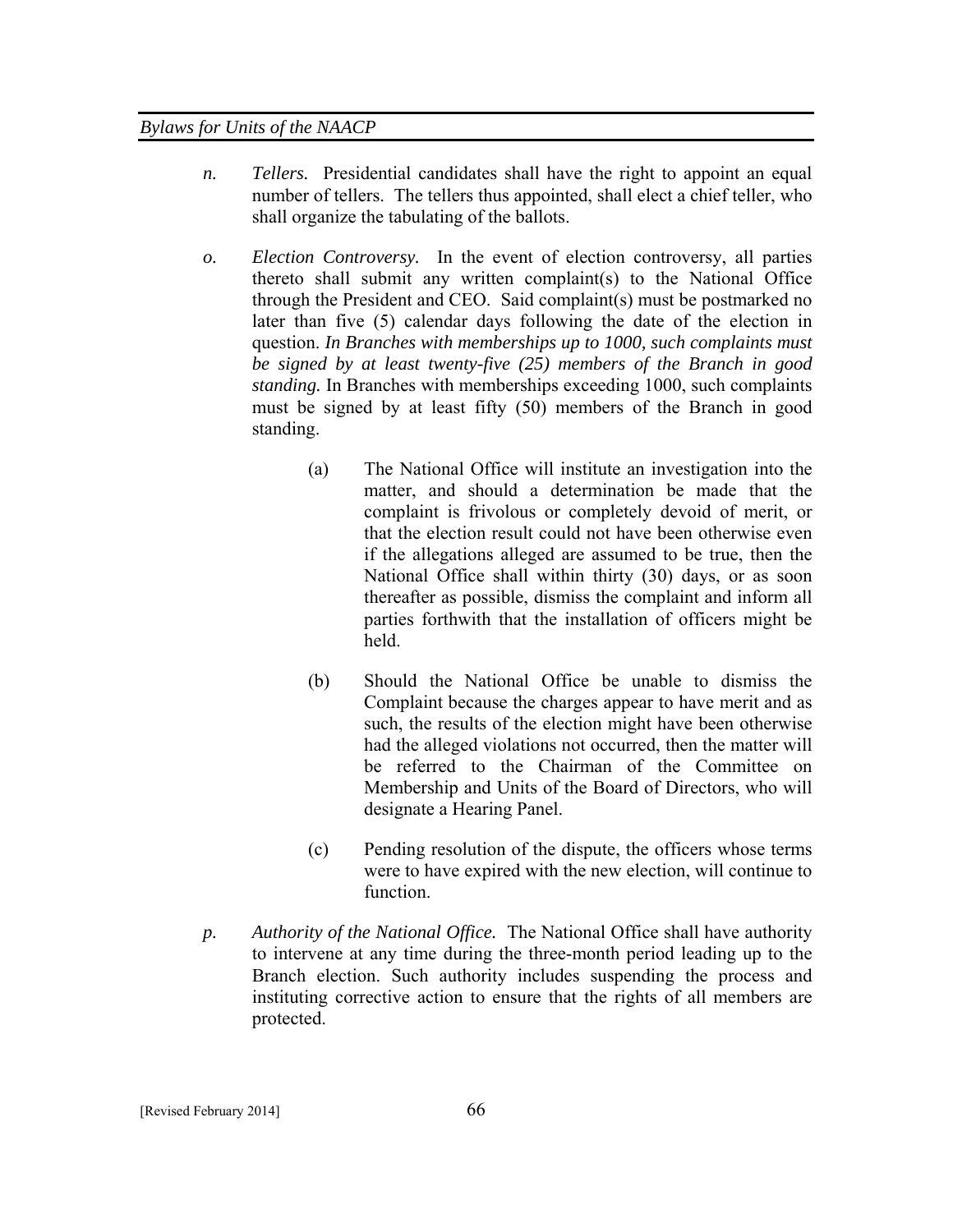- *n. Tellers.* Presidential candidates shall have the right to appoint an equal number of tellers. The tellers thus appointed, shall elect a chief teller, who shall organize the tabulating of the ballots.
- *o. Election Controversy.* In the event of election controversy, all parties thereto shall submit any written complaint(s) to the National Office through the President and CEO. Said complaint(s) must be postmarked no later than five (5) calendar days following the date of the election in question. *In Branches with memberships up to 1000, such complaints must be signed by at least twenty-five (25) members of the Branch in good standing.* In Branches with memberships exceeding 1000, such complaints must be signed by at least fifty (50) members of the Branch in good standing.
	- (a) The National Office will institute an investigation into the matter, and should a determination be made that the complaint is frivolous or completely devoid of merit, or that the election result could not have been otherwise even if the allegations alleged are assumed to be true, then the National Office shall within thirty (30) days, or as soon thereafter as possible, dismiss the complaint and inform all parties forthwith that the installation of officers might be held.
	- (b) Should the National Office be unable to dismiss the Complaint because the charges appear to have merit and as such, the results of the election might have been otherwise had the alleged violations not occurred, then the matter will be referred to the Chairman of the Committee on Membership and Units of the Board of Directors, who will designate a Hearing Panel.
	- (c) Pending resolution of the dispute, the officers whose terms were to have expired with the new election, will continue to function.
- *p. Authority of the National Office.* The National Office shall have authority to intervene at any time during the three-month period leading up to the Branch election. Such authority includes suspending the process and instituting corrective action to ensure that the rights of all members are protected.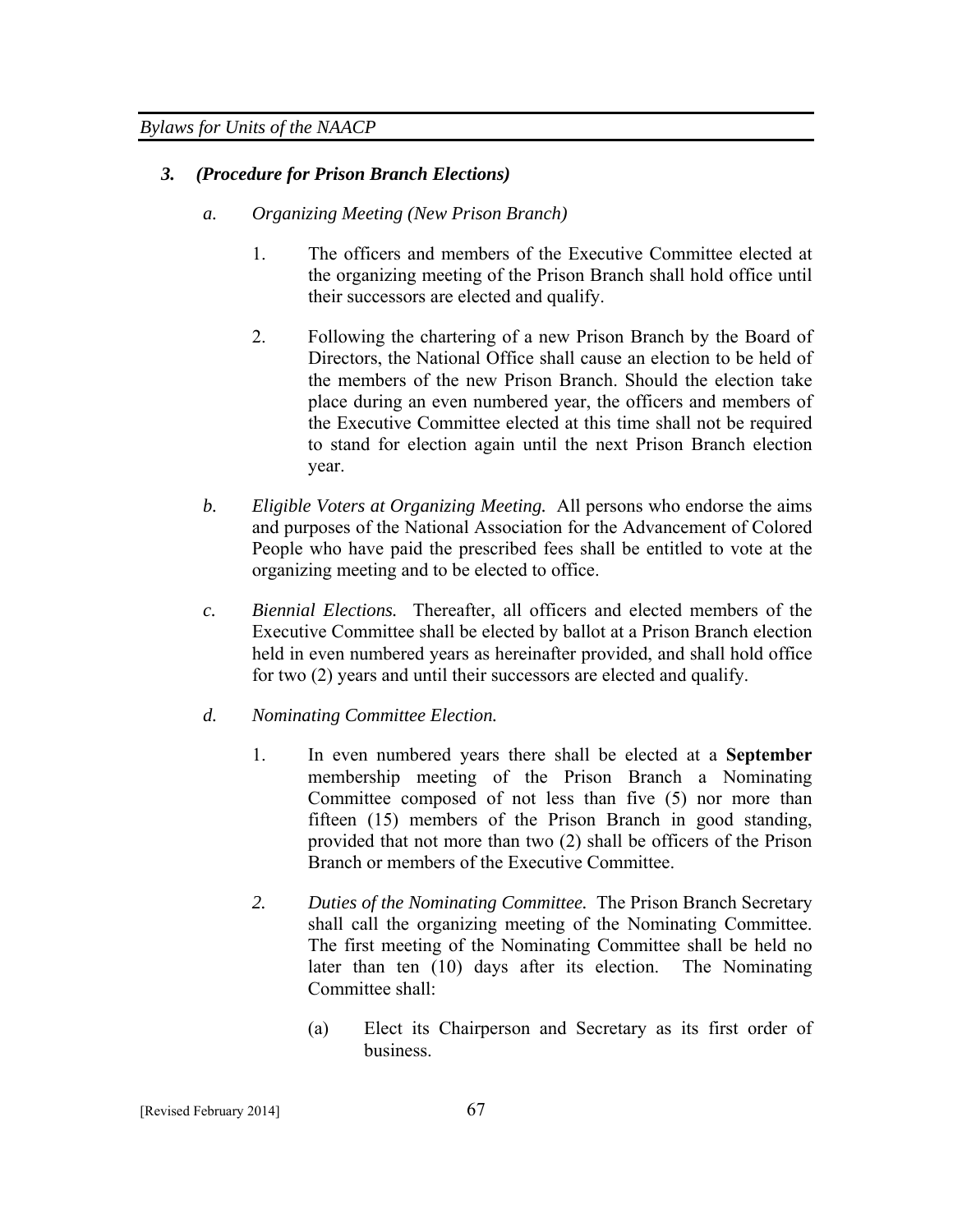# *3. (Procedure for Prison Branch Elections)*

- *a. Organizing Meeting (New Prison Branch)* 
	- 1. The officers and members of the Executive Committee elected at the organizing meeting of the Prison Branch shall hold office until their successors are elected and qualify.
	- 2. Following the chartering of a new Prison Branch by the Board of Directors, the National Office shall cause an election to be held of the members of the new Prison Branch. Should the election take place during an even numbered year, the officers and members of the Executive Committee elected at this time shall not be required to stand for election again until the next Prison Branch election year.
- *b. Eligible Voters at Organizing Meeting.* All persons who endorse the aims and purposes of the National Association for the Advancement of Colored People who have paid the prescribed fees shall be entitled to vote at the organizing meeting and to be elected to office.
- *c. Biennial Elections.* Thereafter, all officers and elected members of the Executive Committee shall be elected by ballot at a Prison Branch election held in even numbered years as hereinafter provided, and shall hold office for two (2) years and until their successors are elected and qualify.
- *d. Nominating Committee Election.*
	- 1. In even numbered years there shall be elected at a **September**  membership meeting of the Prison Branch a Nominating Committee composed of not less than five (5) nor more than fifteen (15) members of the Prison Branch in good standing, provided that not more than two (2) shall be officers of the Prison Branch or members of the Executive Committee.
	- *2. Duties of the Nominating Committee.* The Prison Branch Secretary shall call the organizing meeting of the Nominating Committee. The first meeting of the Nominating Committee shall be held no later than ten (10) days after its election. The Nominating Committee shall:
		- (a) Elect its Chairperson and Secretary as its first order of business.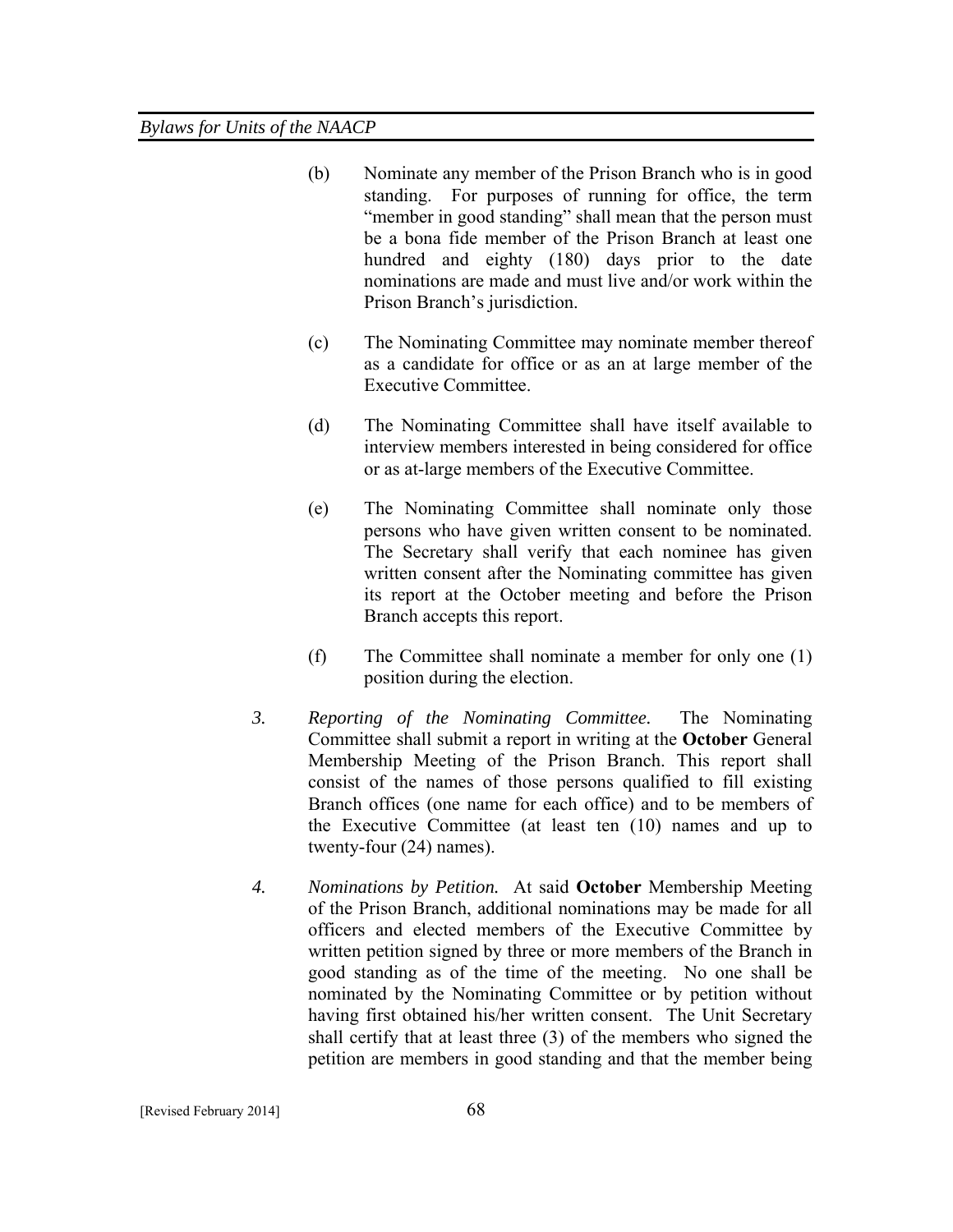- (b) Nominate any member of the Prison Branch who is in good standing. For purposes of running for office, the term "member in good standing" shall mean that the person must be a bona fide member of the Prison Branch at least one hundred and eighty (180) days prior to the date nominations are made and must live and/or work within the Prison Branch's jurisdiction.
- (c) The Nominating Committee may nominate member thereof as a candidate for office or as an at large member of the Executive Committee.
- (d) The Nominating Committee shall have itself available to interview members interested in being considered for office or as at-large members of the Executive Committee.
- (e) The Nominating Committee shall nominate only those persons who have given written consent to be nominated. The Secretary shall verify that each nominee has given written consent after the Nominating committee has given its report at the October meeting and before the Prison Branch accepts this report.
- (f) The Committee shall nominate a member for only one (1) position during the election.
- *3. Reporting of the Nominating Committee.* The Nominating Committee shall submit a report in writing at the **October** General Membership Meeting of the Prison Branch. This report shall consist of the names of those persons qualified to fill existing Branch offices (one name for each office) and to be members of the Executive Committee (at least ten (10) names and up to twenty-four (24) names).
- *4. Nominations by Petition.* At said **October** Membership Meeting of the Prison Branch, additional nominations may be made for all officers and elected members of the Executive Committee by written petition signed by three or more members of the Branch in good standing as of the time of the meeting. No one shall be nominated by the Nominating Committee or by petition without having first obtained his/her written consent. The Unit Secretary shall certify that at least three (3) of the members who signed the petition are members in good standing and that the member being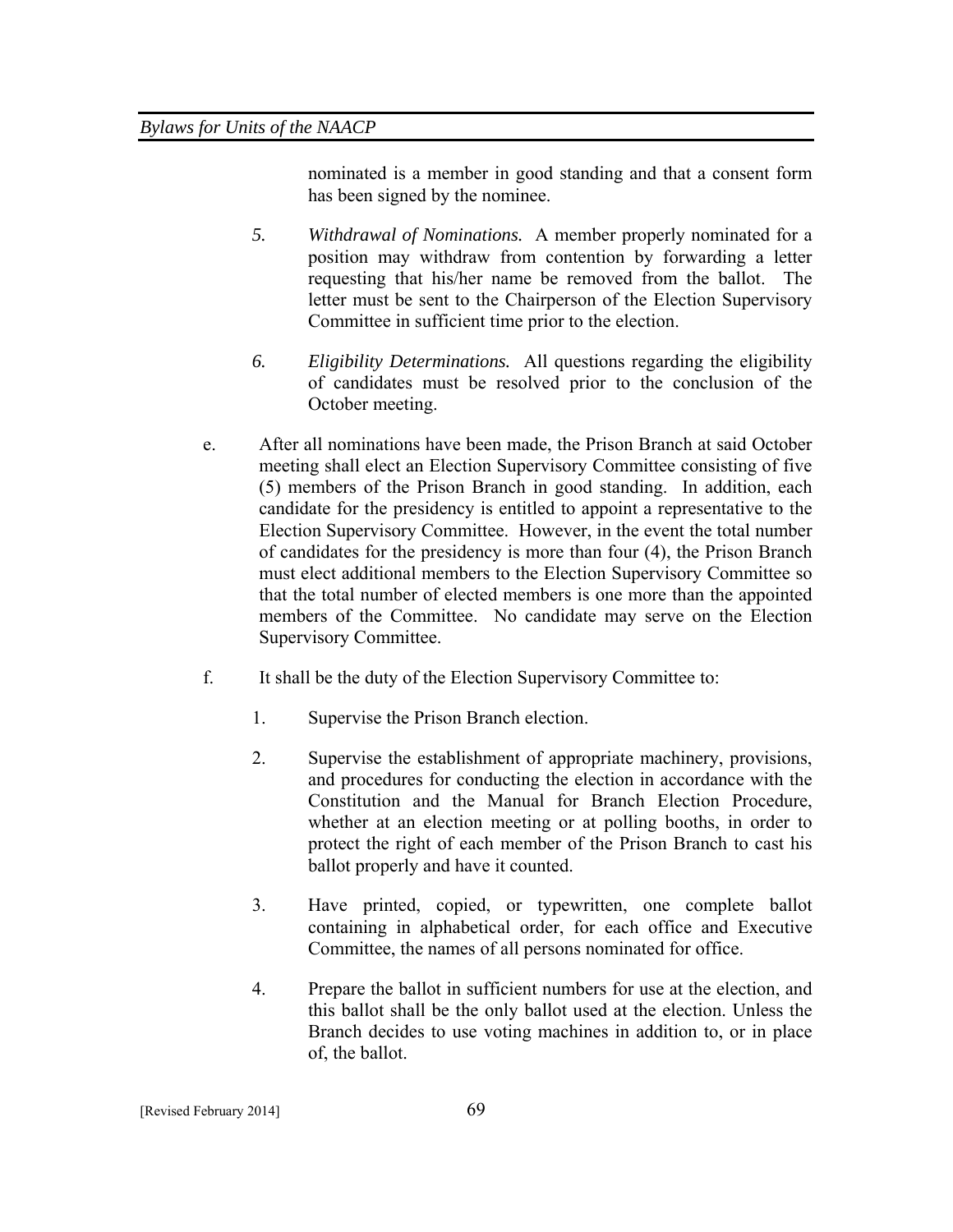nominated is a member in good standing and that a consent form has been signed by the nominee.

- *5. Withdrawal of Nominations.* A member properly nominated for a position may withdraw from contention by forwarding a letter requesting that his/her name be removed from the ballot. The letter must be sent to the Chairperson of the Election Supervisory Committee in sufficient time prior to the election.
- *6. Eligibility Determinations.* All questions regarding the eligibility of candidates must be resolved prior to the conclusion of the October meeting.
- e. After all nominations have been made, the Prison Branch at said October meeting shall elect an Election Supervisory Committee consisting of five (5) members of the Prison Branch in good standing. In addition, each candidate for the presidency is entitled to appoint a representative to the Election Supervisory Committee. However, in the event the total number of candidates for the presidency is more than four (4), the Prison Branch must elect additional members to the Election Supervisory Committee so that the total number of elected members is one more than the appointed members of the Committee. No candidate may serve on the Election Supervisory Committee.
- f. It shall be the duty of the Election Supervisory Committee to:
	- 1. Supervise the Prison Branch election.
	- 2. Supervise the establishment of appropriate machinery, provisions, and procedures for conducting the election in accordance with the Constitution and the Manual for Branch Election Procedure, whether at an election meeting or at polling booths, in order to protect the right of each member of the Prison Branch to cast his ballot properly and have it counted.
	- 3. Have printed, copied, or typewritten, one complete ballot containing in alphabetical order, for each office and Executive Committee, the names of all persons nominated for office.
	- 4. Prepare the ballot in sufficient numbers for use at the election, and this ballot shall be the only ballot used at the election. Unless the Branch decides to use voting machines in addition to, or in place of, the ballot.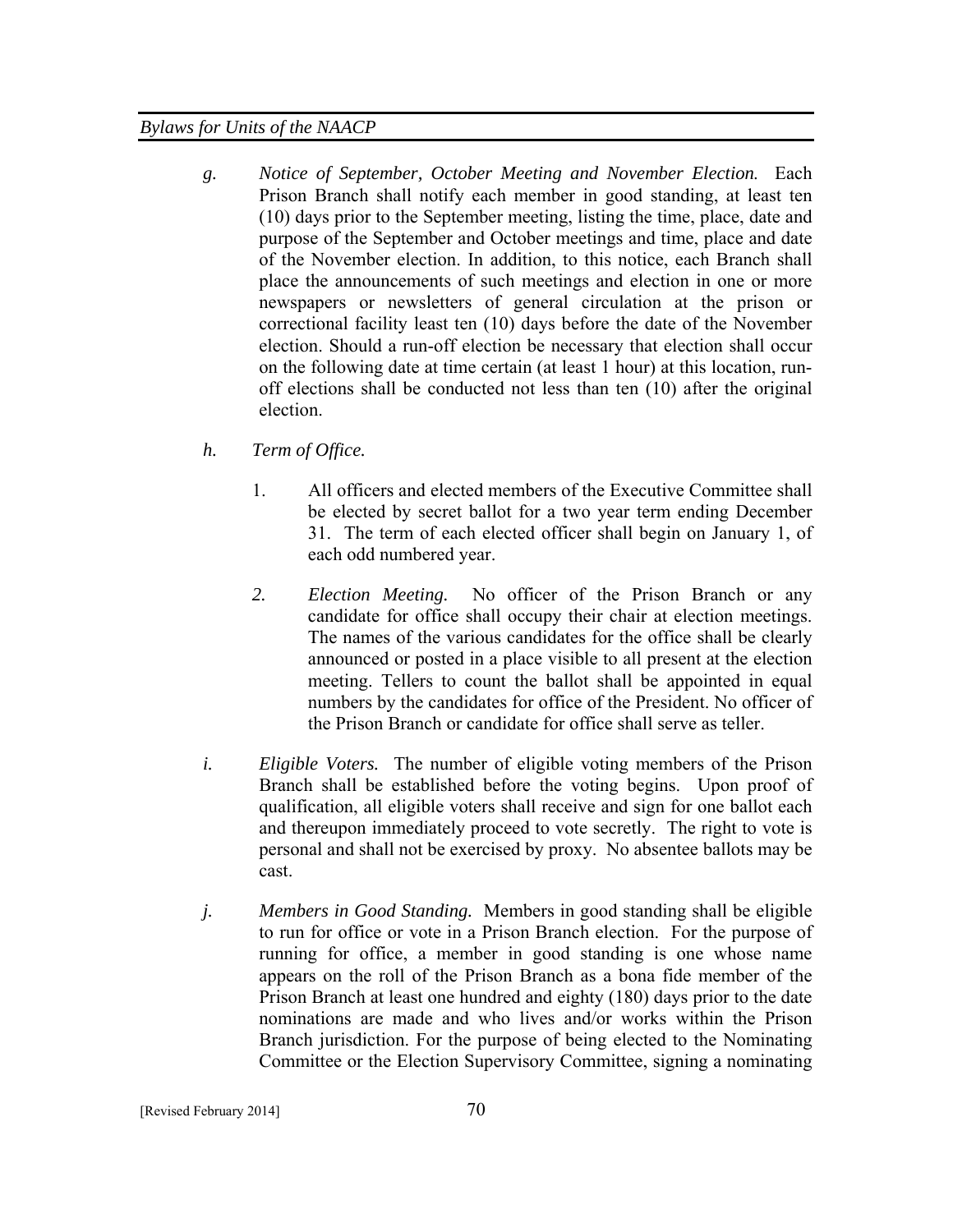- *g. Notice of September, October Meeting and November Election.* Each Prison Branch shall notify each member in good standing, at least ten (10) days prior to the September meeting, listing the time, place, date and purpose of the September and October meetings and time, place and date of the November election. In addition, to this notice, each Branch shall place the announcements of such meetings and election in one or more newspapers or newsletters of general circulation at the prison or correctional facility least ten (10) days before the date of the November election. Should a run-off election be necessary that election shall occur on the following date at time certain (at least 1 hour) at this location, runoff elections shall be conducted not less than ten (10) after the original election.
- *h. Term of Office.* 
	- 1. All officers and elected members of the Executive Committee shall be elected by secret ballot for a two year term ending December 31. The term of each elected officer shall begin on January 1, of each odd numbered year.
	- *2. Election Meeting.* No officer of the Prison Branch or any candidate for office shall occupy their chair at election meetings. The names of the various candidates for the office shall be clearly announced or posted in a place visible to all present at the election meeting. Tellers to count the ballot shall be appointed in equal numbers by the candidates for office of the President. No officer of the Prison Branch or candidate for office shall serve as teller.
- *i. Eligible Voters.* The number of eligible voting members of the Prison Branch shall be established before the voting begins. Upon proof of qualification, all eligible voters shall receive and sign for one ballot each and thereupon immediately proceed to vote secretly. The right to vote is personal and shall not be exercised by proxy. No absentee ballots may be cast.
- *j. Members in Good Standing.* Members in good standing shall be eligible to run for office or vote in a Prison Branch election. For the purpose of running for office, a member in good standing is one whose name appears on the roll of the Prison Branch as a bona fide member of the Prison Branch at least one hundred and eighty (180) days prior to the date nominations are made and who lives and/or works within the Prison Branch jurisdiction. For the purpose of being elected to the Nominating Committee or the Election Supervisory Committee, signing a nominating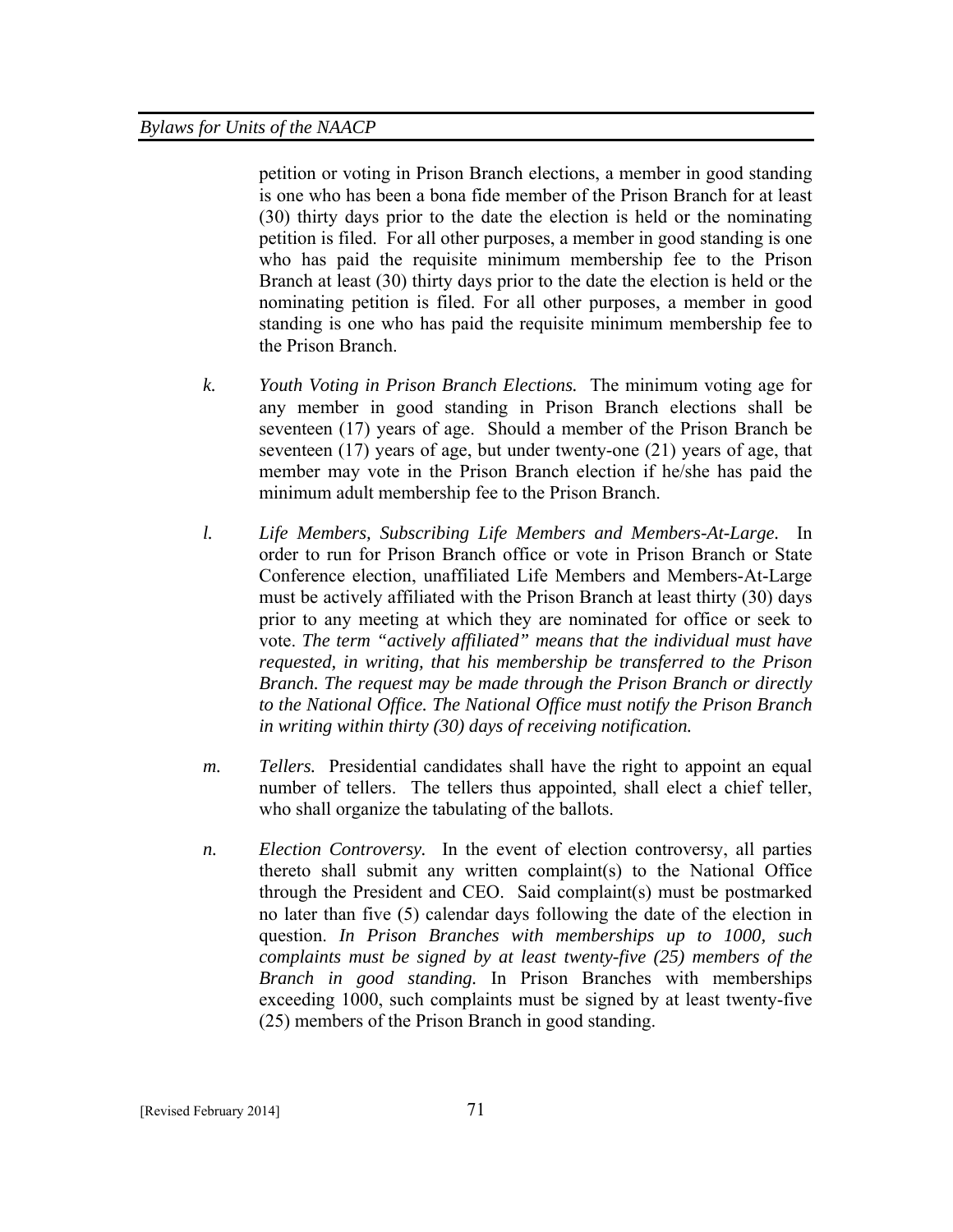petition or voting in Prison Branch elections, a member in good standing is one who has been a bona fide member of the Prison Branch for at least (30) thirty days prior to the date the election is held or the nominating petition is filed. For all other purposes, a member in good standing is one who has paid the requisite minimum membership fee to the Prison Branch at least (30) thirty days prior to the date the election is held or the nominating petition is filed. For all other purposes, a member in good standing is one who has paid the requisite minimum membership fee to the Prison Branch.

- *k. Youth Voting in Prison Branch Elections.* The minimum voting age for any member in good standing in Prison Branch elections shall be seventeen (17) years of age. Should a member of the Prison Branch be seventeen (17) years of age, but under twenty-one (21) years of age, that member may vote in the Prison Branch election if he/she has paid the minimum adult membership fee to the Prison Branch.
- *l. Life Members, Subscribing Life Members and Members-At-Large.* In order to run for Prison Branch office or vote in Prison Branch or State Conference election, unaffiliated Life Members and Members-At-Large must be actively affiliated with the Prison Branch at least thirty (30) days prior to any meeting at which they are nominated for office or seek to vote. *The term "actively affiliated" means that the individual must have requested, in writing, that his membership be transferred to the Prison Branch. The request may be made through the Prison Branch or directly to the National Office. The National Office must notify the Prison Branch in writing within thirty (30) days of receiving notification.*
- *m. Tellers.* Presidential candidates shall have the right to appoint an equal number of tellers. The tellers thus appointed, shall elect a chief teller, who shall organize the tabulating of the ballots.
- *n. Election Controversy.* In the event of election controversy, all parties thereto shall submit any written complaint(s) to the National Office through the President and CEO. Said complaint(s) must be postmarked no later than five (5) calendar days following the date of the election in question. *In Prison Branches with memberships up to 1000, such complaints must be signed by at least twenty-five (25) members of the Branch in good standing.* In Prison Branches with memberships exceeding 1000, such complaints must be signed by at least twenty-five (25) members of the Prison Branch in good standing.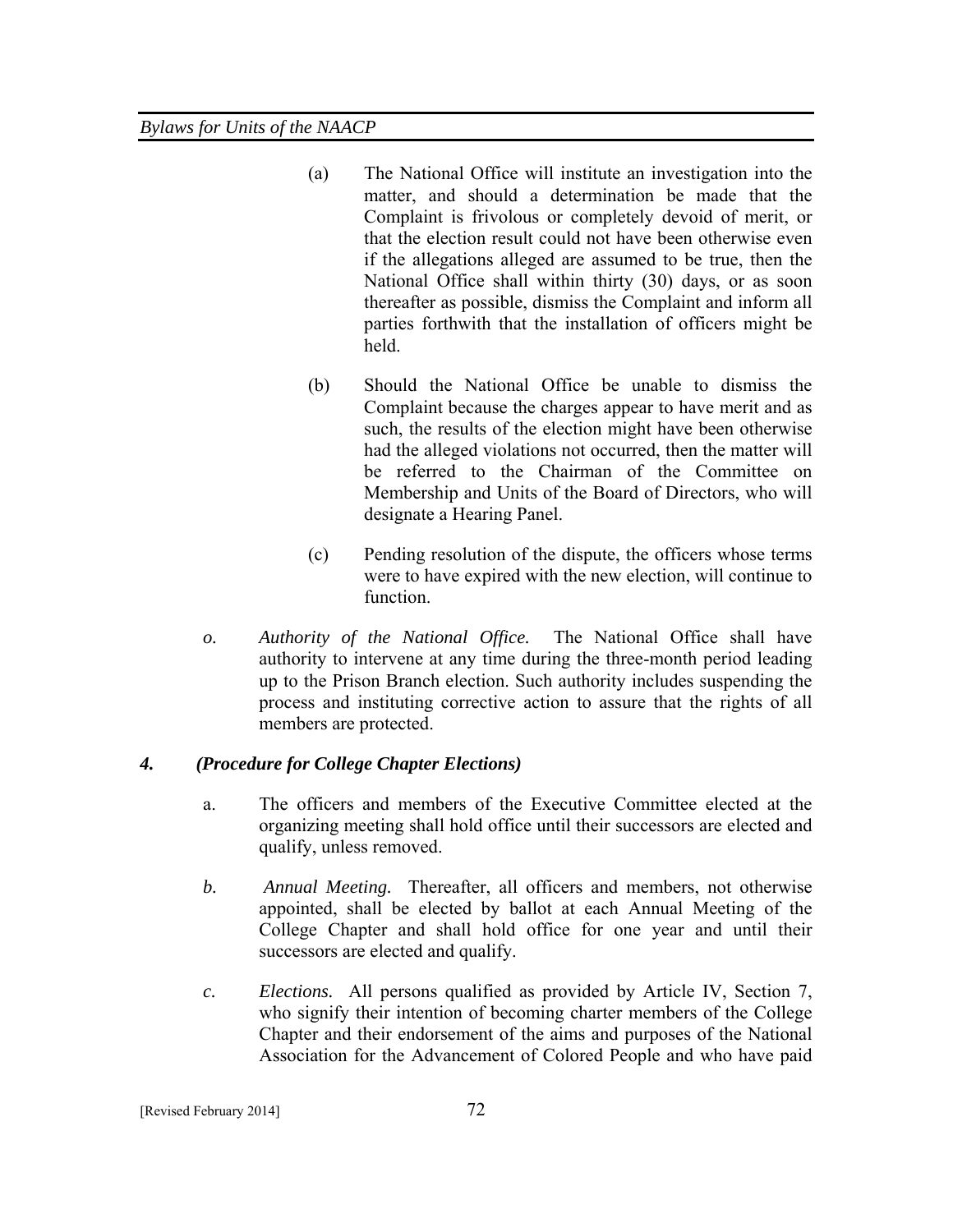- (a) The National Office will institute an investigation into the matter, and should a determination be made that the Complaint is frivolous or completely devoid of merit, or that the election result could not have been otherwise even if the allegations alleged are assumed to be true, then the National Office shall within thirty (30) days, or as soon thereafter as possible, dismiss the Complaint and inform all parties forthwith that the installation of officers might be held.
- (b) Should the National Office be unable to dismiss the Complaint because the charges appear to have merit and as such, the results of the election might have been otherwise had the alleged violations not occurred, then the matter will be referred to the Chairman of the Committee on Membership and Units of the Board of Directors, who will designate a Hearing Panel.
- (c) Pending resolution of the dispute, the officers whose terms were to have expired with the new election, will continue to function.
- *o. Authority of the National Office.* The National Office shall have authority to intervene at any time during the three-month period leading up to the Prison Branch election. Such authority includes suspending the process and instituting corrective action to assure that the rights of all members are protected.

# *4. (Procedure for College Chapter Elections)*

- a. The officers and members of the Executive Committee elected at the organizing meeting shall hold office until their successors are elected and qualify, unless removed.
- *b. Annual Meeting.* Thereafter, all officers and members, not otherwise appointed, shall be elected by ballot at each Annual Meeting of the College Chapter and shall hold office for one year and until their successors are elected and qualify.
- *c. Elections.* All persons qualified as provided by Article IV, Section 7, who signify their intention of becoming charter members of the College Chapter and their endorsement of the aims and purposes of the National Association for the Advancement of Colored People and who have paid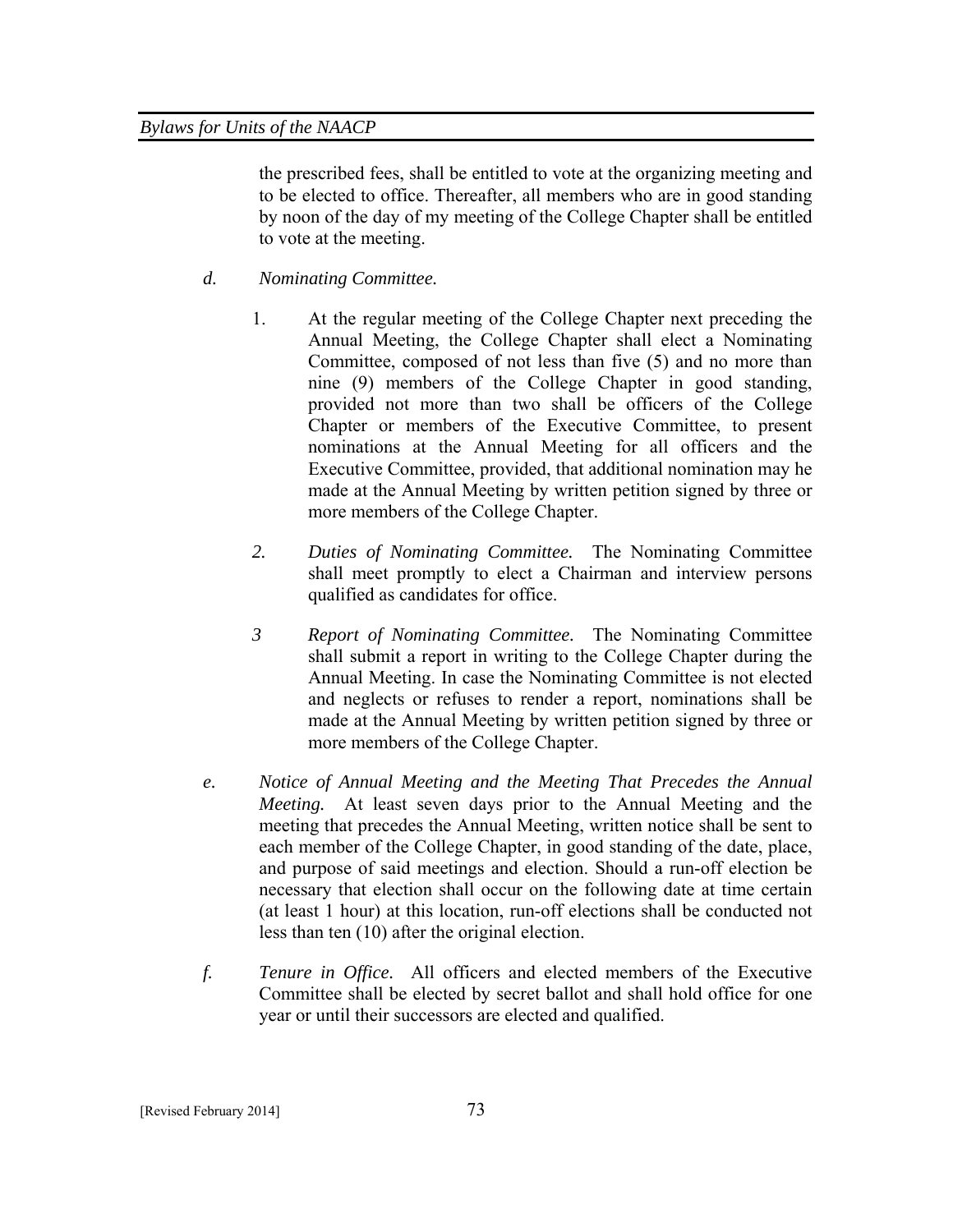the prescribed fees, shall be entitled to vote at the organizing meeting and to be elected to office. Thereafter, all members who are in good standing by noon of the day of my meeting of the College Chapter shall be entitled to vote at the meeting.

- *d. Nominating Committee.*
	- 1. At the regular meeting of the College Chapter next preceding the Annual Meeting, the College Chapter shall elect a Nominating Committee, composed of not less than five (5) and no more than nine (9) members of the College Chapter in good standing, provided not more than two shall be officers of the College Chapter or members of the Executive Committee, to present nominations at the Annual Meeting for all officers and the Executive Committee, provided, that additional nomination may he made at the Annual Meeting by written petition signed by three or more members of the College Chapter.
	- *2. Duties of Nominating Committee.* The Nominating Committee shall meet promptly to elect a Chairman and interview persons qualified as candidates for office.
	- *3 Report of Nominating Committee.* The Nominating Committee shall submit a report in writing to the College Chapter during the Annual Meeting. In case the Nominating Committee is not elected and neglects or refuses to render a report, nominations shall be made at the Annual Meeting by written petition signed by three or more members of the College Chapter.
- *e. Notice of Annual Meeting and the Meeting That Precedes the Annual Meeting.* At least seven days prior to the Annual Meeting and the meeting that precedes the Annual Meeting, written notice shall be sent to each member of the College Chapter, in good standing of the date, place, and purpose of said meetings and election. Should a run-off election be necessary that election shall occur on the following date at time certain (at least 1 hour) at this location, run-off elections shall be conducted not less than ten (10) after the original election.
- *f. Tenure in Office.* All officers and elected members of the Executive Committee shall be elected by secret ballot and shall hold office for one year or until their successors are elected and qualified.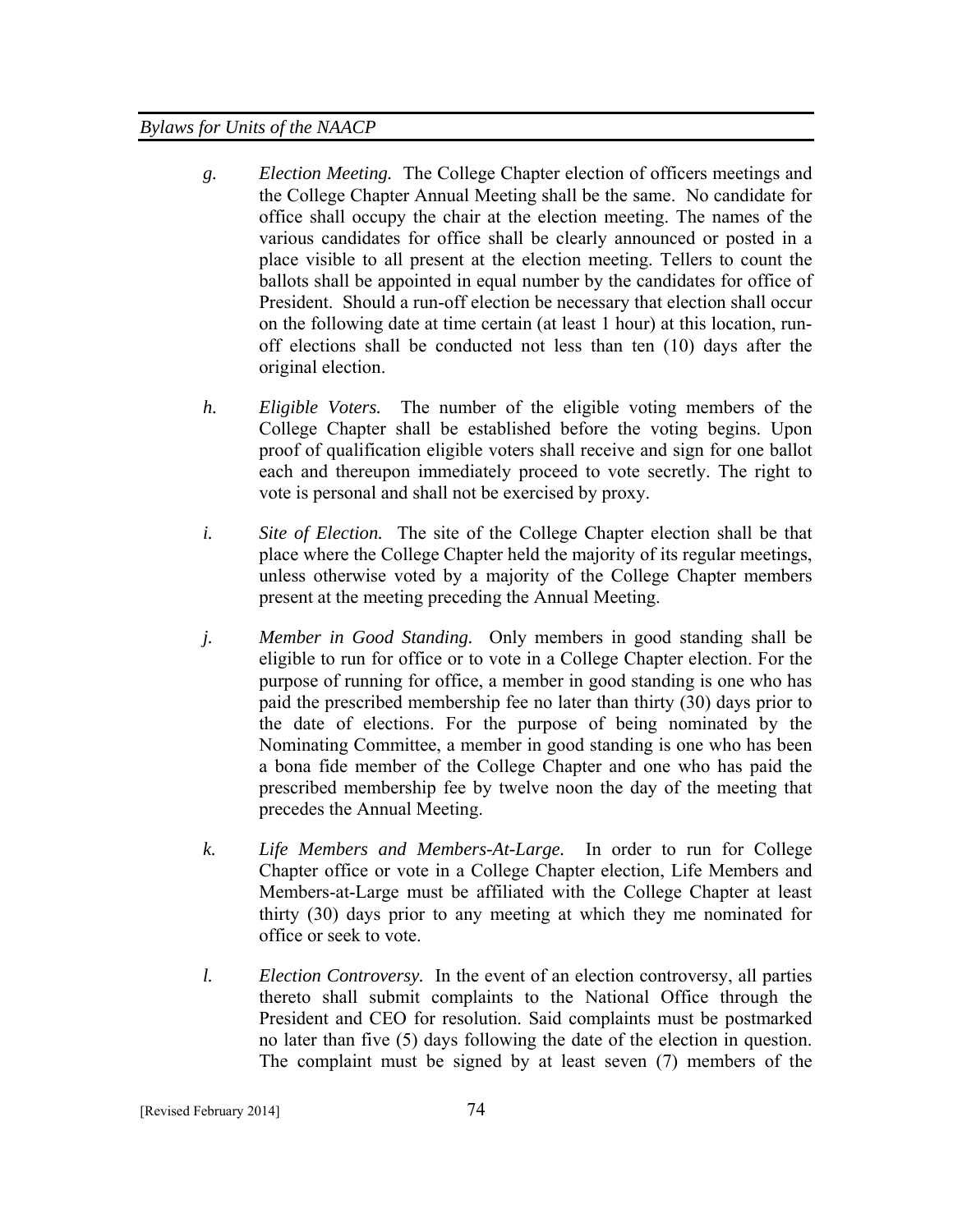- *g. Election Meeting.* The College Chapter election of officers meetings and the College Chapter Annual Meeting shall be the same. No candidate for office shall occupy the chair at the election meeting. The names of the various candidates for office shall be clearly announced or posted in a place visible to all present at the election meeting. Tellers to count the ballots shall be appointed in equal number by the candidates for office of President. Should a run-off election be necessary that election shall occur on the following date at time certain (at least 1 hour) at this location, runoff elections shall be conducted not less than ten (10) days after the original election.
- *h. Eligible Voters.* The number of the eligible voting members of the College Chapter shall be established before the voting begins. Upon proof of qualification eligible voters shall receive and sign for one ballot each and thereupon immediately proceed to vote secretly. The right to vote is personal and shall not be exercised by proxy.
- *i. Site of Election.* The site of the College Chapter election shall be that place where the College Chapter held the majority of its regular meetings, unless otherwise voted by a majority of the College Chapter members present at the meeting preceding the Annual Meeting.
- *j. Member in Good Standing.* Only members in good standing shall be eligible to run for office or to vote in a College Chapter election. For the purpose of running for office, a member in good standing is one who has paid the prescribed membership fee no later than thirty (30) days prior to the date of elections. For the purpose of being nominated by the Nominating Committee, a member in good standing is one who has been a bona fide member of the College Chapter and one who has paid the prescribed membership fee by twelve noon the day of the meeting that precedes the Annual Meeting.
- *k. Life Members and Members-At-Large.* In order to run for College Chapter office or vote in a College Chapter election, Life Members and Members-at-Large must be affiliated with the College Chapter at least thirty (30) days prior to any meeting at which they me nominated for office or seek to vote.
- *l. Election Controversy.* In the event of an election controversy, all parties thereto shall submit complaints to the National Office through the President and CEO for resolution. Said complaints must be postmarked no later than five (5) days following the date of the election in question. The complaint must be signed by at least seven (7) members of the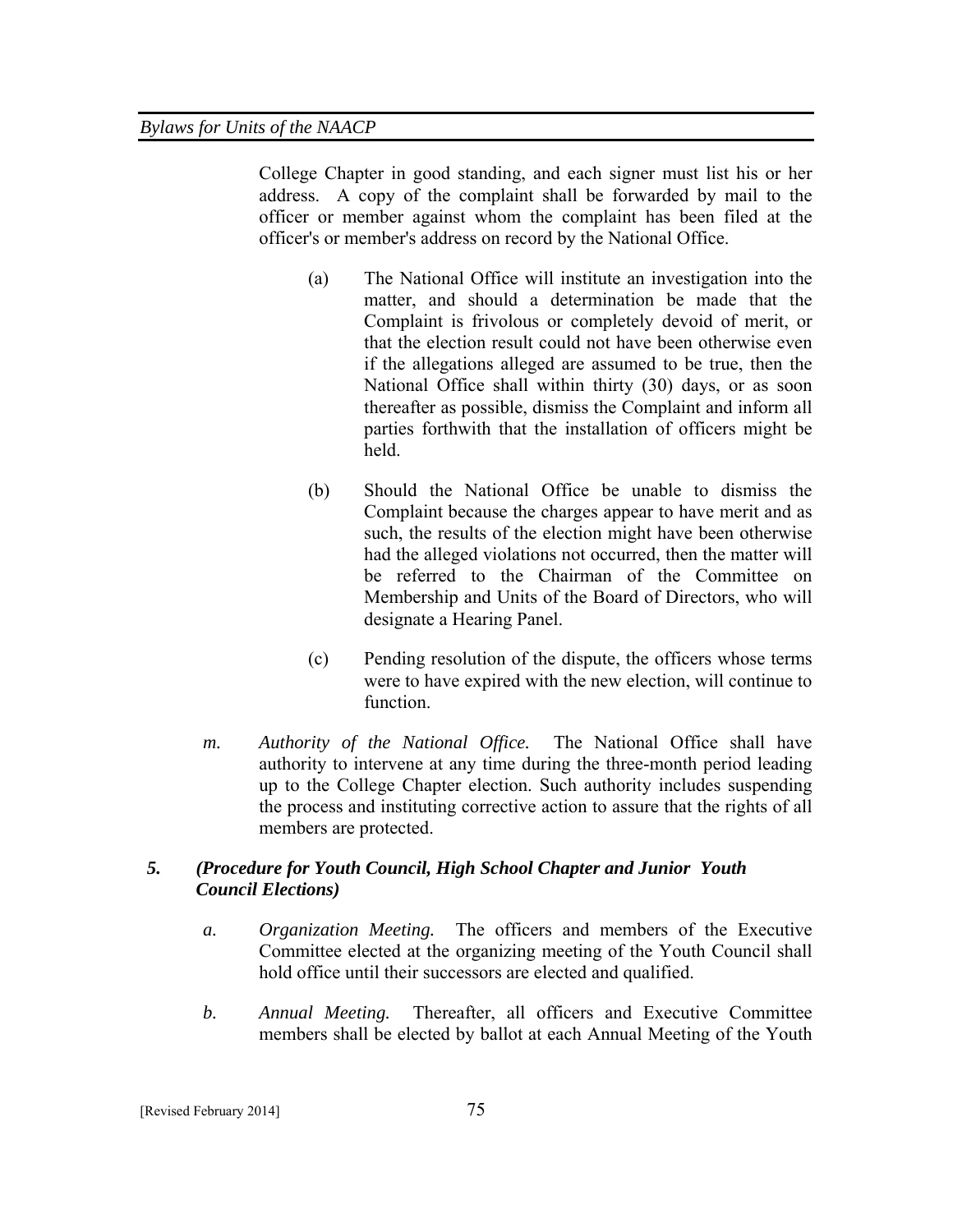College Chapter in good standing, and each signer must list his or her address. A copy of the complaint shall be forwarded by mail to the officer or member against whom the complaint has been filed at the officer's or member's address on record by the National Office.

- (a) The National Office will institute an investigation into the matter, and should a determination be made that the Complaint is frivolous or completely devoid of merit, or that the election result could not have been otherwise even if the allegations alleged are assumed to be true, then the National Office shall within thirty (30) days, or as soon thereafter as possible, dismiss the Complaint and inform all parties forthwith that the installation of officers might be held.
- (b) Should the National Office be unable to dismiss the Complaint because the charges appear to have merit and as such, the results of the election might have been otherwise had the alleged violations not occurred, then the matter will be referred to the Chairman of the Committee on Membership and Units of the Board of Directors, who will designate a Hearing Panel.
- (c) Pending resolution of the dispute, the officers whose terms were to have expired with the new election, will continue to function.
- *m. Authority of the National Office.* The National Office shall have authority to intervene at any time during the three-month period leading up to the College Chapter election. Such authority includes suspending the process and instituting corrective action to assure that the rights of all members are protected.

# *5. (Procedure for Youth Council, High School Chapter and Junior Youth Council Elections)*

- *a. Organization Meeting.* The officers and members of the Executive Committee elected at the organizing meeting of the Youth Council shall hold office until their successors are elected and qualified.
- *b. Annual Meeting.* Thereafter, all officers and Executive Committee members shall be elected by ballot at each Annual Meeting of the Youth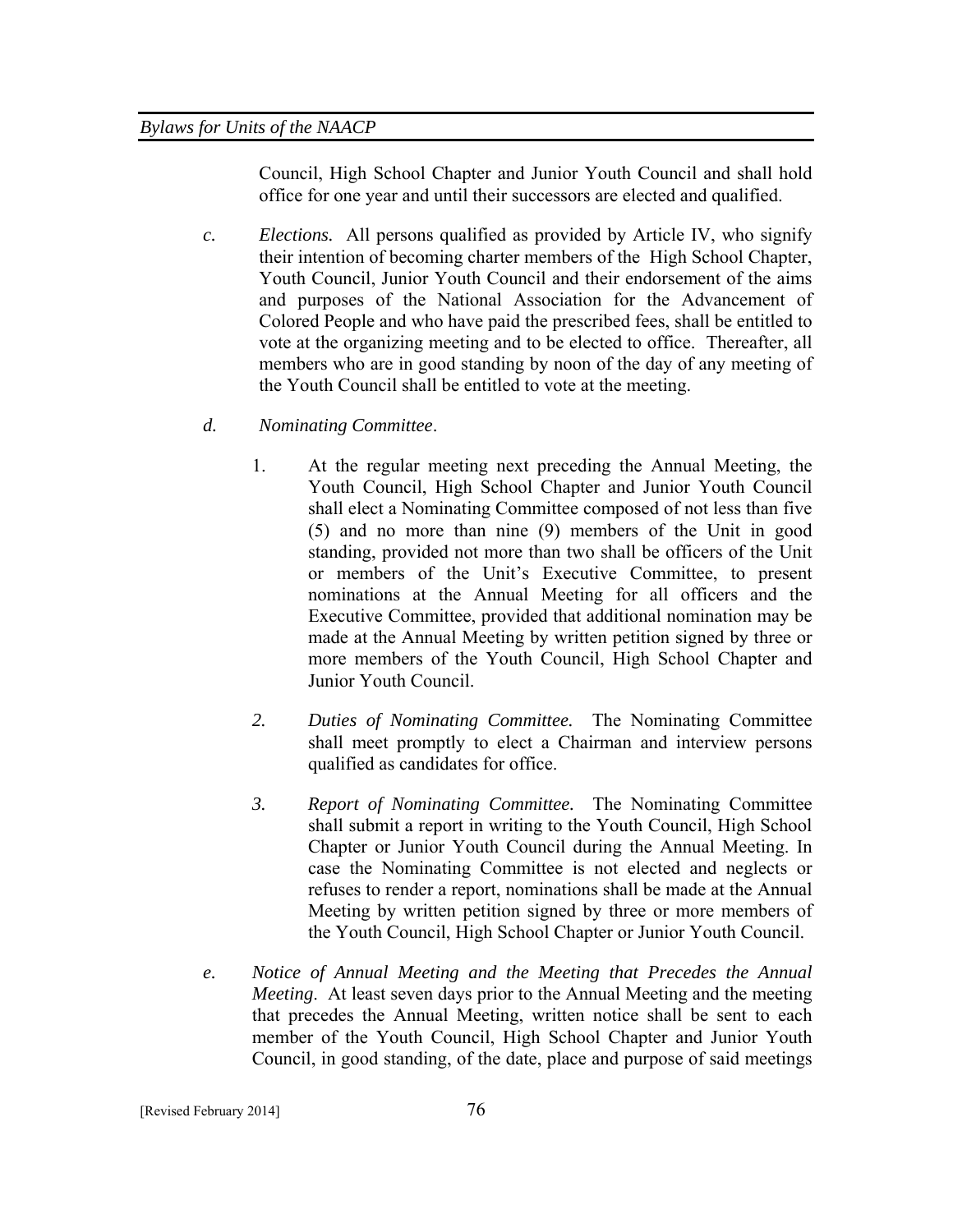Council, High School Chapter and Junior Youth Council and shall hold office for one year and until their successors are elected and qualified.

- *c. Elections.* All persons qualified as provided by Article IV, who signify their intention of becoming charter members of the High School Chapter, Youth Council, Junior Youth Council and their endorsement of the aims and purposes of the National Association for the Advancement of Colored People and who have paid the prescribed fees, shall be entitled to vote at the organizing meeting and to be elected to office. Thereafter, all members who are in good standing by noon of the day of any meeting of the Youth Council shall be entitled to vote at the meeting.
- *d. Nominating Committee*.
	- 1. At the regular meeting next preceding the Annual Meeting, the Youth Council, High School Chapter and Junior Youth Council shall elect a Nominating Committee composed of not less than five (5) and no more than nine (9) members of the Unit in good standing, provided not more than two shall be officers of the Unit or members of the Unit's Executive Committee, to present nominations at the Annual Meeting for all officers and the Executive Committee, provided that additional nomination may be made at the Annual Meeting by written petition signed by three or more members of the Youth Council, High School Chapter and Junior Youth Council.
	- *2. Duties of Nominating Committee.* The Nominating Committee shall meet promptly to elect a Chairman and interview persons qualified as candidates for office.
	- *3. Report of Nominating Committee.* The Nominating Committee shall submit a report in writing to the Youth Council, High School Chapter or Junior Youth Council during the Annual Meeting. In case the Nominating Committee is not elected and neglects or refuses to render a report, nominations shall be made at the Annual Meeting by written petition signed by three or more members of the Youth Council, High School Chapter or Junior Youth Council.
- *e. Notice of Annual Meeting and the Meeting that Precedes the Annual Meeting*. At least seven days prior to the Annual Meeting and the meeting that precedes the Annual Meeting, written notice shall be sent to each member of the Youth Council, High School Chapter and Junior Youth Council, in good standing, of the date, place and purpose of said meetings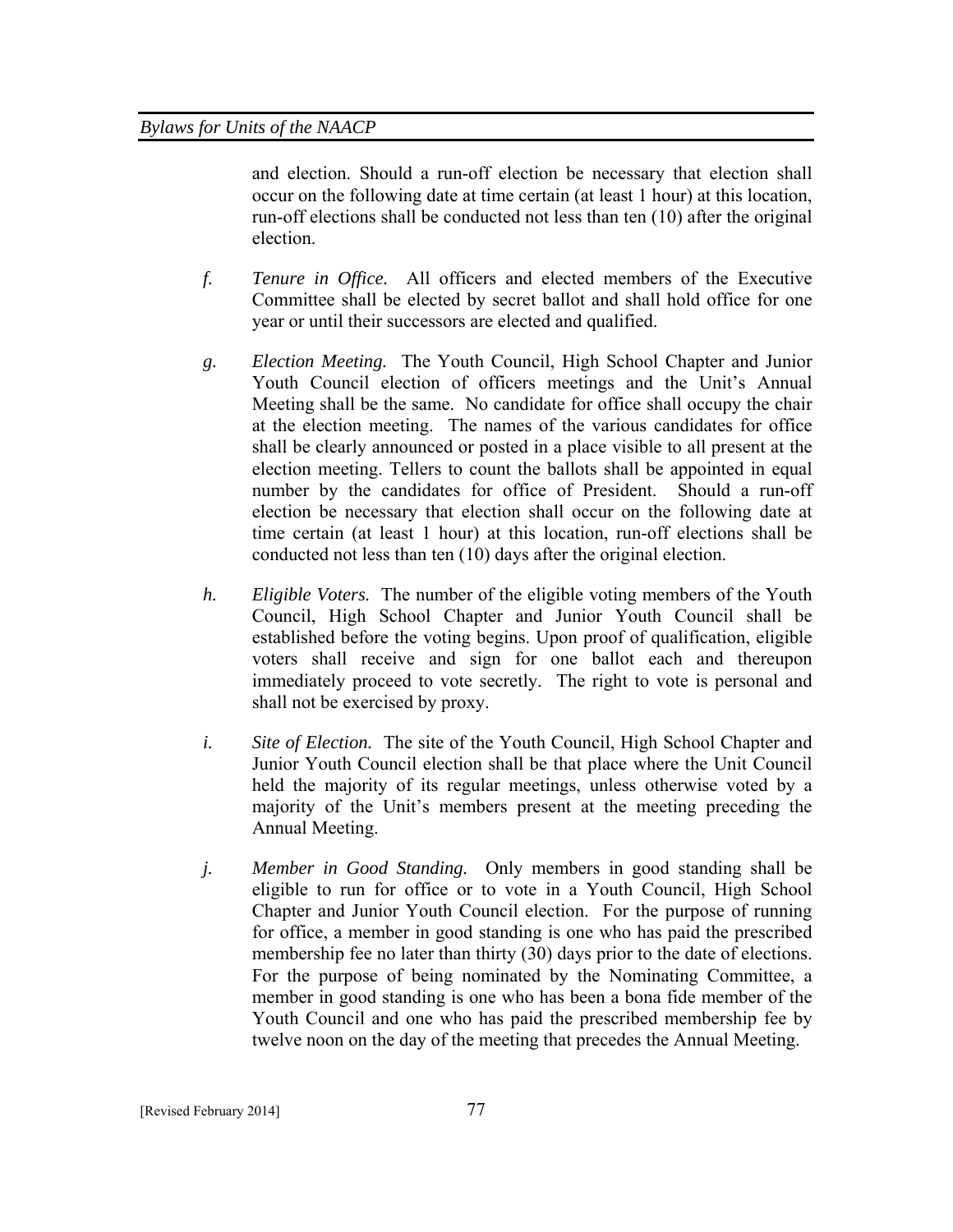and election. Should a run-off election be necessary that election shall occur on the following date at time certain (at least 1 hour) at this location, run-off elections shall be conducted not less than ten (10) after the original election.

- *f. Tenure in Office.* All officers and elected members of the Executive Committee shall be elected by secret ballot and shall hold office for one year or until their successors are elected and qualified.
- *g. Election Meeting.* The Youth Council, High School Chapter and Junior Youth Council election of officers meetings and the Unit's Annual Meeting shall be the same. No candidate for office shall occupy the chair at the election meeting. The names of the various candidates for office shall be clearly announced or posted in a place visible to all present at the election meeting. Tellers to count the ballots shall be appointed in equal number by the candidates for office of President. Should a run-off election be necessary that election shall occur on the following date at time certain (at least 1 hour) at this location, run-off elections shall be conducted not less than ten (10) days after the original election.
- *h. Eligible Voters.* The number of the eligible voting members of the Youth Council, High School Chapter and Junior Youth Council shall be established before the voting begins. Upon proof of qualification, eligible voters shall receive and sign for one ballot each and thereupon immediately proceed to vote secretly. The right to vote is personal and shall not be exercised by proxy.
- *i. Site of Election.* The site of the Youth Council, High School Chapter and Junior Youth Council election shall be that place where the Unit Council held the majority of its regular meetings, unless otherwise voted by a majority of the Unit's members present at the meeting preceding the Annual Meeting.
- *j. Member in Good Standing.* Only members in good standing shall be eligible to run for office or to vote in a Youth Council, High School Chapter and Junior Youth Council election. For the purpose of running for office, a member in good standing is one who has paid the prescribed membership fee no later than thirty (30) days prior to the date of elections. For the purpose of being nominated by the Nominating Committee, a member in good standing is one who has been a bona fide member of the Youth Council and one who has paid the prescribed membership fee by twelve noon on the day of the meeting that precedes the Annual Meeting.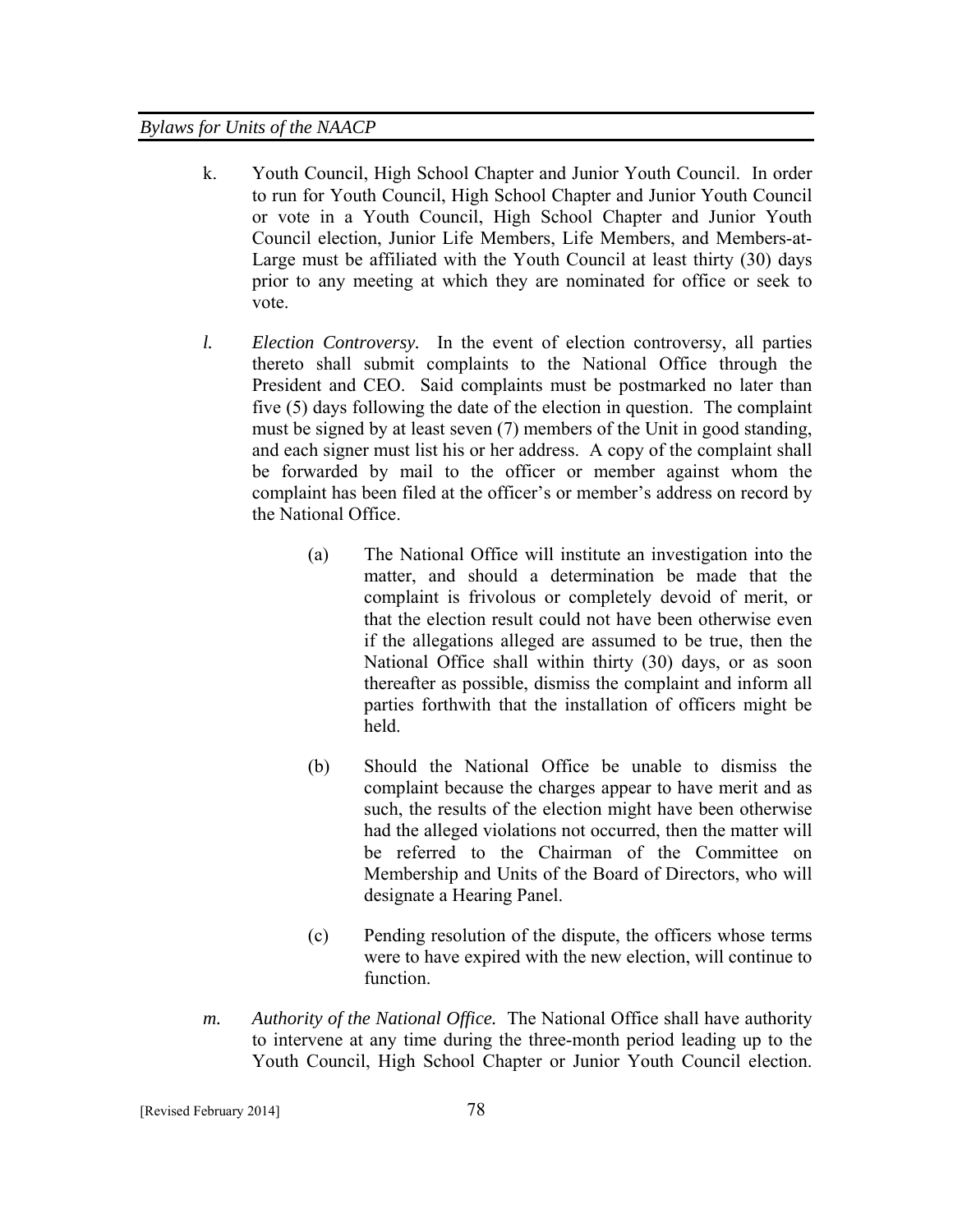- k. Youth Council, High School Chapter and Junior Youth Council. In order to run for Youth Council, High School Chapter and Junior Youth Council or vote in a Youth Council, High School Chapter and Junior Youth Council election, Junior Life Members, Life Members, and Members-at-Large must be affiliated with the Youth Council at least thirty (30) days prior to any meeting at which they are nominated for office or seek to vote.
- *l. Election Controversy.* In the event of election controversy, all parties thereto shall submit complaints to the National Office through the President and CEO. Said complaints must be postmarked no later than five (5) days following the date of the election in question. The complaint must be signed by at least seven (7) members of the Unit in good standing, and each signer must list his or her address. A copy of the complaint shall be forwarded by mail to the officer or member against whom the complaint has been filed at the officer's or member's address on record by the National Office.
	- (a) The National Office will institute an investigation into the matter, and should a determination be made that the complaint is frivolous or completely devoid of merit, or that the election result could not have been otherwise even if the allegations alleged are assumed to be true, then the National Office shall within thirty (30) days, or as soon thereafter as possible, dismiss the complaint and inform all parties forthwith that the installation of officers might be held.
	- (b) Should the National Office be unable to dismiss the complaint because the charges appear to have merit and as such, the results of the election might have been otherwise had the alleged violations not occurred, then the matter will be referred to the Chairman of the Committee on Membership and Units of the Board of Directors, who will designate a Hearing Panel.
	- (c) Pending resolution of the dispute, the officers whose terms were to have expired with the new election, will continue to function.
- *m. Authority of the National Office.* The National Office shall have authority to intervene at any time during the three-month period leading up to the Youth Council, High School Chapter or Junior Youth Council election.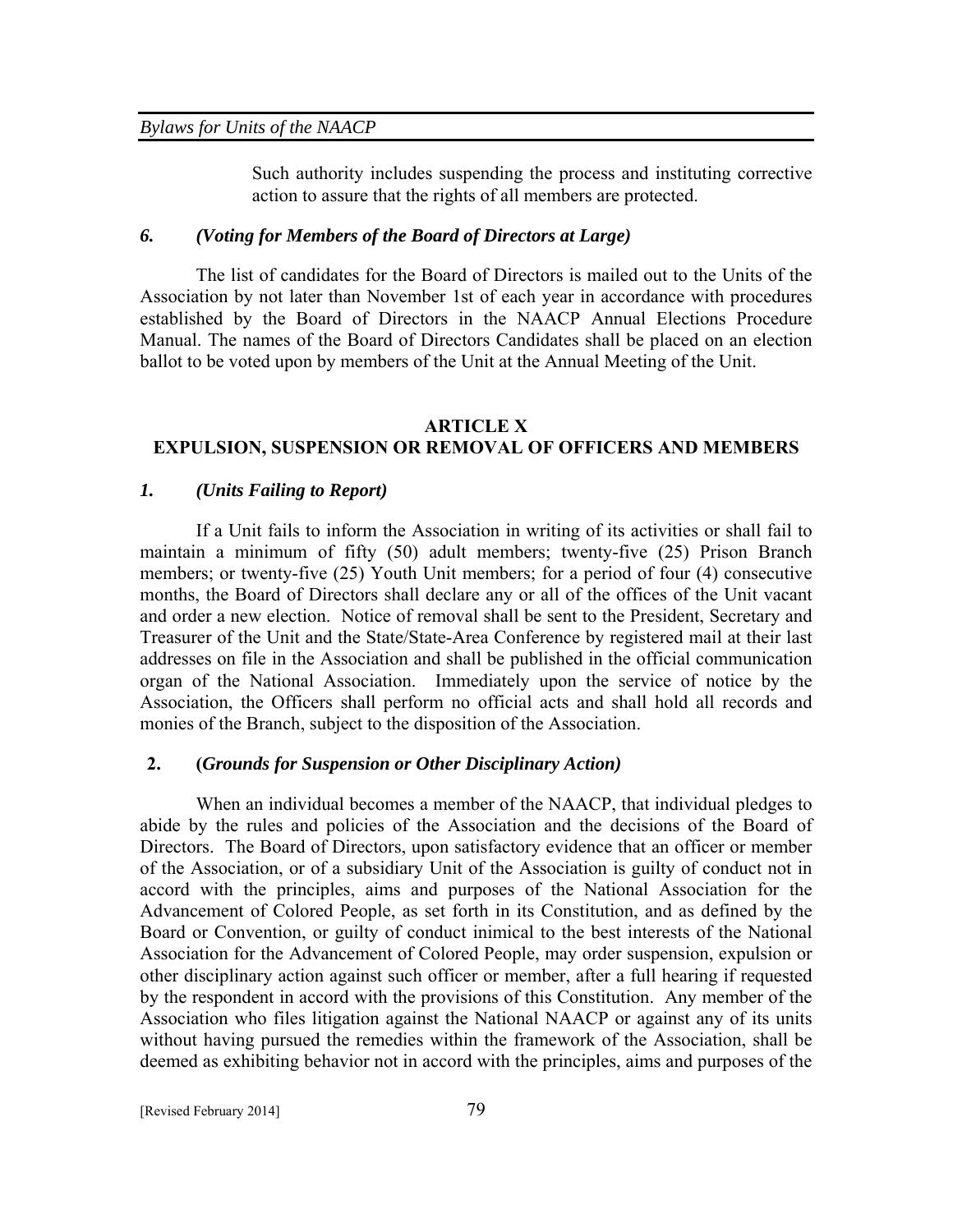Such authority includes suspending the process and instituting corrective action to assure that the rights of all members are protected.

#### *6. (Voting for Members of the Board of Directors at Large)*

The list of candidates for the Board of Directors is mailed out to the Units of the Association by not later than November 1st of each year in accordance with procedures established by the Board of Directors in the NAACP Annual Elections Procedure Manual. The names of the Board of Directors Candidates shall be placed on an election ballot to be voted upon by members of the Unit at the Annual Meeting of the Unit.

#### **ARTICLE X**

# **EXPULSION, SUSPENSION OR REMOVAL OF OFFICERS AND MEMBERS**

#### *1. (Units Failing to Report)*

 If a Unit fails to inform the Association in writing of its activities or shall fail to maintain a minimum of fifty (50) adult members; twenty-five (25) Prison Branch members; or twenty-five (25) Youth Unit members; for a period of four (4) consecutive months, the Board of Directors shall declare any or all of the offices of the Unit vacant and order a new election. Notice of removal shall be sent to the President, Secretary and Treasurer of the Unit and the State/State-Area Conference by registered mail at their last addresses on file in the Association and shall be published in the official communication organ of the National Association. Immediately upon the service of notice by the Association, the Officers shall perform no official acts and shall hold all records and monies of the Branch, subject to the disposition of the Association.

### **2. (***Grounds for Suspension or Other Disciplinary Action)*

 When an individual becomes a member of the NAACP, that individual pledges to abide by the rules and policies of the Association and the decisions of the Board of Directors. The Board of Directors, upon satisfactory evidence that an officer or member of the Association, or of a subsidiary Unit of the Association is guilty of conduct not in accord with the principles, aims and purposes of the National Association for the Advancement of Colored People, as set forth in its Constitution, and as defined by the Board or Convention, or guilty of conduct inimical to the best interests of the National Association for the Advancement of Colored People, may order suspension, expulsion or other disciplinary action against such officer or member, after a full hearing if requested by the respondent in accord with the provisions of this Constitution. Any member of the Association who files litigation against the National NAACP or against any of its units without having pursued the remedies within the framework of the Association, shall be deemed as exhibiting behavior not in accord with the principles, aims and purposes of the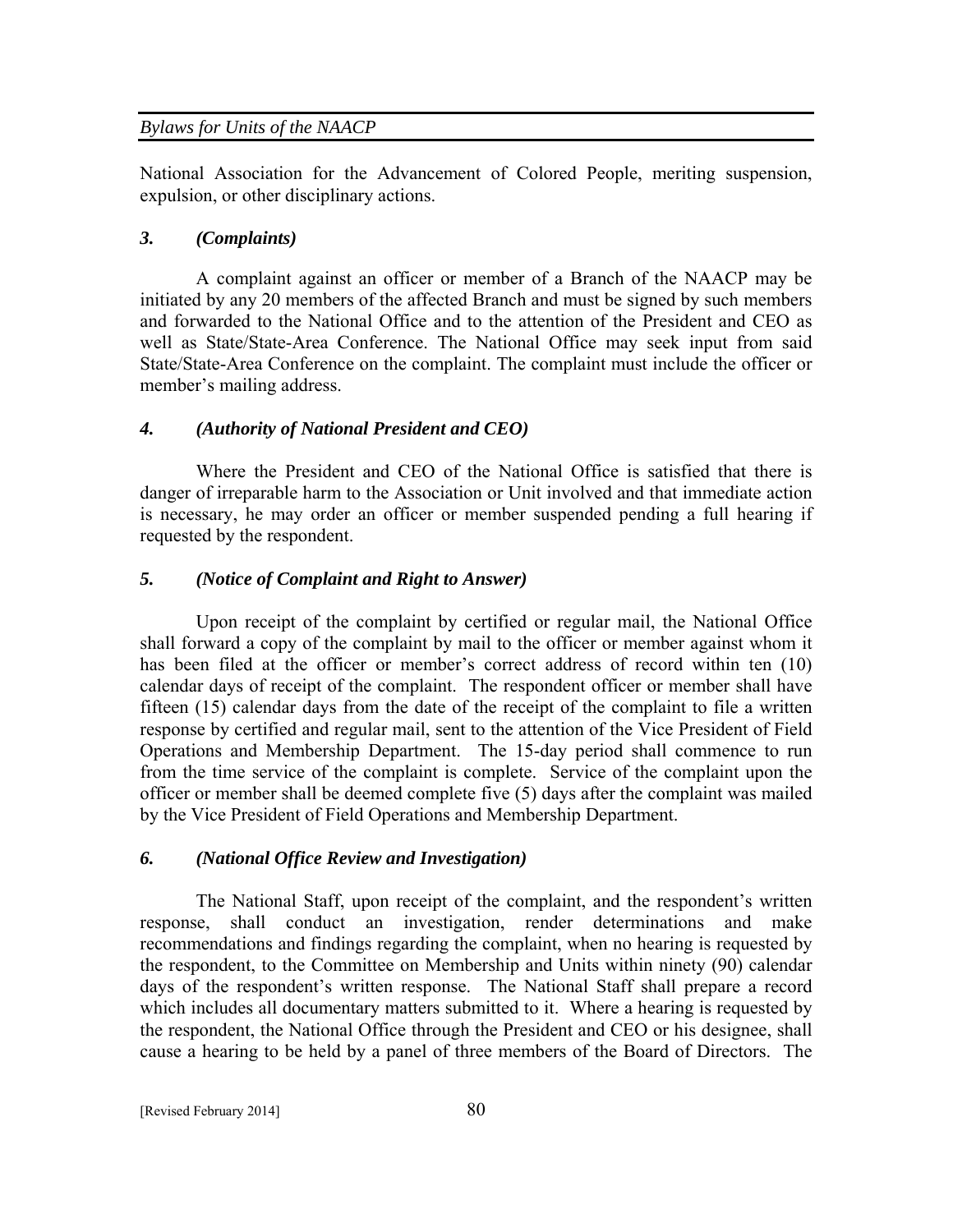National Association for the Advancement of Colored People, meriting suspension, expulsion, or other disciplinary actions.

#### *3. (Complaints)*

A complaint against an officer or member of a Branch of the NAACP may be initiated by any 20 members of the affected Branch and must be signed by such members and forwarded to the National Office and to the attention of the President and CEO as well as State/State-Area Conference. The National Office may seek input from said State/State-Area Conference on the complaint. The complaint must include the officer or member's mailing address.

# *4. (Authority of National President and CEO)*

Where the President and CEO of the National Office is satisfied that there is danger of irreparable harm to the Association or Unit involved and that immediate action is necessary, he may order an officer or member suspended pending a full hearing if requested by the respondent.

#### *5. (Notice of Complaint and Right to Answer)*

Upon receipt of the complaint by certified or regular mail, the National Office shall forward a copy of the complaint by mail to the officer or member against whom it has been filed at the officer or member's correct address of record within ten (10) calendar days of receipt of the complaint. The respondent officer or member shall have fifteen (15) calendar days from the date of the receipt of the complaint to file a written response by certified and regular mail, sent to the attention of the Vice President of Field Operations and Membership Department. The 15-day period shall commence to run from the time service of the complaint is complete. Service of the complaint upon the officer or member shall be deemed complete five (5) days after the complaint was mailed by the Vice President of Field Operations and Membership Department.

#### *6. (National Office Review and Investigation)*

The National Staff, upon receipt of the complaint, and the respondent's written response, shall conduct an investigation, render determinations and make recommendations and findings regarding the complaint, when no hearing is requested by the respondent, to the Committee on Membership and Units within ninety (90) calendar days of the respondent's written response. The National Staff shall prepare a record which includes all documentary matters submitted to it. Where a hearing is requested by the respondent, the National Office through the President and CEO or his designee, shall cause a hearing to be held by a panel of three members of the Board of Directors. The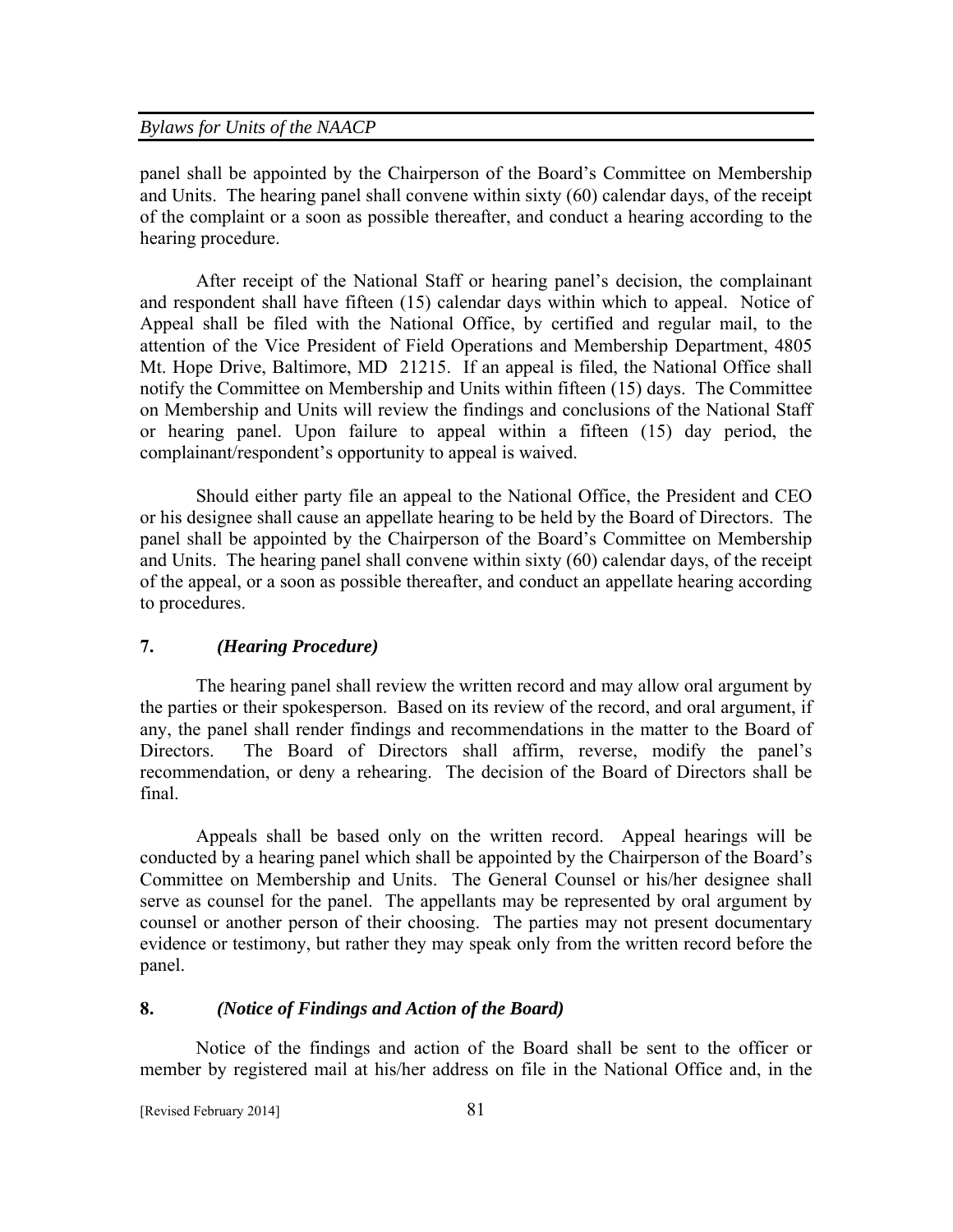panel shall be appointed by the Chairperson of the Board's Committee on Membership and Units. The hearing panel shall convene within sixty (60) calendar days, of the receipt of the complaint or a soon as possible thereafter, and conduct a hearing according to the hearing procedure.

 After receipt of the National Staff or hearing panel's decision, the complainant and respondent shall have fifteen (15) calendar days within which to appeal. Notice of Appeal shall be filed with the National Office, by certified and regular mail, to the attention of the Vice President of Field Operations and Membership Department, 4805 Mt. Hope Drive, Baltimore, MD 21215. If an appeal is filed, the National Office shall notify the Committee on Membership and Units within fifteen (15) days. The Committee on Membership and Units will review the findings and conclusions of the National Staff or hearing panel. Upon failure to appeal within a fifteen (15) day period, the complainant/respondent's opportunity to appeal is waived.

 Should either party file an appeal to the National Office, the President and CEO or his designee shall cause an appellate hearing to be held by the Board of Directors. The panel shall be appointed by the Chairperson of the Board's Committee on Membership and Units. The hearing panel shall convene within sixty (60) calendar days, of the receipt of the appeal, or a soon as possible thereafter, and conduct an appellate hearing according to procedures.

#### **7.** *(Hearing Procedure)*

The hearing panel shall review the written record and may allow oral argument by the parties or their spokesperson. Based on its review of the record, and oral argument, if any, the panel shall render findings and recommendations in the matter to the Board of Directors. The Board of Directors shall affirm, reverse, modify the panel's recommendation, or deny a rehearing. The decision of the Board of Directors shall be final.

Appeals shall be based only on the written record. Appeal hearings will be conducted by a hearing panel which shall be appointed by the Chairperson of the Board's Committee on Membership and Units. The General Counsel or his/her designee shall serve as counsel for the panel. The appellants may be represented by oral argument by counsel or another person of their choosing. The parties may not present documentary evidence or testimony, but rather they may speak only from the written record before the panel.

#### **8.** *(Notice of Findings and Action of the Board)*

Notice of the findings and action of the Board shall be sent to the officer or member by registered mail at his/her address on file in the National Office and, in the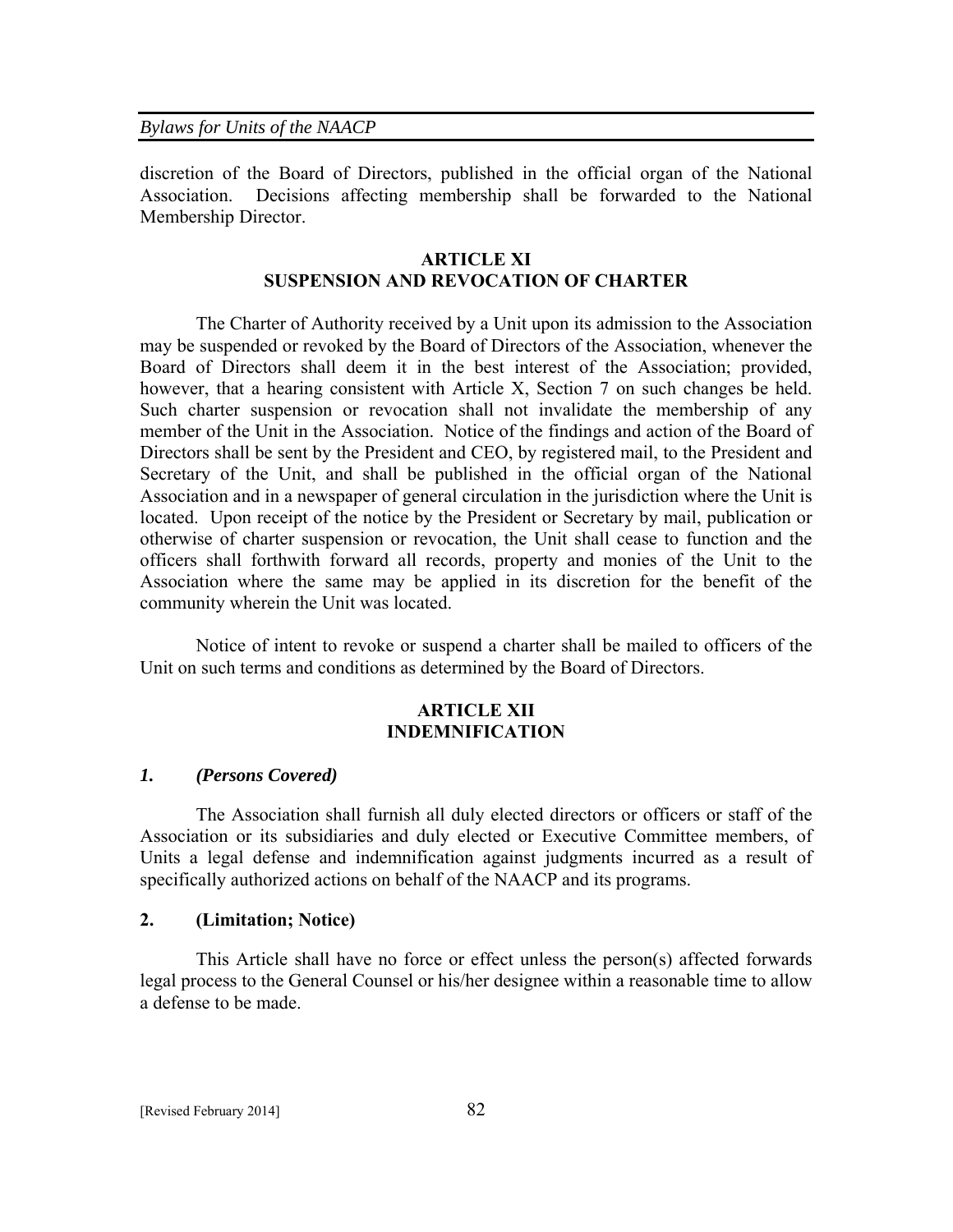discretion of the Board of Directors, published in the official organ of the National Association. Decisions affecting membership shall be forwarded to the National Membership Director.

### **ARTICLE XI SUSPENSION AND REVOCATION OF CHARTER**

 The Charter of Authority received by a Unit upon its admission to the Association may be suspended or revoked by the Board of Directors of the Association, whenever the Board of Directors shall deem it in the best interest of the Association; provided, however, that a hearing consistent with Article X, Section 7 on such changes be held. Such charter suspension or revocation shall not invalidate the membership of any member of the Unit in the Association. Notice of the findings and action of the Board of Directors shall be sent by the President and CEO, by registered mail, to the President and Secretary of the Unit, and shall be published in the official organ of the National Association and in a newspaper of general circulation in the jurisdiction where the Unit is located. Upon receipt of the notice by the President or Secretary by mail, publication or otherwise of charter suspension or revocation, the Unit shall cease to function and the officers shall forthwith forward all records, property and monies of the Unit to the Association where the same may be applied in its discretion for the benefit of the community wherein the Unit was located.

 Notice of intent to revoke or suspend a charter shall be mailed to officers of the Unit on such terms and conditions as determined by the Board of Directors.

# **ARTICLE XII INDEMNIFICATION**

#### *1. (Persons Covered)*

 The Association shall furnish all duly elected directors or officers or staff of the Association or its subsidiaries and duly elected or Executive Committee members, of Units a legal defense and indemnification against judgments incurred as a result of specifically authorized actions on behalf of the NAACP and its programs.

### **2. (Limitation; Notice)**

This Article shall have no force or effect unless the person(s) affected forwards legal process to the General Counsel or his/her designee within a reasonable time to allow a defense to be made.